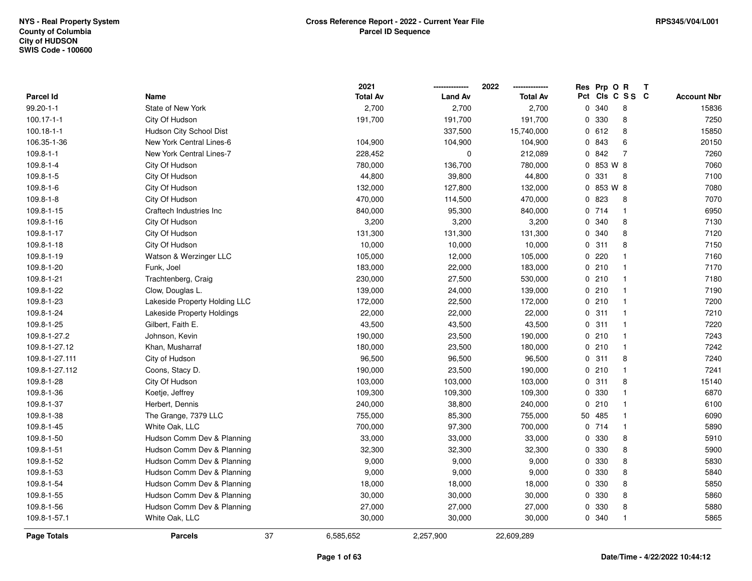|                    |                               |    | 2021            |                | 2022            |              | Res Prp O R |              | Т |                    |
|--------------------|-------------------------------|----|-----------------|----------------|-----------------|--------------|-------------|--------------|---|--------------------|
| Parcel Id          | Name                          |    | <b>Total Av</b> | <b>Land Av</b> | <b>Total Av</b> | Pct          |             | CIS C S S C  |   | <b>Account Nbr</b> |
| 99.20-1-1          | State of New York             |    | 2,700           | 2,700          | 2,700           | $\mathbf{0}$ | 340         | 8            |   | 15836              |
| $100.17 - 1 - 1$   | City Of Hudson                |    | 191,700         | 191,700        | 191,700         | 0            | 330         | 8            |   | 7250               |
| $100.18 - 1 - 1$   | Hudson City School Dist       |    |                 | 337,500        | 15,740,000      |              | 0612        | 8            |   | 15850              |
| 106.35-1-36        | New York Central Lines-6      |    | 104,900         | 104,900        | 104,900         |              | 0 843       | 6            |   | 20150              |
| $109.8 - 1 - 1$    | New York Central Lines-7      |    | 228,452         | 0              | 212,089         |              | 0 842       | 7            |   | 7260               |
| 109.8-1-4          | City Of Hudson                |    | 780,000         | 136,700        | 780,000         |              | 0 853 W 8   |              |   | 7060               |
| 109.8-1-5          | City Of Hudson                |    | 44,800          | 39,800         | 44,800          |              | 0.331       | 8            |   | 7100               |
| $109.8 - 1 - 6$    | City Of Hudson                |    | 132,000         | 127,800        | 132,000         |              | 0 853 W 8   |              |   | 7080               |
| 109.8-1-8          | City Of Hudson                |    | 470,000         | 114,500        | 470,000         |              | 0 823       | 8            |   | 7070               |
| 109.8-1-15         | Craftech Industries Inc       |    | 840,000         | 95,300         | 840,000         |              | 0714        | $\mathbf{1}$ |   | 6950               |
| 109.8-1-16         | City Of Hudson                |    | 3,200           | 3,200          | 3,200           |              | 0 340       | 8            |   | 7130               |
| 109.8-1-17         | City Of Hudson                |    | 131,300         | 131,300        | 131,300         |              | 0 340       | 8            |   | 7120               |
| 109.8-1-18         | City Of Hudson                |    | 10,000          | 10,000         | 10,000          |              | 0.311       | 8            |   | 7150               |
| 109.8-1-19         | Watson & Werzinger LLC        |    | 105,000         | 12,000         | 105,000         |              | 0220        | $\mathbf 1$  |   | 7160               |
| 109.8-1-20         | Funk, Joel                    |    | 183,000         | 22,000         | 183,000         |              | 0210        | $\mathbf{1}$ |   | 7170               |
| 109.8-1-21         | Trachtenberg, Craig           |    | 230,000         | 27,500         | 530,000         |              | 0210        | $\mathbf{1}$ |   | 7180               |
| 109.8-1-22         | Clow, Douglas L.              |    | 139,000         | 24,000         | 139,000         |              | 0210        | $\mathbf{1}$ |   | 7190               |
| 109.8-1-23         | Lakeside Property Holding LLC |    | 172,000         | 22,500         | 172,000         |              | 0210        | $\mathbf{1}$ |   | 7200               |
| 109.8-1-24         | Lakeside Property Holdings    |    | 22,000          | 22,000         | 22,000          |              | 0.311       | $\mathbf 1$  |   | 7210               |
| 109.8-1-25         | Gilbert, Faith E.             |    | 43,500          | 43,500         | 43,500          |              | 0.311       | $\mathbf{1}$ |   | 7220               |
| 109.8-1-27.2       | Johnson, Kevin                |    | 190,000         | 23,500         | 190,000         |              | 0210        | $\mathbf{1}$ |   | 7243               |
| 109.8-1-27.12      | Khan, Musharraf               |    | 180,000         | 23,500         | 180,000         |              | 0210        | $\mathbf{1}$ |   | 7242               |
| 109.8-1-27.111     | City of Hudson                |    | 96,500          | 96,500         | 96,500          |              | 0.311       | 8            |   | 7240               |
| 109.8-1-27.112     | Coons, Stacy D.               |    | 190,000         | 23,500         | 190,000         |              | 0210        | $\mathbf{1}$ |   | 7241               |
| 109.8-1-28         | City Of Hudson                |    | 103,000         | 103,000        | 103,000         |              | 0.311       | 8            |   | 15140              |
| 109.8-1-36         | Koetje, Jeffrey               |    | 109,300         | 109,300        | 109,300         |              | 0 330       | $\mathbf{1}$ |   | 6870               |
| 109.8-1-37         | Herbert, Dennis               |    | 240,000         | 38,800         | 240,000         |              | 0210        | 1            |   | 6100               |
| 109.8-1-38         | The Grange, 7379 LLC          |    | 755,000         | 85,300         | 755,000         |              | 50 485      | $\mathbf 1$  |   | 6090               |
| 109.8-1-45         | White Oak, LLC                |    | 700,000         | 97,300         | 700,000         |              | 0714        | $\mathbf{1}$ |   | 5890               |
| 109.8-1-50         | Hudson Comm Dev & Planning    |    | 33,000          | 33,000         | 33,000          |              | 0 330       | 8            |   | 5910               |
| 109.8-1-51         | Hudson Comm Dev & Planning    |    | 32,300          | 32,300         | 32,300          |              | 0 330       | 8            |   | 5900               |
| 109.8-1-52         | Hudson Comm Dev & Planning    |    | 9,000           | 9,000          | 9,000           |              | 0 330       | 8            |   | 5830               |
| 109.8-1-53         | Hudson Comm Dev & Planning    |    | 9,000           | 9,000          | 9,000           |              | 0 330       | 8            |   | 5840               |
| 109.8-1-54         | Hudson Comm Dev & Planning    |    | 18,000          | 18,000         | 18,000          |              | 0 330       | 8            |   | 5850               |
| 109.8-1-55         | Hudson Comm Dev & Planning    |    | 30,000          | 30,000         | 30,000          |              | 0 330       | 8            |   | 5860               |
| 109.8-1-56         | Hudson Comm Dev & Planning    |    | 27,000          | 27,000         | 27,000          |              | 0 330       | 8            |   | 5880               |
| 109.8-1-57.1       | White Oak, LLC                |    | 30,000          | 30,000         | 30,000          |              | 0 340       | $\mathbf{1}$ |   | 5865               |
| <b>Page Totals</b> | <b>Parcels</b>                | 37 | 6,585,652       | 2,257,900      | 22,609,289      |              |             |              |   |                    |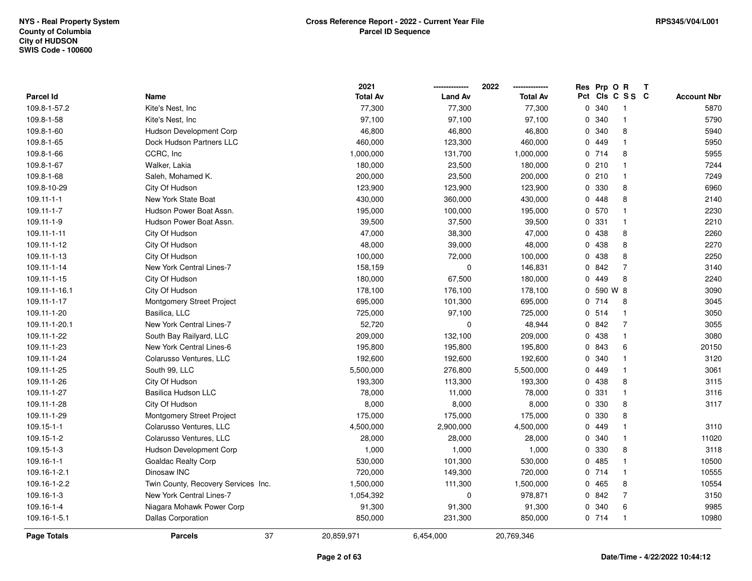|                    |                                     | 2021            |                | 2022            |     | Res Prp O R |                | Т |                    |
|--------------------|-------------------------------------|-----------------|----------------|-----------------|-----|-------------|----------------|---|--------------------|
| <b>Parcel Id</b>   | Name                                | <b>Total Av</b> | <b>Land Av</b> | <b>Total Av</b> | Pct |             | CIS C S S C    |   | <b>Account Nbr</b> |
| 109.8-1-57.2       | Kite's Nest, Inc                    | 77,300          | 77,300         | 77,300          | 0   | 340         | -1             |   | 5870               |
| 109.8-1-58         | Kite's Nest, Inc                    | 97,100          | 97,100         | 97,100          | 0   | 340         | $\mathbf{1}$   |   | 5790               |
| 109.8-1-60         | <b>Hudson Development Corp</b>      | 46,800          | 46,800         | 46,800          |     | 0 340       | 8              |   | 5940               |
| 109.8-1-65         | Dock Hudson Partners LLC            | 460,000         | 123,300        | 460,000         |     | 0 449       | -1             |   | 5950               |
| 109.8-1-66         | CCRC, Inc                           | 1,000,000       | 131,700        | 1,000,000       |     | 0714        | 8              |   | 5955               |
| 109.8-1-67         | Walker, Lakia                       | 180,000         | 23,500         | 180,000         |     | 0210        | $\mathbf 1$    |   | 7244               |
| 109.8-1-68         | Saleh, Mohamed K.                   | 200,000         | 23,500         | 200,000         |     | 0210        | $\mathbf{1}$   |   | 7249               |
| 109.8-10-29        | City Of Hudson                      | 123,900         | 123,900        | 123,900         | 0   | 330         | 8              |   | 6960               |
| $109.11 - 1 - 1$   | New York State Boat                 | 430,000         | 360,000        | 430,000         |     | 0.448       | 8              |   | 2140               |
| 109.11-1-7         | Hudson Power Boat Assn.             | 195,000         | 100,000        | 195,000         |     | 0 570       | $\mathbf{1}$   |   | 2230               |
| 109.11-1-9         | Hudson Power Boat Assn.             | 39,500          | 37,500         | 39,500          |     | 0 331       | $\mathbf 1$    |   | 2210               |
| 109.11-1-11        | City Of Hudson                      | 47,000          | 38,300         | 47,000          |     | 0 438       | 8              |   | 2260               |
| 109.11-1-12        | City Of Hudson                      | 48,000          | 39,000         | 48,000          |     | 0 438       | 8              |   | 2270               |
| 109.11-1-13        | City Of Hudson                      | 100,000         | 72,000         | 100,000         |     | 0 438       | 8              |   | 2250               |
| 109.11-1-14        | New York Central Lines-7            | 158,159         | 0              | 146,831         |     | 0 842       | $\overline{7}$ |   | 3140               |
| 109.11-1-15        | City Of Hudson                      | 180,000         | 67,500         | 180,000         |     | 0 449       | 8              |   | 2240               |
| 109.11-1-16.1      | City Of Hudson                      | 178,100         | 176,100        | 178,100         |     | 0 590 W 8   |                |   | 3090               |
| 109.11-1-17        | Montgomery Street Project           | 695,000         | 101,300        | 695,000         |     | 0714        | 8              |   | 3045               |
| 109.11-1-20        | Basilica, LLC                       | 725,000         | 97,100         | 725,000         |     | 0.514       | $\mathbf{1}$   |   | 3050               |
| 109.11-1-20.1      | New York Central Lines-7            | 52,720          | $\mathbf 0$    | 48,944          |     | 0 842       | $\overline{7}$ |   | 3055               |
| 109.11-1-22        | South Bay Railyard, LLC             | 209,000         | 132,100        | 209,000         |     | 0 438       | $\mathbf{1}$   |   | 3080               |
| 109.11-1-23        | New York Central Lines-6            | 195,800         | 195,800        | 195,800         |     | 0 843       | 6              |   | 20150              |
| 109.11-1-24        | Colarusso Ventures, LLC             | 192,600         | 192,600        | 192,600         |     | 0 340       | $\mathbf{1}$   |   | 3120               |
| 109.11-1-25        | South 99, LLC                       | 5,500,000       | 276,800        | 5,500,000       |     | 0 449       | $\mathbf{1}$   |   | 3061               |
| 109.11-1-26        | City Of Hudson                      | 193,300         | 113,300        | 193,300         |     | 0 438       | 8              |   | 3115               |
| 109.11-1-27        | Basilica Hudson LLC                 | 78,000          | 11,000         | 78,000          |     | 0 331       | $\mathbf 1$    |   | 3116               |
| 109.11-1-28        | City Of Hudson                      | 8,000           | 8,000          | 8,000           |     | 0 330       | 8              |   | 3117               |
| 109.11-1-29        | Montgomery Street Project           | 175,000         | 175,000        | 175,000         |     | 0 330       | 8              |   |                    |
| 109.15-1-1         | Colarusso Ventures, LLC             | 4,500,000       | 2,900,000      | 4,500,000       |     | 0 449       | $\mathbf 1$    |   | 3110               |
| 109.15-1-2         | Colarusso Ventures, LLC             | 28,000          | 28,000         | 28,000          | 0   | 340         | $\mathbf 1$    |   | 11020              |
| 109.15-1-3         | <b>Hudson Development Corp</b>      | 1,000           | 1,000          | 1,000           |     | 0 330       | 8              |   | 3118               |
| 109.16-1-1         | <b>Goaldac Realty Corp</b>          | 530,000         | 101,300        | 530,000         |     | 0.485       | $\mathbf{1}$   |   | 10500              |
| 109.16-1-2.1       | Dinosaw INC                         | 720,000         | 149,300        | 720,000         |     | 0714        | $\mathbf{1}$   |   | 10555              |
| 109.16-1-2.2       | Twin County, Recovery Services Inc. | 1,500,000       | 111,300        | 1,500,000       |     | 0 465       | 8              |   | 10554              |
| 109.16-1-3         | New York Central Lines-7            | 1,054,392       | $\mathbf 0$    | 978,871         |     | 0 842       | 7              |   | 3150               |
| 109.16-1-4         | Niagara Mohawk Power Corp           | 91,300          | 91,300         | 91,300          |     | 0 340       | 6              |   | 9985               |
| 109.16-1-5.1       | <b>Dallas Corporation</b>           | 850,000         | 231,300        | 850,000         |     | 0714        | $\mathbf{1}$   |   | 10980              |
| <b>Page Totals</b> | 37<br><b>Parcels</b>                | 20,859,971      | 6,454,000      | 20,769,346      |     |             |                |   |                    |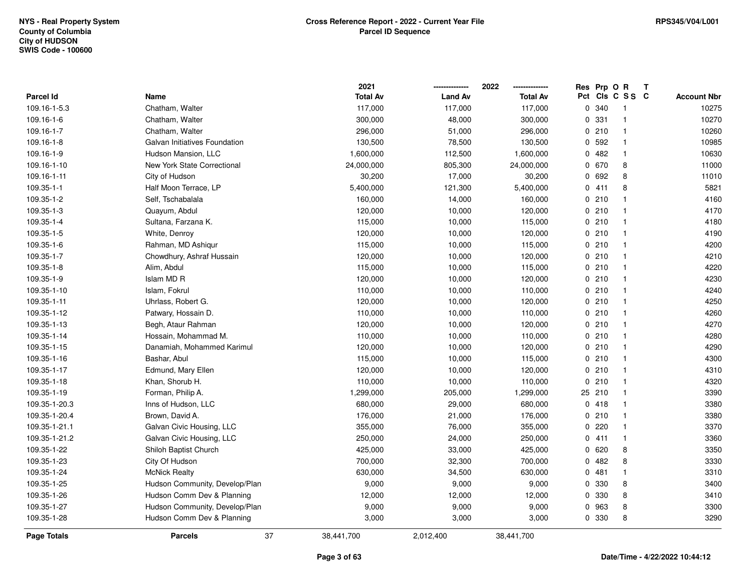|                  |                                | 2021            |                | 2022<br>-------------- |     | Res Prp O R |                | Т |                    |
|------------------|--------------------------------|-----------------|----------------|------------------------|-----|-------------|----------------|---|--------------------|
| <b>Parcel Id</b> | Name                           | <b>Total Av</b> | <b>Land Av</b> | <b>Total Av</b>        | Pct |             | CIs C S S C    |   | <b>Account Nbr</b> |
| 109.16-1-5.3     | Chatham, Walter                | 117,000         | 117,000        | 117,000                | 0   | 340         | -1             |   | 10275              |
| 109.16-1-6       | Chatham, Walter                | 300,000         | 48,000         | 300,000                | 0   | 331         | $\overline{1}$ |   | 10270              |
| 109.16-1-7       | Chatham, Walter                | 296,000         | 51,000         | 296,000                |     | 0210        | $\mathbf{1}$   |   | 10260              |
| 109.16-1-8       | Galvan Initiatives Foundation  | 130,500         | 78,500         | 130,500                |     | 0 592       | $\mathbf{1}$   |   | 10985              |
| 109.16-1-9       | Hudson Mansion, LLC            | 1,600,000       | 112,500        | 1,600,000              |     | 0 482       | $\mathbf 1$    |   | 10630              |
| 109.16-1-10      | New York State Correctional    | 24,000,000      | 805,300        | 24,000,000             |     | 0 670       | 8              |   | 11000              |
| 109.16-1-11      | City of Hudson                 | 30,200          | 17,000         | 30,200                 |     | 0 692       | 8              |   | 11010              |
| 109.35-1-1       | Half Moon Terrace, LP          | 5,400,000       | 121,300        | 5,400,000              |     | 0 411       | 8              |   | 5821               |
| 109.35-1-2       | Self, Tschabalala              | 160,000         | 14,000         | 160,000                |     | 0210        | $\mathbf{1}$   |   | 4160               |
| 109.35-1-3       | Quayum, Abdul                  | 120,000         | 10,000         | 120,000                |     | 0210        | $\mathbf{1}$   |   | 4170               |
| 109.35-1-4       | Sultana, Farzana K.            | 115,000         | 10,000         | 115,000                |     | 0210        | $\overline{1}$ |   | 4180               |
| 109.35-1-5       | White, Denroy                  | 120,000         | 10,000         | 120,000                |     | 0210        | $\mathbf 1$    |   | 4190               |
| 109.35-1-6       | Rahman, MD Ashigur             | 115,000         | 10,000         | 115,000                |     | 0210        |                |   | 4200               |
| 109.35-1-7       | Chowdhury, Ashraf Hussain      | 120,000         | 10,000         | 120,000                |     | 0210        | $\mathbf{1}$   |   | 4210               |
| 109.35-1-8       | Alim, Abdul                    | 115,000         | 10,000         | 115,000                |     | 0210        | $\mathbf{1}$   |   | 4220               |
| 109.35-1-9       | Islam MD R                     | 120,000         | 10,000         | 120,000                |     | 0210        | $\mathbf{1}$   |   | 4230               |
| 109.35-1-10      | Islam, Fokrul                  | 110,000         | 10,000         | 110,000                |     | 0210        | $\overline{1}$ |   | 4240               |
| 109.35-1-11      | Uhrlass, Robert G.             | 120,000         | 10,000         | 120,000                |     | 0210        | $\mathbf{1}$   |   | 4250               |
| 109.35-1-12      | Patwary, Hossain D.            | 110,000         | 10,000         | 110,000                |     | 0210        | $\mathbf{1}$   |   | 4260               |
| 109.35-1-13      | Begh, Ataur Rahman             | 120,000         | 10,000         | 120,000                |     | 0210        |                |   | 4270               |
| 109.35-1-14      | Hossain, Mohammad M.           | 110,000         | 10,000         | 110,000                |     | 0210        | $\mathbf{1}$   |   | 4280               |
| 109.35-1-15      | Danamiah, Mohammed Karimul     | 120,000         | 10,000         | 120,000                |     | 0210        | $\mathbf 1$    |   | 4290               |
| 109.35-1-16      | Bashar, Abul                   | 115,000         | 10,000         | 115,000                |     | 0210        | $\mathbf{1}$   |   | 4300               |
| 109.35-1-17      | Edmund, Mary Ellen             | 120,000         | 10,000         | 120,000                |     | 0210        | $\overline{1}$ |   | 4310               |
| 109.35-1-18      | Khan, Shorub H.                | 110,000         | 10,000         | 110,000                |     | 0210        | $\mathbf{1}$   |   | 4320               |
| 109.35-1-19      | Forman, Philip A.              | 1,299,000       | 205,000        | 1,299,000              |     | 25 210      | $\mathbf{1}$   |   | 3390               |
| 109.35-1-20.3    | Inns of Hudson, LLC            | 680,000         | 29,000         | 680,000                |     | 0418        |                |   | 3380               |
| 109.35-1-20.4    | Brown, David A.                | 176,000         | 21,000         | 176,000                |     | 0210        | $\mathbf{1}$   |   | 3380               |
| 109.35-1-21.1    | Galvan Civic Housing, LLC      | 355,000         | 76,000         | 355,000                |     | 0 220       | $\mathbf 1$    |   | 3370               |
| 109.35-1-21.2    | Galvan Civic Housing, LLC      | 250,000         | 24,000         | 250,000                |     | 0411        | $\mathbf{1}$   |   | 3360               |
| 109.35-1-22      | Shiloh Baptist Church          | 425,000         | 33,000         | 425,000                |     | 0 620       | 8              |   | 3350               |
| 109.35-1-23      | City Of Hudson                 | 700,000         | 32,300         | 700,000                |     | 0 482       | 8              |   | 3330               |
| 109.35-1-24      | <b>McNick Realty</b>           | 630,000         | 34,500         | 630,000                |     | 0481        | $\mathbf{1}$   |   | 3310               |
| 109.35-1-25      | Hudson Community, Develop/Plan | 9,000           | 9,000          | 9,000                  |     | 0 330       | 8              |   | 3400               |
| 109.35-1-26      | Hudson Comm Dev & Planning     | 12,000          | 12,000         | 12,000                 |     | 0 330       | 8              |   | 3410               |
| 109.35-1-27      | Hudson Community, Develop/Plan | 9,000           | 9,000          | 9,000                  | 0   | 963         | 8              |   | 3300               |
| 109.35-1-28      | Hudson Comm Dev & Planning     | 3,000           | 3,000          | 3,000                  |     | 0 330       | 8              |   | 3290               |
| Page Totals      | 37<br><b>Parcels</b>           | 38,441,700      | 2,012,400      | 38,441,700             |     |             |                |   |                    |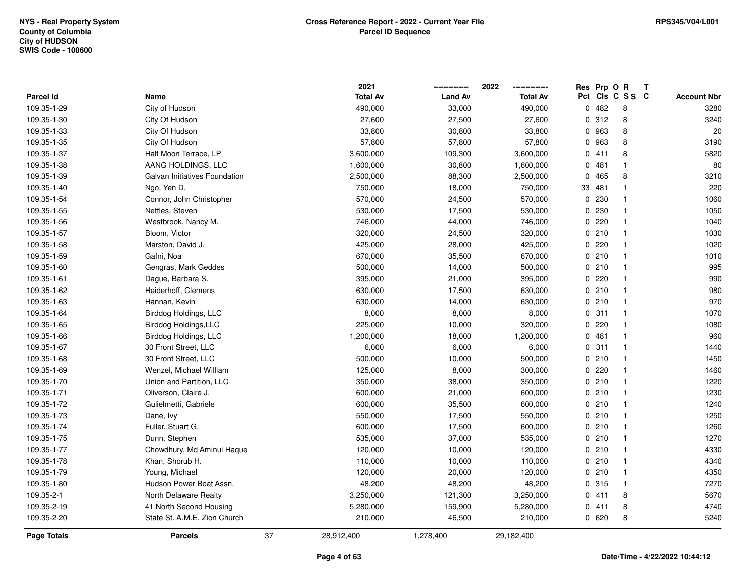|                  |                               |    | 2021            |                | 2022<br>--------------- |     | Res Prp O R |              | Т |                    |
|------------------|-------------------------------|----|-----------------|----------------|-------------------------|-----|-------------|--------------|---|--------------------|
| <b>Parcel Id</b> | Name                          |    | <b>Total Av</b> | <b>Land Av</b> | <b>Total Av</b>         | Pct |             | CIs C S S C  |   | <b>Account Nbr</b> |
| 109.35-1-29      | City of Hudson                |    | 490,000         | 33,000         | 490,000                 | 0   | 482         | 8            |   | 3280               |
| 109.35-1-30      | City Of Hudson                |    | 27,600          | 27,500         | 27,600                  | 0   | 312         | 8            |   | 3240               |
| 109.35-1-33      | City Of Hudson                |    | 33,800          | 30,800         | 33,800                  |     | 0 963       | 8            |   | 20                 |
| 109.35-1-35      | City Of Hudson                |    | 57,800          | 57,800         | 57,800                  |     | 0 963       | 8            |   | 3190               |
| 109.35-1-37      | Half Moon Terrace, LP         |    | 3,600,000       | 109,300        | 3,600,000               |     | 0411        | 8            |   | 5820               |
| 109.35-1-38      | AANG HOLDINGS, LLC            |    | 1,600,000       | 30,800         | 1,600,000               |     | 0481        |              |   | 80                 |
| 109.35-1-39      | Galvan Initiatives Foundation |    | 2,500,000       | 88,300         | 2,500,000               |     | 0 465       | 8            |   | 3210               |
| 109.35-1-40      | Ngo, Yen D.                   |    | 750,000         | 18,000         | 750,000                 | 33  | 481         |              |   | 220                |
| 109.35-1-54      | Connor, John Christopher      |    | 570,000         | 24,500         | 570,000                 |     | 0 230       | $\mathbf 1$  |   | 1060               |
| 109.35-1-55      | Nettles, Steven               |    | 530,000         | 17,500         | 530,000                 | 0   | 230         | $\mathbf{1}$ |   | 1050               |
| 109.35-1-56      | Westbrook, Nancy M.           |    | 746,000         | 44,000         | 746,000                 |     | 0220        | $\mathbf 1$  |   | 1040               |
| 109.35-1-57      | Bloom, Victor                 |    | 320,000         | 24,500         | 320,000                 |     | 0210        | $\mathbf 1$  |   | 1030               |
| 109.35-1-58      | Marston, David J.             |    | 425,000         | 28,000         | 425,000                 |     | 0 220       |              |   | 1020               |
| 109.35-1-59      | Gafni, Noa                    |    | 670,000         | 35,500         | 670,000                 |     | 0210        | $\mathbf{1}$ |   | 1010               |
| 109.35-1-60      | Gengras, Mark Geddes          |    | 500,000         | 14,000         | 500,000                 |     | 0210        | -1           |   | 995                |
| 109.35-1-61      | Dague, Barbara S.             |    | 395,000         | 21,000         | 395,000                 |     | 0220        | $\mathbf 1$  |   | 990                |
| 109.35-1-62      | Heiderhoff, Clemens           |    | 630,000         | 17,500         | 630,000                 |     | 0210        | $\mathbf{1}$ |   | 980                |
| 109.35-1-63      | Hannan, Kevin                 |    | 630,000         | 14,000         | 630,000                 |     | 0210        | $\mathbf{1}$ |   | 970                |
| 109.35-1-64      | Birddog Holdings, LLC         |    | 8,000           | 8,000          | 8,000                   |     | 0.311       | -1           |   | 1070               |
| 109.35-1-65      | Birddog Holdings, LLC         |    | 225,000         | 10,000         | 320,000                 |     | 0 220       |              |   | 1080               |
| 109.35-1-66      | Birddog Holdings, LLC         |    | 1,200,000       | 18,000         | 1,200,000               |     | 0481        | $\mathbf 1$  |   | 960                |
| 109.35-1-67      | 30 Front Street, LLC          |    | 6,000           | 6,000          | 6,000                   |     | 0.311       | $\mathbf 1$  |   | 1440               |
| 109.35-1-68      | 30 Front Street, LLC          |    | 500,000         | 10,000         | 500,000                 |     | 0210        | $\mathbf{1}$ |   | 1450               |
| 109.35-1-69      | Wenzel, Michael William       |    | 125,000         | 8,000          | 300,000                 |     | 0 220       | $\mathbf 1$  |   | 1460               |
| 109.35-1-70      | Union and Partition, LLC      |    | 350,000         | 38,000         | 350,000                 |     | 0210        | $\mathbf 1$  |   | 1220               |
| 109.35-1-71      | Oliverson, Claire J.          |    | 600,000         | 21,000         | 600,000                 |     | 0210        | $\mathbf 1$  |   | 1230               |
| 109.35-1-72      | Gulielmetti, Gabriele         |    | 600,000         | 35,500         | 600,000                 |     | 0210        | $\mathbf 1$  |   | 1240               |
| 109.35-1-73      | Dane, Ivy                     |    | 550,000         | 17,500         | 550,000                 |     | 0210        | $\mathbf{1}$ |   | 1250               |
| 109.35-1-74      | Fuller, Stuart G.             |    | 600,000         | 17,500         | 600,000                 |     | 0210        | $\mathbf 1$  |   | 1260               |
| 109.35-1-75      | Dunn, Stephen                 |    | 535,000         | 37,000         | 535,000                 |     | 0210        | $\mathbf{1}$ |   | 1270               |
| 109.35-1-77      | Chowdhury, Md Aminul Haque    |    | 120,000         | 10,000         | 120,000                 |     | 0210        | $\mathbf{1}$ |   | 4330               |
| 109.35-1-78      | Khan, Shorub H.               |    | 110,000         | 10,000         | 110,000                 |     | 0210        | $\mathbf{1}$ |   | 4340               |
| 109.35-1-79      | Young, Michael                |    | 120,000         | 20,000         | 120,000                 |     | 0210        | $\mathbf 1$  |   | 4350               |
| 109.35-1-80      | Hudson Power Boat Assn.       |    | 48,200          | 48,200         | 48,200                  |     | 0 315       | $\mathbf{1}$ |   | 7270               |
| 109.35-2-1       | North Delaware Realty         |    | 3,250,000       | 121,300        | 3,250,000               |     | 0411        | 8            |   | 5670               |
| 109.35-2-19      | 41 North Second Housing       |    | 5,280,000       | 159,900        | 5,280,000               |     | 0 411       | 8            |   | 4740               |
| 109.35-2-20      | State St. A.M.E. Zion Church  |    | 210,000         | 46,500         | 210,000                 |     | 0620        | 8            |   | 5240               |
| Page Totals      | <b>Parcels</b>                | 37 | 28,912,400      | 1,278,400      | 29,182,400              |     |             |              |   |                    |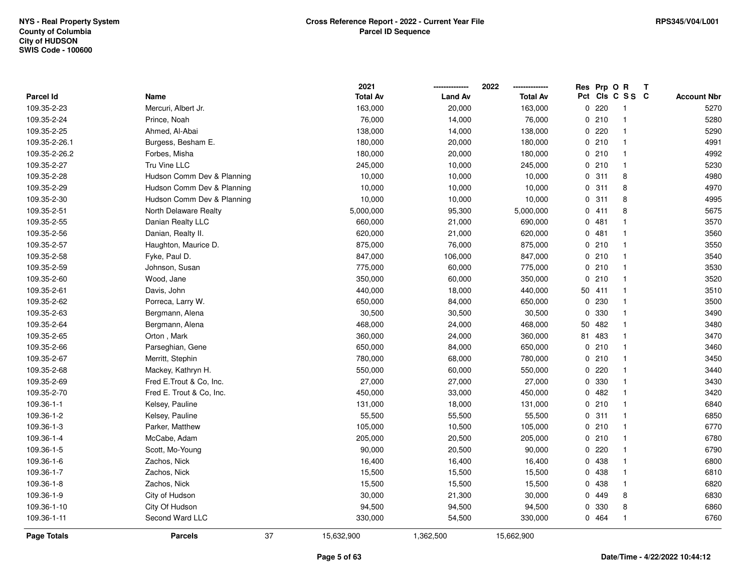|               |                            | 2021            |                | 2022            | Res      | Prp O R |                         | Т |                    |
|---------------|----------------------------|-----------------|----------------|-----------------|----------|---------|-------------------------|---|--------------------|
| Parcel Id     | Name                       | <b>Total Av</b> | <b>Land Av</b> | <b>Total Av</b> |          |         | Pct Cls C S S C         |   | <b>Account Nbr</b> |
| 109.35-2-23   | Mercuri, Albert Jr.        | 163,000         | 20,000         | 163,000         | 0        | 220     | -1                      |   | 5270               |
| 109.35-2-24   | Prince, Noah               | 76,000          | 14,000         | 76,000          | $\Omega$ | 210     | $\mathbf{1}$            |   | 5280               |
| 109.35-2-25   | Ahmed, Al-Abai             | 138,000         | 14,000         | 138,000         |          | 0220    | $\mathbf{1}$            |   | 5290               |
| 109.35-2-26.1 | Burgess, Besham E.         | 180,000         | 20,000         | 180,000         |          | 0210    | -1                      |   | 4991               |
| 109.35-2-26.2 | Forbes, Misha              | 180,000         | 20,000         | 180,000         |          | 0210    | -1                      |   | 4992               |
| 109.35-2-27   | Tru Vine LLC               | 245,000         | 10,000         | 245,000         |          | 0210    | $\mathbf 1$             |   | 5230               |
| 109.35-2-28   | Hudson Comm Dev & Planning | 10,000          | 10,000         | 10,000          |          | 0.311   | 8                       |   | 4980               |
| 109.35-2-29   | Hudson Comm Dev & Planning | 10,000          | 10,000         | 10,000          | 0        | 311     | 8                       |   | 4970               |
| 109.35-2-30   | Hudson Comm Dev & Planning | 10,000          | 10,000         | 10,000          | 0        | 311     | 8                       |   | 4995               |
| 109.35-2-51   | North Delaware Realty      | 5,000,000       | 95,300         | 5,000,000       | 0        | 411     | 8                       |   | 5675               |
| 109.35-2-55   | Danian Realty LLC          | 660,000         | 21,000         | 690,000         | 0        | 481     |                         |   | 3570               |
| 109.35-2-56   | Danian, Realty II.         | 620,000         | 21,000         | 620,000         |          | 0.481   |                         |   | 3560               |
| 109.35-2-57   | Haughton, Maurice D.       | 875,000         | 76,000         | 875,000         |          | 0210    | -1                      |   | 3550               |
| 109.35-2-58   | Fyke, Paul D.              | 847,000         | 106,000        | 847,000         |          | 0210    | -1                      |   | 3540               |
| 109.35-2-59   | Johnson, Susan             | 775,000         | 60,000         | 775,000         |          | 0210    | $\overline{\mathbf{1}}$ |   | 3530               |
| 109.35-2-60   | Wood, Jane                 | 350,000         | 60,000         | 350,000         | $\Omega$ | 210     | $\overline{\mathbf{1}}$ |   | 3520               |
| 109.35-2-61   | Davis, John                | 440,000         | 18,000         | 440,000         | 50       | 411     | $\mathbf{1}$            |   | 3510               |
| 109.35-2-62   | Porreca, Larry W.          | 650,000         | 84,000         | 650,000         | 0        | 230     | -1                      |   | 3500               |
| 109.35-2-63   | Bergmann, Alena            | 30,500          | 30,500         | 30,500          | 0        | 330     | -1                      |   | 3490               |
| 109.35-2-64   | Bergmann, Alena            | 468,000         | 24,000         | 468,000         | 50       | 482     |                         |   | 3480               |
| 109.35-2-65   | Orton, Mark                | 360,000         | 24,000         | 360,000         | 81       | 483     | $\overline{\mathbf{1}}$ |   | 3470               |
| 109.35-2-66   | Parseghian, Gene           | 650,000         | 84,000         | 650,000         | 0        | 210     | -1                      |   | 3460               |
| 109.35-2-67   | Merritt, Stephin           | 780,000         | 68,000         | 780,000         | 0        | 210     | -1                      |   | 3450               |
| 109.35-2-68   | Mackey, Kathryn H.         | 550,000         | 60,000         | 550,000         | 0        | 220     | $\mathbf 1$             |   | 3440               |
| 109.35-2-69   | Fred E.Trout & Co, Inc.    | 27,000          | 27,000         | 27,000          | 0        | 330     | -1                      |   | 3430               |
| 109.35-2-70   | Fred E. Trout & Co, Inc.   | 450,000         | 33,000         | 450,000         |          | 0.482   |                         |   | 3420               |
| 109.36-1-1    | Kelsey, Pauline            | 131,000         | 18,000         | 131,000         |          | 0210    |                         |   | 6840               |
| 109.36-1-2    | Kelsey, Pauline            | 55,500          | 55,500         | 55,500          |          | 0.311   | -1                      |   | 6850               |
| 109.36-1-3    | Parker, Matthew            | 105,000         | 10,500         | 105,000         |          | 0210    | $\overline{\mathbf{1}}$ |   | 6770               |
| 109.36-1-4    | McCabe, Adam               | 205,000         | 20,500         | 205,000         | 0        | 210     | -1                      |   | 6780               |
| 109.36-1-5    | Scott, Mo-Young            | 90,000          | 20,500         | 90,000          | 0        | 220     | $\mathbf 1$             |   | 6790               |
| 109.36-1-6    | Zachos, Nick               | 16,400          | 16,400         | 16,400          |          | 0 438   | $\mathbf 1$             |   | 6800               |
| 109.36-1-7    | Zachos, Nick               | 15,500          | 15,500         | 15,500          |          | 0 438   | -1                      |   | 6810               |
| 109.36-1-8    | Zachos, Nick               | 15,500          | 15,500         | 15,500          |          | 0 438   | -1                      |   | 6820               |
| 109.36-1-9    | City of Hudson             | 30,000          | 21,300         | 30,000          | 0        | 449     | 8                       |   | 6830               |
| 109.36-1-10   | City Of Hudson             | 94,500          | 94,500         | 94,500          | 0        | 330     | 8                       |   | 6860               |
| 109.36-1-11   | Second Ward LLC            | 330,000         | 54,500         | 330,000         |          | 0 464   | $\mathbf{1}$            |   | 6760               |
| Page Totals   | 37<br><b>Parcels</b>       | 15,632,900      | 1,362,500      | 15,662,900      |          |         |                         |   |                    |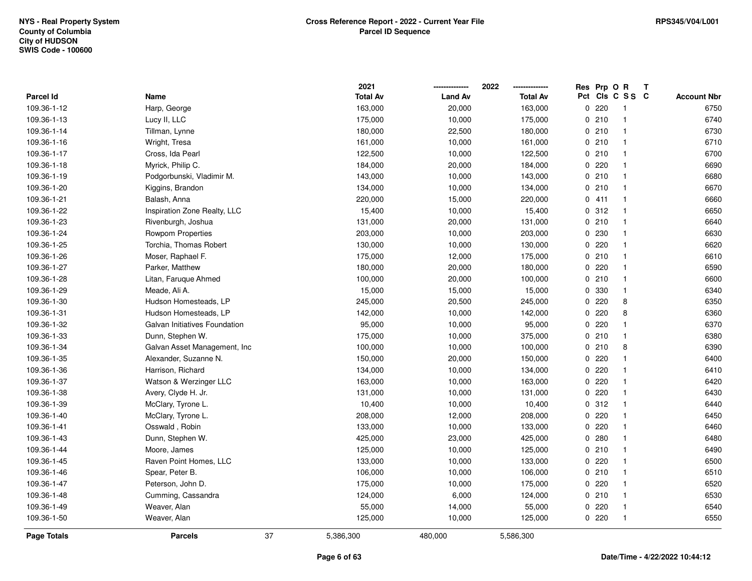| Parcel Id          | Name                          |    | 2021<br><b>Total Av</b> | <b>Land Av</b> | 2022<br><b>Total Av</b> | Res Prp O R | Pct Cls C S S C | Т | <b>Account Nbr</b> |
|--------------------|-------------------------------|----|-------------------------|----------------|-------------------------|-------------|-----------------|---|--------------------|
| 109.36-1-12        | Harp, George                  |    | 163,000                 | 20,000         | 163,000                 | 0220        | $\overline{1}$  |   | 6750               |
| 109.36-1-13        | Lucy II, LLC                  |    | 175,000                 | 10,000         | 175,000                 | 0210        | $\overline{1}$  |   | 6740               |
| 109.36-1-14        | Tillman, Lynne                |    | 180,000                 | 22,500         | 180,000                 | 0210        | $\overline{1}$  |   | 6730               |
| 109.36-1-16        | Wright, Tresa                 |    | 161,000                 | 10,000         | 161,000                 | 0210        | $\overline{1}$  |   | 6710               |
| 109.36-1-17        | Cross, Ida Pearl              |    | 122,500                 | 10,000         | 122,500                 | 0210        | $\mathbf{1}$    |   | 6700               |
| 109.36-1-18        | Myrick, Philip C.             |    | 184,000                 | 20,000         | 184,000                 | 0220        | $\mathbf{1}$    |   | 6690               |
| 109.36-1-19        | Podgorbunski, Vladimir M.     |    | 143,000                 | 10,000         | 143,000                 | 0210        | $\overline{1}$  |   | 6680               |
| 109.36-1-20        | Kiggins, Brandon              |    | 134,000                 | 10,000         | 134,000                 | 0210        | $\overline{1}$  |   | 6670               |
| 109.36-1-21        | Balash, Anna                  |    | 220,000                 | 15,000         | 220,000                 | 0411        | $\overline{1}$  |   | 6660               |
| 109.36-1-22        | Inspiration Zone Realty, LLC  |    | 15,400                  | 10,000         | 15,400                  | 0.312       | $\overline{1}$  |   | 6650               |
| 109.36-1-23        | Rivenburgh, Joshua            |    | 131,000                 | 20,000         | 131,000                 | 0210        | $\mathbf{1}$    |   | 6640               |
| 109.36-1-24        | <b>Rowpom Properties</b>      |    | 203,000                 | 10,000         | 203,000                 | 0 230       | $\mathbf{1}$    |   | 6630               |
| 109.36-1-25        | Torchia, Thomas Robert        |    | 130,000                 | 10,000         | 130,000                 | 0220        | $\mathbf{1}$    |   | 6620               |
| 109.36-1-26        | Moser, Raphael F.             |    | 175,000                 | 12,000         | 175,000                 | 0210        | $\mathbf{1}$    |   | 6610               |
| 109.36-1-27        | Parker, Matthew               |    | 180,000                 | 20,000         | 180,000                 | 0 220       | $\overline{1}$  |   | 6590               |
| 109.36-1-28        | Litan, Faruque Ahmed          |    | 100,000                 | 20,000         | 100,000                 | 0210        | $\mathbf{1}$    |   | 6600               |
| 109.36-1-29        | Meade, Ali A.                 |    | 15,000                  | 15,000         | 15,000                  | 0 330       | $\mathbf{1}$    |   | 6340               |
| 109.36-1-30        | Hudson Homesteads, LP         |    | 245,000                 | 20,500         | 245,000                 | 0220        | 8               |   | 6350               |
| 109.36-1-31        | Hudson Homesteads, LP         |    | 142,000                 | 10,000         | 142,000                 | 0220        | 8               |   | 6360               |
| 109.36-1-32        | Galvan Initiatives Foundation |    | 95,000                  | 10,000         | 95,000                  | 0 220       | 1               |   | 6370               |
| 109.36-1-33        | Dunn, Stephen W.              |    | 175,000                 | 10,000         | 375,000                 | 0210        | $\mathbf{1}$    |   | 6380               |
| 109.36-1-34        | Galvan Asset Management, Inc  |    | 100,000                 | 10,000         | 100,000                 | 0210        | 8               |   | 6390               |
| 109.36-1-35        | Alexander, Suzanne N.         |    | 150,000                 | 20,000         | 150,000                 | 0220        | $\mathbf{1}$    |   | 6400               |
| 109.36-1-36        | Harrison, Richard             |    | 134,000                 | 10,000         | 134,000                 | 0220        | $\overline{1}$  |   | 6410               |
| 109.36-1-37        | Watson & Werzinger LLC        |    | 163,000                 | 10,000         | 163,000                 | 0220        | $\mathbf{1}$    |   | 6420               |
| 109.36-1-38        | Avery, Clyde H. Jr.           |    | 131,000                 | 10,000         | 131,000                 | 0.220       | $\mathbf{1}$    |   | 6430               |
| 109.36-1-39        | McClary, Tyrone L.            |    | 10,400                  | 10,000         | 10,400                  | 0.312       | $\overline{1}$  |   | 6440               |
| 109.36-1-40        | McClary, Tyrone L.            |    | 208,000                 | 12,000         | 208,000                 | 0.220       | $\mathbf{1}$    |   | 6450               |
| 109.36-1-41        | Osswald, Robin                |    | 133,000                 | 10,000         | 133,000                 | 0 220       | $\mathbf{1}$    |   | 6460               |
| 109.36-1-43        | Dunn, Stephen W.              |    | 425,000                 | 23,000         | 425,000                 | 0.280       | $\overline{1}$  |   | 6480               |
| 109.36-1-44        | Moore, James                  |    | 125,000                 | 10,000         | 125,000                 | 0210        | $\overline{1}$  |   | 6490               |
| 109.36-1-45        | Raven Point Homes, LLC        |    | 133,000                 | 10,000         | 133,000                 | 0.220       | $\overline{1}$  |   | 6500               |
| 109.36-1-46        | Spear, Peter B.               |    | 106,000                 | 10,000         | 106,000                 | 0210        | $\mathbf{1}$    |   | 6510               |
| 109.36-1-47        | Peterson, John D.             |    | 175,000                 | 10,000         | 175,000                 | 0220        | $\overline{1}$  |   | 6520               |
| 109.36-1-48        | Cumming, Cassandra            |    | 124,000                 | 6,000          | 124,000                 | 0210        | $\overline{1}$  |   | 6530               |
| 109.36-1-49        | Weaver, Alan                  |    | 55,000                  | 14,000         | 55,000                  | 0220        | $\mathbf{1}$    |   | 6540               |
| 109.36-1-50        | Weaver, Alan                  |    | 125,000                 | 10,000         | 125,000                 | 0220        | $\overline{1}$  |   | 6550               |
| <b>Page Totals</b> | <b>Parcels</b>                | 37 | 5,386,300               | 480,000        | 5,586,300               |             |                 |   |                    |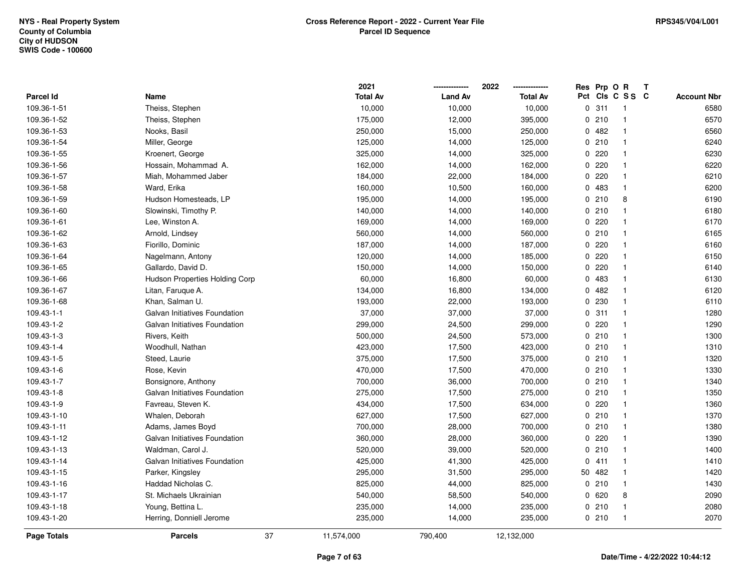|             |                                | 2021            |                | 2022            |             | Res Prp O R |                 | Т |                    |
|-------------|--------------------------------|-----------------|----------------|-----------------|-------------|-------------|-----------------|---|--------------------|
| Parcel Id   | Name                           | <b>Total Av</b> | <b>Land Av</b> | <b>Total Av</b> |             |             | Pct Cls C S S C |   | <b>Account Nbr</b> |
| 109.36-1-51 | Theiss, Stephen                | 10,000          | 10,000         | 10,000          | $\mathbf 0$ | 311         | -1              |   | 6580               |
| 109.36-1-52 | Theiss, Stephen                | 175,000         | 12,000         | 395,000         | 0           | 210         | $\overline{1}$  |   | 6570               |
| 109.36-1-53 | Nooks, Basil                   | 250,000         | 15,000         | 250,000         |             | 0.482       | $\overline{1}$  |   | 6560               |
| 109.36-1-54 | Miller, George                 | 125,000         | 14,000         | 125,000         |             | 0210        | -1              |   | 6240               |
| 109.36-1-55 | Kroenert, George               | 325,000         | 14,000         | 325,000         |             | 0220        |                 |   | 6230               |
| 109.36-1-56 | Hossain, Mohammad A.           | 162,000         | 14,000         | 162,000         | 0           | 220         |                 |   | 6220               |
| 109.36-1-57 | Miah, Mohammed Jaber           | 184,000         | 22,000         | 184,000         |             | 0.220       | -1              |   | 6210               |
| 109.36-1-58 | Ward, Erika                    | 160,000         | 10,500         | 160,000         | 0           | 483         | $\overline{1}$  |   | 6200               |
| 109.36-1-59 | Hudson Homesteads, LP          | 195,000         | 14,000         | 195,000         | 0           | 210         | 8               |   | 6190               |
| 109.36-1-60 | Slowinski, Timothy P.          | 140,000         | 14,000         | 140,000         |             | 0210        | $\mathbf 1$     |   | 6180               |
| 109.36-1-61 | Lee, Winston A.                | 169,000         | 14,000         | 169,000         |             | 0.220       |                 |   | 6170               |
| 109.36-1-62 | Arnold, Lindsey                | 560,000         | 14,000         | 560,000         |             | 0210        |                 |   | 6165               |
| 109.36-1-63 | Fiorillo, Dominic              | 187,000         | 14,000         | 187,000         |             | 0220        |                 |   | 6160               |
| 109.36-1-64 | Nagelmann, Antony              | 120,000         | 14,000         | 185,000         |             | 0220        |                 |   | 6150               |
| 109.36-1-65 | Gallardo, David D.             | 150,000         | 14,000         | 150,000         | 0           | 220         | -1              |   | 6140               |
| 109.36-1-66 | Hudson Properties Holding Corp | 60,000          | 16,800         | 60,000          |             | 0 483       | $\mathbf{1}$    |   | 6130               |
| 109.36-1-67 | Litan, Faruque A.              | 134,000         | 16,800         | 134,000         |             | 0482        | $\overline{1}$  |   | 6120               |
| 109.36-1-68 | Khan, Salman U.                | 193,000         | 22,000         | 193,000         |             | 0 230       | -1              |   | 6110               |
| 109.43-1-1  | Galvan Initiatives Foundation  | 37,000          | 37,000         | 37,000          |             | 0.311       | -1              |   | 1280               |
| 109.43-1-2  | Galvan Initiatives Foundation  | 299,000         | 24,500         | 299,000         |             | 0.220       |                 |   | 1290               |
| 109.43-1-3  | Rivers, Keith                  | 500,000         | 24,500         | 573,000         |             | 0210        |                 |   | 1300               |
| 109.43-1-4  | Woodhull, Nathan               | 423,000         | 17,500         | 423,000         |             | 0210        | -1              |   | 1310               |
| 109.43-1-5  | Steed, Laurie                  | 375,000         | 17,500         | 375,000         |             | 0210        | -1              |   | 1320               |
| 109.43-1-6  | Rose, Kevin                    | 470,000         | 17,500         | 470,000         |             | 0210        | $\mathbf{1}$    |   | 1330               |
| 109.43-1-7  | Bonsignore, Anthony            | 700,000         | 36,000         | 700,000         |             | 0210        | -1              |   | 1340               |
| 109.43-1-8  | Galvan Initiatives Foundation  | 275,000         | 17,500         | 275,000         |             | 0210        | 1               |   | 1350               |
| 109.43-1-9  | Favreau, Steven K.             | 434,000         | 17,500         | 634,000         |             | 0220        |                 |   | 1360               |
| 109.43-1-10 | Whalen, Deborah                | 627,000         | 17,500         | 627,000         |             | 0210        |                 |   | 1370               |
| 109.43-1-11 | Adams, James Boyd              | 700,000         | 28,000         | 700,000         |             | 0210        |                 |   | 1380               |
| 109.43-1-12 | Galvan Initiatives Foundation  | 360,000         | 28,000         | 360,000         |             | 0220        | -1              |   | 1390               |
| 109.43-1-13 | Waldman, Carol J.              | 520,000         | 39,000         | 520,000         |             | 0210        | -1              |   | 1400               |
| 109.43-1-14 | Galvan Initiatives Foundation  | 425,000         | 41,300         | 425,000         |             | 0411        | $\mathbf{1}$    |   | 1410               |
| 109.43-1-15 | Parker, Kingsley               | 295,000         | 31,500         | 295,000         | 50          | 482         | $\mathbf 1$     |   | 1420               |
| 109.43-1-16 | Haddad Nicholas C.             | 825,000         | 44,000         | 825,000         |             | 0210        |                 |   | 1430               |
| 109.43-1-17 | St. Michaels Ukrainian         | 540,000         | 58,500         | 540,000         | 0           | 620         | 8               |   | 2090               |
| 109.43-1-18 | Young, Bettina L.              | 235,000         | 14,000         | 235,000         |             | 0210        |                 |   | 2080               |
| 109.43-1-20 | Herring, Donniell Jerome       | 235,000         | 14,000         | 235,000         |             | 0210        | $\mathbf{1}$    |   | 2070               |
| Page Totals | 37<br><b>Parcels</b>           | 11,574,000      | 790,400        | 12,132,000      |             |             |                 |   |                    |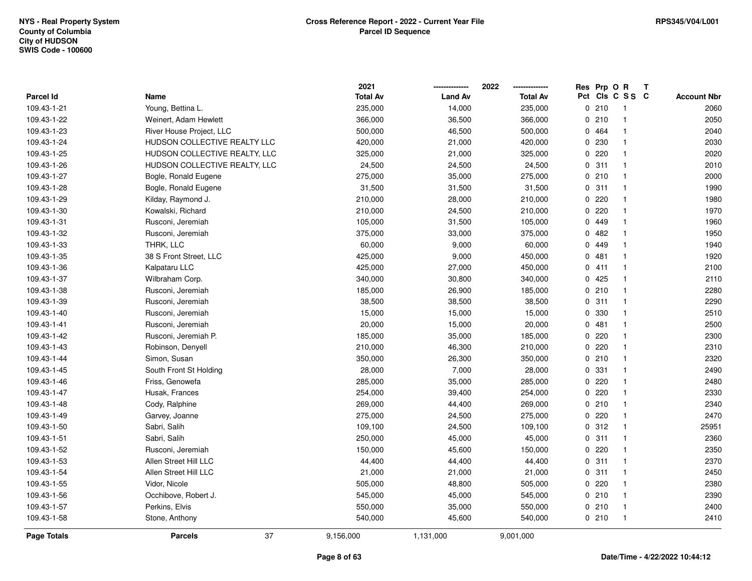|                    |                               | 2021            |                | 2022            |     | Res Prp O R |                | T |                    |
|--------------------|-------------------------------|-----------------|----------------|-----------------|-----|-------------|----------------|---|--------------------|
| Parcel Id          | Name                          | <b>Total Av</b> | <b>Land Av</b> | <b>Total Av</b> | Pct |             | CIS C S S C    |   | <b>Account Nbr</b> |
| 109.43-1-21        | Young, Bettina L.             | 235,000         | 14,000         | 235,000         |     | 0210        | $\overline{1}$ |   | 2060               |
| 109.43-1-22        | Weinert, Adam Hewlett         | 366,000         | 36,500         | 366,000         |     | 0210        | $\mathbf{1}$   |   | 2050               |
| 109.43-1-23        | River House Project, LLC      | 500,000         | 46,500         | 500,000         |     | 0 464       | $\mathbf{1}$   |   | 2040               |
| 109.43-1-24        | HUDSON COLLECTIVE REALTY LLC  | 420,000         | 21,000         | 420,000         |     | 0 230       | $\mathbf{1}$   |   | 2030               |
| 109.43-1-25        | HUDSON COLLECTIVE REALTY, LLC | 325,000         | 21,000         | 325,000         |     | 0220        | 1              |   | 2020               |
| 109.43-1-26        | HUDSON COLLECTIVE REALTY, LLC | 24,500          | 24,500         | 24,500          |     | 0.311       | $\mathbf{1}$   |   | 2010               |
| 109.43-1-27        | Bogle, Ronald Eugene          | 275,000         | 35,000         | 275,000         |     | 0210        | $\mathbf{1}$   |   | 2000               |
| 109.43-1-28        | Bogle, Ronald Eugene          | 31,500          | 31,500         | 31,500          |     | 0.311       | $\mathbf{1}$   |   | 1990               |
| 109.43-1-29        | Kilday, Raymond J.            | 210,000         | 28,000         | 210,000         |     | 0.220       | $\mathbf{1}$   |   | 1980               |
| 109.43-1-30        | Kowalski, Richard             | 210,000         | 24,500         | 210,000         |     | 0.220       | $\mathbf{1}$   |   | 1970               |
| 109.43-1-31        | Rusconi, Jeremiah             | 105,000         | 31,500         | 105,000         |     | 0 449       | $\mathbf{1}$   |   | 1960               |
| 109.43-1-32        | Rusconi, Jeremiah             | 375,000         | 33,000         | 375,000         |     | 0482        | 1              |   | 1950               |
| 109.43-1-33        | THRK, LLC                     | 60,000          | 9,000          | 60,000          |     | 0 449       | 1              |   | 1940               |
| 109.43-1-35        | 38 S Front Street, LLC        | 425,000         | 9,000          | 450,000         |     | 0481        | 1              |   | 1920               |
| 109.43-1-36        | Kalpataru LLC                 | 425,000         | 27,000         | 450,000         |     | 0411        | $\mathbf{1}$   |   | 2100               |
| 109.43-1-37        | Wilbraham Corp.               | 340,000         | 30,800         | 340,000         |     | 0425        | $\mathbf{1}$   |   | 2110               |
| 109.43-1-38        | Rusconi, Jeremiah             | 185,000         | 26,900         | 185,000         |     | 0210        | $\mathbf{1}$   |   | 2280               |
| 109.43-1-39        | Rusconi, Jeremiah             | 38,500          | 38,500         | 38,500          |     | 0.311       | $\mathbf{1}$   |   | 2290               |
| 109.43-1-40        | Rusconi, Jeremiah             | 15,000          | 15,000         | 15,000          |     | 0 330       | 1              |   | 2510               |
| 109.43-1-41        | Rusconi, Jeremiah             | 20,000          | 15,000         | 20,000          |     | 0481        | $\mathbf{1}$   |   | 2500               |
| 109.43-1-42        | Rusconi, Jeremiah P.          | 185,000         | 35,000         | 185,000         |     | $0$ 220     | $\mathbf{1}$   |   | 2300               |
| 109.43-1-43        | Robinson, Denyell             | 210,000         | 46,300         | 210,000         |     | 0220        | 1              |   | 2310               |
| 109.43-1-44        | Simon, Susan                  | 350,000         | 26,300         | 350,000         |     | 0210        | $\mathbf{1}$   |   | 2320               |
| 109.43-1-45        | South Front St Holding        | 28,000          | 7,000          | 28,000          |     | 0 331       | $\mathbf{1}$   |   | 2490               |
| 109.43-1-46        | Friss, Genowefa               | 285,000         | 35,000         | 285,000         |     | $0$ 220     | $\mathbf{1}$   |   | 2480               |
| 109.43-1-47        | Husak, Frances                | 254,000         | 39,400         | 254,000         |     | 0.220       | 1              |   | 2330               |
| 109.43-1-48        | Cody, Ralphine                | 269,000         | 44,400         | 269,000         |     | 0210        | 1              |   | 2340               |
| 109.43-1-49        | Garvey, Joanne                | 275,000         | 24,500         | 275,000         |     | 0.220       | 1              |   | 2470               |
| 109.43-1-50        | Sabri, Salih                  | 109,100         | 24,500         | 109,100         |     | 0.312       | $\mathbf{1}$   |   | 25951              |
| 109.43-1-51        | Sabri, Salih                  | 250,000         | 45,000         | 45,000          |     | 0.311       | $\mathbf{1}$   |   | 2360               |
| 109.43-1-52        | Rusconi, Jeremiah             | 150,000         | 45,600         | 150,000         |     | 0220        | $\mathbf{1}$   |   | 2350               |
| 109.43-1-53        | Allen Street Hill LLC         | 44,400          | 44,400         | 44,400          |     | 0.311       | $\mathbf{1}$   |   | 2370               |
| 109.43-1-54        | Allen Street Hill LLC         | 21,000          | 21,000         | 21,000          |     | 0.311       | $\mathbf{1}$   |   | 2450               |
| 109.43-1-55        | Vidor, Nicole                 | 505,000         | 48,800         | 505,000         |     | 0220        | $\mathbf{1}$   |   | 2380               |
| 109.43-1-56        | Occhibove, Robert J.          | 545,000         | 45,000         | 545,000         |     | 0210        | $\mathbf{1}$   |   | 2390               |
| 109.43-1-57        | Perkins, Elvis                | 550,000         | 35,000         | 550,000         |     | 0210        | $\mathbf{1}$   |   | 2400               |
| 109.43-1-58        | Stone, Anthony                | 540,000         | 45,600         | 540,000         |     | 0210        | $\mathbf{1}$   |   | 2410               |
| <b>Page Totals</b> | 37<br><b>Parcels</b>          | 9,156,000       | 1,131,000      | 9,001,000       |     |             |                |   |                    |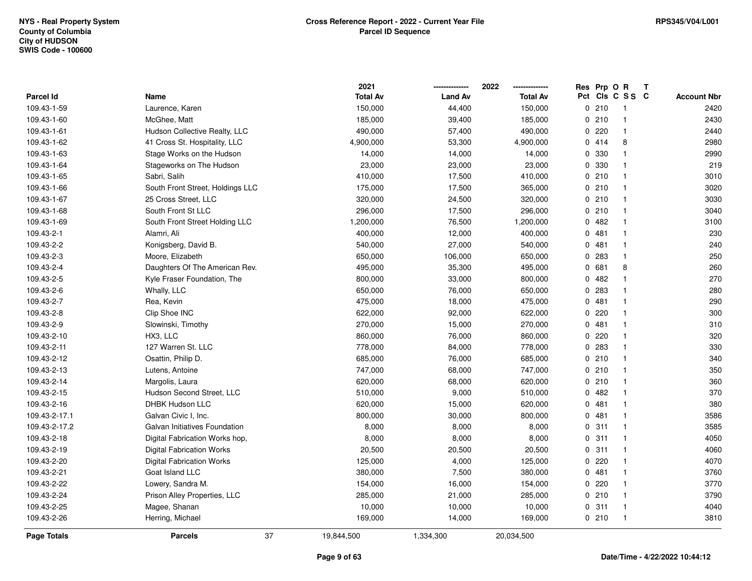|                  |                                  | 2021            |                | 2022            | Res | Prp O R |                 | T. |                    |
|------------------|----------------------------------|-----------------|----------------|-----------------|-----|---------|-----------------|----|--------------------|
| <b>Parcel Id</b> | Name                             | <b>Total Av</b> | <b>Land Av</b> | <b>Total Av</b> |     |         | Pct Cls C S S C |    | <b>Account Nbr</b> |
| 109.43-1-59      | Laurence, Karen                  | 150,000         | 44,400         | 150,000         |     | 0210    | -1              |    | 2420               |
| 109.43-1-60      | McGhee, Matt                     | 185,000         | 39,400         | 185,000         |     | 0210    | $\mathbf{1}$    |    | 2430               |
| 109.43-1-61      | Hudson Collective Realty, LLC    | 490,000         | 57,400         | 490,000         |     | 0 220   | $\mathbf 1$     |    | 2440               |
| 109.43-1-62      | 41 Cross St. Hospitality, LLC    | 4,900,000       | 53,300         | 4,900,000       |     | 0 414   | 8               |    | 2980               |
| 109.43-1-63      | Stage Works on the Hudson        | 14,000          | 14,000         | 14,000          |     | 0 330   | $\mathbf 1$     |    | 2990               |
| 109.43-1-64      | Stageworks on The Hudson         | 23,000          | 23,000         | 23,000          |     | 0 330   |                 |    | 219                |
| 109.43-1-65      | Sabri, Salih                     | 410,000         | 17,500         | 410,000         |     | 0210    | $\mathbf{1}$    |    | 3010               |
| 109.43-1-66      | South Front Street, Holdings LLC | 175,000         | 17,500         | 365,000         |     | 0 210   | $\mathbf 1$     |    | 3020               |
| 109.43-1-67      | 25 Cross Street, LLC             | 320,000         | 24,500         | 320,000         |     | 0210    | $\mathbf{1}$    |    | 3030               |
| 109.43-1-68      | South Front St LLC               | 296,000         | 17,500         | 296,000         |     | 0210    | $\mathbf{1}$    |    | 3040               |
| 109.43-1-69      | South Front Street Holding LLC   | 1,200,000       | 76,500         | 1,200,000       |     | 0 482   | $\mathbf 1$     |    | 3100               |
| 109.43-2-1       | Alamri, Ali                      | 400,000         | 12,000         | 400,000         |     | 0481    | $\mathbf 1$     |    | 230                |
| 109.43-2-2       | Konigsberg, David B.             | 540,000         | 27,000         | 540,000         |     | 0481    | $\mathbf 1$     |    | 240                |
| 109.43-2-3       | Moore, Elizabeth                 | 650,000         | 106,000        | 650,000         |     | 0 283   | $\mathbf{1}$    |    | 250                |
| 109.43-2-4       | Daughters Of The American Rev.   | 495,000         | 35,300         | 495,000         |     | 0 681   | 8               |    | 260                |
| 109.43-2-5       | Kyle Fraser Foundation, The      | 800,000         | 33,000         | 800,000         |     | 0482    | $\mathbf{1}$    |    | 270                |
| 109.43-2-6       | Whally, LLC                      | 650,000         | 76,000         | 650,000         |     | 0 283   | $\mathbf{1}$    |    | 280                |
| 109.43-2-7       | Rea, Kevin                       | 475,000         | 18,000         | 475,000         |     | 0481    | $\mathbf{1}$    |    | 290                |
| 109.43-2-8       | Clip Shoe INC                    | 622,000         | 92,000         | 622,000         |     | 0 220   | $\mathbf 1$     |    | 300                |
| 109.43-2-9       | Slowinski, Timothy               | 270,000         | 15,000         | 270,000         |     | 0481    | $\mathbf 1$     |    | 310                |
| 109.43-2-10      | HX3, LLC                         | 860,000         | 76,000         | 860,000         |     | $0$ 220 |                 |    | 320                |
| 109.43-2-11      | 127 Warren St. LLC               | 778,000         | 84,000         | 778,000         |     | 0 283   | $\mathbf 1$     |    | 330                |
| 109.43-2-12      | Osattin, Philip D.               | 685,000         | 76,000         | 685,000         |     | 0210    | $\mathbf{1}$    |    | 340                |
| 109.43-2-13      | Lutens, Antoine                  | 747,000         | 68,000         | 747,000         |     | 0210    | $\mathbf{1}$    |    | 350                |
| 109.43-2-14      | Margolis, Laura                  | 620,000         | 68,000         | 620,000         |     | 0210    | $\mathbf 1$     |    | 360                |
| 109.43-2-15      | Hudson Second Street, LLC        | 510,000         | 9,000          | 510,000         |     | 0482    | $\mathbf 1$     |    | 370                |
| 109.43-2-16      | <b>DHBK Hudson LLC</b>           | 620,000         | 15,000         | 620,000         |     | 0481    | $\mathbf 1$     |    | 380                |
| 109.43-2-17.1    | Galvan Civic I, Inc.             | 800,000         | 30,000         | 800,000         |     | 0481    | $\overline{1}$  |    | 3586               |
| 109.43-2-17.2    | Galvan Initiatives Foundation    | 8,000           | 8,000          | 8,000           |     | 0 311   | $\mathbf 1$     |    | 3585               |
| 109.43-2-18      | Digital Fabrication Works hop,   | 8,000           | 8,000          | 8,000           |     | 0.311   | $\mathbf{1}$    |    | 4050               |
| 109.43-2-19      | <b>Digital Fabrication Works</b> | 20,500          | 20,500         | 20,500          |     | 0.311   | $\mathbf{1}$    |    | 4060               |
| 109.43-2-20      | <b>Digital Fabrication Works</b> | 125,000         | 4,000          | 125,000         |     | 0220    | $\mathbf 1$     |    | 4070               |
| 109.43-2-21      | Goat Island LLC                  | 380,000         | 7,500          | 380,000         |     | 0481    | $\mathbf 1$     |    | 3760               |
| 109.43-2-22      | Lowery, Sandra M.                | 154,000         | 16,000         | 154,000         |     | 0 220   | $\mathbf 1$     |    | 3770               |
| 109.43-2-24      | Prison Alley Properties, LLC     | 285,000         | 21,000         | 285,000         |     | 0210    | $\mathbf{1}$    |    | 3790               |
| 109.43-2-25      | Magee, Shanan                    | 10,000          | 10,000         | 10,000          |     | 0 311   | $\mathbf 1$     |    | 4040               |
| 109.43-2-26      | Herring, Michael                 | 169,000         | 14,000         | 169,000         |     | 0210    | $\overline{1}$  |    | 3810               |
| Page Totals      | 37<br><b>Parcels</b>             | 19,844,500      | 1,334,300      | 20,034,500      |     |         |                 |    |                    |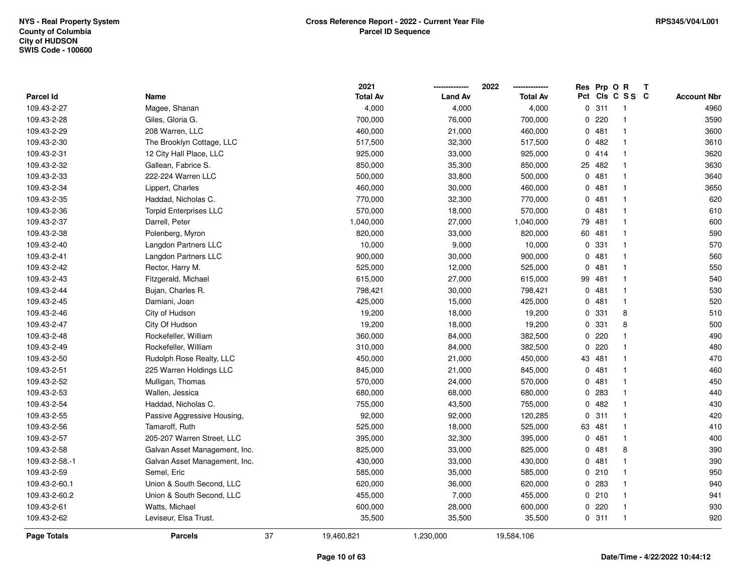|                    |                               |    | 2021            |                | 2022<br>------------- | Res | Prp OR |                | T |                    |
|--------------------|-------------------------------|----|-----------------|----------------|-----------------------|-----|--------|----------------|---|--------------------|
| Parcel Id          | Name                          |    | <b>Total Av</b> | <b>Land Av</b> | <b>Total Av</b>       | Pct |        | CIs C S S C    |   | <b>Account Nbr</b> |
| 109.43-2-27        | Magee, Shanan                 |    | 4,000           | 4,000          | 4,000                 |     | 0.311  | -1             |   | 4960               |
| 109.43-2-28        | Giles, Gloria G.              |    | 700,000         | 76,000         | 700,000               | 0   | 220    | $\mathbf{1}$   |   | 3590               |
| 109.43-2-29        | 208 Warren, LLC               |    | 460,000         | 21,000         | 460,000               |     | 0481   | $\mathbf{1}$   |   | 3600               |
| 109.43-2-30        | The Brooklyn Cottage, LLC     |    | 517,500         | 32,300         | 517,500               |     | 0.482  | $\mathbf{1}$   |   | 3610               |
| 109.43-2-31        | 12 City Hall Place, LLC       |    | 925,000         | 33,000         | 925,000               |     | 0414   | -1             |   | 3620               |
| 109.43-2-32        | Gallean, Fabrice S.           |    | 850,000         | 35,300         | 850,000               |     | 25 482 | 1              |   | 3630               |
| 109.43-2-33        | 222-224 Warren LLC            |    | 500,000         | 33,800         | 500,000               |     | 0481   |                |   | 3640               |
| 109.43-2-34        | Lippert, Charles              |    | 460,000         | 30,000         | 460,000               |     | 0481   | $\mathbf{1}$   |   | 3650               |
| 109.43-2-35        | Haddad, Nicholas C.           |    | 770,000         | 32,300         | 770,000               | 0   | 481    | $\mathbf{1}$   |   | 620                |
| 109.43-2-36        | <b>Torpid Enterprises LLC</b> |    | 570,000         | 18,000         | 570,000               | 0   | 481    | $\mathbf{1}$   |   | 610                |
| 109.43-2-37        | Darrell, Peter                |    | 1,040,000       | 27,000         | 1,040,000             | 79  | 481    | $\mathbf{1}$   |   | 600                |
| 109.43-2-38        | Polenberg, Myron              |    | 820,000         | 33,000         | 820,000               | 60  | 481    | 1              |   | 590                |
| 109.43-2-40        | Langdon Partners LLC          |    | 10,000          | 9,000          | 10,000                |     | 0 331  | $\mathbf 1$    |   | 570                |
| 109.43-2-41        | Langdon Partners LLC          |    | 900,000         | 30,000         | 900,000               |     | 0481   | $\mathbf{1}$   |   | 560                |
| 109.43-2-42        | Rector, Harry M.              |    | 525,000         | 12,000         | 525,000               | 0   | 481    | -1             |   | 550                |
| 109.43-2-43        | Fitzgerald, Michael           |    | 615,000         | 27,000         | 615,000               | 99  | 481    | $\mathbf{1}$   |   | 540                |
| 109.43-2-44        | Bujan, Charles R.             |    | 798,421         | 30,000         | 798,421               |     | 0481   | $\mathbf{1}$   |   | 530                |
| 109.43-2-45        | Damiani, Joan                 |    | 425,000         | 15,000         | 425,000               |     | 0481   | $\mathbf{1}$   |   | 520                |
| 109.43-2-46        | City of Hudson                |    | 19,200          | 18,000         | 19,200                |     | 0 331  | 8              |   | 510                |
| 109.43-2-47        | City Of Hudson                |    | 19,200          | 18,000         | 19,200                |     | 0 331  | 8              |   | 500                |
| 109.43-2-48        | Rockefeller, William          |    | 360,000         | 84,000         | 382,500               |     | 0.220  | 1              |   | 490                |
| 109.43-2-49        | Rockefeller, William          |    | 310,000         | 84,000         | 382,500               | 0   | 220    | 1              |   | 480                |
| 109.43-2-50        | Rudolph Rose Realty, LLC      |    | 450,000         | 21,000         | 450,000               | 43  | 481    | $\mathbf{1}$   |   | 470                |
| 109.43-2-51        | 225 Warren Holdings LLC       |    | 845,000         | 21,000         | 845,000               |     | 0481   | $\mathbf 1$    |   | 460                |
| 109.43-2-52        | Mulligan, Thomas              |    | 570,000         | 24,000         | 570,000               |     | 0481   | $\mathbf{1}$   |   | 450                |
| 109.43-2-53        | Wallen, Jessica               |    | 680,000         | 68,000         | 680,000               |     | 0.283  | $\mathbf{1}$   |   | 440                |
| 109.43-2-54        | Haddad, Nicholas C.           |    | 755,000         | 43,500         | 755,000               |     | 0482   | $\mathbf 1$    |   | 430                |
| 109.43-2-55        | Passive Aggressive Housing,   |    | 92,000          | 92,000         | 120,285               |     | 0.311  | $\mathbf{1}$   |   | 420                |
| 109.43-2-56        | Tamaroff, Ruth                |    | 525,000         | 18,000         | 525,000               | 63  | 481    | 1              |   | 410                |
| 109.43-2-57        | 205-207 Warren Street, LLC    |    | 395,000         | 32,300         | 395,000               |     | 0481   | $\mathbf{1}$   |   | 400                |
| 109.43-2-58        | Galvan Asset Management, Inc. |    | 825,000         | 33,000         | 825,000               |     | 0481   | 8              |   | 390                |
| 109.43-2-58.-1     | Galvan Asset Management, Inc. |    | 430,000         | 33,000         | 430,000               |     | 0481   | $\mathbf{1}$   |   | 390                |
| 109.43-2-59        | Semel, Eric                   |    | 585,000         | 35,000         | 585,000               |     | 0210   | -1             |   | 950                |
| 109.43-2-60.1      | Union & South Second, LLC     |    | 620,000         | 36,000         | 620,000               |     | 0 283  | 1              |   | 940                |
| 109.43-2-60.2      | Union & South Second, LLC     |    | 455,000         | 7,000          | 455,000               |     | 0210   | $\mathbf{1}$   |   | 941                |
| 109.43-2-61        | Watts, Michael                |    | 600,000         | 28,000         | 600,000               |     | 0220   | 1              |   | 930                |
| 109.43-2-62        | Leviseur, Elsa Trust.         |    | 35,500          | 35,500         | 35,500                |     | 0.311  | $\overline{1}$ |   | 920                |
| <b>Page Totals</b> | <b>Parcels</b>                | 37 | 19,460,821      | 1,230,000      | 19,584,106            |     |        |                |   |                    |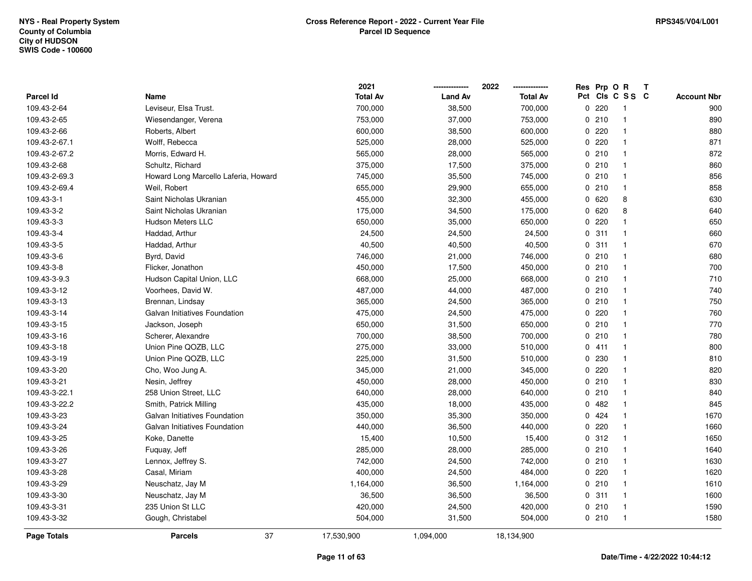|               |                                      | 2021            |                | 2022            | Res          | Prp O R |                         | Т |                    |
|---------------|--------------------------------------|-----------------|----------------|-----------------|--------------|---------|-------------------------|---|--------------------|
| Parcel Id     | Name                                 | <b>Total Av</b> | <b>Land Av</b> | <b>Total Av</b> |              |         | Pct Cls C S S C         |   | <b>Account Nbr</b> |
| 109.43-2-64   | Leviseur, Elsa Trust.                | 700,000         | 38,500         | 700,000         | $\Omega$     | 220     | -1                      |   | 900                |
| 109.43-2-65   | Wiesendanger, Verena                 | 753,000         | 37,000         | 753,000         | $\Omega$     | 210     | $\mathbf{1}$            |   | 890                |
| 109.43-2-66   | Roberts, Albert                      | 600,000         | 38,500         | 600,000         |              | 0220    | $\mathbf{1}$            |   | 880                |
| 109.43-2-67.1 | Wolff, Rebecca                       | 525,000         | 28,000         | 525,000         |              | 0220    | -1                      |   | 871                |
| 109.43-2-67.2 | Morris, Edward H.                    | 565,000         | 28,000         | 565,000         |              | 0210    | -1                      |   | 872                |
| 109.43-2-68   | Schultz, Richard                     | 375,000         | 17,500         | 375,000         |              | 0210    | -1                      |   | 860                |
| 109.43-2-69.3 | Howard Long Marcello Laferia, Howard | 745,000         | 35,500         | 745,000         |              | 0210    | $\mathbf{1}$            |   | 856                |
| 109.43-2-69.4 | Weil, Robert                         | 655,000         | 29,900         | 655,000         |              | 0210    | $\mathbf{1}$            |   | 858                |
| 109.43-3-1    | Saint Nicholas Ukranian              | 455,000         | 32,300         | 455,000         | 0            | 620     | 8                       |   | 630                |
| 109.43-3-2    | Saint Nicholas Ukranian              | 175,000         | 34,500         | 175,000         | $\mathbf{0}$ | 620     | 8                       |   | 640                |
| 109.43-3-3    | <b>Hudson Meters LLC</b>             | 650,000         | 35,000         | 650,000         | 0            | 220     |                         |   | 650                |
| 109.43-3-4    | Haddad, Arthur                       | 24,500          | 24,500         | 24,500          |              | 0.311   |                         |   | 660                |
| 109.43-3-5    | Haddad, Arthur                       | 40,500          | 40,500         | 40,500          |              | 0.311   |                         |   | 670                |
| 109.43-3-6    | Byrd, David                          | 746,000         | 21,000         | 746,000         |              | 0210    | -1                      |   | 680                |
| 109.43-3-8    | Flicker, Jonathon                    | 450,000         | 17,500         | 450,000         |              | 0210    | $\mathbf{1}$            |   | 700                |
| 109.43-3-9.3  | Hudson Capital Union, LLC            | 668,000         | 25,000         | 668,000         |              | 0210    | $\overline{\mathbf{1}}$ |   | 710                |
| 109.43-3-12   | Voorhees, David W.                   | 487,000         | 44,000         | 487,000         |              | 0210    | $\mathbf{1}$            |   | 740                |
| 109.43-3-13   | Brennan, Lindsay                     | 365,000         | 24,500         | 365,000         |              | 0210    | $\mathbf{1}$            |   | 750                |
| 109.43-3-14   | Galvan Initiatives Foundation        | 475,000         | 24,500         | 475,000         |              | 0.220   | -1                      |   | 760                |
| 109.43-3-15   | Jackson, Joseph                      | 650,000         | 31,500         | 650,000         |              | 0210    | -1                      |   | 770                |
| 109.43-3-16   | Scherer, Alexandre                   | 700,000         | 38,500         | 700,000         |              | 0210    | $\overline{\mathbf{1}}$ |   | 780                |
| 109.43-3-18   | Union Pine QOZB, LLC                 | 275,000         | 33,000         | 510,000         |              | 0411    | -1                      |   | 800                |
| 109.43-3-19   | Union Pine QOZB, LLC                 | 225,000         | 31,500         | 510,000         | 0            | 230     | -1                      |   | 810                |
| 109.43-3-20   | Cho, Woo Jung A.                     | 345,000         | 21,000         | 345,000         | 0            | 220     | $\mathbf 1$             |   | 820                |
| 109.43-3-21   | Nesin, Jeffrey                       | 450,000         | 28,000         | 450,000         |              | 0210    | $\mathbf 1$             |   | 830                |
| 109.43-3-22.1 | 258 Union Street, LLC                | 640,000         | 28,000         | 640,000         |              | 0210    |                         |   | 840                |
| 109.43-3-22.2 | Smith, Patrick Milling               | 435,000         | 18,000         | 435,000         |              | 0.482   |                         |   | 845                |
| 109.43-3-23   | Galvan Initiatives Foundation        | 350,000         | 35,300         | 350,000         | 0            | 424     | -1                      |   | 1670               |
| 109.43-3-24   | Galvan Initiatives Foundation        | 440,000         | 36,500         | 440,000         | 0            | 220     | -1                      |   | 1660               |
| 109.43-3-25   | Koke, Danette                        | 15,400          | 10,500         | 15,400          | 0            | 312     | -1                      |   | 1650               |
| 109.43-3-26   | Fuquay, Jeff                         | 285,000         | 28,000         | 285,000         |              | 0210    | $\mathbf{1}$            |   | 1640               |
| 109.43-3-27   | Lennox, Jeffrey S.                   | 742,000         | 24,500         | 742,000         |              | 0210    | $\mathbf{1}$            |   | 1630               |
| 109.43-3-28   | Casal, Miriam                        | 400,000         | 24,500         | 484,000         |              | 0.220   |                         |   | 1620               |
| 109.43-3-29   | Neuschatz, Jay M                     | 1,164,000       | 36,500         | 1,164,000       |              | 0210    | -1                      |   | 1610               |
| 109.43-3-30   | Neuschatz, Jay M                     | 36,500          | 36,500         | 36,500          |              | 0.311   | -1                      |   | 1600               |
| 109.43-3-31   | 235 Union St LLC                     | 420,000         | 24,500         | 420,000         |              | 0210    | -1                      |   | 1590               |
| 109.43-3-32   | Gough, Christabel                    | 504,000         | 31,500         | 504,000         |              | 0210    | $\overline{\mathbf{1}}$ |   | 1580               |
| Page Totals   | 37<br><b>Parcels</b>                 | 17,530,900      | 1,094,000      | 18,134,900      |              |         |                         |   |                    |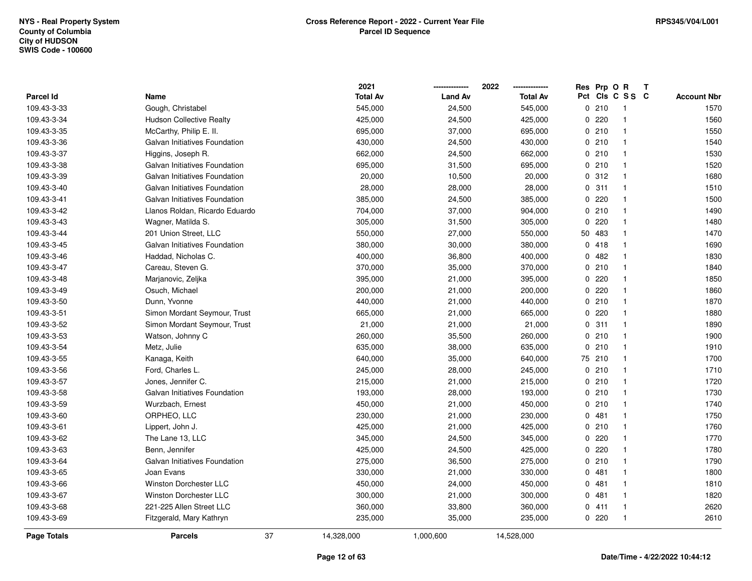|                    |                                 | 2021            |                | 2022            | Res            | Prp O R |                         | Т |                    |
|--------------------|---------------------------------|-----------------|----------------|-----------------|----------------|---------|-------------------------|---|--------------------|
| Parcel Id          | Name                            | <b>Total Av</b> | <b>Land Av</b> | <b>Total Av</b> |                |         | Pct Cls C S S C         |   | <b>Account Nbr</b> |
| 109.43-3-33        | Gough, Christabel               | 545,000         | 24,500         | 545,000         |                | 0210    | -1                      |   | 1570               |
| 109.43-3-34        | <b>Hudson Collective Realty</b> | 425,000         | 24,500         | 425,000         | 0              | 220     | -1                      |   | 1560               |
| 109.43-3-35        | McCarthy, Philip E. II.         | 695,000         | 37,000         | 695,000         |                | 0210    | $\mathbf{1}$            |   | 1550               |
| 109.43-3-36        | Galvan Initiatives Foundation   | 430,000         | 24,500         | 430,000         |                | 0210    | -1                      |   | 1540               |
| 109.43-3-37        | Higgins, Joseph R.              | 662,000         | 24,500         | 662,000         |                | 0210    | -1                      |   | 1530               |
| 109.43-3-38        | Galvan Initiatives Foundation   | 695,000         | 31,500         | 695,000         |                | 0210    |                         |   | 1520               |
| 109.43-3-39        | Galvan Initiatives Foundation   | 20,000          | 10,500         | 20,000          |                | 0.312   | -1                      |   | 1680               |
| 109.43-3-40        | Galvan Initiatives Foundation   | 28,000          | 28,000         | 28,000          | $\Omega$       | 311     | $\mathbf{1}$            |   | 1510               |
| 109.43-3-41        | Galvan Initiatives Foundation   | 385,000         | 24,500         | 385,000         | 0              | 220     |                         |   | 1500               |
| 109.43-3-42        | Llanos Roldan, Ricardo Eduardo  | 704,000         | 37,000         | 904,000         |                | 0210    | $\mathbf{1}$            |   | 1490               |
| 109.43-3-43        | Wagner, Matilda S.              | 305,000         | 31,500         | 305,000         | 0              | 220     | 1                       |   | 1480               |
| 109.43-3-44        | 201 Union Street, LLC           | 550,000         | 27,000         | 550,000         | 50             | 483     |                         |   | 1470               |
| 109.43-3-45        | Galvan Initiatives Foundation   | 380,000         | 30,000         | 380,000         | 0              | 418     |                         |   | 1690               |
| 109.43-3-46        | Haddad, Nicholas C.             | 400,000         | 36,800         | 400,000         | 0              | 482     |                         |   | 1830               |
| 109.43-3-47        | Careau, Steven G.               | 370,000         | 35,000         | 370,000         | 0              | 210     | -1                      |   | 1840               |
| 109.43-3-48        | Marjanovic, Zeljka              | 395,000         | 21,000         | 395,000         | $\overline{0}$ | 220     | $\mathbf{1}$            |   | 1850               |
| 109.43-3-49        | Osuch, Michael                  | 200,000         | 21,000         | 200,000         | 0              | 220     | $\mathbf{1}$            |   | 1860               |
| 109.43-3-50        | Dunn, Yvonne                    | 440,000         | 21,000         | 440,000         |                | 0210    | -1                      |   | 1870               |
| 109.43-3-51        | Simon Mordant Seymour, Trust    | 665,000         | 21,000         | 665,000         |                | 0220    | 1                       |   | 1880               |
| 109.43-3-52        | Simon Mordant Seymour, Trust    | 21,000          | 21,000         | 21,000          |                | 0.311   |                         |   | 1890               |
| 109.43-3-53        | Watson, Johnny C                | 260,000         | 35,500         | 260,000         |                | 0210    | $\overline{\mathbf{1}}$ |   | 1900               |
| 109.43-3-54        | Metz, Julie                     | 635,000         | 38,000         | 635,000         | 0              | 210     | -1                      |   | 1910               |
| 109.43-3-55        | Kanaga, Keith                   | 640,000         | 35,000         | 640,000         | 75             | 210     | $\mathbf{1}$            |   | 1700               |
| 109.43-3-56        | Ford, Charles L.                | 245,000         | 28,000         | 245,000         | 0              | 210     |                         |   | 1710               |
| 109.43-3-57        | Jones, Jennifer C.              | 215,000         | 21,000         | 215,000         |                | 0210    | $\mathbf{1}$            |   | 1720               |
| 109.43-3-58        | Galvan Initiatives Foundation   | 193,000         | 28,000         | 193,000         |                | 0210    |                         |   | 1730               |
| 109.43-3-59        | Wurzbach, Ernest                | 450,000         | 21,000         | 450,000         |                | 0210    |                         |   | 1740               |
| 109.43-3-60        | ORPHEO, LLC                     | 230,000         | 21,000         | 230,000         | 0              | 481     |                         |   | 1750               |
| 109.43-3-61        | Lippert, John J.                | 425,000         | 21,000         | 425,000         |                | 0210    | -1                      |   | 1760               |
| 109.43-3-62        | The Lane 13, LLC                | 345,000         | 24,500         | 345,000         | 0              | 220     | -1                      |   | 1770               |
| 109.43-3-63        | Benn, Jennifer                  | 425,000         | 24,500         | 425,000         | 0              | 220     | -1                      |   | 1780               |
| 109.43-3-64        | Galvan Initiatives Foundation   | 275,000         | 36,500         | 275,000         |                | 0210    | $\mathbf{1}$            |   | 1790               |
| 109.43-3-65        | Joan Evans                      | 330,000         | 21,000         | 330,000         |                | 0481    |                         |   | 1800               |
| 109.43-3-66        | <b>Winston Dorchester LLC</b>   | 450,000         | 24,000         | 450,000         |                | 0481    |                         |   | 1810               |
| 109.43-3-67        | <b>Winston Dorchester LLC</b>   | 300,000         | 21,000         | 300,000         | 0              | 481     |                         |   | 1820               |
| 109.43-3-68        | 221-225 Allen Street LLC        | 360,000         | 33,800         | 360,000         | 0              | 411     |                         |   | 2620               |
| 109.43-3-69        | Fitzgerald, Mary Kathryn        | 235,000         | 35,000         | 235,000         |                | 0220    | $\mathbf{1}$            |   | 2610               |
| <b>Page Totals</b> | 37<br><b>Parcels</b>            | 14,328,000      | 1,000,600      | 14,528,000      |                |         |                         |   |                    |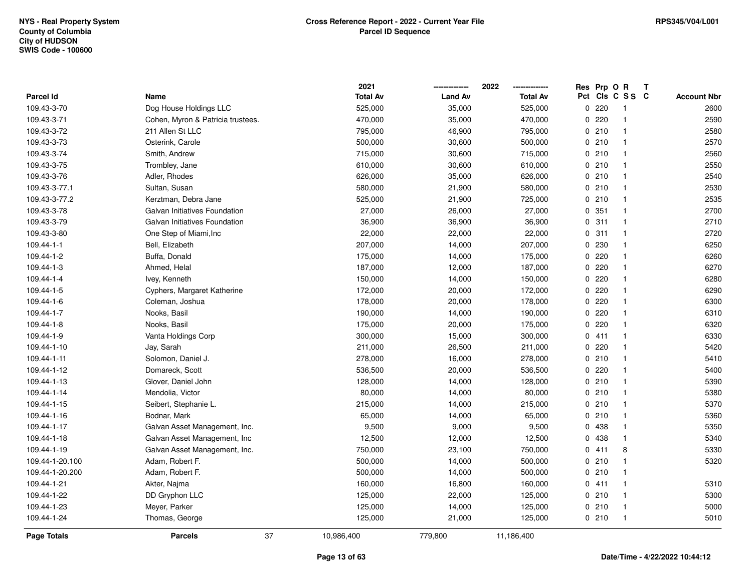|                    |                                   | 2021             |                | 2022            | Res | Prp O R |                | Т |                    |
|--------------------|-----------------------------------|------------------|----------------|-----------------|-----|---------|----------------|---|--------------------|
| Parcel Id          | Name                              | <b>Total Av</b>  | <b>Land Av</b> | <b>Total Av</b> | Pct |         | CIS C S S C    |   | <b>Account Nbr</b> |
| 109.43-3-70        | Dog House Holdings LLC            | 525,000          | 35,000         | 525,000         | 0   | 220     | -1             |   | 2600               |
| 109.43-3-71        | Cohen, Myron & Patricia trustees. | 470,000          | 35,000         | 470,000         | 0   | 220     | $\overline{1}$ |   | 2590               |
| 109.43-3-72        | 211 Allen St LLC                  | 795,000          | 46,900         | 795,000         |     | 0210    | $\mathbf{1}$   |   | 2580               |
| 109.43-3-73        | Osterink, Carole                  | 500,000          | 30,600         | 500,000         |     | 0210    | -1             |   | 2570               |
| 109.43-3-74        | Smith, Andrew                     | 715,000          | 30,600         | 715,000         |     | 0210    | -1             |   | 2560               |
| 109.43-3-75        | Trombley, Jane                    | 610,000          | 30,600         | 610,000         |     | 0210    | -1             |   | 2550               |
| 109.43-3-76        | Adler, Rhodes                     | 626,000          | 35,000         | 626,000         |     | 0210    | -1             |   | 2540               |
| 109.43-3-77.1      | Sultan, Susan                     | 580,000          | 21,900         | 580,000         |     | 0210    | $\overline{1}$ |   | 2530               |
| 109.43-3-77.2      | Kerztman, Debra Jane              | 525,000          | 21,900         | 725,000         |     | 0210    | -1             |   | 2535               |
| 109.43-3-78        | Galvan Initiatives Foundation     | 27,000           | 26,000         | 27,000          |     | 0.351   | $\mathbf{1}$   |   | 2700               |
| 109.43-3-79        | Galvan Initiatives Foundation     | 36,900           | 36,900         | 36,900          |     | 0.311   | -1             |   | 2710               |
| 109.43-3-80        | One Step of Miami, Inc            | 22,000           | 22,000         | 22,000          |     | 0.311   | -1             |   | 2720               |
| 109.44-1-1         | Bell, Elizabeth                   | 207,000          | 14,000         | 207,000         |     | 0 230   |                |   | 6250               |
| 109.44-1-2         | Buffa, Donald                     | 175,000          | 14,000         | 175,000         |     | 0220    | -1             |   | 6260               |
| 109.44-1-3         | Ahmed, Helal                      | 187,000          | 12,000         | 187,000         | 0   | 220     | -1             |   | 6270               |
| 109.44-1-4         | Ivey, Kenneth                     | 150,000          | 14,000         | 150,000         | 0   | 220     | $\overline{1}$ |   | 6280               |
| 109.44-1-5         | Cyphers, Margaret Katherine       | 172,000          | 20,000         | 172,000         | 0   | 220     | $\mathbf{1}$   |   | 6290               |
| 109.44-1-6         | Coleman, Joshua                   | 178,000          | 20,000         | 178,000         |     | 0220    | -1             |   | 6300               |
| 109.44-1-7         | Nooks, Basil                      | 190,000          | 14,000         | 190,000         |     | 0220    | -1             |   | 6310               |
| 109.44-1-8         | Nooks, Basil                      | 175,000          | 20,000         | 175,000         |     | 0220    |                |   | 6320               |
| 109.44-1-9         | Vanta Holdings Corp               | 300,000          | 15,000         | 300,000         |     | 0411    | -1             |   | 6330               |
| 109.44-1-10        | Jay, Sarah                        | 211,000          | 26,500         | 211,000         |     | 0.220   |                |   | 5420               |
| 109.44-1-11        | Solomon, Daniel J.                | 278,000          | 16,000         | 278,000         |     | 0210    | $\overline{1}$ |   | 5410               |
| 109.44-1-12        | Domareck, Scott                   | 536,500          | 20,000         | 536,500         | 0   | 220     | $\overline{1}$ |   | 5400               |
| 109.44-1-13        | Glover, Daniel John               | 128,000          | 14,000         | 128,000         |     | 0210    | $\mathbf{1}$   |   | 5390               |
| 109.44-1-14        | Mendolia, Victor                  | 80,000           | 14,000         | 80,000          |     | 0210    | -1             |   | 5380               |
| 109.44-1-15        | Seibert, Stephanie L.             | 215,000          | 14,000         | 215,000         |     | 0210    |                |   | 5370               |
| 109.44-1-16        | Bodnar, Mark                      | 65,000           | 14,000         | 65,000          |     | 0210    |                |   | 5360               |
| 109.44-1-17        | Galvan Asset Management, Inc.     | 9,500            | 9,000          | 9,500           |     | 0 438   |                |   | 5350               |
| 109.44-1-18        | Galvan Asset Management, Inc.     | 12,500           | 12,000         | 12,500          | 0   | 438     | -1             |   | 5340               |
| 109.44-1-19        | Galvan Asset Management, Inc.     | 750,000          | 23,100         | 750,000         |     | 0411    | 8              |   | 5330               |
| 109.44-1-20.100    | Adam, Robert F.                   | 500,000          | 14,000         | 500,000         |     | 0210    | $\mathbf{1}$   |   | 5320               |
| 109.44-1-20.200    | Adam, Robert F.                   | 500,000          | 14,000         | 500,000         |     | 0210    | -1             |   |                    |
| 109.44-1-21        | Akter, Najma                      | 160,000          | 16,800         | 160,000         |     | 0411    | $\mathbf{1}$   |   | 5310               |
| 109.44-1-22        | DD Gryphon LLC                    | 125,000          | 22,000         | 125,000         |     | 0210    | -1             |   | 5300               |
| 109.44-1-23        | Meyer, Parker                     | 125,000          | 14,000         | 125,000         |     | 0210    |                |   | 5000               |
| 109.44-1-24        | Thomas, George                    | 125,000          | 21,000         | 125,000         |     | 0210    | $\overline{1}$ |   | 5010               |
| <b>Page Totals</b> | <b>Parcels</b>                    | 37<br>10,986,400 | 779,800        | 11,186,400      |     |         |                |   |                    |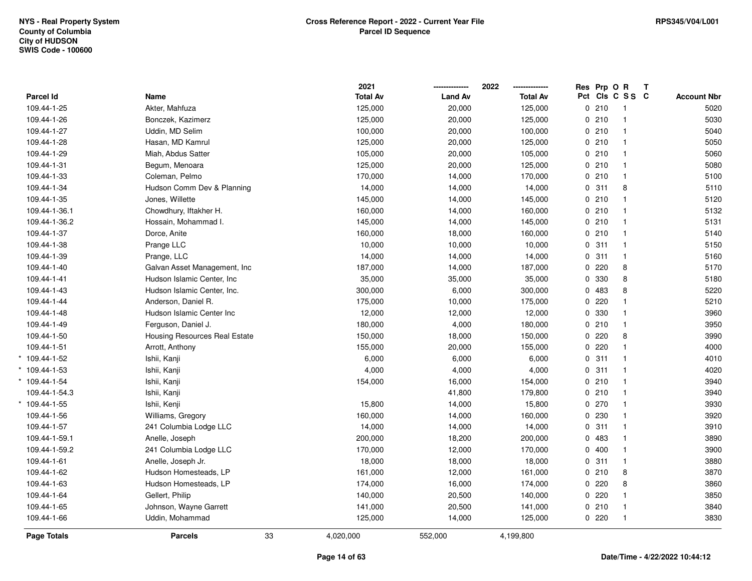|                    |                               |    | 2021            |                | 2022            | Res Prp O R |                         | Т |                    |
|--------------------|-------------------------------|----|-----------------|----------------|-----------------|-------------|-------------------------|---|--------------------|
| Parcel Id          | Name                          |    | <b>Total Av</b> | <b>Land Av</b> | <b>Total Av</b> |             | Pct Cls C S S C         |   | <b>Account Nbr</b> |
| 109.44-1-25        | Akter, Mahfuza                |    | 125,000         | 20,000         | 125,000         | 0210        | -1                      |   | 5020               |
| 109.44-1-26        | Bonczek, Kazimerz             |    | 125,000         | 20,000         | 125,000         | 0210        | $\overline{1}$          |   | 5030               |
| 109.44-1-27        | Uddin, MD Selim               |    | 100,000         | 20,000         | 100,000         | 0210        | $\overline{1}$          |   | 5040               |
| 109.44-1-28        | Hasan, MD Kamrul              |    | 125,000         | 20,000         | 125,000         | 0210        | $\mathbf{1}$            |   | 5050               |
| 109.44-1-29        | Miah, Abdus Satter            |    | 105,000         | 20,000         | 105,000         | 0210        | $\mathbf{1}$            |   | 5060               |
| 109.44-1-31        | Begum, Menoara                |    | 125,000         | 20,000         | 125,000         | 0210        | $\mathbf{1}$            |   | 5080               |
| 109.44-1-33        | Coleman, Pelmo                |    | 170,000         | 14,000         | 170,000         | 0210        | $\overline{1}$          |   | 5100               |
| 109.44-1-34        | Hudson Comm Dev & Planning    |    | 14,000          | 14,000         | 14,000          | 0.311       | 8                       |   | 5110               |
| 109.44-1-35        | Jones, Willette               |    | 145,000         | 14,000         | 145,000         | 0210        | $\mathbf{1}$            |   | 5120               |
| 109.44-1-36.1      | Chowdhury, Iftakher H.        |    | 160,000         | 14,000         | 160,000         | 0210        | $\mathbf{1}$            |   | 5132               |
| 109.44-1-36.2      | Hossain, Mohammad I.          |    | 145,000         | 14,000         | 145,000         | 0210        | $\mathbf{1}$            |   | 5131               |
| 109.44-1-37        | Dorce, Anite                  |    | 160,000         | 18,000         | 160,000         | 0210        | $\mathbf{1}$            |   | 5140               |
| 109.44-1-38        | Prange LLC                    |    | 10,000          | 10,000         | 10,000          | 0.311       | $\overline{1}$          |   | 5150               |
| 109.44-1-39        | Prange, LLC                   |    | 14,000          | 14,000         | 14,000          | 0.311       | $\mathbf{1}$            |   | 5160               |
| 109.44-1-40        | Galvan Asset Management, Inc. |    | 187,000         | 14,000         | 187,000         | 0220        | 8                       |   | 5170               |
| 109.44-1-41        | Hudson Islamic Center, Inc.   |    | 35,000          | 35,000         | 35,000          | 0 330       | 8                       |   | 5180               |
| 109.44-1-43        | Hudson Islamic Center, Inc.   |    | 300,000         | 6,000          | 300,000         | 0 483       | 8                       |   | 5220               |
| 109.44-1-44        | Anderson, Daniel R.           |    | 175,000         | 10,000         | 175,000         | 0220        | $\mathbf{1}$            |   | 5210               |
| 109.44-1-48        | Hudson Islamic Center Inc     |    | 12,000          | 12,000         | 12,000          | 0 330       | $\mathbf{1}$            |   | 3960               |
| 109.44-1-49        | Ferguson, Daniel J.           |    | 180,000         | 4,000          | 180,000         | 0210        | $\mathbf{1}$            |   | 3950               |
| 109.44-1-50        | Housing Resources Real Estate |    | 150,000         | 18,000         | 150,000         | 0220        | 8                       |   | 3990               |
| 109.44-1-51        | Arrott, Anthony               |    | 155,000         | 20,000         | 155,000         | 0220        | $\mathbf{1}$            |   | 4000               |
| $*109.44-1-52$     | Ishii, Kanji                  |    | 6,000           | 6,000          | 6,000           | 0.311       | $\overline{1}$          |   | 4010               |
| $*109.44 - 1 - 53$ | Ishii, Kanji                  |    | 4,000           | 4,000          | 4,000           | 0.311       | $\overline{1}$          |   | 4020               |
| $*109.44 - 1 - 54$ | Ishii, Kanji                  |    | 154,000         | 16,000         | 154,000         | 0210        | $\overline{1}$          |   | 3940               |
| 109.44-1-54.3      | Ishii, Kanji                  |    |                 | 41,800         | 179,800         | 0210        | -1                      |   | 3940               |
| * 109.44-1-55      | Ishii, Kenji                  |    | 15,800          | 14,000         | 15,800          | 0270        | -1                      |   | 3930               |
| 109.44-1-56        | Williams, Gregory             |    | 160,000         | 14,000         | 160,000         | 0 230       | $\overline{\mathbf{1}}$ |   | 3920               |
| 109.44-1-57        | 241 Columbia Lodge LLC        |    | 14,000          | 14,000         | 14,000          | 0.311       | $\overline{1}$          |   | 3910               |
| 109.44-1-59.1      | Anelle, Joseph                |    | 200,000         | 18,200         | 200,000         | 0 483       | $\overline{1}$          |   | 3890               |
| 109.44-1-59.2      | 241 Columbia Lodge LLC        |    | 170,000         | 12,000         | 170,000         | 0400        | $\mathbf{1}$            |   | 3900               |
| 109.44-1-61        | Anelle, Joseph Jr.            |    | 18,000          | 18,000         | 18,000          | 0.311       | $\overline{1}$          |   | 3880               |
| 109.44-1-62        | Hudson Homesteads, LP         |    | 161,000         | 12,000         | 161,000         | 0210        | 8                       |   | 3870               |
| 109.44-1-63        | Hudson Homesteads, LP         |    | 174,000         | 16,000         | 174,000         | 0220        | 8                       |   | 3860               |
| 109.44-1-64        | Gellert, Philip               |    | 140,000         | 20,500         | 140,000         | 0220        | $\mathbf{1}$            |   | 3850               |
| 109.44-1-65        | Johnson, Wayne Garrett        |    | 141,000         | 20,500         | 141,000         | 0210        | -1                      |   | 3840               |
| 109.44-1-66        | Uddin, Mohammad               |    | 125,000         | 14,000         | 125,000         | 0220        | $\overline{1}$          |   | 3830               |
| <b>Page Totals</b> | <b>Parcels</b>                | 33 | 4,020,000       | 552,000        | 4,199,800       |             |                         |   |                    |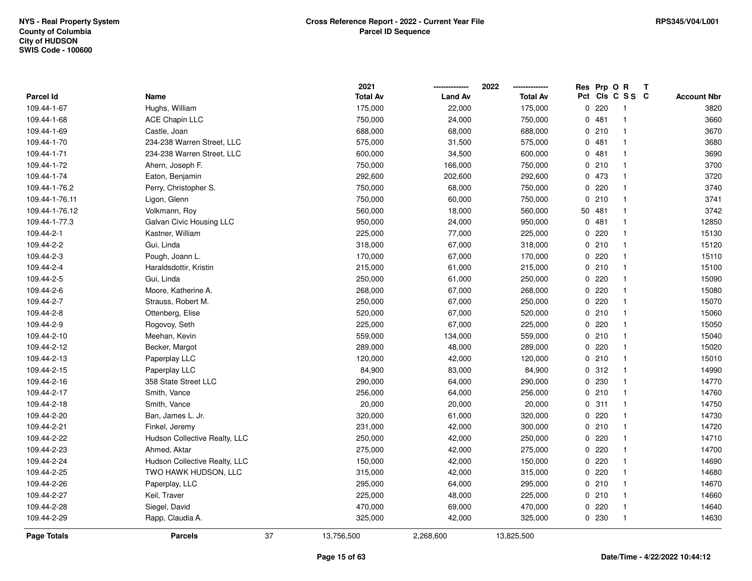|                    |                               |    | 2021            |                | 2022            |     | Res Prp O R |              | Т |                    |
|--------------------|-------------------------------|----|-----------------|----------------|-----------------|-----|-------------|--------------|---|--------------------|
| Parcel Id          | Name                          |    | <b>Total Av</b> | <b>Land Av</b> | <b>Total Av</b> | Pct |             | CIS C S S C  |   | <b>Account Nbr</b> |
| 109.44-1-67        | Hughs, William                |    | 175,000         | 22,000         | 175,000         |     | 0220        | $\mathbf{1}$ |   | 3820               |
| 109.44-1-68        | ACE Chapin LLC                |    | 750,000         | 24,000         | 750,000         |     | 0481        | $\mathbf{1}$ |   | 3660               |
| 109.44-1-69        | Castle, Joan                  |    | 688,000         | 68,000         | 688,000         |     | 0210        | $\mathbf{1}$ |   | 3670               |
| 109.44-1-70        | 234-238 Warren Street, LLC    |    | 575,000         | 31,500         | 575,000         |     | 0481        | $\mathbf{1}$ |   | 3680               |
| 109.44-1-71        | 234-238 Warren Street, LLC    |    | 600,000         | 34,500         | 600,000         |     | 0481        | $\mathbf{1}$ |   | 3690               |
| 109.44-1-72        | Ahern, Joseph F.              |    | 750,000         | 166,000        | 750,000         |     | 0210        | $\mathbf 1$  |   | 3700               |
| 109.44-1-74        | Eaton, Benjamin               |    | 292,600         | 202,600        | 292,600         |     | 0 473       | $\mathbf{1}$ |   | 3720               |
| 109.44-1-76.2      | Perry, Christopher S.         |    | 750,000         | 68,000         | 750,000         |     | 0.220       | $\mathbf{1}$ |   | 3740               |
| 109.44-1-76.11     | Ligon, Glenn                  |    | 750,000         | 60,000         | 750,000         |     | 0210        | $\mathbf{1}$ |   | 3741               |
| 109.44-1-76.12     | Volkmann, Roy                 |    | 560,000         | 18,000         | 560,000         |     | 50 481      | $\mathbf{1}$ |   | 3742               |
| 109.44-1-77.3      | Galvan Civic Housing LLC      |    | 950,000         | 24,000         | 950,000         |     | 0481        | $\mathbf{1}$ |   | 12850              |
| 109.44-2-1         | Kastner, William              |    | 225,000         | 77,000         | 225,000         |     | 0220        | $\mathbf{1}$ |   | 15130              |
| 109.44-2-2         | Gui, Linda                    |    | 318,000         | 67,000         | 318,000         |     | 0210        | 1            |   | 15120              |
| 109.44-2-3         | Pough, Joann L.               |    | 170,000         | 67,000         | 170,000         |     | $0$ 220     | $\mathbf{1}$ |   | 15110              |
| 109.44-2-4         | Haraldsdottir, Kristin        |    | 215,000         | 61,000         | 215,000         |     | 0210        | $\mathbf{1}$ |   | 15100              |
| 109.44-2-5         | Gui, Linda                    |    | 250,000         | 61,000         | 250,000         |     | $0$ 220     | $\mathbf{1}$ |   | 15090              |
| 109.44-2-6         | Moore, Katherine A.           |    | 268,000         | 67,000         | 268,000         |     | 0220        | $\mathbf{1}$ |   | 15080              |
| 109.44-2-7         | Strauss, Robert M.            |    | 250,000         | 67,000         | 250,000         |     | 0.220       | $\mathbf{1}$ |   | 15070              |
| 109.44-2-8         | Ottenberg, Elise              |    | 520,000         | 67,000         | 520,000         |     | 0210        | $\mathbf{1}$ |   | 15060              |
| 109.44-2-9         | Rogovoy, Seth                 |    | 225,000         | 67,000         | 225,000         |     | 0.220       | $\mathbf{1}$ |   | 15050              |
| 109.44-2-10        | Meehan, Kevin                 |    | 559,000         | 134,000        | 559,000         |     | 0210        | $\mathbf{1}$ |   | 15040              |
| 109.44-2-12        | Becker, Margot                |    | 289,000         | 48,000         | 289,000         |     | 0220        | $\mathbf{1}$ |   | 15020              |
| 109.44-2-13        | Paperplay LLC                 |    | 120,000         | 42,000         | 120,000         |     | 0210        | $\mathbf{1}$ |   | 15010              |
| 109.44-2-15        | Paperplay LLC                 |    | 84,900          | 83,000         | 84,900          |     | 0.312       | $\mathbf{1}$ |   | 14990              |
| 109.44-2-16        | 358 State Street LLC          |    | 290,000         | 64,000         | 290,000         |     | 0.230       | $\mathbf{1}$ |   | 14770              |
| 109.44-2-17        | Smith, Vance                  |    | 256,000         | 64,000         | 256,000         |     | 0210        | $\mathbf{1}$ |   | 14760              |
| 109.44-2-18        | Smith, Vance                  |    | 20,000          | 20,000         | 20,000          |     | 0.311       | $\mathbf{1}$ |   | 14750              |
| 109.44-2-20        | Ban, James L. Jr.             |    | 320,000         | 61,000         | 320,000         |     | $0$ 220     | 1            |   | 14730              |
| 109.44-2-21        | Finkel, Jeremy                |    | 231,000         | 42,000         | 300,000         |     | 0210        | $\mathbf{1}$ |   | 14720              |
| 109.44-2-22        | Hudson Collective Realty, LLC |    | 250,000         | 42,000         | 250,000         |     | 0.220       | $\mathbf{1}$ |   | 14710              |
| 109.44-2-23        | Ahmed, Aktar                  |    | 275,000         | 42,000         | 275,000         |     | 0.220       | $\mathbf{1}$ |   | 14700              |
| 109.44-2-24        | Hudson Collective Realty, LLC |    | 150,000         | 42,000         | 150,000         |     | 0.220       | $\mathbf{1}$ |   | 14690              |
| 109.44-2-25        | TWO HAWK HUDSON, LLC          |    | 315,000         | 42,000         | 315,000         |     | 0.220       | $\mathbf{1}$ |   | 14680              |
| 109.44-2-26        | Paperplay, LLC                |    | 295,000         | 64,000         | 295,000         |     | 0210        | $\mathbf{1}$ |   | 14670              |
| 109.44-2-27        | Keil, Traver                  |    | 225,000         | 48,000         | 225,000         |     | 0210        | $\mathbf{1}$ |   | 14660              |
| 109.44-2-28        | Siegel, David                 |    | 470,000         | 69,000         | 470,000         |     | 0220        | $\mathbf{1}$ |   | 14640              |
| 109.44-2-29        | Rapp, Claudia A.              |    | 325,000         | 42,000         | 325,000         |     | 0 230       | $\mathbf{1}$ |   | 14630              |
| <b>Page Totals</b> | <b>Parcels</b>                | 37 | 13,756,500      | 2,268,600      | 13,825,500      |     |             |              |   |                    |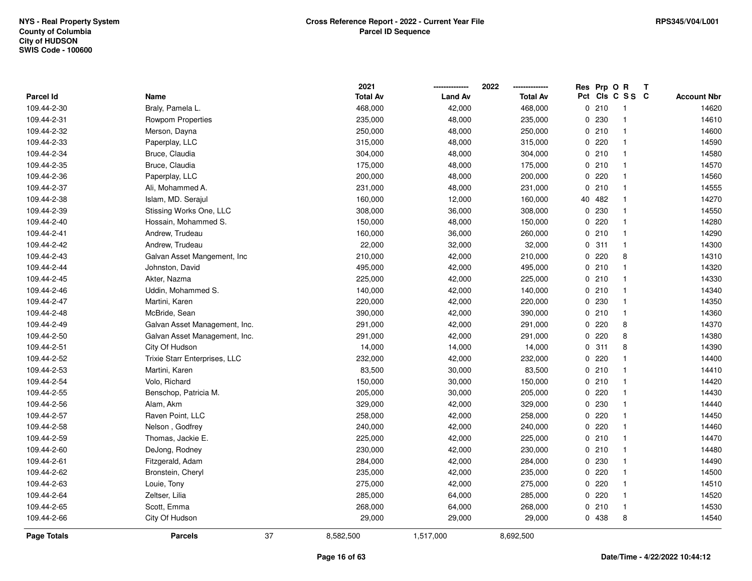|                    |                               |    | 2021            |                | 2022            | Res Prp O R |                         | Т |                    |
|--------------------|-------------------------------|----|-----------------|----------------|-----------------|-------------|-------------------------|---|--------------------|
| Parcel Id          | Name                          |    | <b>Total Av</b> | <b>Land Av</b> | <b>Total Av</b> |             | Pct Cls C S S C         |   | <b>Account Nbr</b> |
| 109.44-2-30        | Braly, Pamela L.              |    | 468,000         | 42,000         | 468,000         | 0210        | -1                      |   | 14620              |
| 109.44-2-31        | Rowpom Properties             |    | 235,000         | 48,000         | 235,000         | 0230        | $\overline{\mathbf{1}}$ |   | 14610              |
| 109.44-2-32        | Merson, Dayna                 |    | 250,000         | 48,000         | 250,000         | 0210        | $\mathbf{1}$            |   | 14600              |
| 109.44-2-33        | Paperplay, LLC                |    | 315,000         | 48,000         | 315,000         | 0220        | $\mathbf{1}$            |   | 14590              |
| 109.44-2-34        | Bruce, Claudia                |    | 304,000         | 48,000         | 304,000         | 0210        | $\mathbf{1}$            |   | 14580              |
| 109.44-2-35        | Bruce, Claudia                |    | 175,000         | 48,000         | 175,000         | 0210        | $\mathbf{1}$            |   | 14570              |
| 109.44-2-36        | Paperplay, LLC                |    | 200,000         | 48,000         | 200,000         | 0220        | $\mathbf{1}$            |   | 14560              |
| 109.44-2-37        | Ali, Mohammed A.              |    | 231,000         | 48,000         | 231,000         | 0210        | $\mathbf{1}$            |   | 14555              |
| 109.44-2-38        | Islam, MD. Serajul            |    | 160,000         | 12,000         | 160,000         | 40 482      | $\overline{\mathbf{1}}$ |   | 14270              |
| 109.44-2-39        | Stissing Works One, LLC       |    | 308,000         | 36,000         | 308,000         | 0 230       | $\mathbf{1}$            |   | 14550              |
| 109.44-2-40        | Hossain, Mohammed S.          |    | 150,000         | 48,000         | 150,000         | 0220        | $\mathbf{1}$            |   | 14280              |
| 109.44-2-41        | Andrew, Trudeau               |    | 160,000         | 36,000         | 260,000         | 0210        | $\mathbf{1}$            |   | 14290              |
| 109.44-2-42        | Andrew, Trudeau               |    | 22,000          | 32,000         | 32,000          | 0.311       | $\mathbf{1}$            |   | 14300              |
| 109.44-2-43        | Galvan Asset Mangement, Inc.  |    | 210,000         | 42,000         | 210,000         | 0.220       | 8                       |   | 14310              |
| 109.44-2-44        | Johnston, David               |    | 495,000         | 42,000         | 495,000         | 0210        | $\mathbf{1}$            |   | 14320              |
| 109.44-2-45        | Akter, Nazma                  |    | 225,000         | 42,000         | 225,000         | 0210        | $\mathbf{1}$            |   | 14330              |
| 109.44-2-46        | Uddin, Mohammed S.            |    | 140,000         | 42,000         | 140,000         | 0210        | $\overline{1}$          |   | 14340              |
| 109.44-2-47        | Martini, Karen                |    | 220,000         | 42,000         | 220,000         | 0 230       | $\mathbf{1}$            |   | 14350              |
| 109.44-2-48        | McBride, Sean                 |    | 390,000         | 42,000         | 390,000         | 0210        | $\mathbf{1}$            |   | 14360              |
| 109.44-2-49        | Galvan Asset Management, Inc. |    | 291,000         | 42,000         | 291,000         | 0220        | 8                       |   | 14370              |
| 109.44-2-50        | Galvan Asset Management, Inc. |    | 291,000         | 42,000         | 291,000         | 0220        | 8                       |   | 14380              |
| 109.44-2-51        | City Of Hudson                |    | 14,000          | 14,000         | 14,000          | 0.311       | 8                       |   | 14390              |
| 109.44-2-52        | Trixie Starr Enterprises, LLC |    | 232,000         | 42,000         | 232,000         | 0220        | $\mathbf{1}$            |   | 14400              |
| 109.44-2-53        | Martini, Karen                |    | 83,500          | 30,000         | 83,500          | 0210        | $\overline{1}$          |   | 14410              |
| 109.44-2-54        | Volo, Richard                 |    | 150,000         | 30,000         | 150,000         | 0210        | $\mathbf{1}$            |   | 14420              |
| 109.44-2-55        | Benschop, Patricia M.         |    | 205,000         | 30,000         | 205,000         | $0$ 220     | $\mathbf{1}$            |   | 14430              |
| 109.44-2-56        | Alam, Akm                     |    | 329,000         | 42,000         | 329,000         | 0 230       | $\mathbf 1$             |   | 14440              |
| 109.44-2-57        | Raven Point, LLC              |    | 258,000         | 42,000         | 258,000         | 0220        | $\mathbf 1$             |   | 14450              |
| 109.44-2-58        | Nelson, Godfrey               |    | 240,000         | 42,000         | 240,000         | 0220        | $\mathbf{1}$            |   | 14460              |
| 109.44-2-59        | Thomas, Jackie E.             |    | 225,000         | 42,000         | 225,000         | 0210        | $\mathbf{1}$            |   | 14470              |
| 109.44-2-60        | DeJong, Rodney                |    | 230,000         | 42,000         | 230,000         | 0210        | $\mathbf{1}$            |   | 14480              |
| 109.44-2-61        | Fitzgerald, Adam              |    | 284,000         | 42,000         | 284,000         | 0230        | $\mathbf{1}$            |   | 14490              |
| 109.44-2-62        | Bronstein, Cheryl             |    | 235,000         | 42,000         | 235,000         | 0220        | $\mathbf{1}$            |   | 14500              |
| 109.44-2-63        | Louie, Tony                   |    | 275,000         | 42,000         | 275,000         | 0220        | $\overline{1}$          |   | 14510              |
| 109.44-2-64        | Zeltser, Lilia                |    | 285,000         | 64,000         | 285,000         | $0$ 220     | $\mathbf 1$             |   | 14520              |
| 109.44-2-65        | Scott, Emma                   |    | 268,000         | 64,000         | 268,000         | 0210        | $\overline{\mathbf{1}}$ |   | 14530              |
| 109.44-2-66        | City Of Hudson                |    | 29,000          | 29,000         | 29,000          | 0 438       | 8                       |   | 14540              |
| <b>Page Totals</b> | <b>Parcels</b>                | 37 | 8,582,500       | 1,517,000      | 8,692,500       |             |                         |   |                    |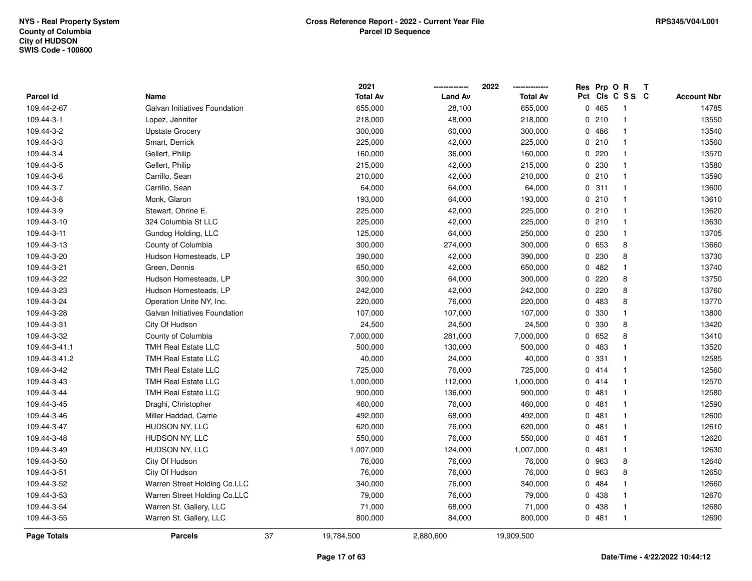|                  |                               |    | 2021            |                | 2022            | Res         | Prp O R |                | $\mathbf{T}$ |                    |
|------------------|-------------------------------|----|-----------------|----------------|-----------------|-------------|---------|----------------|--------------|--------------------|
| <b>Parcel Id</b> | Name                          |    | <b>Total Av</b> | <b>Land Av</b> | <b>Total Av</b> | Pct         |         | CIs C S S C    |              | <b>Account Nbr</b> |
| 109.44-2-67      | Galvan Initiatives Foundation |    | 655,000         | 28,100         | 655,000         | $\mathbf 0$ | 465     | -1             |              | 14785              |
| 109.44-3-1       | Lopez, Jennifer               |    | 218,000         | 48,000         | 218,000         |             | 0210    | -1             |              | 13550              |
| 109.44-3-2       | <b>Upstate Grocery</b>        |    | 300,000         | 60,000         | 300,000         |             | 0486    | $\overline{1}$ |              | 13540              |
| 109.44-3-3       | Smart, Derrick                |    | 225,000         | 42,000         | 225,000         |             | 0210    | $\mathbf{1}$   |              | 13560              |
| 109.44-3-4       | Gellert, Philip               |    | 160,000         | 36,000         | 160,000         |             | 0220    | $\mathbf{1}$   |              | 13570              |
| 109.44-3-5       | Gellert, Philip               |    | 215,000         | 42,000         | 215,000         |             | 0 230   | $\mathbf{1}$   |              | 13580              |
| 109.44-3-6       | Carrillo, Sean                |    | 210,000         | 42,000         | 210,000         |             | 0210    | -1             |              | 13590              |
| 109.44-3-7       | Carrillo, Sean                |    | 64,000          | 64,000         | 64,000          |             | 0.311   | $\mathbf{1}$   |              | 13600              |
| 109.44-3-8       | Monk, Glaron                  |    | 193,000         | 64,000         | 193,000         |             | 0210    | $\mathbf{1}$   |              | 13610              |
| 109.44-3-9       | Stewart, Ohrine E.            |    | 225,000         | 42,000         | 225,000         |             | 0210    | $\mathbf{1}$   |              | 13620              |
| 109.44-3-10      | 324 Columbia St LLC           |    | 225,000         | 42,000         | 225,000         |             | 0210    | $\mathbf{1}$   |              | 13630              |
| 109.44-3-11      | Gundog Holding, LLC           |    | 125,000         | 64,000         | 250,000         |             | 0 230   | $\mathbf{1}$   |              | 13705              |
| 109.44-3-13      | County of Columbia            |    | 300,000         | 274,000        | 300,000         |             | 0 653   | 8              |              | 13660              |
| 109.44-3-20      | Hudson Homesteads, LP         |    | 390,000         | 42,000         | 390,000         |             | 0 230   | 8              |              | 13730              |
| 109.44-3-21      | Green, Dennis                 |    | 650,000         | 42,000         | 650,000         |             | 0.482   | $\mathbf{1}$   |              | 13740              |
| 109.44-3-22      | Hudson Homesteads, LP         |    | 300,000         | 64,000         | 300,000         | 0           | 220     | 8              |              | 13750              |
| 109.44-3-23      | Hudson Homesteads, LP         |    | 242,000         | 42,000         | 242,000         | 0           | 220     | 8              |              | 13760              |
| 109.44-3-24      | Operation Unite NY, Inc.      |    | 220,000         | 76,000         | 220,000         |             | 0 483   | 8              |              | 13770              |
| 109.44-3-28      | Galvan Initiatives Foundation |    | 107,000         | 107,000        | 107,000         |             | 0 330   | $\mathbf{1}$   |              | 13800              |
| 109.44-3-31      | City Of Hudson                |    | 24,500          | 24,500         | 24,500          |             | 0 330   | 8              |              | 13420              |
| 109.44-3-32      | County of Columbia            |    | 7,000,000       | 281,000        | 7,000,000       |             | 0652    | 8              |              | 13410              |
| 109.44-3-41.1    | <b>TMH Real Estate LLC</b>    |    | 500,000         | 130,000        | 500,000         |             | 0 483   | $\mathbf{1}$   |              | 13520              |
| 109.44-3-41.2    | <b>TMH Real Estate LLC</b>    |    | 40,000          | 24,000         | 40,000          | 0           | 331     | $\mathbf{1}$   |              | 12585              |
| 109.44-3-42      | <b>TMH Real Estate LLC</b>    |    | 725,000         | 76,000         | 725,000         |             | 0414    | $\mathbf{1}$   |              | 12560              |
| 109.44-3-43      | <b>TMH Real Estate LLC</b>    |    | 1,000,000       | 112,000        | 1,000,000       |             | 0414    | $\mathbf{1}$   |              | 12570              |
| 109.44-3-44      | <b>TMH Real Estate LLC</b>    |    | 900,000         | 136,000        | 900,000         |             | 0481    | -1             |              | 12580              |
| 109.44-3-45      | Draghi, Christopher           |    | 460,000         | 76,000         | 460,000         |             | 0481    | 1              |              | 12590              |
| 109.44-3-46      | Miller Haddad, Carrie         |    | 492,000         | 68,000         | 492,000         |             | 0.481   | $\mathbf{1}$   |              | 12600              |
| 109.44-3-47      | HUDSON NY, LLC                |    | 620,000         | 76,000         | 620,000         |             | 0481    | -1             |              | 12610              |
| 109.44-3-48      | HUDSON NY, LLC                |    | 550,000         | 76,000         | 550,000         |             | 0481    | $\overline{1}$ |              | 12620              |
| 109.44-3-49      | HUDSON NY, LLC                |    | 1,007,000       | 124,000        | 1,007,000       |             | 0.481   | $\mathbf{1}$   |              | 12630              |
| 109.44-3-50      | City Of Hudson                |    | 76,000          | 76,000         | 76,000          |             | 0 963   | 8              |              | 12640              |
| 109.44-3-51      | City Of Hudson                |    | 76,000          | 76,000         | 76,000          |             | 0 963   | 8              |              | 12650              |
| 109.44-3-52      | Warren Street Holding Co.LLC  |    | 340,000         | 76,000         | 340,000         |             | 0484    | $\mathbf{1}$   |              | 12660              |
| 109.44-3-53      | Warren Street Holding Co.LLC  |    | 79,000          | 76,000         | 79,000          |             | 0 438   | $\overline{1}$ |              | 12670              |
| 109.44-3-54      | Warren St. Gallery, LLC       |    | 71,000          | 68,000         | 71,000          |             | 0 438   | $\overline{1}$ |              | 12680              |
| 109.44-3-55      | Warren St. Gallery, LLC       |    | 800,000         | 84,000         | 800,000         |             | 0481    | $\overline{1}$ |              | 12690              |
| Page Totals      | <b>Parcels</b>                | 37 | 19,784,500      | 2,880,600      | 19,909,500      |             |         |                |              |                    |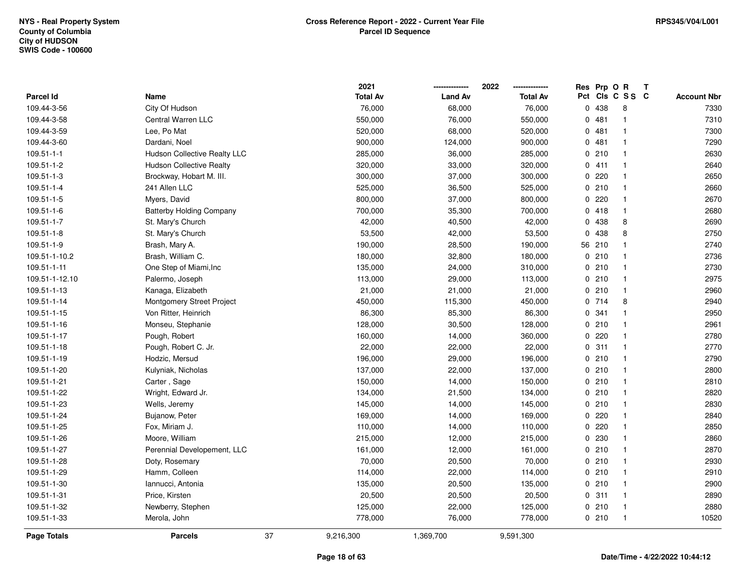|                  |                                     |    | 2021            |                | 2022            |             | Res Prp O R |                 | Т |                    |
|------------------|-------------------------------------|----|-----------------|----------------|-----------------|-------------|-------------|-----------------|---|--------------------|
| Parcel Id        | Name                                |    | <b>Total Av</b> | <b>Land Av</b> | <b>Total Av</b> |             |             | Pct Cls C S S C |   | <b>Account Nbr</b> |
| 109.44-3-56      | City Of Hudson                      |    | 76,000          | 68,000         | 76,000          | $\Omega$    | 438         | 8               |   | 7330               |
| 109.44-3-58      | Central Warren LLC                  |    | 550,000         | 76,000         | 550,000         | 0           | 481         | $\mathbf{1}$    |   | 7310               |
| 109.44-3-59      | Lee, Po Mat                         |    | 520,000         | 68,000         | 520,000         |             | 0481        | $\mathbf{1}$    |   | 7300               |
| 109.44-3-60      | Dardani, Noel                       |    | 900,000         | 124,000        | 900,000         |             | 0481        | $\mathbf{1}$    |   | 7290               |
| $109.51 - 1 - 1$ | <b>Hudson Collective Realty LLC</b> |    | 285,000         | 36,000         | 285,000         |             | 0210        | $\mathbf 1$     |   | 2630               |
| 109.51-1-2       | <b>Hudson Collective Realty</b>     |    | 320,000         | 33,000         | 320,000         |             | 0411        | 1               |   | 2640               |
| 109.51-1-3       | Brockway, Hobart M. III.            |    | 300,000         | 37,000         | 300,000         |             | 0.220       | -1              |   | 2650               |
| 109.51-1-4       | 241 Allen LLC                       |    | 525,000         | 36,500         | 525,000         |             | 0210        | $\mathbf{1}$    |   | 2660               |
| 109.51-1-5       | Myers, David                        |    | 800,000         | 37,000         | 800,000         | 0           | 220         | $\mathbf{1}$    |   | 2670               |
| 109.51-1-6       | <b>Batterby Holding Company</b>     |    | 700,000         | 35,300         | 700,000         |             | 0418        | $\mathbf{1}$    |   | 2680               |
| 109.51-1-7       | St. Mary's Church                   |    | 42,000          | 40,500         | 42,000          |             | 0 438       | 8               |   | 2690               |
| 109.51-1-8       | St. Mary's Church                   |    | 53,500          | 42,000         | 53,500          | $\mathbf 0$ | 438         | 8               |   | 2750               |
| 109.51-1-9       | Brash, Mary A.                      |    | 190,000         | 28,500         | 190,000         |             | 56 210      |                 |   | 2740               |
| 109.51-1-10.2    | Brash, William C.                   |    | 180,000         | 32,800         | 180,000         |             | 0210        | -1              |   | 2736               |
| 109.51-1-11      | One Step of Miami, Inc              |    | 135,000         | 24,000         | 310,000         |             | 0210        | $\mathbf{1}$    |   | 2730               |
| 109.51-1-12.10   | Palermo, Joseph                     |    | 113,000         | 29,000         | 113,000         |             | 0210        | $\mathbf{1}$    |   | 2975               |
| 109.51-1-13      | Kanaga, Elizabeth                   |    | 21,000          | 21,000         | 21,000          |             | 0210        | $\mathbf{1}$    |   | 2960               |
| 109.51-1-14      | Montgomery Street Project           |    | 450,000         | 115,300        | 450,000         |             | 0714        | 8               |   | 2940               |
| 109.51-1-15      | Von Ritter, Heinrich                |    | 86,300          | 85,300         | 86,300          |             | 0.341       | $\mathbf 1$     |   | 2950               |
| 109.51-1-16      | Monseu, Stephanie                   |    | 128,000         | 30,500         | 128,000         |             | 0210        |                 |   | 2961               |
| 109.51-1-17      | Pough, Robert                       |    | 160,000         | 14,000         | 360,000         |             | $0$ 220     | $\mathbf{1}$    |   | 2780               |
| 109.51-1-18      | Pough, Robert C. Jr.                |    | 22,000          | 22,000         | 22,000          |             | 0.311       | $\mathbf{1}$    |   | 2770               |
| 109.51-1-19      | Hodzic, Mersud                      |    | 196,000         | 29,000         | 196,000         |             | 0210        | $\mathbf{1}$    |   | 2790               |
| 109.51-1-20      | Kulyniak, Nicholas                  |    | 137,000         | 22,000         | 137,000         |             | 0210        | $\mathbf{1}$    |   | 2800               |
| 109.51-1-21      | Carter, Sage                        |    | 150,000         | 14,000         | 150,000         |             | 0210        | $\mathbf{1}$    |   | 2810               |
| 109.51-1-22      | Wright, Edward Jr.                  |    | 134,000         | 21,500         | 134,000         |             | 0210        | $\mathbf 1$     |   | 2820               |
| 109.51-1-23      | Wells, Jeremy                       |    | 145,000         | 14,000         | 145,000         |             | 0210        |                 |   | 2830               |
| 109.51-1-24      | Bujanow, Peter                      |    | 169,000         | 14,000         | 169,000         | 0           | 220         | 1               |   | 2840               |
| 109.51-1-25      | Fox, Miriam J.                      |    | 110,000         | 14,000         | 110,000         |             | 0220        | $\overline{1}$  |   | 2850               |
| 109.51-1-26      | Moore, William                      |    | 215,000         | 12,000         | 215,000         | 0           | 230         | -1              |   | 2860               |
| 109.51-1-27      | Perennial Developement, LLC         |    | 161,000         | 12,000         | 161,000         |             | 0210        | $\mathbf{1}$    |   | 2870               |
| 109.51-1-28      | Doty, Rosemary                      |    | 70,000          | 20,500         | 70,000          |             | 0210        | $\mathbf{1}$    |   | 2930               |
| 109.51-1-29      | Hamm, Colleen                       |    | 114,000         | 22,000         | 114,000         |             | 0210        | $\mathbf{1}$    |   | 2910               |
| 109.51-1-30      | Iannucci, Antonia                   |    | 135,000         | 20,500         | 135,000         |             | 0210        | $\mathbf{1}$    |   | 2900               |
| 109.51-1-31      | Price, Kirsten                      |    | 20,500          | 20,500         | 20,500          |             | 0.311       | -1              |   | 2890               |
| 109.51-1-32      | Newberry, Stephen                   |    | 125,000         | 22,000         | 125,000         |             | 0210        | -1              |   | 2880               |
| 109.51-1-33      | Merola, John                        |    | 778,000         | 76,000         | 778,000         |             | 0210        | $\overline{1}$  |   | 10520              |
| Page Totals      | <b>Parcels</b>                      | 37 | 9,216,300       | 1,369,700      | 9,591,300       |             |             |                 |   |                    |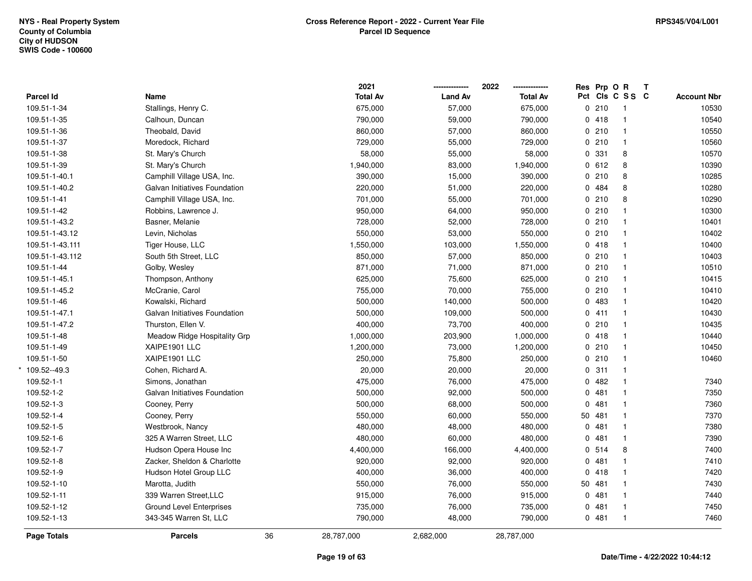|                    |                                 |    | 2021            |                | 2022            |             | Res Prp O R |                 | Т |                    |
|--------------------|---------------------------------|----|-----------------|----------------|-----------------|-------------|-------------|-----------------|---|--------------------|
| Parcel Id          | Name                            |    | <b>Total Av</b> | <b>Land Av</b> | <b>Total Av</b> |             |             | Pct Cls C S S C |   | <b>Account Nbr</b> |
| 109.51-1-34        | Stallings, Henry C.             |    | 675,000         | 57,000         | 675,000         |             | 0210        | $\mathbf{1}$    |   | 10530              |
| 109.51-1-35        | Calhoun, Duncan                 |    | 790,000         | 59,000         | 790,000         |             | 0418        | $\mathbf{1}$    |   | 10540              |
| 109.51-1-36        | Theobald, David                 |    | 860,000         | 57,000         | 860,000         |             | 0210        | $\mathbf{1}$    |   | 10550              |
| 109.51-1-37        | Moredock, Richard               |    | 729,000         | 55,000         | 729,000         |             | 0210        | $\mathbf{1}$    |   | 10560              |
| 109.51-1-38        | St. Mary's Church               |    | 58,000          | 55,000         | 58,000          |             | 0 331       | 8               |   | 10570              |
| 109.51-1-39        | St. Mary's Church               |    | 1,940,000       | 83,000         | 1,940,000       |             | 0 612       | 8               |   | 10390              |
| 109.51-1-40.1      | Camphill Village USA, Inc.      |    | 390,000         | 15,000         | 390,000         |             | 0210        | 8               |   | 10285              |
| 109.51-1-40.2      | Galvan Initiatives Foundation   |    | 220,000         | 51,000         | 220,000         |             | 0 484       | 8               |   | 10280              |
| 109.51-1-41        | Camphill Village USA, Inc.      |    | 701,000         | 55,000         | 701,000         |             | 0210        | 8               |   | 10290              |
| 109.51-1-42        | Robbins, Lawrence J.            |    | 950,000         | 64,000         | 950,000         |             | 0210        | $\mathbf{1}$    |   | 10300              |
| 109.51-1-43.2      | Basner, Melanie                 |    | 728,000         | 52,000         | 728,000         |             | 0210        | $\mathbf{1}$    |   | 10401              |
| 109.51-1-43.12     | Levin, Nicholas                 |    | 550,000         | 53,000         | 550,000         |             | 0210        | $\mathbf{1}$    |   | 10402              |
| 109.51-1-43.111    | Tiger House, LLC                |    | 1,550,000       | 103,000        | 1,550,000       |             | 0418        | -1              |   | 10400              |
| 109.51-1-43.112    | South 5th Street, LLC           |    | 850,000         | 57,000         | 850,000         |             | 0210        | $\mathbf 1$     |   | 10403              |
| 109.51-1-44        | Golby, Wesley                   |    | 871,000         | 71,000         | 871,000         |             | 0210        | $\mathbf{1}$    |   | 10510              |
| 109.51-1-45.1      | Thompson, Anthony               |    | 625,000         | 75,600         | 625,000         |             | 0210        | $\mathbf{1}$    |   | 10415              |
| 109.51-1-45.2      | McCranie, Carol                 |    | 755,000         | 70,000         | 755,000         |             | 0210        | $\mathbf{1}$    |   | 10410              |
| 109.51-1-46        | Kowalski, Richard               |    | 500,000         | 140,000        | 500,000         |             | 0 483       | $\mathbf{1}$    |   | 10420              |
| 109.51-1-47.1      | Galvan Initiatives Foundation   |    | 500,000         | 109,000        | 500,000         |             | 0411        | $\mathbf{1}$    |   | 10430              |
| 109.51-1-47.2      | Thurston, Ellen V.              |    | 400,000         | 73,700         | 400,000         |             | 0210        | $\mathbf{1}$    |   | 10435              |
| 109.51-1-48        | Meadow Ridge Hospitality Grp    |    | 1,000,000       | 203,900        | 1,000,000       |             | 0418        | $\mathbf{1}$    |   | 10440              |
| 109.51-1-49        | XAIPE1901 LLC                   |    | 1,200,000       | 73,000         | 1,200,000       |             | 0210        | $\mathbf{1}$    |   | 10450              |
| 109.51-1-50        | XAIPE1901 LLC                   |    | 250,000         | 75,800         | 250,000         |             | 0210        | $\mathbf{1}$    |   | 10460              |
| 109.52--49.3       | Cohen, Richard A.               |    | 20,000          | 20,000         | 20,000          |             | 0.311       | $\mathbf{1}$    |   |                    |
| 109.52-1-1         | Simons, Jonathan                |    | 475,000         | 76,000         | 475,000         |             | 0482        | $\mathbf{1}$    |   | 7340               |
| 109.52-1-2         | Galvan Initiatives Foundation   |    | 500,000         | 92,000         | 500,000         |             | 0.481       | $\mathbf{1}$    |   | 7350               |
| 109.52-1-3         | Cooney, Perry                   |    | 500,000         | 68,000         | 500,000         |             | 0481        | $\mathbf{1}$    |   | 7360               |
| 109.52-1-4         | Cooney, Perry                   |    | 550,000         | 60,000         | 550,000         |             | 50 481      | $\mathbf{1}$    |   | 7370               |
| 109.52-1-5         | Westbrook, Nancy                |    | 480,000         | 48,000         | 480,000         |             | 0481        | $\mathbf{1}$    |   | 7380               |
| 109.52-1-6         | 325 A Warren Street, LLC        |    | 480,000         | 60,000         | 480,000         | $\mathbf 0$ | 481         | $\mathbf 1$     |   | 7390               |
| 109.52-1-7         | Hudson Opera House Inc          |    | 4,400,000       | 166,000        | 4,400,000       |             | 0.514       | 8               |   | 7400               |
| 109.52-1-8         | Zacker, Sheldon & Charlotte     |    | 920,000         | 92,000         | 920,000         |             | 0481        | $\mathbf{1}$    |   | 7410               |
| 109.52-1-9         | Hudson Hotel Group LLC          |    | 400,000         | 36,000         | 400,000         |             | 0418        | $\mathbf{1}$    |   | 7420               |
| 109.52-1-10        | Marotta, Judith                 |    | 550,000         | 76,000         | 550,000         |             | 50 481      | $\mathbf{1}$    |   | 7430               |
| 109.52-1-11        | 339 Warren Street, LLC          |    | 915,000         | 76,000         | 915,000         |             | 0481        | $\mathbf{1}$    |   | 7440               |
| 109.52-1-12        | <b>Ground Level Enterprises</b> |    | 735,000         | 76,000         | 735,000         |             | 0481        | 1               |   | 7450               |
| 109.52-1-13        | 343-345 Warren St, LLC          |    | 790,000         | 48,000         | 790,000         |             | 0481        | $\mathbf{1}$    |   | 7460               |
| <b>Page Totals</b> | <b>Parcels</b>                  | 36 | 28,787,000      | 2,682,000      | 28,787,000      |             |             |                 |   |                    |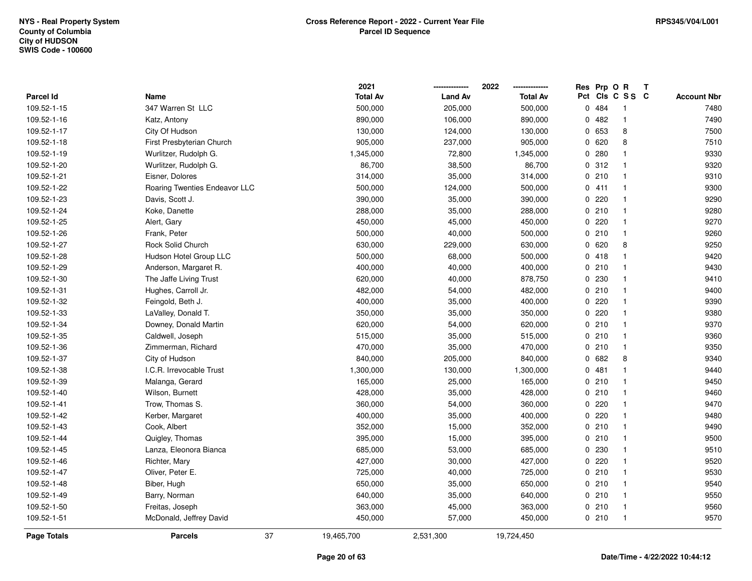|                    |                               | 2021            |                | 2022            | Res          | Prp O R |                         | Т |                    |
|--------------------|-------------------------------|-----------------|----------------|-----------------|--------------|---------|-------------------------|---|--------------------|
| <b>Parcel Id</b>   | Name                          | <b>Total Av</b> | <b>Land Av</b> | <b>Total Av</b> |              |         | Pct Cls C S S C         |   | <b>Account Nbr</b> |
| 109.52-1-15        | 347 Warren St LLC             | 500,000         | 205,000        | 500,000         |              | 0.484   | -1                      |   | 7480               |
| 109.52-1-16        | Katz, Antony                  | 890,000         | 106,000        | 890,000         | $\Omega$     | 482     | $\mathbf{1}$            |   | 7490               |
| 109.52-1-17        | City Of Hudson                | 130,000         | 124,000        | 130,000         |              | 0 653   | 8                       |   | 7500               |
| 109.52-1-18        | First Presbyterian Church     | 905,000         | 237,000        | 905,000         |              | 0620    | 8                       |   | 7510               |
| 109.52-1-19        | Wurlitzer, Rudolph G.         | 1,345,000       | 72,800         | 1,345,000       |              | 0.280   |                         |   | 9330               |
| 109.52-1-20        | Wurlitzer, Rudolph G.         | 86,700          | 38,500         | 86,700          |              | 0.312   |                         |   | 9320               |
| 109.52-1-21        | Eisner, Dolores               | 314,000         | 35,000         | 314,000         |              | 0210    | -1                      |   | 9310               |
| 109.52-1-22        | Roaring Twenties Endeavor LLC | 500,000         | 124,000        | 500,000         |              | 0411    | $\overline{\mathbf{1}}$ |   | 9300               |
| 109.52-1-23        | Davis, Scott J.               | 390,000         | 35,000         | 390,000         | 0            | 220     | -1                      |   | 9290               |
| 109.52-1-24        | Koke, Danette                 | 288,000         | 35,000         | 288,000         |              | 0210    | $\mathbf{1}$            |   | 9280               |
| 109.52-1-25        | Alert, Gary                   | 450,000         | 45,000         | 450,000         |              | 0.220   | -1                      |   | 9270               |
| 109.52-1-26        | Frank, Peter                  | 500,000         | 40,000         | 500,000         |              | 0210    | -1                      |   | 9260               |
| 109.52-1-27        | Rock Solid Church             | 630,000         | 229,000        | 630,000         |              | 0620    | 8                       |   | 9250               |
| 109.52-1-28        | Hudson Hotel Group LLC        | 500,000         | 68,000         | 500,000         | 0            | 418     | -1                      |   | 9420               |
| 109.52-1-29        | Anderson, Margaret R.         | 400,000         | 40,000         | 400,000         |              | 0210    | -1                      |   | 9430               |
| 109.52-1-30        | The Jaffe Living Trust        | 620,000         | 40,000         | 878,750         | $\mathbf{0}$ | 230     | $\mathbf{1}$            |   | 9410               |
| 109.52-1-31        | Hughes, Carroll Jr.           | 482,000         | 54,000         | 482,000         |              | 0210    | $\mathbf{1}$            |   | 9400               |
| 109.52-1-32        | Feingold, Beth J.             | 400,000         | 35,000         | 400,000         |              | 0220    | $\mathbf 1$             |   | 9390               |
| 109.52-1-33        | LaValley, Donald T.           | 350,000         | 35,000         | 350,000         |              | 0.220   | -1                      |   | 9380               |
| 109.52-1-34        | Downey, Donald Martin         | 620,000         | 54,000         | 620,000         |              | 0210    | -1                      |   | 9370               |
| 109.52-1-35        | Caldwell, Joseph              | 515,000         | 35,000         | 515,000         |              | 0210    | $\mathbf{1}$            |   | 9360               |
| 109.52-1-36        | Zimmerman, Richard            | 470,000         | 35,000         | 470,000         |              | 0210    | -1                      |   | 9350               |
| 109.52-1-37        | City of Hudson                | 840,000         | 205,000        | 840,000         | 0            | 682     | 8                       |   | 9340               |
| 109.52-1-38        | I.C.R. Irrevocable Trust      | 1,300,000       | 130,000        | 1,300,000       | 0            | 481     | $\mathbf 1$             |   | 9440               |
| 109.52-1-39        | Malanga, Gerard               | 165,000         | 25,000         | 165,000         |              | 0210    | -1                      |   | 9450               |
| 109.52-1-40        | Wilson, Burnett               | 428,000         | 35,000         | 428,000         |              | 0210    |                         |   | 9460               |
| 109.52-1-41        | Trow, Thomas S.               | 360,000         | 54,000         | 360,000         |              | 0.220   |                         |   | 9470               |
| 109.52-1-42        | Kerber, Margaret              | 400,000         | 35,000         | 400,000         | 0            | 220     | -1                      |   | 9480               |
| 109.52-1-43        | Cook, Albert                  | 352,000         | 15,000         | 352,000         |              | 0210    | $\overline{\mathbf{1}}$ |   | 9490               |
| 109.52-1-44        | Quigley, Thomas               | 395,000         | 15,000         | 395,000         | 0            | 210     | -1                      |   | 9500               |
| 109.52-1-45        | Lanza, Eleonora Bianca        | 685,000         | 53,000         | 685,000         | 0            | 230     | $\mathbf{1}$            |   | 9510               |
| 109.52-1-46        | Richter, Mary                 | 427,000         | 30,000         | 427,000         |              | 0.220   | $\mathbf 1$             |   | 9520               |
| 109.52-1-47        | Oliver, Peter E.              | 725,000         | 40,000         | 725,000         |              | 0210    | -1                      |   | 9530               |
| 109.52-1-48        | Biber, Hugh                   | 650,000         | 35,000         | 650,000         |              | 0210    | -1                      |   | 9540               |
| 109.52-1-49        | Barry, Norman                 | 640,000         | 35,000         | 640,000         |              | 0210    | -1                      |   | 9550               |
| 109.52-1-50        | Freitas, Joseph               | 363,000         | 45,000         | 363,000         |              | 0210    | -1                      |   | 9560               |
| 109.52-1-51        | McDonald, Jeffrey David       | 450,000         | 57,000         | 450,000         |              | 0210    | $\overline{\mathbf{1}}$ |   | 9570               |
| <b>Page Totals</b> | 37<br><b>Parcels</b>          | 19,465,700      | 2,531,300      | 19,724,450      |              |         |                         |   |                    |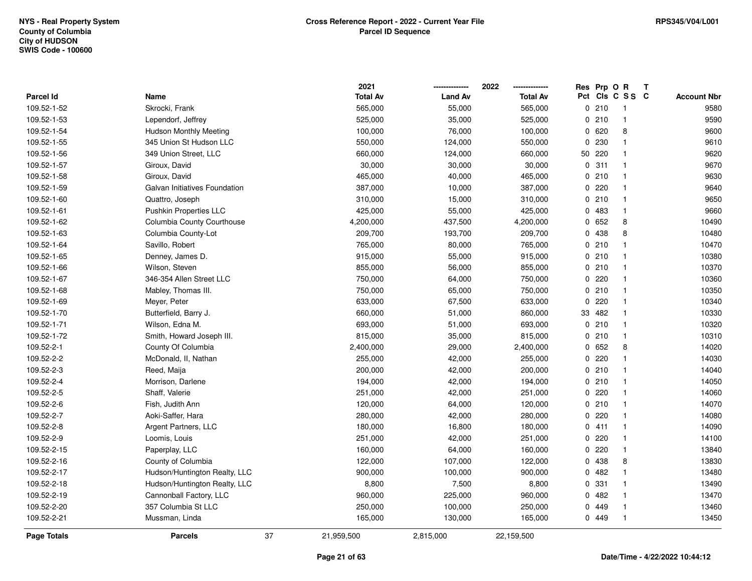|                  |                               | 2021             |                | 2022            | Res Prp O R |                 | Т                  |
|------------------|-------------------------------|------------------|----------------|-----------------|-------------|-----------------|--------------------|
| <b>Parcel Id</b> | Name                          | <b>Total Av</b>  | <b>Land Av</b> | <b>Total Av</b> |             | Pct Cls C S S C | <b>Account Nbr</b> |
| 109.52-1-52      | Skrocki, Frank                | 565,000          | 55,000         | 565,000         | 0210        | $\overline{1}$  | 9580               |
| 109.52-1-53      | Lependorf, Jeffrey            | 525,000          | 35,000         | 525,000         | 0210        | $\mathbf{1}$    | 9590               |
| 109.52-1-54      | <b>Hudson Monthly Meeting</b> | 100,000          | 76,000         | 100,000         | 0620        | 8               | 9600               |
| 109.52-1-55      | 345 Union St Hudson LLC       | 550,000          | 124,000        | 550,000         | 0 230       | $\mathbf{1}$    | 9610               |
| 109.52-1-56      | 349 Union Street, LLC         | 660,000          | 124,000        | 660,000         | 50 220      | $\mathbf 1$     | 9620               |
| 109.52-1-57      | Giroux, David                 | 30,000           | 30,000         | 30,000          | 0.311       | $\mathbf{1}$    | 9670               |
| 109.52-1-58      | Giroux, David                 | 465,000          | 40,000         | 465,000         | 0210        | $\mathbf{1}$    | 9630               |
| 109.52-1-59      | Galvan Initiatives Foundation | 387,000          | 10,000         | 387,000         | $0$ 220     | $\mathbf{1}$    | 9640               |
| 109.52-1-60      | Quattro, Joseph               | 310,000          | 15,000         | 310,000         | 0210        | $\overline{1}$  | 9650               |
| 109.52-1-61      | Pushkin Properties LLC        | 425,000          | 55,000         | 425,000         | 0 483       | $\mathbf{1}$    | 9660               |
| 109.52-1-62      | Columbia County Courthouse    | 4,200,000        | 437,500        | 4,200,000       | 0 652       | 8               | 10490              |
| 109.52-1-63      | Columbia County-Lot           | 209,700          | 193,700        | 209,700         | 0 438       | 8               | 10480              |
| 109.52-1-64      | Savillo, Robert               | 765,000          | 80,000         | 765,000         | 0210        | $\mathbf 1$     | 10470              |
| 109.52-1-65      | Denney, James D.              | 915,000          | 55,000         | 915,000         | 0210        | $\mathbf 1$     | 10380              |
| 109.52-1-66      | Wilson, Steven                | 855,000          | 56,000         | 855,000         | 0210        | $\mathbf{1}$    | 10370              |
| 109.52-1-67      | 346-354 Allen Street LLC      | 750,000          | 64,000         | 750,000         | 0.220       | $\overline{1}$  | 10360              |
| 109.52-1-68      | Mabley, Thomas III.           | 750,000          | 65,000         | 750,000         | 0210        | $\mathbf{1}$    | 10350              |
| 109.52-1-69      | Meyer, Peter                  | 633,000          | 67,500         | 633,000         | 0220        | $\mathbf 1$     | 10340              |
| 109.52-1-70      | Butterfield, Barry J.         | 660,000          | 51,000         | 860,000         | 33 482      | $\mathbf{1}$    | 10330              |
| 109.52-1-71      | Wilson, Edna M.               | 693,000          | 51,000         | 693,000         | 0210        | $\mathbf{1}$    | 10320              |
| 109.52-1-72      | Smith, Howard Joseph III.     | 815,000          | 35,000         | 815,000         | 0210        | $\mathbf{1}$    | 10310              |
| 109.52-2-1       | County Of Columbia            | 2,400,000        | 29,000         | 2,400,000       | 0 652       | 8               | 14020              |
| 109.52-2-2       | McDonald, II, Nathan          | 255,000          | 42,000         | 255,000         | 0220        | $\mathbf{1}$    | 14030              |
| 109.52-2-3       | Reed, Maija                   | 200,000          | 42,000         | 200,000         | 0210        | $\mathbf{1}$    | 14040              |
| 109.52-2-4       | Morrison, Darlene             | 194,000          | 42,000         | 194,000         | 0210        | $\mathbf{1}$    | 14050              |
| 109.52-2-5       | Shaff, Valerie                | 251,000          | 42,000         | 251,000         | $0$ 220     | $\mathbf 1$     | 14060              |
| 109.52-2-6       | Fish, Judith Ann              | 120,000          | 64,000         | 120,000         | 0210        | $\mathbf{1}$    | 14070              |
| 109.52-2-7       | Aoki-Saffer, Hara             | 280,000          | 42,000         | 280,000         | 0220        | $\mathbf{1}$    | 14080              |
| 109.52-2-8       | Argent Partners, LLC          | 180,000          | 16,800         | 180,000         | 0411        | $\mathbf{1}$    | 14090              |
| 109.52-2-9       | Loomis, Louis                 | 251,000          | 42,000         | 251,000         | 0220        | $\mathbf{1}$    | 14100              |
| 109.52-2-15      | Paperplay, LLC                | 160,000          | 64,000         | 160,000         | 0220        | $\mathbf{1}$    | 13840              |
| 109.52-2-16      | County of Columbia            | 122,000          | 107,000        | 122,000         | 0 438       | 8               | 13830              |
| 109.52-2-17      | Hudson/Huntington Realty, LLC | 900,000          | 100,000        | 900,000         | 0.482       | $\mathbf{1}$    | 13480              |
| 109.52-2-18      | Hudson/Huntington Realty, LLC | 8,800            | 7,500          | 8,800           | 0 331       | $\mathbf{1}$    | 13490              |
| 109.52-2-19      | Cannonball Factory, LLC       | 960,000          | 225,000        | 960,000         | 0482        | $\mathbf{1}$    | 13470              |
| 109.52-2-20      | 357 Columbia St LLC           | 250,000          | 100,000        | 250,000         | 0 449       | $\mathbf 1$     | 13460              |
| 109.52-2-21      | Mussman, Linda                | 165,000          | 130,000        | 165,000         | 0 449       | $\mathbf{1}$    | 13450              |
| Page Totals      | <b>Parcels</b>                | 37<br>21,959,500 | 2,815,000      | 22,159,500      |             |                 |                    |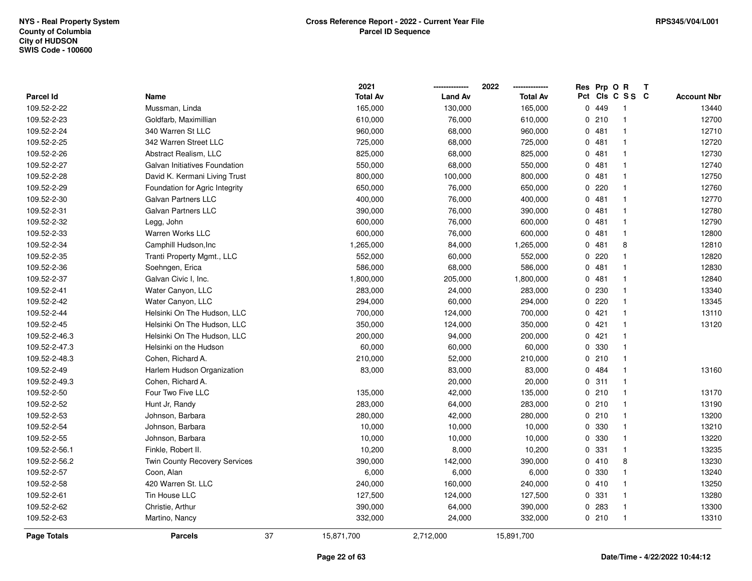|                    |                                | 2021             |                | 2022            | Res         | Prp O R |                | Т |                    |
|--------------------|--------------------------------|------------------|----------------|-----------------|-------------|---------|----------------|---|--------------------|
| <b>Parcel Id</b>   | Name                           | <b>Total Av</b>  | <b>Land Av</b> | <b>Total Av</b> | Pct         |         | CIS C S S C    |   | <b>Account Nbr</b> |
| 109.52-2-22        | Mussman, Linda                 | 165,000          | 130,000        | 165,000         | $\mathbf 0$ | 449     | -1             |   | 13440              |
| 109.52-2-23        | Goldfarb, Maximillian          | 610,000          | 76,000         | 610,000         | 0           | 210     | $\mathbf{1}$   |   | 12700              |
| 109.52-2-24        | 340 Warren St LLC              | 960,000          | 68,000         | 960,000         |             | 0481    | $\mathbf{1}$   |   | 12710              |
| 109.52-2-25        | 342 Warren Street LLC          | 725,000          | 68,000         | 725,000         |             | 0.481   | $\overline{1}$ |   | 12720              |
| 109.52-2-26        | Abstract Realism, LLC          | 825,000          | 68,000         | 825,000         |             | 0481    | $\mathbf 1$    |   | 12730              |
| 109.52-2-27        | Galvan Initiatives Foundation  | 550,000          | 68,000         | 550,000         |             | 0481    | -1             |   | 12740              |
| 109.52-2-28        | David K. Kermani Living Trust  | 800,000          | 100,000        | 800,000         |             | 0481    | $\overline{1}$ |   | 12750              |
| 109.52-2-29        | Foundation for Agric Integrity | 650,000          | 76,000         | 650,000         | 0           | 220     | $\overline{1}$ |   | 12760              |
| 109.52-2-30        | <b>Galvan Partners LLC</b>     | 400,000          | 76,000         | 400,000         |             | 0481    | $\mathbf{1}$   |   | 12770              |
| 109.52-2-31        | <b>Galvan Partners LLC</b>     | 390,000          | 76,000         | 390,000         |             | 0481    | $\mathbf{1}$   |   | 12780              |
| 109.52-2-32        | Legg, John                     | 600,000          | 76,000         | 600,000         |             | 0481    | $\mathbf{1}$   |   | 12790              |
| 109.52-2-33        | <b>Warren Works LLC</b>        | 600,000          | 76,000         | 600,000         |             | 0.481   | $\mathbf{1}$   |   | 12800              |
| 109.52-2-34        | Camphill Hudson, Inc.          | 1,265,000        | 84,000         | 1,265,000       |             | 0.481   | 8              |   | 12810              |
| 109.52-2-35        | Tranti Property Mgmt., LLC     | 552,000          | 60,000         | 552,000         |             | 0.220   | $\mathbf{1}$   |   | 12820              |
| 109.52-2-36        | Soehngen, Erica                | 586,000          | 68,000         | 586,000         | $\mathbf 0$ | 481     | $\mathbf{1}$   |   | 12830              |
| 109.52-2-37        | Galvan Civic I, Inc.           | 1,800,000        | 205,000        | 1,800,000       | 0           | 481     | $\mathbf{1}$   |   | 12840              |
| 109.52-2-41        | Water Canyon, LLC              | 283,000          | 24,000         | 283,000         | 0           | 230     | $\mathbf{1}$   |   | 13340              |
| 109.52-2-42        | Water Canyon, LLC              | 294,000          | 60,000         | 294,000         |             | 0.220   | $\mathbf{1}$   |   | 13345              |
| 109.52-2-44        | Helsinki On The Hudson, LLC    | 700,000          | 124,000        | 700,000         |             | 0421    | $\mathbf{1}$   |   | 13110              |
| 109.52-2-45        | Helsinki On The Hudson, LLC    | 350,000          | 124,000        | 350,000         |             | 0421    | $\mathbf{1}$   |   | 13120              |
| 109.52-2-46.3      | Helsinki On The Hudson, LLC    | 200,000          | 94,000         | 200,000         |             | 0421    | $\mathbf{1}$   |   |                    |
| 109.52-2-47.3      | Helsinki on the Hudson         | 60,000           | 60,000         | 60,000          | 0           | 330     | -1             |   |                    |
| 109.52-2-48.3      | Cohen, Richard A.              | 210,000          | 52,000         | 210,000         |             | 0210    | $\mathbf{1}$   |   |                    |
| 109.52-2-49        | Harlem Hudson Organization     | 83,000           | 83,000         | 83,000          |             | 0 484   | $\mathbf{1}$   |   | 13160              |
| 109.52-2-49.3      | Cohen, Richard A.              |                  | 20,000         | 20,000          |             | 0.311   | $\mathbf{1}$   |   |                    |
| 109.52-2-50        | Four Two Five LLC              | 135,000          | 42,000         | 135,000         |             | 0210    | -1             |   | 13170              |
| 109.52-2-52        | Hunt Jr, Randy                 | 283,000          | 64,000         | 283,000         |             | 0210    | -1             |   | 13190              |
| 109.52-2-53        | Johnson, Barbara               | 280,000          | 42,000         | 280,000         |             | 0210    | $\overline{1}$ |   | 13200              |
| 109.52-2-54        | Johnson, Barbara               | 10,000           | 10,000         | 10,000          |             | 0 330   | $\overline{1}$ |   | 13210              |
| 109.52-2-55        | Johnson, Barbara               | 10,000           | 10,000         | 10,000          | 0           | 330     | $\mathbf{1}$   |   | 13220              |
| 109.52-2-56.1      | Finkle, Robert II.             | 10,200           | 8,000          | 10,200          | 0           | 331     | $\mathbf{1}$   |   | 13235              |
| 109.52-2-56.2      | Twin County Recovery Services  | 390,000          | 142,000        | 390,000         |             | 0410    | 8              |   | 13230              |
| 109.52-2-57        | Coon, Alan                     | 6,000            | 6,000          | 6,000           |             | 0 330   | $\mathbf{1}$   |   | 13240              |
| 109.52-2-58        | 420 Warren St. LLC             | 240,000          | 160,000        | 240,000         |             | 0410    | $\overline{1}$ |   | 13250              |
| 109.52-2-61        | Tin House LLC                  | 127,500          | 124,000        | 127,500         |             | 0 331   | $\mathbf{1}$   |   | 13280              |
| 109.52-2-62        | Christie, Arthur               | 390,000          | 64,000         | 390,000         |             | 0.283   | -1             |   | 13300              |
| 109.52-2-63        | Martino, Nancy                 | 332,000          | 24,000         | 332,000         |             | 0210    | $\mathbf{1}$   |   | 13310              |
| <b>Page Totals</b> | <b>Parcels</b>                 | 37<br>15,871,700 | 2,712,000      | 15,891,700      |             |         |                |   |                    |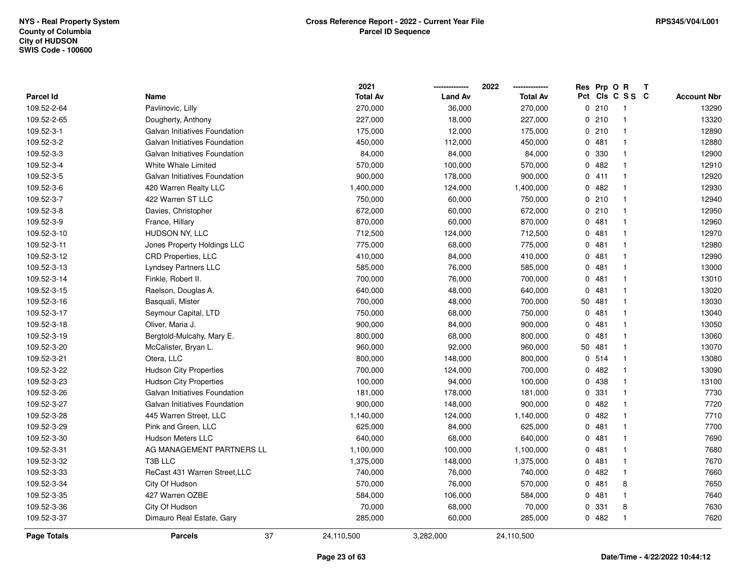|                    |                               | 2021            |                | 2022            |    | Res Prp O R |                 | Т |                    |
|--------------------|-------------------------------|-----------------|----------------|-----------------|----|-------------|-----------------|---|--------------------|
| <b>Parcel Id</b>   | Name                          | <b>Total Av</b> | <b>Land Av</b> | <b>Total Av</b> |    |             | Pct Cls C S S C |   | <b>Account Nbr</b> |
| 109.52-2-64        | Pavlinovic, Lilly             | 270,000         | 36,000         | 270,000         |    | 0210        | $\overline{1}$  |   | 13290              |
| 109.52-2-65        | Dougherty, Anthony            | 227,000         | 18,000         | 227,000         |    | 0210        | $\mathbf{1}$    |   | 13320              |
| 109.52-3-1         | Galvan Initiatives Foundation | 175,000         | 12,000         | 175,000         |    | 0210        | $\mathbf{1}$    |   | 12890              |
| 109.52-3-2         | Galvan Initiatives Foundation | 450,000         | 112,000        | 450,000         |    | 0481        | $\mathbf{1}$    |   | 12880              |
| 109.52-3-3         | Galvan Initiatives Foundation | 84,000          | 84,000         | 84,000          |    | 0 330       | $\mathbf{1}$    |   | 12900              |
| 109.52-3-4         | White Whale Limited           | 570,000         | 100,000        | 570,000         |    | 0.482       | $\mathbf 1$     |   | 12910              |
| 109.52-3-5         | Galvan Initiatives Foundation | 900,000         | 178,000        | 900,000         |    | 0411        | $\mathbf{1}$    |   | 12920              |
| 109.52-3-6         | 420 Warren Realty LLC         | 1,400,000       | 124,000        | 1,400,000       |    | 0482        | $\mathbf{1}$    |   | 12930              |
| 109.52-3-7         | 422 Warren ST LLC             | 750,000         | 60,000         | 750,000         |    | 0210        | $\mathbf{1}$    |   | 12940              |
| 109.52-3-8         | Davies, Christopher           | 672,000         | 60,000         | 672,000         |    | 0210        | $\mathbf{1}$    |   | 12950              |
| 109.52-3-9         | France, Hillary               | 870,000         | 60,000         | 870,000         |    | 0481        | $\mathbf{1}$    |   | 12960              |
| 109.52-3-10        | HUDSON NY, LLC                | 712,500         | 124,000        | 712,500         |    | 0481        | $\mathbf{1}$    |   | 12970              |
| 109.52-3-11        | Jones Property Holdings LLC   | 775,000         | 68,000         | 775,000         |    | 0481        | $\mathbf{1}$    |   | 12980              |
| 109.52-3-12        | CRD Properties, LLC           | 410,000         | 84,000         | 410,000         |    | 0481        | $\mathbf{1}$    |   | 12990              |
| 109.52-3-13        | <b>Lyndsey Partners LLC</b>   | 585,000         | 76,000         | 585,000         |    | 0481        | $\mathbf{1}$    |   | 13000              |
| 109.52-3-14        | Finkle, Robert II.            | 700,000         | 76,000         | 700,000         |    | 0481        | $\mathbf{1}$    |   | 13010              |
| 109.52-3-15        | Raelson, Douglas A.           | 640,000         | 48,000         | 640,000         |    | 0481        | $\mathbf{1}$    |   | 13020              |
| 109.52-3-16        | Basquali, Mister              | 700,000         | 48,000         | 700,000         |    | 50 481      | $\mathbf{1}$    |   | 13030              |
| 109.52-3-17        | Seymour Capital, LTD          | 750,000         | 68,000         | 750,000         |    | 0481        | $\mathbf{1}$    |   | 13040              |
| 109.52-3-18        | Oliver, Maria J.              | 900,000         | 84,000         | 900,000         |    | 0481        | $\mathbf{1}$    |   | 13050              |
| 109.52-3-19        | Bergtold-Mulcahy, Mary E.     | 800,000         | 68,000         | 800,000         |    | 0481        | $\mathbf{1}$    |   | 13060              |
| 109.52-3-20        | McCalister, Bryan L.          | 960,000         | 92,000         | 960,000         | 50 | 481         | $\mathbf{1}$    |   | 13070              |
| 109.52-3-21        | Otera, LLC                    | 800,000         | 148,000        | 800,000         |    | 0.514       | $\mathbf{1}$    |   | 13080              |
| 109.52-3-22        | <b>Hudson City Properties</b> | 700,000         | 124,000        | 700,000         |    | 0482        | $\mathbf{1}$    |   | 13090              |
| 109.52-3-23        | <b>Hudson City Properties</b> | 100,000         | 94,000         | 100,000         |    | 0 438       | $\mathbf{1}$    |   | 13100              |
| 109.52-3-26        | Galvan Initiatives Foundation | 181,000         | 178,000        | 181,000         |    | 0 331       | $\mathbf{1}$    |   | 7730               |
| 109.52-3-27        | Galvan Initiatives Foundation | 900,000         | 148,000        | 900,000         |    | 0.482       | $\mathbf{1}$    |   | 7720               |
| 109.52-3-28        | 445 Warren Street, LLC        | 1,140,000       | 124,000        | 1,140,000       |    | 0.482       | 1               |   | 7710               |
| 109.52-3-29        | Pink and Green, LLC           | 625,000         | 84,000         | 625,000         |    | 0481        | $\mathbf{1}$    |   | 7700               |
| 109.52-3-30        | <b>Hudson Meters LLC</b>      | 640,000         | 68,000         | 640,000         |    | 0481        | $\mathbf{1}$    |   | 7690               |
| 109.52-3-31        | AG MANAGEMENT PARTNERS LL     | 1,100,000       | 100,000        | 1,100,000       |    | 0481        | $\mathbf{1}$    |   | 7680               |
| 109.52-3-32        | T3B LLC                       | 1,375,000       | 148,000        | 1,375,000       |    | 0481        | $\mathbf{1}$    |   | 7670               |
| 109.52-3-33        | ReCast 431 Warren Street, LLC | 740,000         | 76,000         | 740,000         |    | 0482        | $\mathbf{1}$    |   | 7660               |
| 109.52-3-34        | City Of Hudson                | 570,000         | 76,000         | 570,000         |    | 0481        | 8               |   | 7650               |
| 109.52-3-35        | 427 Warren OZBE               | 584,000         | 106,000        | 584,000         |    | 0481        | $\mathbf{1}$    |   | 7640               |
| 109.52-3-36        | City Of Hudson                | 70,000          | 68,000         | 70,000          |    | 0 331       | 8               |   | 7630               |
| 109.52-3-37        | Dimauro Real Estate, Gary     | 285,000         | 60,000         | 285,000         |    | 0482        | $\mathbf{1}$    |   | 7620               |
| <b>Page Totals</b> | 37<br><b>Parcels</b>          | 24,110,500      | 3,282,000      | 24,110,500      |    |             |                 |   |                    |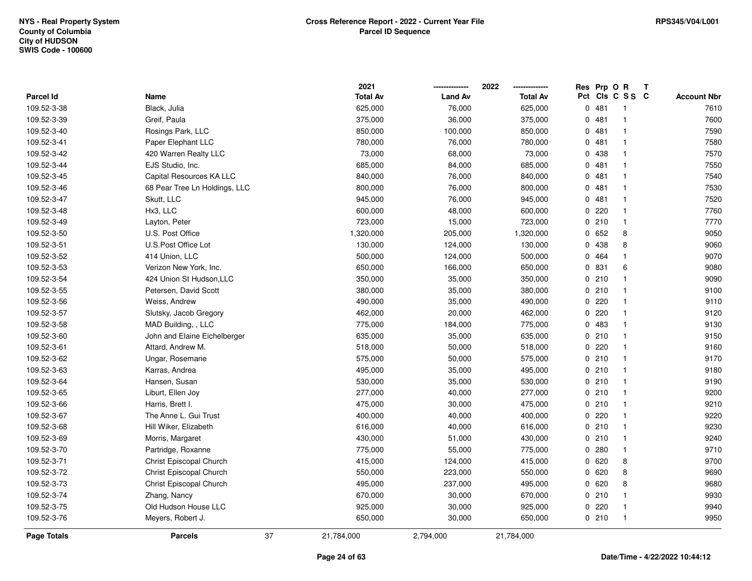|             |                               | 2021             |                | 2022            | Res      | Prp O R |                 | Т |                    |
|-------------|-------------------------------|------------------|----------------|-----------------|----------|---------|-----------------|---|--------------------|
| Parcel Id   | Name                          | <b>Total Av</b>  | <b>Land Av</b> | <b>Total Av</b> |          |         | Pct Cls C S S C |   | <b>Account Nbr</b> |
| 109.52-3-38 | Black, Julia                  | 625,000          | 76,000         | 625,000         |          | 0481    | -1              |   | 7610               |
| 109.52-3-39 | Greif, Paula                  | 375,000          | 36,000         | 375,000         | 0        | 481     | -1              |   | 7600               |
| 109.52-3-40 | Rosings Park, LLC             | 850,000          | 100,000        | 850,000         |          | 0481    | $\mathbf{1}$    |   | 7590               |
| 109.52-3-41 | Paper Elephant LLC            | 780,000          | 76,000         | 780,000         |          | 0481    | -1              |   | 7580               |
| 109.52-3-42 | 420 Warren Realty LLC         | 73,000           | 68,000         | 73,000          |          | 0 438   |                 |   | 7570               |
| 109.52-3-44 | EJS Studio, Inc.              | 685,000          | 84,000         | 685,000         |          | 0481    |                 |   | 7550               |
| 109.52-3-45 | Capital Resources KA LLC      | 840,000          | 76,000         | 840,000         | 0        | 481     |                 |   | 7540               |
| 109.52-3-46 | 68 Pear Tree Ln Holdings, LLC | 800,000          | 76,000         | 800,000         | $\Omega$ | 481     |                 |   | 7530               |
| 109.52-3-47 | Skutt, LLC                    | 945,000          | 76,000         | 945,000         | 0        | 481     |                 |   | 7520               |
| 109.52-3-48 | Hx3, LLC                      | 600,000          | 48,000         | 600,000         |          | 0220    | -1              |   | 7760               |
| 109.52-3-49 | Layton, Peter                 | 723,000          | 15,000         | 723,000         |          | 0210    | 1               |   | 7770               |
| 109.52-3-50 | U.S. Post Office              | 1,320,000        | 205,000        | 1,320,000       |          | 0652    | 8               |   | 9050               |
| 109.52-3-51 | U.S. Post Office Lot          | 130,000          | 124,000        | 130,000         |          | 0 438   | 8               |   | 9060               |
| 109.52-3-52 | 414 Union, LLC                | 500,000          | 124,000        | 500,000         | 0        | 464     |                 |   | 9070               |
| 109.52-3-53 | Verizon New York, Inc.        | 650,000          | 166,000        | 650,000         | 0        | 831     | 6               |   | 9080               |
| 109.52-3-54 | 424 Union St Hudson, LLC      | 350,000          | 35,000         | 350,000         |          | 0210    | $\mathbf{1}$    |   | 9090               |
| 109.52-3-55 | Petersen, David Scott         | 380,000          | 35,000         | 380,000         |          | 0210    | $\mathbf{1}$    |   | 9100               |
| 109.52-3-56 | Weiss, Andrew                 | 490,000          | 35,000         | 490,000         |          | 0220    | -1              |   | 9110               |
| 109.52-3-57 | Slutsky, Jacob Gregory        | 462,000          | 20,000         | 462,000         |          | 0.220   |                 |   | 9120               |
| 109.52-3-58 | MAD Building, , LLC           | 775,000          | 184,000        | 775,000         |          | 0 483   |                 |   | 9130               |
| 109.52-3-60 | John and Elaine Eichelberger  | 635,000          | 35,000         | 635,000         |          | 0210    | $\mathbf{1}$    |   | 9150               |
| 109.52-3-61 | Attard, Andrew M.             | 518,000          | 50,000         | 518,000         | 0        | 220     |                 |   | 9160               |
| 109.52-3-62 | Ungar, Rosemarie              | 575,000          | 50,000         | 575,000         |          | 0210    | $\mathbf{1}$    |   | 9170               |
| 109.52-3-63 | Karras, Andrea                | 495,000          | 35,000         | 495,000         |          | 0210    |                 |   | 9180               |
| 109.52-3-64 | Hansen, Susan                 | 530,000          | 35,000         | 530,000         |          | 0210    | $\mathbf{1}$    |   | 9190               |
| 109.52-3-65 | Liburt, Ellen Joy             | 277,000          | 40,000         | 277,000         |          | 0210    |                 |   | 9200               |
| 109.52-3-66 | Harris, Brett I.              | 475,000          | 30,000         | 475,000         |          | 0210    |                 |   | 9210               |
| 109.52-3-67 | The Anne L. Gui Trust         | 400,000          | 40,000         | 400,000         |          | 0.220   |                 |   | 9220               |
| 109.52-3-68 | Hill Wiker, Elizabeth         | 616,000          | 40,000         | 616,000         |          | 0210    | -1              |   | 9230               |
| 109.52-3-69 | Morris, Margaret              | 430,000          | 51,000         | 430,000         |          | 0210    | -1              |   | 9240               |
| 109.52-3-70 | Partridge, Roxanne            | 775,000          | 55,000         | 775,000         | 0        | 280     | -1              |   | 9710               |
| 109.52-3-71 | Christ Episcopal Church       | 415,000          | 124,000        | 415,000         |          | 0620    | 8               |   | 9700               |
| 109.52-3-72 | Christ Episcopal Church       | 550,000          | 223,000        | 550,000         |          | 0620    | 8               |   | 9690               |
| 109.52-3-73 | Christ Episcopal Church       | 495,000          | 237,000        | 495,000         |          | 0620    | 8               |   | 9680               |
| 109.52-3-74 | Zhang, Nancy                  | 670,000          | 30,000         | 670,000         |          | 0210    |                 |   | 9930               |
| 109.52-3-75 | Old Hudson House LLC          | 925,000          | 30,000         | 925,000         |          | 0220    |                 |   | 9940               |
| 109.52-3-76 | Meyers, Robert J.             | 650,000          | 30,000         | 650,000         |          | 0210    | $\mathbf{1}$    |   | 9950               |
| Page Totals | <b>Parcels</b>                | 37<br>21,784,000 | 2,794,000      | 21,784,000      |          |         |                 |   |                    |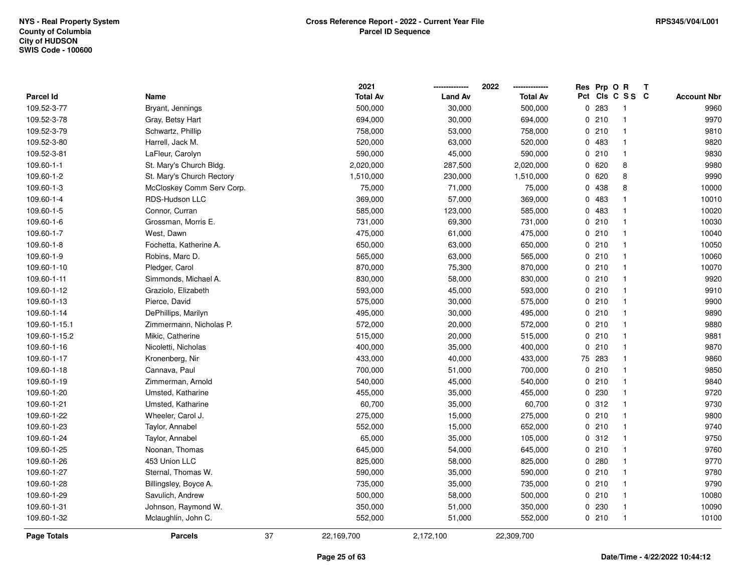|                  |                           |    | 2021            |                | 2022            |    | Res Prp O R |                         | Т |                    |
|------------------|---------------------------|----|-----------------|----------------|-----------------|----|-------------|-------------------------|---|--------------------|
| <b>Parcel Id</b> | Name                      |    | <b>Total Av</b> | <b>Land Av</b> | <b>Total Av</b> |    |             | Pct Cls C S S C         |   | <b>Account Nbr</b> |
| 109.52-3-77      | Bryant, Jennings          |    | 500,000         | 30,000         | 500,000         |    | 0 283       | $\overline{\mathbf{1}}$ |   | 9960               |
| 109.52-3-78      | Gray, Betsy Hart          |    | 694,000         | 30,000         | 694,000         |    | 0210        | $\overline{1}$          |   | 9970               |
| 109.52-3-79      | Schwartz, Phillip         |    | 758,000         | 53,000         | 758,000         |    | 0210        | $\overline{1}$          |   | 9810               |
| 109.52-3-80      | Harrell, Jack M.          |    | 520,000         | 63,000         | 520,000         |    | 0 483       | $\overline{1}$          |   | 9820               |
| 109.52-3-81      | LaFleur, Carolyn          |    | 590,000         | 45,000         | 590,000         |    | 0210        | $\mathbf{1}$            |   | 9830               |
| 109.60-1-1       | St. Mary's Church Bldg.   |    | 2,020,000       | 287,500        | 2,020,000       |    | 0620        | 8                       |   | 9980               |
| 109.60-1-2       | St. Mary's Church Rectory |    | 1,510,000       | 230,000        | 1,510,000       |    | 0620        | 8                       |   | 9990               |
| 109.60-1-3       | McCloskey Comm Serv Corp. |    | 75,000          | 71,000         | 75,000          |    | 0 438       | 8                       |   | 10000              |
| 109.60-1-4       | RDS-Hudson LLC            |    | 369,000         | 57,000         | 369,000         |    | 0 483       | $\mathbf{1}$            |   | 10010              |
| 109.60-1-5       | Connor, Curran            |    | 585,000         | 123,000        | 585,000         |    | 0 483       | $\overline{1}$          |   | 10020              |
| 109.60-1-6       | Grossman, Morris E.       |    | 731,000         | 69,300         | 731,000         |    | 0210        | $\overline{1}$          |   | 10030              |
| 109.60-1-7       | West, Dawn                |    | 475,000         | 61,000         | 475,000         |    | 0210        | $\overline{1}$          |   | 10040              |
| 109.60-1-8       | Fochetta, Katherine A.    |    | 650,000         | 63,000         | 650,000         |    | 0210        | $\mathbf 1$             |   | 10050              |
| 109.60-1-9       | Robins, Marc D.           |    | 565,000         | 63,000         | 565,000         |    | 0210        | $\mathbf{1}$            |   | 10060              |
| 109.60-1-10      | Pledger, Carol            |    | 870,000         | 75,300         | 870,000         |    | 0210        | $\overline{1}$          |   | 10070              |
| 109.60-1-11      | Simmonds, Michael A.      |    | 830,000         | 58,000         | 830,000         |    | 0210        | $\overline{1}$          |   | 9920               |
| 109.60-1-12      | Graziolo, Elizabeth       |    | 593,000         | 45,000         | 593,000         |    | 0210        | $\overline{1}$          |   | 9910               |
| 109.60-1-13      | Pierce, David             |    | 575,000         | 30,000         | 575,000         |    | 0210        | $\overline{1}$          |   | 9900               |
| 109.60-1-14      | DePhillips, Marilyn       |    | 495,000         | 30,000         | 495,000         |    | 0210        | $\overline{1}$          |   | 9890               |
| 109.60-1-15.1    | Zimmermann, Nicholas P.   |    | 572,000         | 20,000         | 572,000         |    | 0210        | $\overline{\mathbf{1}}$ |   | 9880               |
| 109.60-1-15.2    | Mikic, Catherine          |    | 515,000         | 20,000         | 515,000         |    | 0210        | $\overline{1}$          |   | 9881               |
| 109.60-1-16      | Nicoletti, Nicholas       |    | 400,000         | 35,000         | 400,000         |    | 0210        | $\overline{1}$          |   | 9870               |
| 109.60-1-17      | Kronenberg, Nir           |    | 433,000         | 40,000         | 433,000         | 75 | 283         | $\overline{1}$          |   | 9860               |
| 109.60-1-18      | Cannava, Paul             |    | 700,000         | 51,000         | 700,000         |    | 0210        | $\overline{1}$          |   | 9850               |
| 109.60-1-19      | Zimmerman, Arnold         |    | 540,000         | 45,000         | 540,000         |    | 0210        | $\overline{1}$          |   | 9840               |
| 109.60-1-20      | Umsted, Katharine         |    | 455,000         | 35,000         | 455,000         |    | 0 230       | -1                      |   | 9720               |
| 109.60-1-21      | Umsted, Katharine         |    | 60,700          | 35,000         | 60,700          |    | 0.312       | $\overline{1}$          |   | 9730               |
| 109.60-1-22      | Wheeler, Carol J.         |    | 275,000         | 15,000         | 275,000         |    | 0210        | $\overline{1}$          |   | 9800               |
| 109.60-1-23      | Taylor, Annabel           |    | 552,000         | 15,000         | 652,000         |    | 0210        | $\overline{1}$          |   | 9740               |
| 109.60-1-24      | Taylor, Annabel           |    | 65,000          | 35,000         | 105,000         |    | 0.312       | $\overline{1}$          |   | 9750               |
| 109.60-1-25      | Noonan, Thomas            |    | 645,000         | 54,000         | 645,000         |    | 0210        | $\overline{1}$          |   | 9760               |
| 109.60-1-26      | 453 Union LLC             |    | 825,000         | 58,000         | 825,000         |    | 0.280       | $\overline{1}$          |   | 9770               |
| 109.60-1-27      | Sternal, Thomas W.        |    | 590,000         | 35,000         | 590,000         |    | 0210        | $\overline{1}$          |   | 9780               |
| 109.60-1-28      | Billingsley, Boyce A.     |    | 735,000         | 35,000         | 735,000         |    | 0210        | $\overline{1}$          |   | 9790               |
| 109.60-1-29      | Savulich, Andrew          |    | 500,000         | 58,000         | 500,000         |    | 0210        | $\overline{1}$          |   | 10080              |
| 109.60-1-31      | Johnson, Raymond W.       |    | 350,000         | 51,000         | 350,000         |    | 0230        | $\overline{1}$          |   | 10090              |
| 109.60-1-32      | Mclaughlin, John C.       |    | 552,000         | 51,000         | 552,000         |    | 0210        | $\overline{1}$          |   | 10100              |
| Page Totals      | <b>Parcels</b>            | 37 | 22,169,700      | 2,172,100      | 22,309,700      |    |             |                         |   |                    |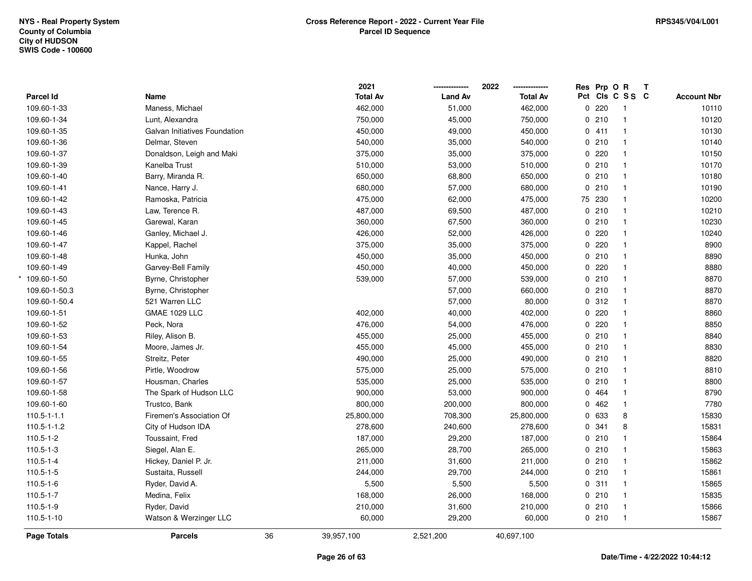|                    |                               |    | 2021            |                | 2022            | Res Prp O R |                 | Т |                    |
|--------------------|-------------------------------|----|-----------------|----------------|-----------------|-------------|-----------------|---|--------------------|
| Parcel Id          | Name                          |    | <b>Total Av</b> | <b>Land Av</b> | <b>Total Av</b> |             | Pct Cls C S S C |   | <b>Account Nbr</b> |
| 109.60-1-33        | Maness, Michael               |    | 462,000         | 51,000         | 462,000         | 0220        | -1              |   | 10110              |
| 109.60-1-34        | Lunt, Alexandra               |    | 750,000         | 45,000         | 750,000         | 0210        | $\overline{1}$  |   | 10120              |
| 109.60-1-35        | Galvan Initiatives Foundation |    | 450,000         | 49,000         | 450,000         | 0411        | $\mathbf{1}$    |   | 10130              |
| 109.60-1-36        | Delmar, Steven                |    | 540,000         | 35,000         | 540,000         | 0210        | $\mathbf{1}$    |   | 10140              |
| 109.60-1-37        | Donaldson, Leigh and Maki     |    | 375,000         | 35,000         | 375,000         | 0220        | $\mathbf{1}$    |   | 10150              |
| 109.60-1-39        | Kanelba Trust                 |    | 510,000         | 53,000         | 510,000         | 0210        | $\mathbf{1}$    |   | 10170              |
| 109.60-1-40        | Barry, Miranda R.             |    | 650,000         | 68,800         | 650,000         | 0210        | $\overline{1}$  |   | 10180              |
| 109.60-1-41        | Nance, Harry J.               |    | 680,000         | 57,000         | 680,000         | 0210        | $\mathbf{1}$    |   | 10190              |
| 109.60-1-42        | Ramoska, Patricia             |    | 475,000         | 62,000         | 475,000         | 75 230      | $\overline{1}$  |   | 10200              |
| 109.60-1-43        | Law, Terence R.               |    | 487,000         | 69,500         | 487,000         | 0210        | $\overline{1}$  |   | 10210              |
| 109.60-1-45        | Garewal, Karan                |    | 360,000         | 67,500         | 360,000         | 0210        | $\mathbf 1$     |   | 10230              |
| 109.60-1-46        | Ganley, Michael J.            |    | 426,000         | 52,000         | 426,000         | $0$ 220     | $\mathbf 1$     |   | 10240              |
| 109.60-1-47        | Kappel, Rachel                |    | 375,000         | 35,000         | 375,000         | 0220        |                 |   | 8900               |
| 109.60-1-48        | Hunka, John                   |    | 450,000         | 35,000         | 450,000         | 0210        | $\mathbf 1$     |   | 8890               |
| 109.60-1-49        | Garvey-Bell Family            |    | 450,000         | 40,000         | 450,000         | 0220        | $\mathbf{1}$    |   | 8880               |
| 109.60-1-50        | Byrne, Christopher            |    | 539,000         | 57,000         | 539,000         | 0210        | $\mathbf{1}$    |   | 8870               |
| 109.60-1-50.3      | Byrne, Christopher            |    |                 | 57,000         | 660,000         | 0210        | $\mathbf{1}$    |   | 8870               |
| 109.60-1-50.4      | 521 Warren LLC                |    |                 | 57,000         | 80,000          | 0.312       | $\mathbf 1$     |   | 8870               |
| 109.60-1-51        | <b>GMAE 1029 LLC</b>          |    | 402,000         | 40,000         | 402,000         | 0220        | $\mathbf{1}$    |   | 8860               |
| 109.60-1-52        | Peck, Nora                    |    | 476,000         | 54,000         | 476,000         | 0220        |                 |   | 8850               |
| 109.60-1-53        | Riley, Alison B.              |    | 455,000         | 25,000         | 455,000         | 0210        | $\mathbf{1}$    |   | 8840               |
| 109.60-1-54        | Moore, James Jr.              |    | 455,000         | 45,000         | 455,000         | 0210        | $\mathbf 1$     |   | 8830               |
| 109.60-1-55        | Streitz, Peter                |    | 490,000         | 25,000         | 490,000         | 0210        | $\overline{1}$  |   | 8820               |
| 109.60-1-56        | Pirtle, Woodrow               |    | 575,000         | 25,000         | 575,000         | 0210        | $\mathbf{1}$    |   | 8810               |
| 109.60-1-57        | Housman, Charles              |    | 535,000         | 25,000         | 535,000         | 0210        | $\mathbf{1}$    |   | 8800               |
| 109.60-1-58        | The Spark of Hudson LLC       |    | 900,000         | 53,000         | 900,000         | 0 464       | $\mathbf 1$     |   | 8790               |
| 109.60-1-60        | Trustco, Bank                 |    | 800,000         | 200,000        | 800,000         | 0462        | $\mathbf 1$     |   | 7780               |
| $110.5 - 1 - 1.1$  | Firemen's Association Of      |    | 25,800,000      | 708,300        | 25,800,000      | 0 633       | 8               |   | 15830              |
| 110.5-1-1.2        | City of Hudson IDA            |    | 278,600         | 240,600        | 278,600         | 0.341       | 8               |   | 15831              |
| $110.5 - 1 - 2$    | Toussaint, Fred               |    | 187,000         | 29,200         | 187,000         | 0210        | $\mathbf{1}$    |   | 15864              |
| $110.5 - 1 - 3$    | Siegel, Alan E.               |    | 265,000         | 28,700         | 265,000         | 0210        | $\mathbf{1}$    |   | 15863              |
| $110.5 - 1 - 4$    | Hickey, Daniel P. Jr.         |    | 211,000         | 31,600         | 211,000         | 0210        | $\mathbf{1}$    |   | 15862              |
| $110.5 - 1 - 5$    | Sustaita, Russell             |    | 244,000         | 29,700         | 244,000         | 0210        | $\mathbf{1}$    |   | 15861              |
| $110.5 - 1 - 6$    | Ryder, David A.               |    | 5,500           | 5,500          | 5,500           | 0.311       | $\mathbf{1}$    |   | 15865              |
| $110.5 - 1 - 7$    | Medina, Felix                 |    | 168,000         | 26,000         | 168,000         | 0210        | $\overline{1}$  |   | 15835              |
| 110.5-1-9          | Ryder, David                  |    | 210,000         | 31,600         | 210,000         | 0210        | $\mathbf{1}$    |   | 15866              |
| 110.5-1-10         | Watson & Werzinger LLC        |    | 60,000          | 29,200         | 60,000          | 0210        | $\overline{1}$  |   | 15867              |
| <b>Page Totals</b> | <b>Parcels</b>                | 36 | 39,957,100      | 2,521,200      | 40,697,100      |             |                 |   |                    |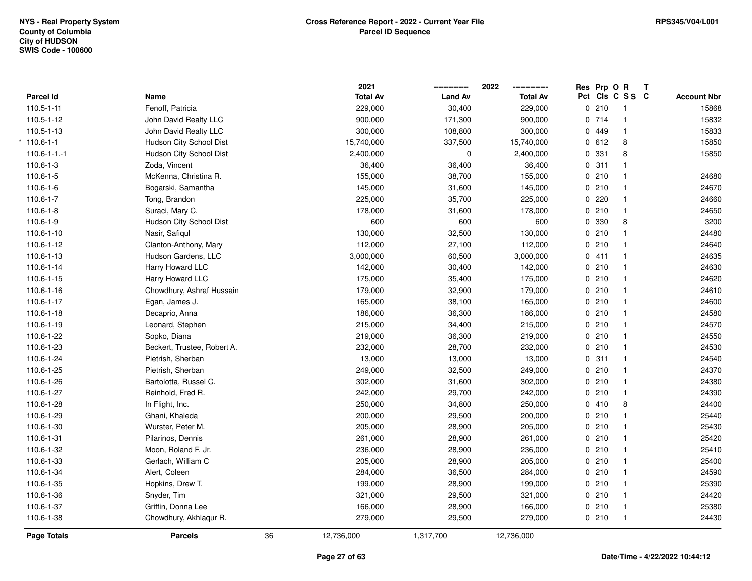|                     |                             |    | 2021            |                | 2022            | Res Prp O R |                         | Т |                    |
|---------------------|-----------------------------|----|-----------------|----------------|-----------------|-------------|-------------------------|---|--------------------|
| Parcel Id           | Name                        |    | <b>Total Av</b> | <b>Land Av</b> | <b>Total Av</b> |             | Pct Cls C S S C         |   | <b>Account Nbr</b> |
| $110.5 - 1 - 11$    | Fenoff, Patricia            |    | 229,000         | 30,400         | 229,000         | 0210        | $\overline{\mathbf{1}}$ |   | 15868              |
| 110.5-1-12          | John David Realty LLC       |    | 900,000         | 171,300        | 900,000         | 0714        | $\mathbf{1}$            |   | 15832              |
| 110.5-1-13          | John David Realty LLC       |    | 300,000         | 108,800        | 300,000         | 0 449       | $\mathbf{1}$            |   | 15833              |
| $110.6 - 1 - 1$     | Hudson City School Dist     |    | 15,740,000      | 337,500        | 15,740,000      | 0 612       | 8                       |   | 15850              |
| $110.6 - 1 - 1 - 1$ | Hudson City School Dist     |    | 2,400,000       | 0              | 2,400,000       | 0 331       | 8                       |   | 15850              |
| $110.6 - 1 - 3$     | Zoda, Vincent               |    | 36,400          | 36,400         | 36,400          | 0.311       | $\mathbf{1}$            |   |                    |
| 110.6-1-5           | McKenna, Christina R.       |    | 155,000         | 38,700         | 155,000         | 0210        | $\mathbf{1}$            |   | 24680              |
| 110.6-1-6           | Bogarski, Samantha          |    | 145,000         | 31,600         | 145,000         | 0210        | $\mathbf{1}$            |   | 24670              |
| $110.6 - 1 - 7$     | Tong, Brandon               |    | 225,000         | 35,700         | 225,000         | 0.220       | $\mathbf{1}$            |   | 24660              |
| $110.6 - 1 - 8$     | Suraci, Mary C.             |    | 178,000         | 31,600         | 178,000         | 0210        | $\mathbf{1}$            |   | 24650              |
| 110.6-1-9           | Hudson City School Dist     |    | 600             | 600            | 600             | 0 330       | 8                       |   | 3200               |
| 110.6-1-10          | Nasir, Safiqul              |    | 130,000         | 32,500         | 130,000         | 0210        | $\mathbf{1}$            |   | 24480              |
| 110.6-1-12          | Clanton-Anthony, Mary       |    | 112,000         | 27,100         | 112,000         | 0210        | $\mathbf{1}$            |   | 24640              |
| 110.6-1-13          | Hudson Gardens, LLC         |    | 3,000,000       | 60,500         | 3,000,000       | 0411        | $\mathbf{1}$            |   | 24635              |
| 110.6-1-14          | Harry Howard LLC            |    | 142,000         | 30,400         | 142,000         | 0210        | $\mathbf{1}$            |   | 24630              |
| 110.6-1-15          | Harry Howard LLC            |    | 175,000         | 35,400         | 175,000         | 0210        | $\mathbf{1}$            |   | 24620              |
| 110.6-1-16          | Chowdhury, Ashraf Hussain   |    | 179,000         | 32,900         | 179,000         | 0210        | $\mathbf{1}$            |   | 24610              |
| 110.6-1-17          | Egan, James J.              |    | 165,000         | 38,100         | 165,000         | 0210        | $\mathbf{1}$            |   | 24600              |
| 110.6-1-18          | Decaprio, Anna              |    | 186,000         | 36,300         | 186,000         | 0210        | $\mathbf{1}$            |   | 24580              |
| 110.6-1-19          | Leonard, Stephen            |    | 215,000         | 34,400         | 215,000         | 0210        | $\mathbf{1}$            |   | 24570              |
| 110.6-1-22          | Sopko, Diana                |    | 219,000         | 36,300         | 219,000         | 0210        | $\mathbf{1}$            |   | 24550              |
| 110.6-1-23          | Beckert, Trustee, Robert A. |    | 232,000         | 28,700         | 232,000         | 0210        | $\mathbf{1}$            |   | 24530              |
| 110.6-1-24          | Pietrish, Sherban           |    | 13,000          | 13,000         | 13,000          | 0.311       | $\mathbf{1}$            |   | 24540              |
| 110.6-1-25          | Pietrish, Sherban           |    | 249,000         | 32,500         | 249,000         | 0210        | $\mathbf{1}$            |   | 24370              |
| 110.6-1-26          | Bartolotta, Russel C.       |    | 302,000         | 31,600         | 302,000         | 0210        | $\mathbf{1}$            |   | 24380              |
| 110.6-1-27          | Reinhold, Fred R.           |    | 242,000         | 29,700         | 242,000         | 0210        | $\mathbf{1}$            |   | 24390              |
| 110.6-1-28          | In Flight, Inc.             |    | 250,000         | 34,800         | 250,000         | 0410        | 8                       |   | 24400              |
| 110.6-1-29          | Ghani, Khaleda              |    | 200,000         | 29,500         | 200,000         | 0210        | $\mathbf 1$             |   | 25440              |
| 110.6-1-30          | Wurster, Peter M.           |    | 205,000         | 28,900         | 205,000         | 0210        | $\mathbf{1}$            |   | 25430              |
| 110.6-1-31          | Pilarinos, Dennis           |    | 261,000         | 28,900         | 261,000         | 0210        | $\mathbf{1}$            |   | 25420              |
| 110.6-1-32          | Moon, Roland F. Jr.         |    | 236,000         | 28,900         | 236,000         | 0210        | $\mathbf{1}$            |   | 25410              |
| 110.6-1-33          | Gerlach, William C          |    | 205,000         | 28,900         | 205,000         | 0210        | $\mathbf{1}$            |   | 25400              |
| 110.6-1-34          | Alert, Coleen               |    | 284,000         | 36,500         | 284,000         | 0210        | $\mathbf{1}$            |   | 24590              |
| 110.6-1-35          | Hopkins, Drew T.            |    | 199,000         | 28,900         | 199,000         | 0210        | $\mathbf{1}$            |   | 25390              |
| 110.6-1-36          | Snyder, Tim                 |    | 321,000         | 29,500         | 321,000         | 0210        | $\mathbf{1}$            |   | 24420              |
| 110.6-1-37          | Griffin, Donna Lee          |    | 166,000         | 28,900         | 166,000         | 0210        | $\mathbf{1}$            |   | 25380              |
| 110.6-1-38          | Chowdhury, Akhlaqur R.      |    | 279,000         | 29,500         | 279,000         | 0210        | $\mathbf{1}$            |   | 24430              |
| Page Totals         | <b>Parcels</b>              | 36 | 12,736,000      | 1,317,700      | 12,736,000      |             |                         |   |                    |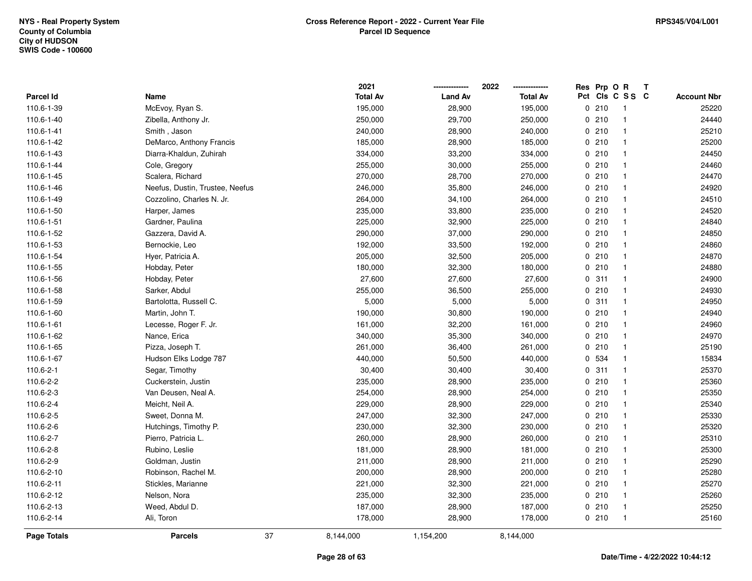|                    |                                 | 2021            |                | 2022            | Res Prp O R |                         | Т |                    |
|--------------------|---------------------------------|-----------------|----------------|-----------------|-------------|-------------------------|---|--------------------|
| Parcel Id          | Name                            | <b>Total Av</b> | <b>Land Av</b> | <b>Total Av</b> |             | Pct Cls C S S C         |   | <b>Account Nbr</b> |
| 110.6-1-39         | McEvoy, Ryan S.                 | 195,000         | 28,900         | 195,000         | 0210        | -1                      |   | 25220              |
| 110.6-1-40         | Zibella, Anthony Jr.            | 250,000         | 29,700         | 250,000         | 0210        | $\mathbf{1}$            |   | 24440              |
| 110.6-1-41         | Smith, Jason                    | 240,000         | 28,900         | 240,000         | 0210        | $\overline{1}$          |   | 25210              |
| 110.6-1-42         | DeMarco, Anthony Francis        | 185,000         | 28,900         | 185,000         | 0210        | $\mathbf{1}$            |   | 25200              |
| 110.6-1-43         | Diarra-Khaldun, Zuhirah         | 334,000         | 33,200         | 334,000         | 0210        | $\mathbf 1$             |   | 24450              |
| 110.6-1-44         | Cole, Gregory                   | 255,000         | 30,000         | 255,000         | 0210        | $\mathbf{1}$            |   | 24460              |
| 110.6-1-45         | Scalera, Richard                | 270,000         | 28,700         | 270,000         | 0210        | $\mathbf 1$             |   | 24470              |
| 110.6-1-46         | Neefus, Dustin, Trustee, Neefus | 246,000         | 35,800         | 246,000         | 0210        | $\mathbf{1}$            |   | 24920              |
| 110.6-1-49         | Cozzolino, Charles N. Jr.       | 264,000         | 34,100         | 264,000         | 0210        | $\overline{1}$          |   | 24510              |
| 110.6-1-50         | Harper, James                   | 235,000         | 33,800         | 235,000         | 0210        | $\overline{1}$          |   | 24520              |
| 110.6-1-51         | Gardner, Paulina                | 225,000         | 32,900         | 225,000         | 0210        | $\mathbf{1}$            |   | 24840              |
| 110.6-1-52         | Gazzera, David A.               | 290,000         | 37,000         | 290,000         | 0210        | $\mathbf 1$             |   | 24850              |
| 110.6-1-53         | Bernockie, Leo                  | 192,000         | 33,500         | 192,000         | 0210        |                         |   | 24860              |
| 110.6-1-54         | Hyer, Patricia A.               | 205,000         | 32,500         | 205,000         | 0210        | $\mathbf{1}$            |   | 24870              |
| 110.6-1-55         | Hobday, Peter                   | 180,000         | 32,300         | 180,000         | 0210        | $\mathbf{1}$            |   | 24880              |
| 110.6-1-56         | Hobday, Peter                   | 27,600          | 27,600         | 27,600          | 0.311       | $\mathbf{1}$            |   | 24900              |
| 110.6-1-58         | Sarker, Abdul                   | 255,000         | 36,500         | 255,000         | 0210        | $\mathbf{1}$            |   | 24930              |
| 110.6-1-59         | Bartolotta, Russell C.          | 5,000           | 5,000          | 5,000           | 0.311       | $\overline{1}$          |   | 24950              |
| 110.6-1-60         | Martin, John T.                 | 190,000         | 30,800         | 190,000         | 0210        | $\mathbf{1}$            |   | 24940              |
| 110.6-1-61         | Lecesse, Roger F. Jr.           | 161,000         | 32,200         | 161,000         | 0210        | $\mathbf 1$             |   | 24960              |
| 110.6-1-62         | Nance, Erica                    | 340,000         | 35,300         | 340,000         | 0210        | $\mathbf{1}$            |   | 24970              |
| 110.6-1-65         | Pizza, Joseph T.                | 261,000         | 36,400         | 261,000         | 0210        | $\overline{\mathbf{1}}$ |   | 25190              |
| 110.6-1-67         | Hudson Elks Lodge 787           | 440,000         | 50,500         | 440,000         | 0 534       | $\overline{\mathbf{1}}$ |   | 15834              |
| 110.6-2-1          | Segar, Timothy                  | 30,400          | 30,400         | 30,400          | 0.311       | $\overline{\mathbf{1}}$ |   | 25370              |
| 110.6-2-2          | Cuckerstein, Justin             | 235,000         | 28,900         | 235,000         | 0210        | 1                       |   | 25360              |
| 110.6-2-3          | Van Deusen, Neal A.             | 254,000         | 28,900         | 254,000         | 0210        | $\mathbf{1}$            |   | 25350              |
| 110.6-2-4          | Meicht, Neil A.                 | 229,000         | 28,900         | 229,000         | 0210        | 1                       |   | 25340              |
| 110.6-2-5          | Sweet, Donna M.                 | 247,000         | 32,300         | 247,000         | 0210        |                         |   | 25330              |
| 110.6-2-6          | Hutchings, Timothy P.           | 230,000         | 32,300         | 230,000         | 0210        | $\mathbf{1}$            |   | 25320              |
| 110.6-2-7          | Pierro, Patricia L.             | 260,000         | 28,900         | 260,000         | 0210        | $\mathbf{1}$            |   | 25310              |
| 110.6-2-8          | Rubino, Leslie                  | 181,000         | 28,900         | 181,000         | 0210        | $\mathbf{1}$            |   | 25300              |
| 110.6-2-9          | Goldman, Justin                 | 211,000         | 28,900         | 211,000         | 0210        | $\overline{1}$          |   | 25290              |
| 110.6-2-10         | Robinson, Rachel M.             | 200,000         | 28,900         | 200,000         | 0210        | $\mathbf{1}$            |   | 25280              |
| 110.6-2-11         | Stickles, Marianne              | 221,000         | 32,300         | 221,000         | 0210        | $\mathbf{1}$            |   | 25270              |
| 110.6-2-12         | Nelson, Nora                    | 235,000         | 32,300         | 235,000         | 0210        | $\mathbf 1$             |   | 25260              |
| 110.6-2-13         | Weed, Abdul D.                  | 187,000         | 28,900         | 187,000         | 0210        | $\mathbf 1$             |   | 25250              |
| 110.6-2-14         | Ali, Toron                      | 178,000         | 28,900         | 178,000         | 0210        | $\overline{\mathbf{1}}$ |   | 25160              |
| <b>Page Totals</b> | <b>Parcels</b>                  | 37<br>8,144,000 | 1,154,200      | 8,144,000       |             |                         |   |                    |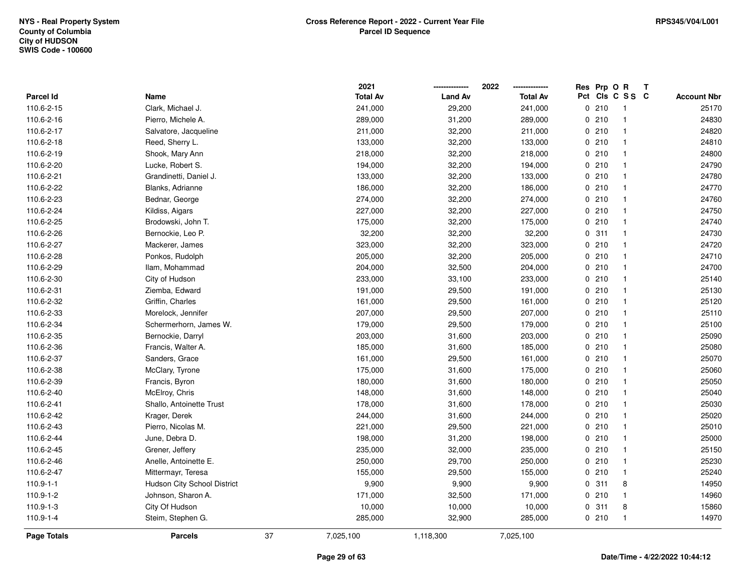|                    |                                    |    | 2021            |                | 2022            | Res | Prp O R |                | Т |                    |
|--------------------|------------------------------------|----|-----------------|----------------|-----------------|-----|---------|----------------|---|--------------------|
| <b>Parcel Id</b>   | Name                               |    | <b>Total Av</b> | <b>Land Av</b> | <b>Total Av</b> | Pct |         | CIs C S S C    |   | <b>Account Nbr</b> |
| 110.6-2-15         | Clark, Michael J.                  |    | 241,000         | 29,200         | 241,000         | 0   | 210     | -1             |   | 25170              |
| 110.6-2-16         | Pierro, Michele A.                 |    | 289,000         | 31,200         | 289,000         | 0   | 210     | $\overline{1}$ |   | 24830              |
| 110.6-2-17         | Salvatore, Jacqueline              |    | 211,000         | 32,200         | 211,000         |     | 0210    | $\mathbf{1}$   |   | 24820              |
| 110.6-2-18         | Reed, Sherry L.                    |    | 133,000         | 32,200         | 133,000         |     | 0210    | -1             |   | 24810              |
| 110.6-2-19         | Shook, Mary Ann                    |    | 218,000         | 32,200         | 218,000         |     | 0210    | $\overline{1}$ |   | 24800              |
| 110.6-2-20         | Lucke, Robert S.                   |    | 194,000         | 32,200         | 194,000         |     | 0210    | -1             |   | 24790              |
| 110.6-2-21         | Grandinetti, Daniel J.             |    | 133,000         | 32,200         | 133,000         |     | 0210    | -1             |   | 24780              |
| 110.6-2-22         | Blanks, Adrianne                   |    | 186,000         | 32,200         | 186,000         |     | 0210    | $\mathbf{1}$   |   | 24770              |
| 110.6-2-23         | Bednar, George                     |    | 274,000         | 32,200         | 274,000         |     | 0210    | $\mathbf{1}$   |   | 24760              |
| 110.6-2-24         | Kildiss, Aigars                    |    | 227,000         | 32,200         | 227,000         |     | 0210    | $\mathbf{1}$   |   | 24750              |
| 110.6-2-25         | Brodowski, John T.                 |    | 175,000         | 32,200         | 175,000         |     | 0210    | $\mathbf{1}$   |   | 24740              |
| 110.6-2-26         | Bernockie, Leo P.                  |    | 32,200          | 32,200         | 32,200          |     | 0.311   | -1             |   | 24730              |
| 110.6-2-27         | Mackerer, James                    |    | 323,000         | 32,200         | 323,000         |     | 0210    |                |   | 24720              |
| 110.6-2-28         | Ponkos, Rudolph                    |    | 205,000         | 32,200         | 205,000         |     | 0210    | $\overline{1}$ |   | 24710              |
| 110.6-2-29         | Ilam, Mohammad                     |    | 204,000         | 32,500         | 204,000         |     | 0210    | $\mathbf{1}$   |   | 24700              |
| 110.6-2-30         | City of Hudson                     |    | 233,000         | 33,100         | 233,000         |     | 0210    | $\mathbf{1}$   |   | 25140              |
| 110.6-2-31         | Ziemba, Edward                     |    | 191,000         | 29,500         | 191,000         |     | 0210    | $\mathbf{1}$   |   | 25130              |
| 110.6-2-32         | Griffin, Charles                   |    | 161,000         | 29,500         | 161,000         |     | 0210    | $\mathbf{1}$   |   | 25120              |
| 110.6-2-33         | Morelock, Jennifer                 |    | 207,000         | 29,500         | 207,000         |     | 0210    | $\mathbf{1}$   |   | 25110              |
| 110.6-2-34         | Schermerhorn, James W.             |    | 179,000         | 29,500         | 179,000         |     | 0210    | $\mathbf{1}$   |   | 25100              |
| 110.6-2-35         | Bernockie, Darryl                  |    | 203,000         | 31,600         | 203,000         |     | 0210    | $\mathbf{1}$   |   | 25090              |
| 110.6-2-36         | Francis, Walter A.                 |    | 185,000         | 31,600         | 185,000         |     | 0210    | -1             |   | 25080              |
| 110.6-2-37         | Sanders, Grace                     |    | 161,000         | 29,500         | 161,000         |     | 0210    | $\overline{1}$ |   | 25070              |
| 110.6-2-38         | McClary, Tyrone                    |    | 175,000         | 31,600         | 175,000         |     | 0210    | $\overline{1}$ |   | 25060              |
| 110.6-2-39         | Francis, Byron                     |    | 180,000         | 31,600         | 180,000         |     | 0210    | $\mathbf{1}$   |   | 25050              |
| 110.6-2-40         | McElroy, Chris                     |    | 148,000         | 31,600         | 148,000         |     | 0210    | -1             |   | 25040              |
| 110.6-2-41         | Shallo, Antoinette Trust           |    | 178,000         | 31,600         | 178,000         |     | 0210    | -1             |   | 25030              |
| 110.6-2-42         | Krager, Derek                      |    | 244,000         | 31,600         | 244,000         |     | 0210    | -1             |   | 25020              |
| 110.6-2-43         | Pierro, Nicolas M.                 |    | 221,000         | 29,500         | 221,000         |     | 0210    | $\mathbf{1}$   |   | 25010              |
| 110.6-2-44         | June, Debra D.                     |    | 198,000         | 31,200         | 198,000         |     | 0210    | $\mathbf{1}$   |   | 25000              |
| 110.6-2-45         | Grener, Jeffery                    |    | 235,000         | 32,000         | 235,000         |     | 0210    | $\mathbf{1}$   |   | 25150              |
| 110.6-2-46         | Anelle, Antoinette E.              |    | 250,000         | 29,700         | 250,000         |     | 0210    | $\mathbf{1}$   |   | 25230              |
| 110.6-2-47         | Mittermayr, Teresa                 |    | 155,000         | 29,500         | 155,000         |     | 0210    | $\mathbf{1}$   |   | 25240              |
| $110.9 - 1 - 1$    | <b>Hudson City School District</b> |    | 9,900           | 9,900          | 9,900           |     | 0.311   | 8              |   | 14950              |
| 110.9-1-2          | Johnson, Sharon A.                 |    | 171,000         | 32,500         | 171,000         |     | 0210    | $\mathbf{1}$   |   | 14960              |
| 110.9-1-3          | City Of Hudson                     |    | 10,000          | 10,000         | 10,000          |     | 0.311   | 8              |   | 15860              |
| $110.9 - 1 - 4$    | Steim, Stephen G.                  |    | 285,000         | 32,900         | 285,000         |     | 0210    | $\overline{1}$ |   | 14970              |
| <b>Page Totals</b> | <b>Parcels</b>                     | 37 | 7,025,100       | 1,118,300      | 7,025,100       |     |         |                |   |                    |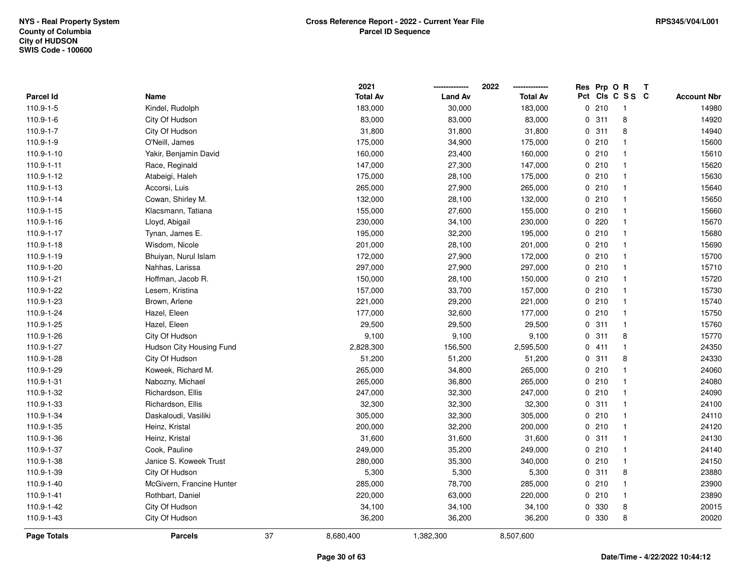|                  |                           |    | 2021            |                | 2022            | Res Prp O R |                 | Т |                    |
|------------------|---------------------------|----|-----------------|----------------|-----------------|-------------|-----------------|---|--------------------|
| <b>Parcel Id</b> | Name                      |    | <b>Total Av</b> | <b>Land Av</b> | <b>Total Av</b> |             | Pct Cls C S S C |   | <b>Account Nbr</b> |
| 110.9-1-5        | Kindel, Rudolph           |    | 183,000         | 30,000         | 183,000         | 0210        | $\overline{1}$  |   | 14980              |
| 110.9-1-6        | City Of Hudson            |    | 83,000          | 83,000         | 83,000          | 0.311       | 8               |   | 14920              |
| 110.9-1-7        | City Of Hudson            |    | 31,800          | 31,800         | 31,800          | 0.311       | 8               |   | 14940              |
| 110.9-1-9        | O'Neill, James            |    | 175,000         | 34,900         | 175,000         | 0210        | -1              |   | 15600              |
| 110.9-1-10       | Yakir, Benjamin David     |    | 160,000         | 23,400         | 160,000         | 0210        | $\mathbf{1}$    |   | 15610              |
| 110.9-1-11       | Race, Reginald            |    | 147,000         | 27,300         | 147,000         | 0210        | $\mathbf{1}$    |   | 15620              |
| 110.9-1-12       | Atabeigi, Haleh           |    | 175,000         | 28,100         | 175,000         | 0210        | $\overline{1}$  |   | 15630              |
| 110.9-1-13       | Accorsi, Luis             |    | 265,000         | 27,900         | 265,000         | 0210        | $\mathbf{1}$    |   | 15640              |
| 110.9-1-14       | Cowan, Shirley M.         |    | 132,000         | 28,100         | 132,000         | 0210        | $\overline{1}$  |   | 15650              |
| 110.9-1-15       | Klacsmann, Tatiana        |    | 155,000         | 27,600         | 155,000         | 0210        | $\overline{1}$  |   | 15660              |
| 110.9-1-16       | Lloyd, Abigail            |    | 230,000         | 34,100         | 230,000         | 0 220       | $\mathbf 1$     |   | 15670              |
| 110.9-1-17       | Tynan, James E.           |    | 195,000         | 32,200         | 195,000         | 0210        | $\mathbf 1$     |   | 15680              |
| 110.9-1-18       | Wisdom, Nicole            |    | 201,000         | 28,100         | 201,000         | 0210        | $\mathbf 1$     |   | 15690              |
| 110.9-1-19       | Bhuiyan, Nurul Islam      |    | 172,000         | 27,900         | 172,000         | 0210        | $\mathbf 1$     |   | 15700              |
| 110.9-1-20       | Nahhas, Larissa           |    | 297,000         | 27,900         | 297,000         | 0210        | $\mathbf{1}$    |   | 15710              |
| 110.9-1-21       | Hoffman, Jacob R.         |    | 150,000         | 28,100         | 150,000         | 0210        | $\overline{1}$  |   | 15720              |
| 110.9-1-22       | Lesem, Kristina           |    | 157,000         | 33,700         | 157,000         | 0210        | $\mathbf{1}$    |   | 15730              |
| 110.9-1-23       | Brown, Arlene             |    | 221,000         | 29,200         | 221,000         | 0210        | $\mathbf{1}$    |   | 15740              |
| 110.9-1-24       | Hazel, Eleen              |    | 177,000         | 32,600         | 177,000         | 0210        | $\mathbf{1}$    |   | 15750              |
| 110.9-1-25       | Hazel, Eleen              |    | 29,500          | 29,500         | 29,500          | 0.311       | $\mathbf{1}$    |   | 15760              |
| 110.9-1-26       | City Of Hudson            |    | 9,100           | 9,100          | 9,100           | 0.311       | 8               |   | 15770              |
| 110.9-1-27       | Hudson City Housing Fund  |    | 2,828,300       | 156,500        | 2,595,500       | 0 411       | $\mathbf{1}$    |   | 24350              |
| 110.9-1-28       | City Of Hudson            |    | 51,200          | 51,200         | 51,200          | 0.311       | 8               |   | 24330              |
| 110.9-1-29       | Koweek, Richard M.        |    | 265,000         | 34,800         | 265,000         | 0210        | $\mathbf{1}$    |   | 24060              |
| 110.9-1-31       | Nabozny, Michael          |    | 265,000         | 36,800         | 265,000         | 0210        | $\mathbf{1}$    |   | 24080              |
| 110.9-1-32       | Richardson, Ellis         |    | 247,000         | 32,300         | 247,000         | 0210        | $\mathbf{1}$    |   | 24090              |
| 110.9-1-33       | Richardson, Ellis         |    | 32,300          | 32,300         | 32,300          | 0.311       | $\mathbf 1$     |   | 24100              |
| 110.9-1-34       | Daskaloudi, Vasiliki      |    | 305,000         | 32,300         | 305,000         | 0210        | $\mathbf{1}$    |   | 24110              |
| 110.9-1-35       | Heinz, Kristal            |    | 200,000         | 32,200         | 200,000         | 0210        | $\mathbf{1}$    |   | 24120              |
| 110.9-1-36       | Heinz, Kristal            |    | 31,600          | 31,600         | 31,600          | 0.311       | $\mathbf{1}$    |   | 24130              |
| 110.9-1-37       | Cook, Pauline             |    | 249,000         | 35,200         | 249,000         | 0210        | $\overline{1}$  |   | 24140              |
| 110.9-1-38       | Janice S. Koweek Trust    |    | 280,000         | 35,300         | 340,000         | 0210        | $\mathbf{1}$    |   | 24150              |
| 110.9-1-39       | City Of Hudson            |    | 5,300           | 5,300          | 5,300           | 0.311       | 8               |   | 23880              |
| 110.9-1-40       | McGivern, Francine Hunter |    | 285,000         | 78,700         | 285,000         | 0210        | $\mathbf{1}$    |   | 23900              |
| 110.9-1-41       | Rothbart, Daniel          |    | 220,000         | 63,000         | 220,000         | 0210        | $\mathbf{1}$    |   | 23890              |
| 110.9-1-42       | City Of Hudson            |    | 34,100          | 34,100         | 34,100          | 0 330       | 8               |   | 20015              |
| 110.9-1-43       | City Of Hudson            |    | 36,200          | 36,200         | 36,200          | 0 330       | 8               |   | 20020              |
| Page Totals      | <b>Parcels</b>            | 37 | 8,680,400       | 1,382,300      | 8,507,600       |             |                 |   |                    |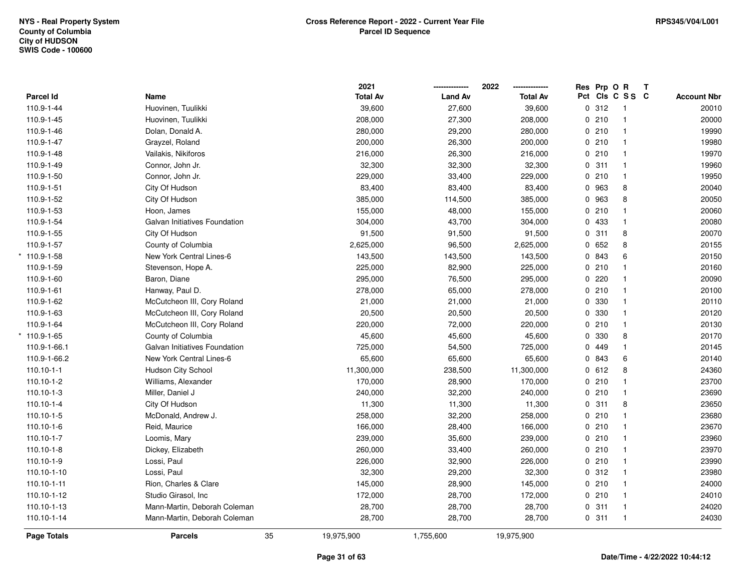|                  |                               |    | 2021            |                | 2022            | Res Prp O R |                 | Т |                    |
|------------------|-------------------------------|----|-----------------|----------------|-----------------|-------------|-----------------|---|--------------------|
| Parcel Id        | Name                          |    | <b>Total Av</b> | <b>Land Av</b> | <b>Total Av</b> |             | Pct Cls C S S C |   | <b>Account Nbr</b> |
| 110.9-1-44       | Huovinen, Tuulikki            |    | 39,600          | 27,600         | 39,600          | 0.312       | -1              |   | 20010              |
| 110.9-1-45       | Huovinen, Tuulikki            |    | 208,000         | 27,300         | 208,000         | 0210        | $\overline{1}$  |   | 20000              |
| 110.9-1-46       | Dolan, Donald A.              |    | 280,000         | 29,200         | 280,000         | 0210        | $\overline{1}$  |   | 19990              |
| 110.9-1-47       | Grayzel, Roland               |    | 200,000         | 26,300         | 200,000         | 0210        | $\mathbf{1}$    |   | 19980              |
| 110.9-1-48       | Vailakis, Nikiforos           |    | 216,000         | 26,300         | 216,000         | 0210        | $\mathbf{1}$    |   | 19970              |
| 110.9-1-49       | Connor, John Jr.              |    | 32,300          | 32,300         | 32,300          | 0.311       | $\mathbf{1}$    |   | 19960              |
| 110.9-1-50       | Connor, John Jr.              |    | 229,000         | 33,400         | 229,000         | 0210        | $\overline{1}$  |   | 19950              |
| 110.9-1-51       | City Of Hudson                |    | 83,400          | 83,400         | 83,400          | 0 963       | 8               |   | 20040              |
| 110.9-1-52       | City Of Hudson                |    | 385,000         | 114,500        | 385,000         | 0 963       | 8               |   | 20050              |
| 110.9-1-53       | Hoon, James                   |    | 155,000         | 48,000         | 155,000         | 0210        | $\mathbf{1}$    |   | 20060              |
| 110.9-1-54       | Galvan Initiatives Foundation |    | 304,000         | 43,700         | 304,000         | 0 433       | $\mathbf{1}$    |   | 20080              |
| 110.9-1-55       | City Of Hudson                |    | 91,500          | 91,500         | 91,500          | 0.311       | 8               |   | 20070              |
| 110.9-1-57       | County of Columbia            |    | 2,625,000       | 96,500         | 2,625,000       | 0 652       | 8               |   | 20155              |
| $*$ 110.9-1-58   | New York Central Lines-6      |    | 143,500         | 143,500        | 143,500         | 0 843       | 6               |   | 20150              |
| 110.9-1-59       | Stevenson, Hope A.            |    | 225,000         | 82,900         | 225,000         | 0210        | $\mathbf{1}$    |   | 20160              |
| 110.9-1-60       | Baron, Diane                  |    | 295,000         | 76,500         | 295,000         | 0220        | $\overline{1}$  |   | 20090              |
| 110.9-1-61       | Hanway, Paul D.               |    | 278,000         | 65,000         | 278,000         | 0210        | $\overline{1}$  |   | 20100              |
| 110.9-1-62       | McCutcheon III, Cory Roland   |    | 21,000          | 21,000         | 21,000          | 0 330       | $\mathbf{1}$    |   | 20110              |
| 110.9-1-63       | McCutcheon III, Cory Roland   |    | 20,500          | 20,500         | 20,500          | 0 330       | $\mathbf{1}$    |   | 20120              |
| 110.9-1-64       | McCutcheon III, Cory Roland   |    | 220,000         | 72,000         | 220,000         | 0210        | $\overline{1}$  |   | 20130              |
| $*$ 110.9-1-65   | County of Columbia            |    | 45,600          | 45,600         | 45,600          | 0 330       | 8               |   | 20170              |
| 110.9-1-66.1     | Galvan Initiatives Foundation |    | 725,000         | 54,500         | 725,000         | 0 449       | $\mathbf{1}$    |   | 20145              |
| 110.9-1-66.2     | New York Central Lines-6      |    | 65,600          | 65,600         | 65,600          | 0 843       | 6               |   | 20140              |
| $110.10 - 1 - 1$ | Hudson City School            |    | 11,300,000      | 238,500        | 11,300,000      | 0 612       | 8               |   | 24360              |
| 110.10-1-2       | Williams, Alexander           |    | 170,000         | 28,900         | 170,000         | 0210        | $\mathbf{1}$    |   | 23700              |
| 110.10-1-3       | Miller, Daniel J              |    | 240,000         | 32,200         | 240,000         | 0210        | -1              |   | 23690              |
| 110.10-1-4       | City Of Hudson                |    | 11,300          | 11,300         | 11,300          | 0.311       | 8               |   | 23650              |
| 110.10-1-5       | McDonald, Andrew J.           |    | 258,000         | 32,200         | 258,000         | 0210        | $\overline{1}$  |   | 23680              |
| 110.10-1-6       | Reid, Maurice                 |    | 166,000         | 28,400         | 166,000         | 0210        | $\mathbf{1}$    |   | 23670              |
| $110.10 - 1 - 7$ | Loomis, Mary                  |    | 239,000         | 35,600         | 239,000         | 0210        | $\overline{1}$  |   | 23960              |
| 110.10-1-8       | Dickey, Elizabeth             |    | 260,000         | 33,400         | 260,000         | 0210        | $\overline{1}$  |   | 23970              |
| 110.10-1-9       | Lossi, Paul                   |    | 226,000         | 32,900         | 226,000         | 0210        | $\overline{1}$  |   | 23990              |
| 110.10-1-10      | Lossi, Paul                   |    | 32,300          | 29,200         | 32,300          | 0.312       | $\overline{1}$  |   | 23980              |
| 110.10-1-11      | Rion, Charles & Clare         |    | 145,000         | 28,900         | 145,000         | 0210        | $\overline{1}$  |   | 24000              |
| 110.10-1-12      | Studio Girasol, Inc           |    | 172,000         | 28,700         | 172,000         | 0210        | $\mathbf{1}$    |   | 24010              |
| 110.10-1-13      | Mann-Martin, Deborah Coleman  |    | 28,700          | 28,700         | 28,700          | 0.311       | $\overline{1}$  |   | 24020              |
| 110.10-1-14      | Mann-Martin, Deborah Coleman  |    | 28,700          | 28,700         | 28,700          | 0.311       | $\overline{1}$  |   | 24030              |
| Page Totals      | <b>Parcels</b>                | 35 | 19,975,900      | 1,755,600      | 19,975,900      |             |                 |   |                    |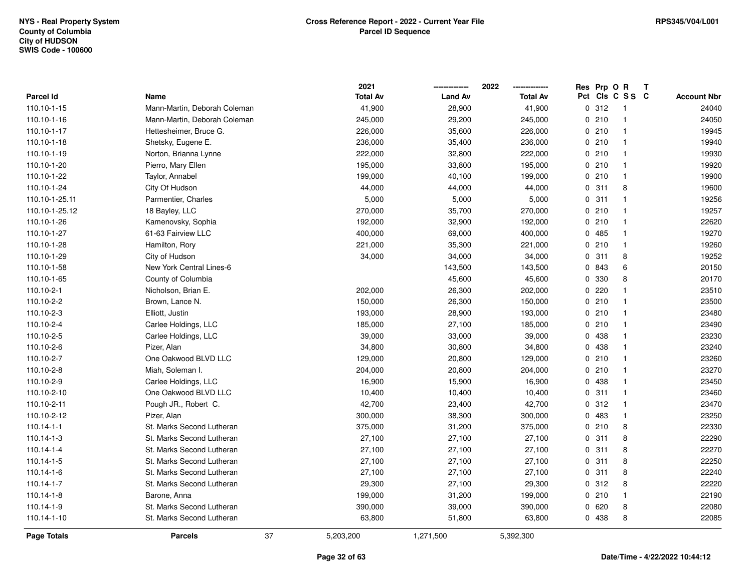|                  |                              |    | 2021            |                | 2022            |   | Res Prp O R |                 | Т |                    |
|------------------|------------------------------|----|-----------------|----------------|-----------------|---|-------------|-----------------|---|--------------------|
| Parcel Id        | Name                         |    | <b>Total Av</b> | <b>Land Av</b> | <b>Total Av</b> |   |             | Pct Cls C S S C |   | <b>Account Nbr</b> |
| 110.10-1-15      | Mann-Martin, Deborah Coleman |    | 41,900          | 28,900         | 41,900          |   | 0.312       | -1              |   | 24040              |
| 110.10-1-16      | Mann-Martin, Deborah Coleman |    | 245,000         | 29,200         | 245,000         | 0 | 210         | $\overline{1}$  |   | 24050              |
| 110.10-1-17      | Hettesheimer, Bruce G.       |    | 226,000         | 35,600         | 226,000         |   | 0210        | $\mathbf{1}$    |   | 19945              |
| 110.10-1-18      | Shetsky, Eugene E.           |    | 236,000         | 35,400         | 236,000         |   | 0210        | $\overline{1}$  |   | 19940              |
| 110.10-1-19      | Norton, Brianna Lynne        |    | 222,000         | 32,800         | 222,000         |   | 0210        | -1              |   | 19930              |
| 110.10-1-20      | Pierro, Mary Ellen           |    | 195,000         | 33,800         | 195,000         |   | 0210        | $\overline{1}$  |   | 19920              |
| 110.10-1-22      | Taylor, Annabel              |    | 199,000         | 40,100         | 199,000         |   | 0210        | $\mathbf{1}$    |   | 19900              |
| 110.10-1-24      | City Of Hudson               |    | 44,000          | 44,000         | 44,000          | 0 | 311         | 8               |   | 19600              |
| 110.10-1-25.11   | Parmentier, Charles          |    | 5,000           | 5,000          | 5,000           | 0 | 311         | $\mathbf{1}$    |   | 19256              |
| 110.10-1-25.12   | 18 Bayley, LLC               |    | 270,000         | 35,700         | 270,000         |   | 0210        | $\mathbf{1}$    |   | 19257              |
| 110.10-1-26      | Kamenovsky, Sophia           |    | 192,000         | 32,900         | 192,000         |   | 0210        | -1              |   | 22620              |
| 110.10-1-27      | 61-63 Fairview LLC           |    | 400,000         | 69,000         | 400,000         |   | 0 485       | 1               |   | 19270              |
| 110.10-1-28      | Hamilton, Rory               |    | 221,000         | 35,300         | 221,000         |   | 0210        | $\mathbf 1$     |   | 19260              |
| 110.10-1-29      | City of Hudson               |    | 34,000          | 34,000         | 34,000          |   | 0.311       | 8               |   | 19252              |
| 110.10-1-58      | New York Central Lines-6     |    |                 | 143,500        | 143,500         | 0 | 843         | 6               |   | 20150              |
| 110.10-1-65      | County of Columbia           |    |                 | 45,600         | 45,600          | 0 | 330         | 8               |   | 20170              |
| 110.10-2-1       | Nicholson, Brian E.          |    | 202,000         | 26,300         | 202,000         | 0 | 220         | $\mathbf{1}$    |   | 23510              |
| 110.10-2-2       | Brown, Lance N.              |    | 150,000         | 26,300         | 150,000         |   | 0210        | -1              |   | 23500              |
| 110.10-2-3       | Elliott, Justin              |    | 193,000         | 28,900         | 193,000         |   | 0210        | $\mathbf 1$     |   | 23480              |
| 110.10-2-4       | Carlee Holdings, LLC         |    | 185,000         | 27,100         | 185,000         |   | 0210        | 1               |   | 23490              |
| 110.10-2-5       | Carlee Holdings, LLC         |    | 39,000          | 33,000         | 39,000          |   | 0 438       | 1               |   | 23230              |
| 110.10-2-6       | Pizer, Alan                  |    | 34,800          | 30,800         | 34,800          |   | 0 438       | -1              |   | 23240              |
| 110.10-2-7       | One Oakwood BLVD LLC         |    | 129,000         | 20,800         | 129,000         |   | 0210        | $\overline{1}$  |   | 23260              |
| 110.10-2-8       | Miah, Soleman I.             |    | 204,000         | 20,800         | 204,000         |   | 0210        | $\mathbf{1}$    |   | 23270              |
| 110.10-2-9       | Carlee Holdings, LLC         |    | 16,900          | 15,900         | 16,900          |   | 0 438       | $\mathbf{1}$    |   | 23450              |
| 110.10-2-10      | One Oakwood BLVD LLC         |    | 10,400          | 10,400         | 10,400          |   | 0.311       | -1              |   | 23460              |
| 110.10-2-11      | Pough JR., Robert C.         |    | 42,700          | 23,400         | 42,700          |   | 0.312       | -1              |   | 23470              |
| 110.10-2-12      | Pizer, Alan                  |    | 300,000         | 38,300         | 300,000         |   | 0483        | 1               |   | 23250              |
| $110.14 - 1 - 1$ | St. Marks Second Lutheran    |    | 375,000         | 31,200         | 375,000         |   | 0210        | 8               |   | 22330              |
| 110.14-1-3       | St. Marks Second Lutheran    |    | 27,100          | 27,100         | 27,100          | 0 | 311         | 8               |   | 22290              |
| 110.14-1-4       | St. Marks Second Lutheran    |    | 27,100          | 27,100         | 27,100          | 0 | 311         | 8               |   | 22270              |
| 110.14-1-5       | St. Marks Second Lutheran    |    | 27,100          | 27,100         | 27,100          |   | 0.311       | 8               |   | 22250              |
| 110.14-1-6       | St. Marks Second Lutheran    |    | 27,100          | 27,100         | 27,100          |   | 0.311       | 8               |   | 22240              |
| 110.14-1-7       | St. Marks Second Lutheran    |    | 29,300          | 27,100         | 29,300          |   | 0.312       | 8               |   | 22220              |
| $110.14 - 1 - 8$ | Barone, Anna                 |    | 199,000         | 31,200         | 199,000         |   | 0210        | $\mathbf{1}$    |   | 22190              |
| 110.14-1-9       | St. Marks Second Lutheran    |    | 390,000         | 39,000         | 390,000         |   | 0620        | 8               |   | 22080              |
| 110.14-1-10      | St. Marks Second Lutheran    |    | 63,800          | 51,800         | 63,800          |   | 0 438       | 8               |   | 22085              |
| Page Totals      | <b>Parcels</b>               | 37 | 5,203,200       | 1,271,500      | 5,392,300       |   |             |                 |   |                    |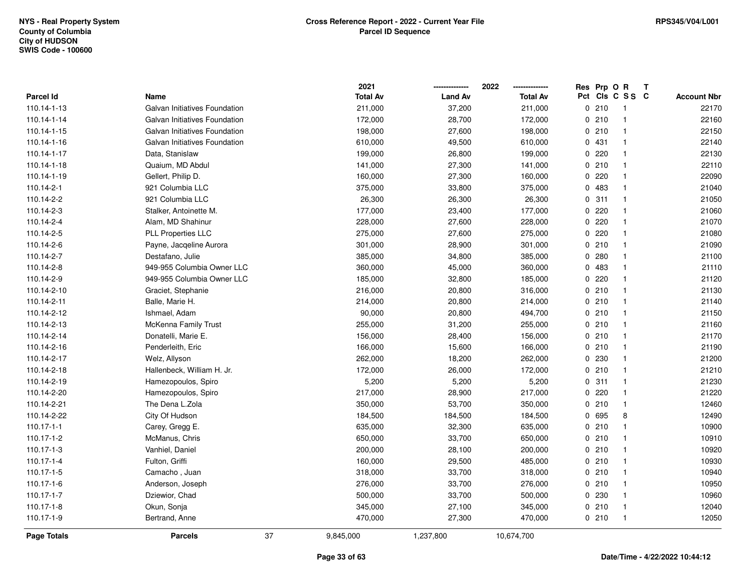|                  |                               |    | 2021            |                | 2022            |     | Res Prp O R |                | Т |                    |
|------------------|-------------------------------|----|-----------------|----------------|-----------------|-----|-------------|----------------|---|--------------------|
| <b>Parcel Id</b> | Name                          |    | <b>Total Av</b> | <b>Land Av</b> | <b>Total Av</b> | Pct |             | CIS C S S C    |   | <b>Account Nbr</b> |
| 110.14-1-13      | Galvan Initiatives Foundation |    | 211,000         | 37,200         | 211,000         |     | 0210        | -1             |   | 22170              |
| 110.14-1-14      | Galvan Initiatives Foundation |    | 172,000         | 28,700         | 172,000         | 0   | 210         | $\overline{1}$ |   | 22160              |
| 110.14-1-15      | Galvan Initiatives Foundation |    | 198,000         | 27,600         | 198,000         |     | 0210        | $\mathbf{1}$   |   | 22150              |
| 110.14-1-16      | Galvan Initiatives Foundation |    | 610,000         | 49,500         | 610,000         |     | 0 431       | -1             |   | 22140              |
| 110.14-1-17      | Data, Stanislaw               |    | 199,000         | 26,800         | 199,000         |     | 0220        | -1             |   | 22130              |
| 110.14-1-18      | Quaium, MD Abdul              |    | 141,000         | 27,300         | 141,000         |     | 0210        | -1             |   | 22110              |
| 110.14-1-19      | Gellert, Philip D.            |    | 160,000         | 27,300         | 160,000         |     | 0.220       | $\mathbf{1}$   |   | 22090              |
| 110.14-2-1       | 921 Columbia LLC              |    | 375,000         | 33,800         | 375,000         | 0   | 483         | $\overline{1}$ |   | 21040              |
| 110.14-2-2       | 921 Columbia LLC              |    | 26,300          | 26,300         | 26,300          | 0   | 311         | $\overline{1}$ |   | 21050              |
| 110.14-2-3       | Stalker, Antoinette M.        |    | 177,000         | 23,400         | 177,000         |     | 0220        | $\mathbf{1}$   |   | 21060              |
| 110.14-2-4       | Alam, MD Shahinur             |    | 228,000         | 27,600         | 228,000         |     | 0.220       | -1             |   | 21070              |
| 110.14-2-5       | <b>PLL Properties LLC</b>     |    | 275,000         | 27,600         | 275,000         |     | 0.220       | -1             |   | 21080              |
| 110.14-2-6       | Payne, Jacqeline Aurora       |    | 301,000         | 28,900         | 301,000         |     | 0210        | -1             |   | 21090              |
| 110.14-2-7       | Destafano, Julie              |    | 385,000         | 34,800         | 385,000         |     | 0.280       | -1             |   | 21100              |
| 110.14-2-8       | 949-955 Columbia Owner LLC    |    | 360,000         | 45,000         | 360,000         |     | 0 483       | $\overline{1}$ |   | 21110              |
| 110.14-2-9       | 949-955 Columbia Owner LLC    |    | 185,000         | 32,800         | 185,000         | 0   | 220         | $\mathbf{1}$   |   | 21120              |
| 110.14-2-10      | Graciet, Stephanie            |    | 216,000         | 20,800         | 316,000         |     | 0210        | $\mathbf{1}$   |   | 21130              |
| 110.14-2-11      | Balle, Marie H.               |    | 214,000         | 20,800         | 214,000         |     | 0210        | $\mathbf{1}$   |   | 21140              |
| 110.14-2-12      | Ishmael, Adam                 |    | 90,000          | 20,800         | 494,700         |     | 0210        | -1             |   | 21150              |
| 110.14-2-13      | McKenna Family Trust          |    | 255,000         | 31,200         | 255,000         |     | 0210        | -1             |   | 21160              |
| 110.14-2-14      | Donatelli, Marie E.           |    | 156,000         | 28,400         | 156,000         |     | 0210        | $\mathbf{1}$   |   | 21170              |
| 110.14-2-16      | Penderleith, Eric             |    | 166,000         | 15,600         | 166,000         |     | 0210        | -1             |   | 21190              |
| 110.14-2-17      | Welz, Allyson                 |    | 262,000         | 18,200         | 262,000         |     | 0 230       | $\mathbf{1}$   |   | 21200              |
| 110.14-2-18      | Hallenbeck, William H. Jr.    |    | 172,000         | 26,000         | 172,000         | 0   | 210         | $\mathbf{1}$   |   | 21210              |
| 110.14-2-19      | Hamezopoulos, Spiro           |    | 5,200           | 5,200          | 5,200           |     | 0.311       | $\mathbf{1}$   |   | 21230              |
| 110.14-2-20      | Hamezopoulos, Spiro           |    | 217,000         | 28,900         | 217,000         |     | $0$ 220     | -1             |   | 21220              |
| 110.14-2-21      | The Dena L.Zola               |    | 350,000         | 53,700         | 350,000         |     | 0210        | -1             |   | 12460              |
| 110.14-2-22      | City Of Hudson                |    | 184,500         | 184,500        | 184,500         |     | 0 695       | 8              |   | 12490              |
| 110.17-1-1       | Carey, Gregg E.               |    | 635,000         | 32,300         | 635,000         |     | 0210        | $\mathbf{1}$   |   | 10900              |
| 110.17-1-2       | McManus, Chris                |    | 650,000         | 33,700         | 650,000         |     | 0210        | $\mathbf{1}$   |   | 10910              |
| 110.17-1-3       | Vanhiel, Daniel               |    | 200,000         | 28,100         | 200,000         |     | 0210        | $\mathbf{1}$   |   | 10920              |
| 110.17-1-4       | Fulton, Griffi                |    | 160,000         | 29,500         | 485,000         |     | 0210        | $\mathbf{1}$   |   | 10930              |
| 110.17-1-5       | Camacho, Juan                 |    | 318,000         | 33,700         | 318,000         |     | 0210        | $\mathbf{1}$   |   | 10940              |
| 110.17-1-6       | Anderson, Joseph              |    | 276,000         | 33,700         | 276,000         |     | 0210        | $\overline{1}$ |   | 10950              |
| 110.17-1-7       | Dziewior, Chad                |    | 500,000         | 33,700         | 500,000         |     | 0 230       | -1             |   | 10960              |
| 110.17-1-8       | Okun, Sonja                   |    | 345,000         | 27,100         | 345,000         |     | 0210        | -1             |   | 12040              |
| 110.17-1-9       | Bertrand, Anne                |    | 470,000         | 27,300         | 470,000         |     | 0210        | $\overline{1}$ |   | 12050              |
| Page Totals      | <b>Parcels</b>                | 37 | 9,845,000       | 1,237,800      | 10,674,700      |     |             |                |   |                    |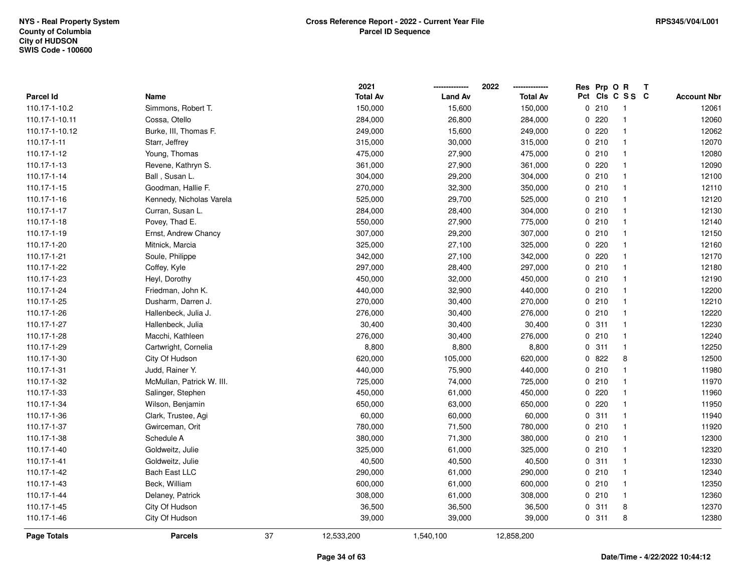|                    |                           |    | 2021            |                | 2022            | Res Prp O R |                 | T |                    |
|--------------------|---------------------------|----|-----------------|----------------|-----------------|-------------|-----------------|---|--------------------|
| <b>Parcel Id</b>   | Name                      |    | <b>Total Av</b> | <b>Land Av</b> | <b>Total Av</b> |             | Pct Cls C S S C |   | <b>Account Nbr</b> |
| 110.17-1-10.2      | Simmons, Robert T.        |    | 150,000         | 15,600         | 150,000         | 0210        | -1              |   | 12061              |
| 110.17-1-10.11     | Cossa, Otello             |    | 284,000         | 26,800         | 284,000         | 0220        | $\mathbf{1}$    |   | 12060              |
| 110.17-1-10.12     | Burke, III, Thomas F.     |    | 249,000         | 15,600         | 249,000         | 0.220       | 1               |   | 12062              |
| 110.17-1-11        | Starr, Jeffrey            |    | 315,000         | 30,000         | 315,000         | 0210        | $\mathbf{1}$    |   | 12070              |
| 110.17-1-12        | Young, Thomas             |    | 475,000         | 27,900         | 475,000         | 0210        | 1               |   | 12080              |
| 110.17-1-13        | Revene, Kathryn S.        |    | 361,000         | 27,900         | 361,000         | 0.220       | 1               |   | 12090              |
| 110.17-1-14        | Ball, Susan L.            |    | 304,000         | 29,200         | 304,000         | 0210        | 1               |   | 12100              |
| 110.17-1-15        | Goodman, Hallie F.        |    | 270,000         | 32,300         | 350,000         | 0210        | $\mathbf{1}$    |   | 12110              |
| 110.17-1-16        | Kennedy, Nicholas Varela  |    | 525,000         | 29,700         | 525,000         | 0210        | $\mathbf{1}$    |   | 12120              |
| 110.17-1-17        | Curran, Susan L.          |    | 284,000         | 28,400         | 304,000         | 0210        | $\mathbf{1}$    |   | 12130              |
| 110.17-1-18        | Povey, Thad E.            |    | 550,000         | 27,900         | 775,000         | 0210        | $\mathbf{1}$    |   | 12140              |
| 110.17-1-19        | Ernst, Andrew Chancy      |    | 307,000         | 29,200         | 307,000         | 0210        | $\mathbf{1}$    |   | 12150              |
| 110.17-1-20        | Mitnick, Marcia           |    | 325,000         | 27,100         | 325,000         | 0.220       | 1               |   | 12160              |
| 110.17-1-21        | Soule, Philippe           |    | 342,000         | 27,100         | 342,000         | $0$ 220     | 1               |   | 12170              |
| 110.17-1-22        | Coffey, Kyle              |    | 297,000         | 28,400         | 297,000         | 0210        | $\mathbf{1}$    |   | 12180              |
| 110.17-1-23        | Heyl, Dorothy             |    | 450,000         | 32,000         | 450,000         | 0210        | $\mathbf{1}$    |   | 12190              |
| 110.17-1-24        | Friedman, John K.         |    | 440,000         | 32,900         | 440,000         | 0210        | $\mathbf{1}$    |   | 12200              |
| 110.17-1-25        | Dusharm, Darren J.        |    | 270,000         | 30,400         | 270,000         | 0210        | $\mathbf{1}$    |   | 12210              |
| 110.17-1-26        | Hallenbeck, Julia J.      |    | 276,000         | 30,400         | 276,000         | 0210        | 1               |   | 12220              |
| 110.17-1-27        | Hallenbeck, Julia         |    | 30,400          | 30,400         | 30,400          | 0.311       | $\mathbf{1}$    |   | 12230              |
| 110.17-1-28        | Macchi, Kathleen          |    | 276,000         | 30,400         | 276,000         | 0210        | 1               |   | 12240              |
| 110.17-1-29        | Cartwright, Cornelia      |    | 8,800           | 8,800          | 8,800           | 0.311       | $\mathbf 1$     |   | 12250              |
| 110.17-1-30        | City Of Hudson            |    | 620,000         | 105,000        | 620,000         | 0822        | 8               |   | 12500              |
| 110.17-1-31        | Judd, Rainer Y.           |    | 440,000         | 75,900         | 440,000         | 0210        | $\mathbf{1}$    |   | 11980              |
| 110.17-1-32        | McMullan, Patrick W. III. |    | 725,000         | 74,000         | 725,000         | 0210        | $\mathbf{1}$    |   | 11970              |
| 110.17-1-33        | Salinger, Stephen         |    | 450,000         | 61,000         | 450,000         | 0.220       | 1               |   | 11960              |
| 110.17-1-34        | Wilson, Benjamin          |    | 650,000         | 63,000         | 650,000         | 0.220       | $\mathbf{1}$    |   | 11950              |
| 110.17-1-36        | Clark, Trustee, Agi       |    | 60,000          | 60,000         | 60,000          | 0.311       | $\mathbf{1}$    |   | 11940              |
| 110.17-1-37        | Gwirceman, Orit           |    | 780,000         | 71,500         | 780,000         | 0210        | $\mathbf{1}$    |   | 11920              |
| 110.17-1-38        | Schedule A                |    | 380,000         | 71,300         | 380,000         | 0210        | $\mathbf{1}$    |   | 12300              |
| 110.17-1-40        | Goldweitz, Julie          |    | 325,000         | 61,000         | 325,000         | 0210        | $\mathbf{1}$    |   | 12320              |
| 110.17-1-41        | Goldweitz, Julie          |    | 40,500          | 40,500         | 40,500          | 0.311       | $\mathbf{1}$    |   | 12330              |
| 110.17-1-42        | Bach East LLC             |    | 290,000         | 61,000         | 290,000         | 0210        | $\mathbf{1}$    |   | 12340              |
| 110.17-1-43        | Beck, William             |    | 600,000         | 61,000         | 600,000         | 0210        | 1               |   | 12350              |
| 110.17-1-44        | Delaney, Patrick          |    | 308,000         | 61,000         | 308,000         | 0210        | 1               |   | 12360              |
| 110.17-1-45        | City Of Hudson            |    | 36,500          | 36,500         | 36,500          | 0.311       | 8               |   | 12370              |
| 110.17-1-46        | City Of Hudson            |    | 39,000          | 39,000         | 39,000          | 0.311       | 8               |   | 12380              |
| <b>Page Totals</b> | <b>Parcels</b>            | 37 | 12,533,200      | 1,540,100      | 12,858,200      |             |                 |   |                    |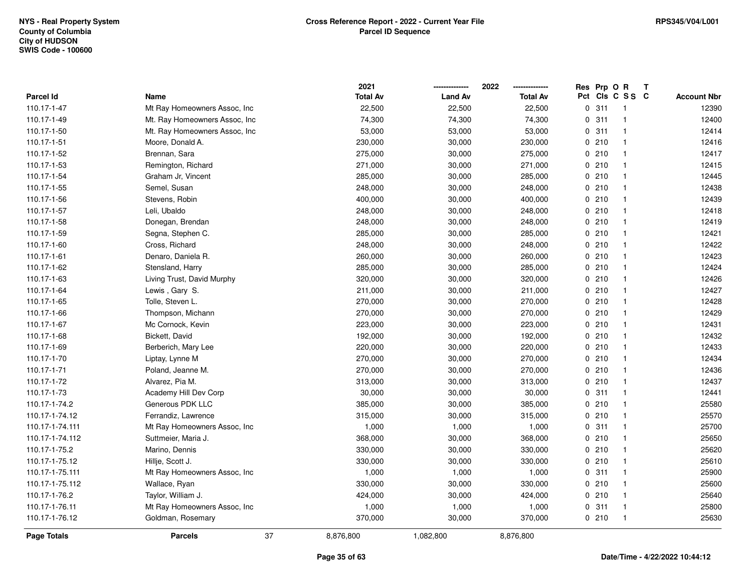|                  |                                | 2021            |                | 2022            |             | Res Prp O R |                         | Т |                    |
|------------------|--------------------------------|-----------------|----------------|-----------------|-------------|-------------|-------------------------|---|--------------------|
| <b>Parcel Id</b> | Name                           | <b>Total Av</b> | <b>Land Av</b> | <b>Total Av</b> | Pct         |             | CIS C S S C             |   | <b>Account Nbr</b> |
| 110.17-1-47      | Mt Ray Homeowners Assoc, Inc.  | 22,500          | 22,500         | 22,500          | $\mathbf 0$ | 311         | -1                      |   | 12390              |
| 110.17-1-49      | Mt. Ray Homeowners Assoc, Inc. | 74,300          | 74,300         | 74,300          | 0           | 311         | $\overline{\mathbf{1}}$ |   | 12400              |
| 110.17-1-50      | Mt. Ray Homeowners Assoc, Inc  | 53,000          | 53,000         | 53,000          |             | 0.311       | $\mathbf{1}$            |   | 12414              |
| 110.17-1-51      | Moore, Donald A.               | 230,000         | 30,000         | 230,000         |             | 0210        | -1                      |   | 12416              |
| 110.17-1-52      | Brennan, Sara                  | 275,000         | 30,000         | 275,000         |             | 0210        | $\mathbf{1}$            |   | 12417              |
| 110.17-1-53      | Remington, Richard             | 271,000         | 30,000         | 271,000         |             | 0210        | -1                      |   | 12415              |
| 110.17-1-54      | Graham Jr, Vincent             | 285,000         | 30,000         | 285,000         |             | 0210        | $\mathbf{1}$            |   | 12445              |
| 110.17-1-55      | Semel, Susan                   | 248,000         | 30,000         | 248,000         |             | 0210        | $\mathbf{1}$            |   | 12438              |
| 110.17-1-56      | Stevens, Robin                 | 400,000         | 30,000         | 400,000         |             | 0210        | $\mathbf{1}$            |   | 12439              |
| 110.17-1-57      | Leli, Ubaldo                   | 248,000         | 30,000         | 248,000         |             | 0210        | $\mathbf{1}$            |   | 12418              |
| 110.17-1-58      | Donegan, Brendan               | 248,000         | 30,000         | 248,000         |             | 0210        | $\mathbf{1}$            |   | 12419              |
| 110.17-1-59      | Segna, Stephen C.              | 285,000         | 30,000         | 285,000         |             | 0210        | $\mathbf 1$             |   | 12421              |
| 110.17-1-60      | Cross, Richard                 | 248,000         | 30,000         | 248,000         |             | 0210        |                         |   | 12422              |
| 110.17-1-61      | Denaro, Daniela R.             | 260,000         | 30,000         | 260,000         |             | 0210        | $\mathbf{1}$            |   | 12423              |
| 110.17-1-62      | Stensland, Harry               | 285,000         | 30,000         | 285,000         |             | 0210        | $\mathbf{1}$            |   | 12424              |
| 110.17-1-63      | Living Trust, David Murphy     | 320,000         | 30,000         | 320,000         |             | 0210        | $\mathbf{1}$            |   | 12426              |
| 110.17-1-64      | Lewis, Gary S.                 | 211,000         | 30,000         | 211,000         |             | 0210        | $\mathbf{1}$            |   | 12427              |
| 110.17-1-65      | Tolle, Steven L.               | 270,000         | 30,000         | 270,000         |             | 0210        | $\mathbf{1}$            |   | 12428              |
| 110.17-1-66      | Thompson, Michann              | 270,000         | 30,000         | 270,000         |             | 0210        | $\mathbf{1}$            |   | 12429              |
| 110.17-1-67      | Mc Cornock, Kevin              | 223,000         | 30,000         | 223,000         |             | 0210        | -1                      |   | 12431              |
| 110.17-1-68      | Bickett, David                 | 192,000         | 30,000         | 192,000         |             | 0210        | $\mathbf{1}$            |   | 12432              |
| 110.17-1-69      | Berberich, Mary Lee            | 220,000         | 30,000         | 220,000         |             | 0210        | -1                      |   | 12433              |
| 110.17-1-70      | Liptay, Lynne M                | 270,000         | 30,000         | 270,000         |             | 0210        | $\mathbf{1}$            |   | 12434              |
| 110.17-1-71      | Poland, Jeanne M.              | 270,000         | 30,000         | 270,000         |             | 0210        | $\mathbf{1}$            |   | 12436              |
| 110.17-1-72      | Alvarez, Pia M.                | 313,000         | 30,000         | 313,000         |             | 0210        | $\mathbf{1}$            |   | 12437              |
| 110.17-1-73      | Academy Hill Dev Corp          | 30,000          | 30,000         | 30,000          |             | 0.311       | $\mathbf{1}$            |   | 12441              |
| 110.17-1-74.2    | Generous PDK LLC               | 385,000         | 30,000         | 385,000         |             | 0210        | -1                      |   | 25580              |
| 110.17-1-74.12   | Ferrandiz, Lawrence            | 315,000         | 30,000         | 315,000         |             | 0210        | $\mathbf{1}$            |   | 25570              |
| 110.17-1-74.111  | Mt Ray Homeowners Assoc, Inc.  | 1,000           | 1,000          | 1,000           |             | 0.311       | -1                      |   | 25700              |
| 110.17-1-74.112  | Suttmeier, Maria J.            | 368,000         | 30,000         | 368,000         |             | 0210        | $\mathbf{1}$            |   | 25650              |
| 110.17-1-75.2    | Marino, Dennis                 | 330,000         | 30,000         | 330,000         |             | 0210        | $\mathbf{1}$            |   | 25620              |
| 110.17-1-75.12   | Hillje, Scott J.               | 330,000         | 30,000         | 330,000         |             | 0210        | $\mathbf{1}$            |   | 25610              |
| 110.17-1-75.111  | Mt Ray Homeowners Assoc, Inc.  | 1,000           | 1,000          | 1,000           |             | 0.311       | $\mathbf{1}$            |   | 25900              |
| 110.17-1-75.112  | Wallace, Ryan                  | 330,000         | 30,000         | 330,000         |             | 0210        | $\mathbf{1}$            |   | 25600              |
| 110.17-1-76.2    | Taylor, William J.             | 424,000         | 30,000         | 424,000         |             | 0210        | $\mathbf{1}$            |   | 25640              |
| 110.17-1-76.11   | Mt Ray Homeowners Assoc, Inc.  | 1,000           | 1,000          | 1,000           |             | 0.311       | -1                      |   | 25800              |
| 110.17-1-76.12   | Goldman, Rosemary              | 370,000         | 30,000         | 370,000         |             | 0210        | $\mathbf{1}$            |   | 25630              |
| Page Totals      | <b>Parcels</b>                 | 37<br>8,876,800 | 1,082,800      | 8,876,800       |             |             |                         |   |                    |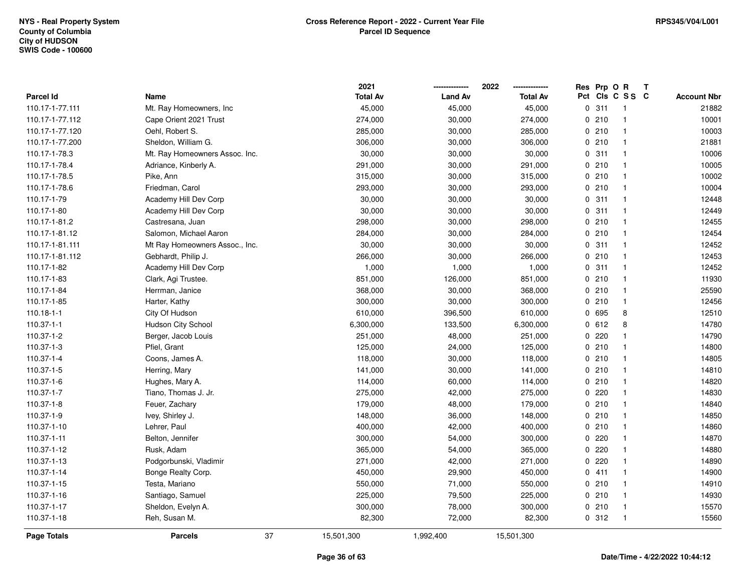|                  |                                | 2021            |                | 2022            | Res Prp O R |                         | Т |                    |
|------------------|--------------------------------|-----------------|----------------|-----------------|-------------|-------------------------|---|--------------------|
| <b>Parcel Id</b> | Name                           | <b>Total Av</b> | <b>Land Av</b> | <b>Total Av</b> |             | Pct Cls C S S C         |   | <b>Account Nbr</b> |
| 110.17-1-77.111  | Mt. Ray Homeowners, Inc.       | 45,000          | 45,000         | 45,000          | 0.311       | $\overline{\mathbf{1}}$ |   | 21882              |
| 110.17-1-77.112  | Cape Orient 2021 Trust         | 274,000         | 30,000         | 274,000         | 0210        | $\overline{1}$          |   | 10001              |
| 110.17-1-77.120  | Oehl, Robert S.                | 285,000         | 30,000         | 285,000         | 0210        | $\overline{\mathbf{1}}$ |   | 10003              |
| 110.17-1-77.200  | Sheldon, William G.            | 306,000         | 30,000         | 306,000         | 0210        | $\overline{\mathbf{1}}$ |   | 21881              |
| 110.17-1-78.3    | Mt. Ray Homeowners Assoc. Inc. | 30,000          | 30,000         | 30,000          | 0.311       | $\overline{\mathbf{1}}$ |   | 10006              |
| 110.17-1-78.4    | Adriance, Kinberly A.          | 291,000         | 30,000         | 291,000         | 0210        | -1                      |   | 10005              |
| 110.17-1-78.5    | Pike, Ann                      | 315,000         | 30,000         | 315,000         | 0210        | $\overline{\mathbf{1}}$ |   | 10002              |
| 110.17-1-78.6    | Friedman, Carol                | 293,000         | 30,000         | 293,000         | 0210        | $\overline{\mathbf{1}}$ |   | 10004              |
| 110.17-1-79      | Academy Hill Dev Corp          | 30,000          | 30,000         | 30,000          | 0.311       | $\overline{1}$          |   | 12448              |
| 110.17-1-80      | Academy Hill Dev Corp          | 30,000          | 30,000         | 30,000          | 0.311       | $\overline{\mathbf{1}}$ |   | 12449              |
| 110.17-1-81.2    | Castresana, Juan               | 298,000         | 30,000         | 298,000         | 0210        | $\overline{\mathbf{1}}$ |   | 12455              |
| 110.17-1-81.12   | Salomon, Michael Aaron         | 284,000         | 30,000         | 284,000         | 0210        | $\overline{\mathbf{1}}$ |   | 12454              |
| 110.17-1-81.111  | Mt Ray Homeowners Assoc., Inc. | 30,000          | 30,000         | 30,000          | 0.311       | -1                      |   | 12452              |
| 110.17-1-81.112  | Gebhardt, Philip J.            | 266,000         | 30,000         | 266,000         | 0210        | $\mathbf{1}$            |   | 12453              |
| 110.17-1-82      | Academy Hill Dev Corp          | 1,000           | 1,000          | 1,000           | 0.311       | $\overline{1}$          |   | 12452              |
| 110.17-1-83      | Clark, Agi Trustee.            | 851,000         | 126,000        | 851,000         | 0210        | $\overline{\mathbf{1}}$ |   | 11930              |
| 110.17-1-84      | Herrman, Janice                | 368,000         | 30,000         | 368,000         | 0210        | $\overline{1}$          |   | 25590              |
| 110.17-1-85      | Harter, Kathy                  | 300,000         | 30,000         | 300,000         | 0210        | -1                      |   | 12456              |
| $110.18 - 1 - 1$ | City Of Hudson                 | 610,000         | 396,500        | 610,000         | 0 695       | 8                       |   | 12510              |
| 110.37-1-1       | Hudson City School             | 6,300,000       | 133,500        | 6,300,000       | 0 612       | 8                       |   | 14780              |
| 110.37-1-2       | Berger, Jacob Louis            | 251,000         | 48,000         | 251,000         | 0220        | $\mathbf{1}$            |   | 14790              |
| 110.37-1-3       | Pfiel, Grant                   | 125,000         | 24,000         | 125,000         | 0210        | -1                      |   | 14800              |
| 110.37-1-4       | Coons, James A.                | 118,000         | 30,000         | 118,000         | 0210        | $\overline{\mathbf{1}}$ |   | 14805              |
| 110.37-1-5       | Herring, Mary                  | 141,000         | 30,000         | 141,000         | 0210        | $\overline{\mathbf{1}}$ |   | 14810              |
| 110.37-1-6       | Hughes, Mary A.                | 114,000         | 60,000         | 114,000         | 0210        | $\overline{\mathbf{1}}$ |   | 14820              |
| 110.37-1-7       | Tiano, Thomas J. Jr.           | 275,000         | 42,000         | 275,000         | $0$ 220     | -1                      |   | 14830              |
| 110.37-1-8       | Feuer, Zachary                 | 179,000         | 48,000         | 179,000         | 0210        | -1                      |   | 14840              |
| 110.37-1-9       | Ivey, Shirley J.               | 148,000         | 36,000         | 148,000         | 0210        | $\overline{\mathbf{1}}$ |   | 14850              |
| 110.37-1-10      | Lehrer, Paul                   | 400,000         | 42,000         | 400,000         | 0210        | $\overline{\mathbf{1}}$ |   | 14860              |
| 110.37-1-11      | Belton, Jennifer               | 300,000         | 54,000         | 300,000         | $0$ 220     | $\overline{1}$          |   | 14870              |
| 110.37-1-12      | Rusk, Adam                     | 365,000         | 54,000         | 365,000         | 0220        | $\overline{\mathbf{1}}$ |   | 14880              |
| 110.37-1-13      | Podgorbunski, Vladimir         | 271,000         | 42,000         | 271,000         | 0220        | $\overline{\mathbf{1}}$ |   | 14890              |
| 110.37-1-14      | Bonge Realty Corp.             | 450,000         | 29,900         | 450,000         | 0411        | $\overline{1}$          |   | 14900              |
| 110.37-1-15      | Testa, Mariano                 | 550,000         | 71,000         | 550,000         | 0210        | $\overline{\mathbf{1}}$ |   | 14910              |
| 110.37-1-16      | Santiago, Samuel               | 225,000         | 79,500         | 225,000         | 0210        | $\overline{1}$          |   | 14930              |
| 110.37-1-17      | Sheldon, Evelyn A.             | 300,000         | 78,000         | 300,000         | 0210        | $\overline{\mathbf{1}}$ |   | 15570              |
| 110.37-1-18      | Reh, Susan M.                  | 82,300          | 72,000         | 82,300          | 0.312       | $\overline{1}$          |   | 15560              |
| Page Totals      | 37<br><b>Parcels</b>           | 15,501,300      | 1,992,400      | 15,501,300      |             |                         |   |                    |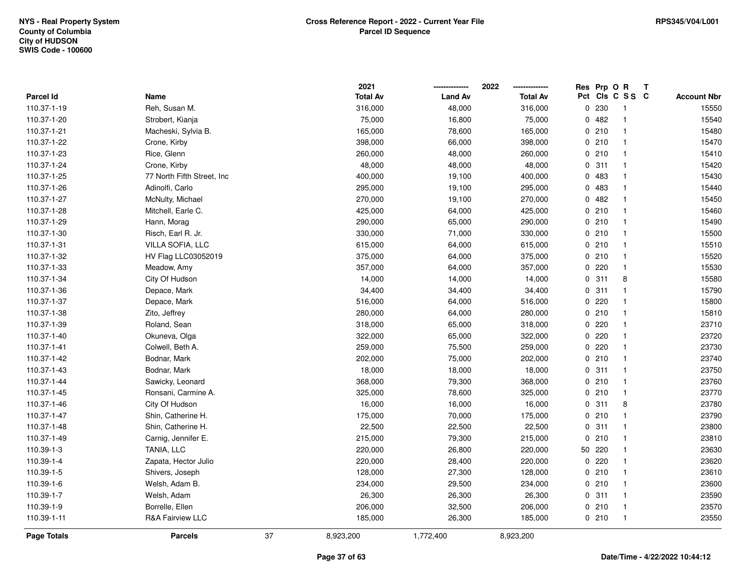|                  |                            |    | 2021            |                | 2022            |             | Res Prp O R |                | Т |                    |
|------------------|----------------------------|----|-----------------|----------------|-----------------|-------------|-------------|----------------|---|--------------------|
| <b>Parcel Id</b> | Name                       |    | <b>Total Av</b> | <b>Land Av</b> | <b>Total Av</b> | Pct         |             | CIs C S S C    |   | <b>Account Nbr</b> |
| 110.37-1-19      | Reh, Susan M.              |    | 316,000         | 48,000         | 316,000         | 0           | 230         | -1             |   | 15550              |
| 110.37-1-20      | Strobert, Kianja           |    | 75,000          | 16,800         | 75,000          |             | 0482        | $\overline{1}$ |   | 15540              |
| 110.37-1-21      | Macheski, Sylvia B.        |    | 165,000         | 78,600         | 165,000         |             | 0210        | $\mathbf{1}$   |   | 15480              |
| 110.37-1-22      | Crone, Kirby               |    | 398,000         | 66,000         | 398,000         |             | 0210        | -1             |   | 15470              |
| 110.37-1-23      | Rice, Glenn                |    | 260,000         | 48,000         | 260,000         |             | 0210        | -1             |   | 15410              |
| 110.37-1-24      | Crone, Kirby               |    | 48,000          | 48,000         | 48,000          |             | 0.311       | -1             |   | 15420              |
| 110.37-1-25      | 77 North Fifth Street, Inc |    | 400,000         | 19,100         | 400,000         |             | 0 483       | -1             |   | 15430              |
| 110.37-1-26      | Adinolfi, Carlo            |    | 295,000         | 19,100         | 295,000         |             | 0 483       | $\overline{1}$ |   | 15440              |
| 110.37-1-27      | McNulty, Michael           |    | 270,000         | 19,100         | 270,000         |             | 0482        | $\mathbf{1}$   |   | 15450              |
| 110.37-1-28      | Mitchell, Earle C.         |    | 425,000         | 64,000         | 425,000         |             | 0210        | $\mathbf{1}$   |   | 15460              |
| 110.37-1-29      | Hann, Morag                |    | 290,000         | 65,000         | 290,000         |             | 0210        | -1             |   | 15490              |
| 110.37-1-30      | Risch, Earl R. Jr.         |    | 330,000         | 71,000         | 330,000         |             | 0210        | -1             |   | 15500              |
| 110.37-1-31      | VILLA SOFIA, LLC           |    | 615,000         | 64,000         | 615,000         |             | 0210        |                |   | 15510              |
| 110.37-1-32      | HV Flag LLC03052019        |    | 375,000         | 64,000         | 375,000         |             | 0210        | $\mathbf{1}$   |   | 15520              |
| 110.37-1-33      | Meadow, Amy                |    | 357,000         | 64,000         | 357,000         | $\mathbf 0$ | 220         | -1             |   | 15530              |
| 110.37-1-34      | City Of Hudson             |    | 14,000          | 14,000         | 14,000          |             | 0.311       | 8              |   | 15580              |
| 110.37-1-36      | Depace, Mark               |    | 34,400          | 34,400         | 34,400          | 0           | 311         | $\mathbf{1}$   |   | 15790              |
| 110.37-1-37      | Depace, Mark               |    | 516,000         | 64,000         | 516,000         |             | 0220        | $\mathbf{1}$   |   | 15800              |
| 110.37-1-38      | Zito, Jeffrey              |    | 280,000         | 64,000         | 280,000         |             | 0210        | -1             |   | 15810              |
| 110.37-1-39      | Roland, Sean               |    | 318,000         | 65,000         | 318,000         |             | 0220        |                |   | 23710              |
| 110.37-1-40      | Okuneva, Olga              |    | 322,000         | 65,000         | 322,000         |             | $0$ 220     | $\mathbf{1}$   |   | 23720              |
| 110.37-1-41      | Colwell, Beth A.           |    | 259,000         | 75,500         | 259,000         |             | 0.220       | -1             |   | 23730              |
| 110.37-1-42      | Bodnar, Mark               |    | 202,000         | 75,000         | 202,000         |             | 0210        | $\mathbf{1}$   |   | 23740              |
| 110.37-1-43      | Bodnar, Mark               |    | 18,000          | 18,000         | 18,000          |             | 0.311       | $\mathbf{1}$   |   | 23750              |
| 110.37-1-44      | Sawicky, Leonard           |    | 368,000         | 79,300         | 368,000         |             | 0210        | $\mathbf{1}$   |   | 23760              |
| 110.37-1-45      | Ronsani, Carmine A.        |    | 325,000         | 78,600         | 325,000         |             | 0210        | -1             |   | 23770              |
| 110.37-1-46      | City Of Hudson             |    | 16,000          | 16,000         | 16,000          |             | 0.311       | 8              |   | 23780              |
| 110.37-1-47      | Shin, Catherine H.         |    | 175,000         | 70,000         | 175,000         |             | 0210        | $\mathbf{1}$   |   | 23790              |
| 110.37-1-48      | Shin, Catherine H.         |    | 22,500          | 22,500         | 22,500          |             | 0.311       | -1             |   | 23800              |
| 110.37-1-49      | Carnig, Jennifer E.        |    | 215,000         | 79,300         | 215,000         | $\mathbf 0$ | 210         | $\mathbf{1}$   |   | 23810              |
| 110.39-1-3       | TANIA, LLC                 |    | 220,000         | 26,800         | 220,000         | 50          | 220         | $\mathbf{1}$   |   | 23630              |
| 110.39-1-4       | Zapata, Hector Julio       |    | 220,000         | 28,400         | 220,000         |             | 0.220       | $\mathbf{1}$   |   | 23620              |
| 110.39-1-5       | Shivers, Joseph            |    | 128,000         | 27,300         | 128,000         |             | 0210        | $\mathbf{1}$   |   | 23610              |
| 110.39-1-6       | Welsh, Adam B.             |    | 234,000         | 29,500         | 234,000         |             | 0210        | $\overline{1}$ |   | 23600              |
| 110.39-1-7       | Welsh, Adam                |    | 26,300          | 26,300         | 26,300          |             | 0.311       | $\overline{1}$ |   | 23590              |
| 110.39-1-9       | Borrelle, Ellen            |    | 206,000         | 32,500         | 206,000         |             | 0210        | -1             |   | 23570              |
| 110.39-1-11      | R&A Fairview LLC           |    | 185,000         | 26,300         | 185,000         |             | 0210        | $\overline{1}$ |   | 23550              |
| Page Totals      | <b>Parcels</b>             | 37 | 8,923,200       | 1,772,400      | 8,923,200       |             |             |                |   |                    |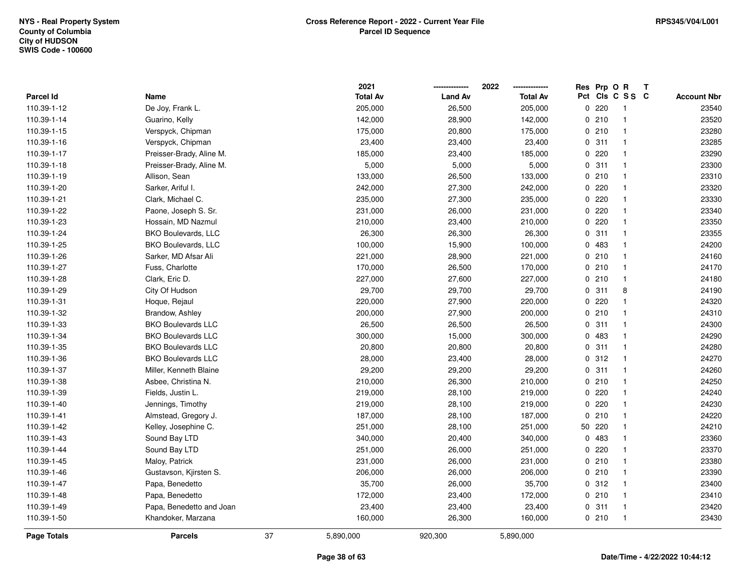|                    |                           |    | 2021            |                | 2022            | Res Prp O R |                 | Т |                    |
|--------------------|---------------------------|----|-----------------|----------------|-----------------|-------------|-----------------|---|--------------------|
| Parcel Id          | Name                      |    | <b>Total Av</b> | <b>Land Av</b> | <b>Total Av</b> |             | Pct Cls C S S C |   | <b>Account Nbr</b> |
| 110.39-1-12        | De Joy, Frank L.          |    | 205,000         | 26,500         | 205,000         | 0.220       | $\mathbf{1}$    |   | 23540              |
| 110.39-1-14        | Guarino, Kelly            |    | 142,000         | 28,900         | 142,000         | 0210        | $\mathbf{1}$    |   | 23520              |
| 110.39-1-15        | Verspyck, Chipman         |    | 175,000         | 20,800         | 175,000         | 0210        | $\mathbf{1}$    |   | 23280              |
| 110.39-1-16        | Verspyck, Chipman         |    | 23,400          | 23,400         | 23,400          | 0.311       | $\mathbf{1}$    |   | 23285              |
| 110.39-1-17        | Preisser-Brady, Aline M.  |    | 185,000         | 23,400         | 185,000         | 0.220       | $\mathbf{1}$    |   | 23290              |
| 110.39-1-18        | Preisser-Brady, Aline M.  |    | 5,000           | 5,000          | 5,000           | 0.311       | $\mathbf{1}$    |   | 23300              |
| 110.39-1-19        | Allison, Sean             |    | 133,000         | 26,500         | 133,000         | 0210        | $\mathbf{1}$    |   | 23310              |
| 110.39-1-20        | Sarker, Ariful I.         |    | 242,000         | 27,300         | 242,000         | 0.220       | $\mathbf{1}$    |   | 23320              |
| 110.39-1-21        | Clark, Michael C.         |    | 235,000         | 27,300         | 235,000         | 0.220       | $\mathbf{1}$    |   | 23330              |
| 110.39-1-22        | Paone, Joseph S. Sr.      |    | 231,000         | 26,000         | 231,000         | 0.220       | $\mathbf{1}$    |   | 23340              |
| 110.39-1-23        | Hossain, MD Nazmul        |    | 210,000         | 23,400         | 210,000         | 0.220       | $\mathbf{1}$    |   | 23350              |
| 110.39-1-24        | BKO Boulevards, LLC       |    | 26,300          | 26,300         | 26,300          | 0.311       | $\mathbf{1}$    |   | 23355              |
| 110.39-1-25        | BKO Boulevards, LLC       |    | 100,000         | 15,900         | 100,000         | 0 483       | $\mathbf{1}$    |   | 24200              |
| 110.39-1-26        | Sarker, MD Afsar Ali      |    | 221,000         | 28,900         | 221,000         | 0210        | $\mathbf{1}$    |   | 24160              |
| 110.39-1-27        | Fuss, Charlotte           |    | 170,000         | 26,500         | 170,000         | 0210        | $\mathbf{1}$    |   | 24170              |
| 110.39-1-28        | Clark, Eric D.            |    | 227,000         | 27,600         | 227,000         | 0210        | $\mathbf{1}$    |   | 24180              |
| 110.39-1-29        | City Of Hudson            |    | 29,700          | 29,700         | 29,700          | 0.311       | 8               |   | 24190              |
| 110.39-1-31        | Hoque, Rejaul             |    | 220,000         | 27,900         | 220,000         | 0.220       | $\mathbf{1}$    |   | 24320              |
| 110.39-1-32        | Brandow, Ashley           |    | 200,000         | 27,900         | 200,000         | 0210        | $\mathbf{1}$    |   | 24310              |
| 110.39-1-33        | <b>BKO Boulevards LLC</b> |    | 26,500          | 26,500         | 26,500          | 0.311       | $\mathbf{1}$    |   | 24300              |
| 110.39-1-34        | <b>BKO Boulevards LLC</b> |    | 300,000         | 15,000         | 300,000         | 0 483       | $\overline{1}$  |   | 24290              |
| 110.39-1-35        | <b>BKO Boulevards LLC</b> |    | 20,800          | 20,800         | 20,800          | 0.311       | $\mathbf{1}$    |   | 24280              |
| 110.39-1-36        | <b>BKO Boulevards LLC</b> |    | 28,000          | 23,400         | 28,000          | 0.312       | $\mathbf{1}$    |   | 24270              |
| 110.39-1-37        | Miller, Kenneth Blaine    |    | 29,200          | 29,200         | 29,200          | 0.311       | $\mathbf{1}$    |   | 24260              |
| 110.39-1-38        | Asbee, Christina N.       |    | 210,000         | 26,300         | 210,000         | 0210        | $\mathbf{1}$    |   | 24250              |
| 110.39-1-39        | Fields, Justin L.         |    | 219,000         | 28,100         | 219,000         | 0.220       | $\mathbf{1}$    |   | 24240              |
| 110.39-1-40        | Jennings, Timothy         |    | 219,000         | 28,100         | 219,000         | 0.220       | $\mathbf{1}$    |   | 24230              |
| 110.39-1-41        | Almstead, Gregory J.      |    | 187,000         | 28,100         | 187,000         | 0210        | $\mathbf{1}$    |   | 24220              |
| 110.39-1-42        | Kelley, Josephine C.      |    | 251,000         | 28,100         | 251,000         | 50 220      | $\mathbf{1}$    |   | 24210              |
| 110.39-1-43        | Sound Bay LTD             |    | 340,000         | 20,400         | 340,000         | 0 483       | $\mathbf{1}$    |   | 23360              |
| 110.39-1-44        | Sound Bay LTD             |    | 251,000         | 26,000         | 251,000         | 0.220       | $\mathbf{1}$    |   | 23370              |
| 110.39-1-45        | Maloy, Patrick            |    | 231,000         | 26,000         | 231,000         | 0210        | $\mathbf{1}$    |   | 23380              |
| 110.39-1-46        | Gustavson, Kjirsten S.    |    | 206,000         | 26,000         | 206,000         | 0210        | $\mathbf{1}$    |   | 23390              |
| 110.39-1-47        | Papa, Benedetto           |    | 35,700          | 26,000         | 35,700          | 0.312       | $\mathbf{1}$    |   | 23400              |
| 110.39-1-48        | Papa, Benedetto           |    | 172,000         | 23,400         | 172,000         | 0210        | $\mathbf{1}$    |   | 23410              |
| 110.39-1-49        | Papa, Benedetto and Joan  |    | 23,400          | 23,400         | 23,400          | 0.311       | $\mathbf{1}$    |   | 23420              |
| 110.39-1-50        | Khandoker, Marzana        |    | 160,000         | 26,300         | 160,000         | 0210        | $\mathbf{1}$    |   | 23430              |
| <b>Page Totals</b> | <b>Parcels</b>            | 37 | 5,890,000       | 920,300        | 5,890,000       |             |                 |   |                    |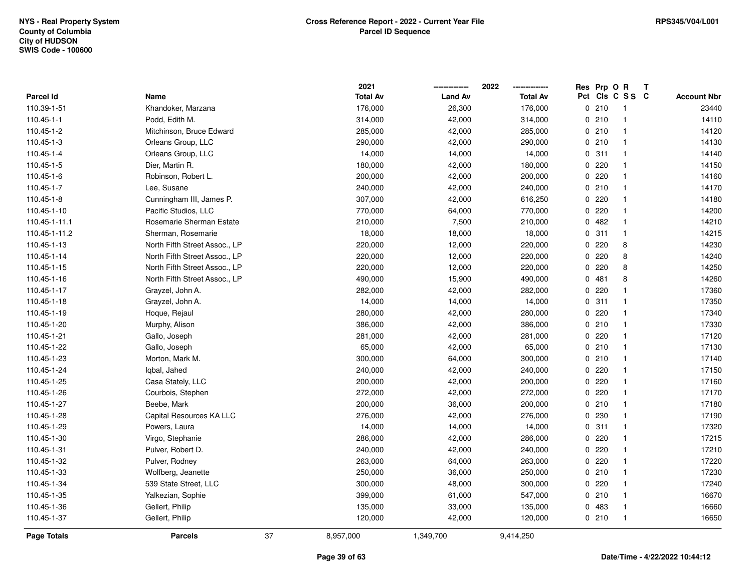|                    |                               |    | 2021            |                | 2022            |              | Res Prp O R |                 | Т |                    |
|--------------------|-------------------------------|----|-----------------|----------------|-----------------|--------------|-------------|-----------------|---|--------------------|
| <b>Parcel Id</b>   | Name                          |    | <b>Total Av</b> | <b>Land Av</b> | <b>Total Av</b> |              |             | Pct Cls C S S C |   | <b>Account Nbr</b> |
| 110.39-1-51        | Khandoker, Marzana            |    | 176,000         | 26,300         | 176,000         |              | 0210        | -1              |   | 23440              |
| 110.45-1-1         | Podd, Edith M.                |    | 314,000         | 42,000         | 314,000         | 0            | 210         | $\mathbf{1}$    |   | 14110              |
| 110.45-1-2         | Mitchinson, Bruce Edward      |    | 285,000         | 42,000         | 285,000         |              | 0210        | $\mathbf{1}$    |   | 14120              |
| 110.45-1-3         | Orleans Group, LLC            |    | 290,000         | 42,000         | 290,000         |              | 0210        | $\mathbf{1}$    |   | 14130              |
| 110.45-1-4         | Orleans Group, LLC            |    | 14,000          | 14,000         | 14,000          |              | 0.311       | $\mathbf{1}$    |   | 14140              |
| 110.45-1-5         | Dier, Martin R.               |    | 180,000         | 42,000         | 180,000         |              | 0.220       | -1              |   | 14150              |
| 110.45-1-6         | Robinson, Robert L.           |    | 200,000         | 42,000         | 200,000         | 0            | 220         | -1              |   | 14160              |
| 110.45-1-7         | Lee, Susane                   |    | 240,000         | 42,000         | 240,000         |              | 0210        | $\mathbf{1}$    |   | 14170              |
| 110.45-1-8         | Cunningham III, James P.      |    | 307,000         | 42,000         | 616,250         | $\Omega$     | 220         | $\overline{1}$  |   | 14180              |
| 110.45-1-10        | Pacific Studios, LLC          |    | 770,000         | 64,000         | 770,000         | $\Omega$     | 220         | $\mathbf{1}$    |   | 14200              |
| 110.45-1-11.1      | Rosemarie Sherman Estate      |    | 210,000         | 7,500          | 210,000         |              | 0.482       | -1              |   | 14210              |
| 110.45-1-11.2      | Sherman, Rosemarie            |    | 18,000          | 18,000         | 18,000          |              | 0.311       | $\mathbf 1$     |   | 14215              |
| 110.45-1-13        | North Fifth Street Assoc., LP |    | 220,000         | 12,000         | 220,000         | 0            | 220         | 8               |   | 14230              |
| 110.45-1-14        | North Fifth Street Assoc., LP |    | 220,000         | 12,000         | 220,000         | 0            | 220         | 8               |   | 14240              |
| 110.45-1-15        | North Fifth Street Assoc., LP |    | 220,000         | 12,000         | 220,000         | 0            | 220         | 8               |   | 14250              |
| 110.45-1-16        | North Fifth Street Assoc., LP |    | 490,000         | 15,900         | 490,000         | $\Omega$     | 481         | 8               |   | 14260              |
| 110.45-1-17        | Grayzel, John A.              |    | 282,000         | 42,000         | 282,000         | 0            | 220         | $\mathbf 1$     |   | 17360              |
| 110.45-1-18        | Grayzel, John A.              |    | 14,000          | 14,000         | 14,000          |              | 0.311       | $\mathbf{1}$    |   | 17350              |
| 110.45-1-19        | Hoque, Rejaul                 |    | 280,000         | 42,000         | 280,000         |              | 0.220       | -1              |   | 17340              |
| 110.45-1-20        | Murphy, Alison                |    | 386,000         | 42,000         | 386,000         |              | 0210        | -1              |   | 17330              |
| 110.45-1-21        | Gallo, Joseph                 |    | 281,000         | 42,000         | 281,000         |              | 0.220       | $\mathbf 1$     |   | 17120              |
| 110.45-1-22        | Gallo, Joseph                 |    | 65,000          | 42,000         | 65,000          |              | 0210        | $\mathbf{1}$    |   | 17130              |
| 110.45-1-23        | Morton, Mark M.               |    | 300,000         | 64,000         | 300,000         | 0            | 210         | $\overline{1}$  |   | 17140              |
| 110.45-1-24        | Iqbal, Jahed                  |    | 240,000         | 42,000         | 240,000         | $\Omega$     | 220         | $\mathbf{1}$    |   | 17150              |
| 110.45-1-25        | Casa Stately, LLC             |    | 200,000         | 42,000         | 200,000         | 0            | 220         | $\mathbf{1}$    |   | 17160              |
| 110.45-1-26        | Courbois, Stephen             |    | 272,000         | 42,000         | 272,000         |              | 0.220       | -1              |   | 17170              |
| 110.45-1-27        | Beebe, Mark                   |    | 200,000         | 36,000         | 200,000         |              | 0210        | -1              |   | 17180              |
| 110.45-1-28        | Capital Resources KA LLC      |    | 276,000         | 42,000         | 276,000         | $\mathbf{0}$ | 230         | -1              |   | 17190              |
| 110.45-1-29        | Powers, Laura                 |    | 14,000          | 14,000         | 14,000          |              | 0.311       | $\mathbf{1}$    |   | 17320              |
| 110.45-1-30        | Virgo, Stephanie              |    | 286,000         | 42,000         | 286,000         | 0            | 220         | $\mathbf{1}$    |   | 17215              |
| 110.45-1-31        | Pulver, Robert D.             |    | 240,000         | 42,000         | 240,000         | 0            | 220         | $\mathbf{1}$    |   | 17210              |
| 110.45-1-32        | Pulver, Rodney                |    | 263,000         | 64,000         | 263,000         | 0            | 220         | $\mathbf{1}$    |   | 17220              |
| 110.45-1-33        | Wolfberg, Jeanette            |    | 250,000         | 36,000         | 250,000         |              | 0210        | $\mathbf{1}$    |   | 17230              |
| 110.45-1-34        | 539 State Street, LLC         |    | 300,000         | 48,000         | 300,000         |              | 0220        | -1              |   | 17240              |
| 110.45-1-35        | Yalkezian, Sophie             |    | 399,000         | 61,000         | 547,000         |              | 0210        | -1              |   | 16670              |
| 110.45-1-36        | Gellert, Philip               |    | 135,000         | 33,000         | 135,000         | 0            | 483         | -1              |   | 16660              |
| 110.45-1-37        | Gellert, Philip               |    | 120,000         | 42,000         | 120,000         |              | 0210        | $\mathbf{1}$    |   | 16650              |
| <b>Page Totals</b> | <b>Parcels</b>                | 37 | 8,957,000       | 1,349,700      | 9,414,250       |              |             |                 |   |                    |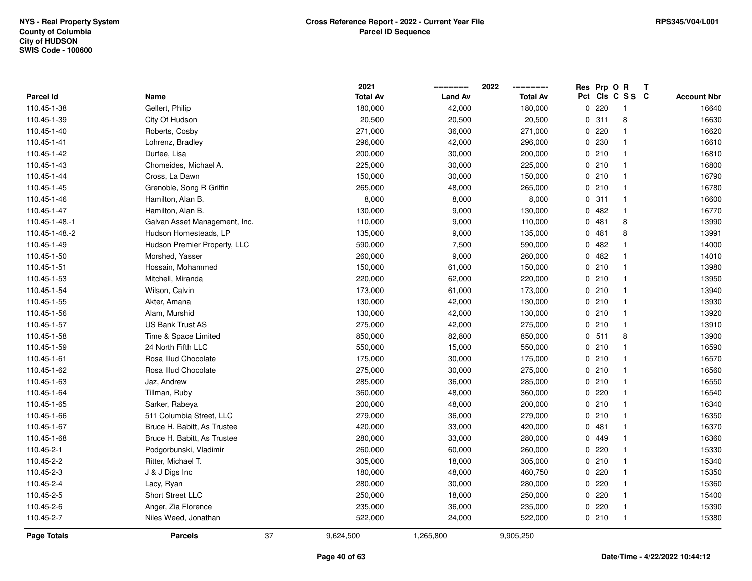|                  |                               | 2021            |                | 2022            | Res         | Prp O R |                 | Т |                    |
|------------------|-------------------------------|-----------------|----------------|-----------------|-------------|---------|-----------------|---|--------------------|
| <b>Parcel Id</b> | Name                          | <b>Total Av</b> | <b>Land Av</b> | <b>Total Av</b> |             |         | Pct Cls C S S C |   | <b>Account Nbr</b> |
| 110.45-1-38      | Gellert, Philip               | 180,000         | 42,000         | 180,000         | $\mathbf 0$ | 220     | $\mathbf{1}$    |   | 16640              |
| 110.45-1-39      | City Of Hudson                | 20,500          | 20,500         | 20,500          | 0           | 311     | 8               |   | 16630              |
| 110.45-1-40      | Roberts, Cosby                | 271,000         | 36,000         | 271,000         |             | 0.220   | $\mathbf{1}$    |   | 16620              |
| 110.45-1-41      | Lohrenz, Bradley              | 296,000         | 42,000         | 296,000         |             | 0 230   | $\mathbf{1}$    |   | 16610              |
| 110.45-1-42      | Durfee, Lisa                  | 200,000         | 30,000         | 200,000         |             | 0210    | $\mathbf{1}$    |   | 16810              |
| 110.45-1-43      | Chomeides, Michael A.         | 225,000         | 30,000         | 225,000         |             | 0210    | $\mathbf{1}$    |   | 16800              |
| 110.45-1-44      | Cross, La Dawn                | 150,000         | 30,000         | 150,000         |             | 0210    | $\mathbf{1}$    |   | 16790              |
| 110.45-1-45      | Grenoble, Song R Griffin      | 265,000         | 48,000         | 265,000         |             | 0210    | $\mathbf{1}$    |   | 16780              |
| 110.45-1-46      | Hamilton, Alan B.             | 8,000           | 8,000          | 8,000           |             | 0.311   | $\mathbf{1}$    |   | 16600              |
| 110.45-1-47      | Hamilton, Alan B.             | 130,000         | 9,000          | 130,000         |             | 0.482   | $\mathbf{1}$    |   | 16770              |
| 110.45-1-48.-1   | Galvan Asset Management, Inc. | 110,000         | 9,000          | 110,000         |             | 0481    | 8               |   | 13990              |
| 110.45-1-48.-2   | Hudson Homesteads, LP         | 135,000         | 9,000          | 135,000         |             | 0481    | 8               |   | 13991              |
| 110.45-1-49      | Hudson Premier Property, LLC  | 590,000         | 7,500          | 590,000         | 0           | 482     | $\mathbf 1$     |   | 14000              |
| 110.45-1-50      | Morshed, Yasser               | 260,000         | 9,000          | 260,000         | 0           | 482     | $\mathbf{1}$    |   | 14010              |
| 110.45-1-51      | Hossain, Mohammed             | 150,000         | 61,000         | 150,000         |             | 0210    | $\mathbf{1}$    |   | 13980              |
| 110.45-1-53      | Mitchell, Miranda             | 220,000         | 62,000         | 220,000         |             | 0210    | $\mathbf{1}$    |   | 13950              |
| 110.45-1-54      | Wilson, Calvin                | 173,000         | 61,000         | 173,000         |             | 0210    | $\mathbf{1}$    |   | 13940              |
| 110.45-1-55      | Akter, Amana                  | 130,000         | 42,000         | 130,000         |             | 0210    | $\mathbf{1}$    |   | 13930              |
| 110.45-1-56      | Alam, Murshid                 | 130,000         | 42,000         | 130,000         |             | 0210    | $\mathbf{1}$    |   | 13920              |
| 110.45-1-57      | <b>US Bank Trust AS</b>       | 275,000         | 42,000         | 275,000         |             | 0210    | $\mathbf{1}$    |   | 13910              |
| 110.45-1-58      | Time & Space Limited          | 850,000         | 82,800         | 850,000         |             | 0.511   | 8               |   | 13900              |
| 110.45-1-59      | 24 North Fifth LLC            | 550,000         | 15,000         | 550,000         |             | 0210    | $\mathbf{1}$    |   | 16590              |
| 110.45-1-61      | Rosa Illud Chocolate          | 175,000         | 30,000         | 175,000         |             | 0210    | $\mathbf{1}$    |   | 16570              |
| 110.45-1-62      | Rosa Illud Chocolate          | 275,000         | 30,000         | 275,000         |             | 0210    | $\mathbf{1}$    |   | 16560              |
| 110.45-1-63      | Jaz, Andrew                   | 285,000         | 36,000         | 285,000         |             | 0210    | $\mathbf{1}$    |   | 16550              |
| 110.45-1-64      | Tillman, Ruby                 | 360,000         | 48,000         | 360,000         |             | $0$ 220 | $\mathbf{1}$    |   | 16540              |
| 110.45-1-65      | Sarker, Rabeya                | 200,000         | 48,000         | 200,000         |             | 0210    | 1               |   | 16340              |
| 110.45-1-66      | 511 Columbia Street, LLC      | 279,000         | 36,000         | 279,000         |             | 0210    | $\mathbf{1}$    |   | 16350              |
| 110.45-1-67      | Bruce H. Babitt, As Trustee   | 420,000         | 33,000         | 420,000         | 0           | 481     | $\mathbf{1}$    |   | 16370              |
| 110.45-1-68      | Bruce H. Babitt, As Trustee   | 280,000         | 33,000         | 280,000         | 0           | 449     | $\mathbf{1}$    |   | 16360              |
| 110.45-2-1       | Podgorbunski, Vladimir        | 260,000         | 60,000         | 260,000         | 0           | 220     | $\mathbf{1}$    |   | 15330              |
| 110.45-2-2       | Ritter, Michael T.            | 305,000         | 18,000         | 305,000         |             | 0210    | $\mathbf{1}$    |   | 15340              |
| 110.45-2-3       | J & J Digs Inc                | 180,000         | 48,000         | 460,750         |             | 0.220   | $\mathbf{1}$    |   | 15350              |
| 110.45-2-4       | Lacy, Ryan                    | 280,000         | 30,000         | 280,000         |             | $0$ 220 | $\mathbf{1}$    |   | 15360              |
| 110.45-2-5       | Short Street LLC              | 250,000         | 18,000         | 250,000         | 0           | 220     | $\mathbf{1}$    |   | 15400              |
| 110.45-2-6       | Anger, Zia Florence           | 235,000         | 36,000         | 235,000         |             | 0220    | $\mathbf{1}$    |   | 15390              |
| 110.45-2-7       | Niles Weed, Jonathan          | 522,000         | 24,000         | 522,000         |             | 0210    | $\mathbf{1}$    |   | 15380              |
| Page Totals      | 37<br><b>Parcels</b>          | 9,624,500       | 1,265,800      | 9,905,250       |             |         |                 |   |                    |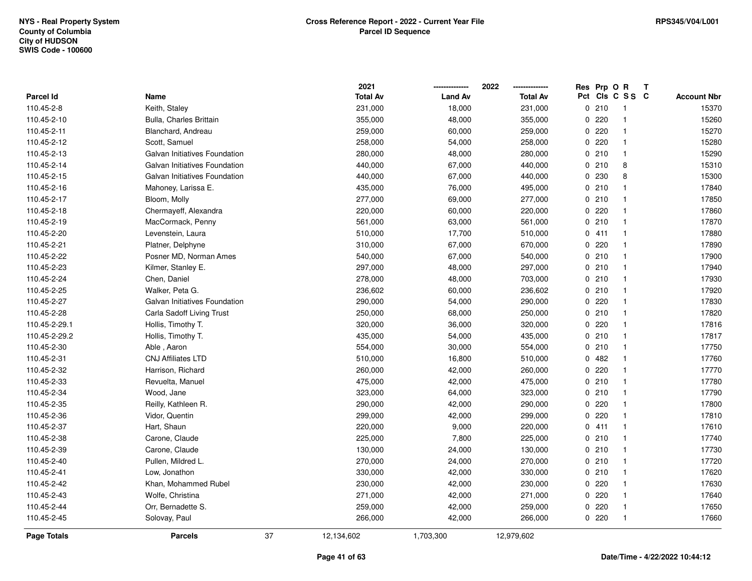|                    |                               |    | 2021            |                | 2022            | Res Prp O R |                         | Т |                    |
|--------------------|-------------------------------|----|-----------------|----------------|-----------------|-------------|-------------------------|---|--------------------|
| Parcel Id          | Name                          |    | <b>Total Av</b> | <b>Land Av</b> | <b>Total Av</b> |             | Pct Cls C S S C         |   | <b>Account Nbr</b> |
| 110.45-2-8         | Keith, Staley                 |    | 231,000         | 18,000         | 231,000         | 0210        | $\overline{\mathbf{1}}$ |   | 15370              |
| 110.45-2-10        | Bulla, Charles Brittain       |    | 355,000         | 48,000         | 355,000         | 0.220       | $\overline{1}$          |   | 15260              |
| 110.45-2-11        | Blanchard, Andreau            |    | 259,000         | 60,000         | 259,000         | 0.220       | $\overline{1}$          |   | 15270              |
| 110.45-2-12        | Scott, Samuel                 |    | 258,000         | 54,000         | 258,000         | 0.220       | $\overline{1}$          |   | 15280              |
| 110.45-2-13        | Galvan Initiatives Foundation |    | 280,000         | 48,000         | 280,000         | 0210        | $\mathbf{1}$            |   | 15290              |
| 110.45-2-14        | Galvan Initiatives Foundation |    | 440,000         | 67,000         | 440,000         | 0210        | 8                       |   | 15310              |
| 110.45-2-15        | Galvan Initiatives Foundation |    | 440,000         | 67,000         | 440,000         | 0 230       | 8                       |   | 15300              |
| 110.45-2-16        | Mahoney, Larissa E.           |    | 435,000         | 76,000         | 495,000         | 0210        | $\mathbf{1}$            |   | 17840              |
| 110.45-2-17        | Bloom, Molly                  |    | 277,000         | 69,000         | 277,000         | 0210        | $\overline{1}$          |   | 17850              |
| 110.45-2-18        | Chermayeff, Alexandra         |    | 220,000         | 60,000         | 220,000         | 0220        | $\overline{1}$          |   | 17860              |
| 110.45-2-19        | MacCormack, Penny             |    | 561,000         | 63,000         | 561,000         | 0210        | $\overline{1}$          |   | 17870              |
| 110.45-2-20        | Levenstein, Laura             |    | 510,000         | 17,700         | 510,000         | 0411        | $\overline{1}$          |   | 17880              |
| 110.45-2-21        | Platner, Delphyne             |    | 310,000         | 67,000         | 670,000         | 0220        | $\overline{1}$          |   | 17890              |
| 110.45-2-22        | Posner MD, Norman Ames        |    | 540,000         | 67,000         | 540,000         | 0210        | $\overline{1}$          |   | 17900              |
| 110.45-2-23        | Kilmer, Stanley E.            |    | 297,000         | 48,000         | 297,000         | 0210        | $\overline{1}$          |   | 17940              |
| 110.45-2-24        | Chen, Daniel                  |    | 278,000         | 48,000         | 703,000         | 0210        | $\overline{1}$          |   | 17930              |
| 110.45-2-25        | Walker, Peta G.               |    | 236,602         | 60,000         | 236,602         | 0210        | $\overline{1}$          |   | 17920              |
| 110.45-2-27        | Galvan Initiatives Foundation |    | 290,000         | 54,000         | 290,000         | 0 220       | $\overline{1}$          |   | 17830              |
| 110.45-2-28        | Carla Sadoff Living Trust     |    | 250,000         | 68,000         | 250,000         | 0210        | $\overline{1}$          |   | 17820              |
| 110.45-2-29.1      | Hollis, Timothy T.            |    | 320,000         | 36,000         | 320,000         | 0220        | $\mathbf{1}$            |   | 17816              |
| 110.45-2-29.2      | Hollis, Timothy T.            |    | 435,000         | 54,000         | 435,000         | 0210        | $\overline{1}$          |   | 17817              |
| 110.45-2-30        | Able, Aaron                   |    | 554,000         | 30,000         | 554,000         | 0210        | $\overline{1}$          |   | 17750              |
| 110.45-2-31        | <b>CNJ Affiliates LTD</b>     |    | 510,000         | 16,800         | 510,000         | 0.482       | $\overline{1}$          |   | 17760              |
| 110.45-2-32        | Harrison, Richard             |    | 260,000         | 42,000         | 260,000         | 0220        | $\overline{1}$          |   | 17770              |
| 110.45-2-33        | Revuelta, Manuel              |    | 475,000         | 42,000         | 475,000         | 0210        | $\overline{1}$          |   | 17780              |
| 110.45-2-34        | Wood, Jane                    |    | 323,000         | 64,000         | 323,000         | 0210        | $\overline{1}$          |   | 17790              |
| 110.45-2-35        | Reilly, Kathleen R.           |    | 290,000         | 42,000         | 290,000         | 0 220       | $\overline{1}$          |   | 17800              |
| 110.45-2-36        | Vidor, Quentin                |    | 299,000         | 42,000         | 299,000         | 0220        | $\overline{1}$          |   | 17810              |
| 110.45-2-37        | Hart, Shaun                   |    | 220,000         | 9,000          | 220,000         | 0411        | $\overline{1}$          |   | 17610              |
| 110.45-2-38        | Carone, Claude                |    | 225,000         | 7,800          | 225,000         | 0210        | $\overline{1}$          |   | 17740              |
| 110.45-2-39        | Carone, Claude                |    | 130,000         | 24,000         | 130,000         | 0210        | $\overline{1}$          |   | 17730              |
| 110.45-2-40        | Pullen, Mildred L.            |    | 270,000         | 24,000         | 270,000         | 0210        | $\overline{1}$          |   | 17720              |
| 110.45-2-41        | Low, Jonathon                 |    | 330,000         | 42,000         | 330,000         | 0210        | $\overline{1}$          |   | 17620              |
| 110.45-2-42        | Khan, Mohammed Rubel          |    | 230,000         | 42,000         | 230,000         | $0$ 220     | $\overline{1}$          |   | 17630              |
| 110.45-2-43        | Wolfe, Christina              |    | 271,000         | 42,000         | 271,000         | $0$ 220     | $\overline{1}$          |   | 17640              |
| 110.45-2-44        | Orr, Bernadette S.            |    | 259,000         | 42,000         | 259,000         | 0220        | $\overline{1}$          |   | 17650              |
| 110.45-2-45        | Solovay, Paul                 |    | 266,000         | 42,000         | 266,000         | 0.220       | $\overline{1}$          |   | 17660              |
| <b>Page Totals</b> | <b>Parcels</b>                | 37 | 12,134,602      | 1,703,300      | 12,979,602      |             |                         |   |                    |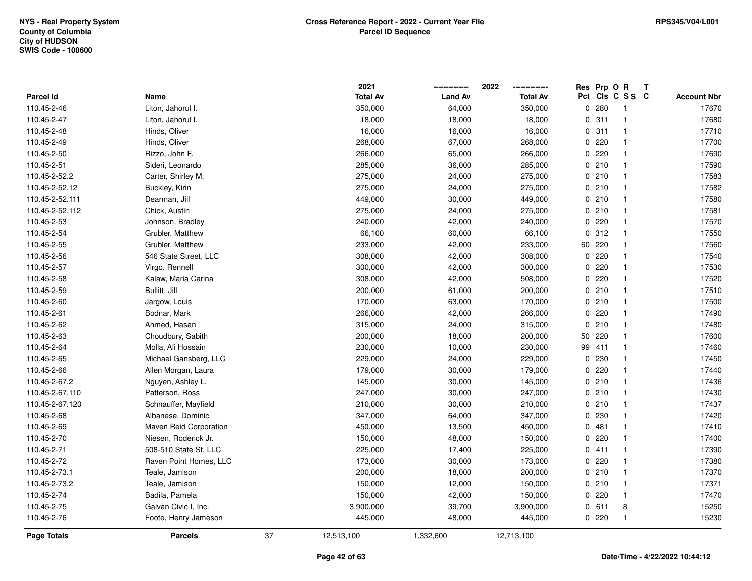|                    |                        |    | 2021            |                | 2022            |    | Res Prp O R |                         | Т |                    |
|--------------------|------------------------|----|-----------------|----------------|-----------------|----|-------------|-------------------------|---|--------------------|
| Parcel Id          | Name                   |    | <b>Total Av</b> | <b>Land Av</b> | <b>Total Av</b> |    |             | Pct Cls C S S C         |   | <b>Account Nbr</b> |
| 110.45-2-46        | Liton, Jahorul I.      |    | 350,000         | 64,000         | 350,000         |    | 0.280       | $\overline{\mathbf{1}}$ |   | 17670              |
| 110.45-2-47        | Liton, Jahorul I.      |    | 18,000          | 18,000         | 18,000          |    | 0.311       | $\overline{1}$          |   | 17680              |
| 110.45-2-48        | Hinds, Oliver          |    | 16,000          | 16,000         | 16,000          |    | 0.311       | $\overline{1}$          |   | 17710              |
| 110.45-2-49        | Hinds, Oliver          |    | 268,000         | 67,000         | 268,000         |    | 0220        | $\mathbf{1}$            |   | 17700              |
| 110.45-2-50        | Rizzo, John F.         |    | 266,000         | 65,000         | 266,000         |    | 0220        | $\mathbf{1}$            |   | 17690              |
| 110.45-2-51        | Sideri, Leonardo       |    | 285,000         | 36,000         | 285,000         |    | 0210        | $\mathbf{1}$            |   | 17590              |
| 110.45-2-52.2      | Carter, Shirley M.     |    | 275,000         | 24,000         | 275,000         |    | 0210        | $\overline{\mathbf{1}}$ |   | 17583              |
| 110.45-2-52.12     | Buckley, Kirin         |    | 275,000         | 24,000         | 275,000         |    | 0210        | $\mathbf{1}$            |   | 17582              |
| 110.45-2-52.111    | Dearman, Jill          |    | 449,000         | 30,000         | 449,000         |    | 0210        | $\overline{\mathbf{1}}$ |   | 17580              |
| 110.45-2-52.112    | Chick, Austin          |    | 275,000         | 24,000         | 275,000         |    | 0210        | $\mathbf{1}$            |   | 17581              |
| 110.45-2-53        | Johnson, Bradley       |    | 240,000         | 42,000         | 240,000         |    | 0220        | $\overline{1}$          |   | 17570              |
| 110.45-2-54        | Grubler, Matthew       |    | 66,100          | 60,000         | 66,100          |    | 0.312       | $\overline{1}$          |   | 17550              |
| 110.45-2-55        | Grubler, Matthew       |    | 233,000         | 42,000         | 233,000         |    | 60 220      | 1                       |   | 17560              |
| 110.45-2-56        | 546 State Street, LLC  |    | 308,000         | 42,000         | 308,000         |    | 0220        | $\mathbf{1}$            |   | 17540              |
| 110.45-2-57        | Virgo, Rennell         |    | 300,000         | 42,000         | 300,000         |    | 0220        | $\overline{\mathbf{1}}$ |   | 17530              |
| 110.45-2-58        | Kalaw, Maria Carina    |    | 308,000         | 42,000         | 508,000         |    | 0220        | $\overline{\mathbf{1}}$ |   | 17520              |
| 110.45-2-59        | Bullitt, Jill          |    | 200,000         | 61,000         | 200,000         |    | 0210        | $\overline{1}$          |   | 17510              |
| 110.45-2-60        | Jargow, Louis          |    | 170,000         | 63,000         | 170,000         |    | 0210        | $\overline{1}$          |   | 17500              |
| 110.45-2-61        | Bodnar, Mark           |    | 266,000         | 42,000         | 266,000         |    | 0220        | $\mathbf{1}$            |   | 17490              |
| 110.45-2-62        | Ahmed, Hasan           |    | 315,000         | 24,000         | 315,000         |    | 0210        | $\mathbf{1}$            |   | 17480              |
| 110.45-2-63        | Choudbury, Sabith      |    | 200,000         | 18,000         | 200,000         |    | 50 220      | $\overline{1}$          |   | 17600              |
| 110.45-2-64        | Molla, Ali Hossain     |    | 230,000         | 10,000         | 230,000         | 99 | 411         | -1                      |   | 17460              |
| 110.45-2-65        | Michael Gansberg, LLC  |    | 229,000         | 24,000         | 229,000         |    | 0 230       | $\overline{\mathbf{1}}$ |   | 17450              |
| 110.45-2-66        | Allen Morgan, Laura    |    | 179,000         | 30,000         | 179,000         |    | 0220        | $\mathbf{1}$            |   | 17440              |
| 110.45-2-67.2      | Nguyen, Ashley L.      |    | 145,000         | 30,000         | 145,000         |    | 0210        | $\overline{1}$          |   | 17436              |
| 110.45-2-67.110    | Patterson, Ross        |    | 247,000         | 30,000         | 247,000         |    | 0210        | $\mathbf{1}$            |   | 17430              |
| 110.45-2-67.120    | Schnauffer, Mayfield   |    | 210,000         | 30,000         | 210,000         |    | 0210        | $\mathbf{1}$            |   | 17437              |
| 110.45-2-68        | Albanese, Dominic      |    | 347,000         | 64,000         | 347,000         |    | 0 230       | $\mathbf 1$             |   | 17420              |
| 110.45-2-69        | Maven Reid Corporation |    | 450,000         | 13,500         | 450,000         |    | 0481        | $\overline{\mathbf{1}}$ |   | 17410              |
| 110.45-2-70        | Niesen, Roderick Jr.   |    | 150,000         | 48,000         | 150,000         |    | 0220        | $\mathbf{1}$            |   | 17400              |
| 110.45-2-71        | 508-510 State St. LLC  |    | 225,000         | 17,400         | 225,000         |    | 0411        | $\overline{\mathbf{1}}$ |   | 17390              |
| 110.45-2-72        | Raven Point Homes, LLC |    | 173,000         | 30,000         | 173,000         |    | 0.220       | $\overline{1}$          |   | 17380              |
| 110.45-2-73.1      | Teale, Jamison         |    | 200,000         | 18,000         | 200,000         |    | 0210        | $\overline{1}$          |   | 17370              |
| 110.45-2-73.2      | Teale, Jamison         |    | 150,000         | 12,000         | 150,000         |    | 0210        | $\mathbf{1}$            |   | 17371              |
| 110.45-2-74        | Badila, Pamela         |    | 150,000         | 42,000         | 150,000         |    | $0$ 220     | $\mathbf 1$             |   | 17470              |
| 110.45-2-75        | Galvan Civic I, Inc.   |    | 3,900,000       | 39,700         | 3,900,000       |    | 0 611       | 8                       |   | 15250              |
| 110.45-2-76        | Foote, Henry Jameson   |    | 445,000         | 48,000         | 445,000         |    | 0220        | $\overline{1}$          |   | 15230              |
| <b>Page Totals</b> | <b>Parcels</b>         | 37 | 12,513,100      | 1,332,600      | 12,713,100      |    |             |                         |   |                    |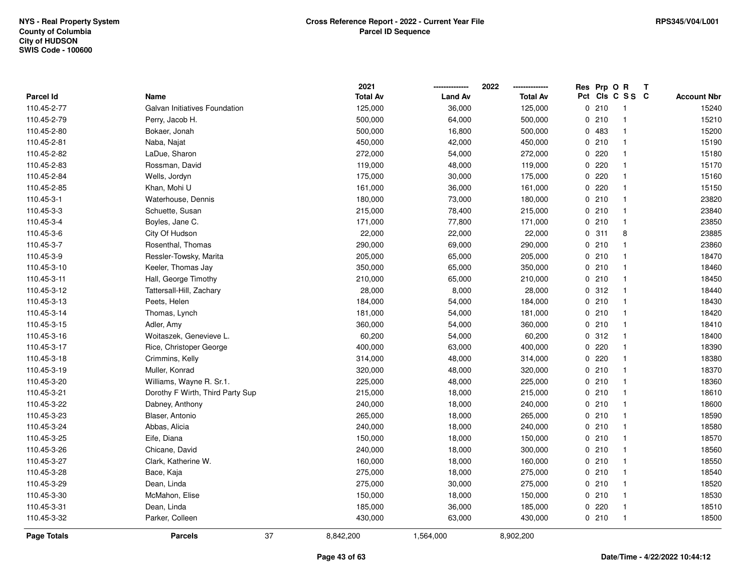|                    |                                  | 2021            |                | 2022<br>------------- | Res | Prp O R |                 | T |                    |
|--------------------|----------------------------------|-----------------|----------------|-----------------------|-----|---------|-----------------|---|--------------------|
| Parcel Id          | Name                             | <b>Total Av</b> | <b>Land Av</b> | <b>Total Av</b>       |     |         | Pct Cls C S S C |   | <b>Account Nbr</b> |
| 110.45-2-77        | Galvan Initiatives Foundation    | 125,000         | 36,000         | 125,000               |     | 0210    | -1              |   | 15240              |
| 110.45-2-79        | Perry, Jacob H.                  | 500,000         | 64,000         | 500,000               | 0   | 210     | $\mathbf{1}$    |   | 15210              |
| 110.45-2-80        | Bokaer, Jonah                    | 500,000         | 16,800         | 500,000               |     | 0 483   | $\mathbf 1$     |   | 15200              |
| 110.45-2-81        | Naba, Najat                      | 450,000         | 42,000         | 450,000               |     | 0210    | $\mathbf{1}$    |   | 15190              |
| 110.45-2-82        | LaDue, Sharon                    | 272,000         | 54,000         | 272,000               |     | 0220    |                 |   | 15180              |
| 110.45-2-83        | Rossman, David                   | 119,000         | 48,000         | 119,000               |     | $0$ 220 |                 |   | 15170              |
| 110.45-2-84        | Wells, Jordyn                    | 175,000         | 30,000         | 175,000               |     | 0.220   |                 |   | 15160              |
| 110.45-2-85        | Khan, Mohi U                     | 161,000         | 36,000         | 161,000               |     | 0.220   |                 |   | 15150              |
| 110.45-3-1         | Waterhouse, Dennis               | 180,000         | 73,000         | 180,000               |     | 0210    | $\mathbf{1}$    |   | 23820              |
| 110.45-3-3         | Schuette, Susan                  | 215,000         | 78,400         | 215,000               |     | 0210    | $\mathbf 1$     |   | 23840              |
| 110.45-3-4         | Boyles, Jane C.                  | 171,000         | 77,800         | 171,000               |     | 0210    | $\mathbf{1}$    |   | 23850              |
| 110.45-3-6         | City Of Hudson                   | 22,000          | 22,000         | 22,000                |     | 0.311   | 8               |   | 23885              |
| 110.45-3-7         | Rosenthal, Thomas                | 290,000         | 69,000         | 290,000               |     | 0210    |                 |   | 23860              |
| 110.45-3-9         | Ressler-Towsky, Marita           | 205,000         | 65,000         | 205,000               |     | 0210    |                 |   | 18470              |
| 110.45-3-10        | Keeler, Thomas Jay               | 350,000         | 65,000         | 350,000               |     | 0210    | $\mathbf{1}$    |   | 18460              |
| 110.45-3-11        | Hall, George Timothy             | 210,000         | 65,000         | 210,000               |     | 0210    | $\mathbf{1}$    |   | 18450              |
| 110.45-3-12        | Tattersall-Hill, Zachary         | 28,000          | 8,000          | 28,000                |     | 0.312   | $\mathbf{1}$    |   | 18440              |
| 110.45-3-13        | Peets, Helen                     | 184,000         | 54,000         | 184,000               |     | 0210    | $\mathbf{1}$    |   | 18430              |
| 110.45-3-14        | Thomas, Lynch                    | 181,000         | 54,000         | 181,000               |     | 0210    |                 |   | 18420              |
| 110.45-3-15        | Adler, Amy                       | 360,000         | 54,000         | 360,000               |     | 0210    | $\mathbf 1$     |   | 18410              |
| 110.45-3-16        | Woitaszek, Genevieve L.          | 60,200          | 54,000         | 60,200                |     | 0.312   |                 |   | 18400              |
| 110.45-3-17        | Rice, Christoper George          | 400,000         | 63,000         | 400,000               |     | 0220    |                 |   | 18390              |
| 110.45-3-18        | Crimmins, Kelly                  | 314,000         | 48,000         | 314,000               | 0   | 220     | $\mathbf{1}$    |   | 18380              |
| 110.45-3-19        | Muller, Konrad                   | 320,000         | 48,000         | 320,000               |     | 0210    | $\mathbf 1$     |   | 18370              |
| 110.45-3-20        | Williams, Wayne R. Sr.1.         | 225,000         | 48,000         | 225,000               |     | 0210    | $\mathbf{1}$    |   | 18360              |
| 110.45-3-21        | Dorothy F Wirth, Third Party Sup | 215,000         | 18,000         | 215,000               |     | 0210    |                 |   | 18610              |
| 110.45-3-22        | Dabney, Anthony                  | 240,000         | 18,000         | 240,000               |     | 0210    |                 |   | 18600              |
| 110.45-3-23        | Blaser, Antonio                  | 265,000         | 18,000         | 265,000               |     | 0210    |                 |   | 18590              |
| 110.45-3-24        | Abbas, Alicia                    | 240,000         | 18,000         | 240,000               |     | 0210    | $\mathbf 1$     |   | 18580              |
| 110.45-3-25        | Eife, Diana                      | 150,000         | 18,000         | 150,000               |     | 0210    | $\mathbf{1}$    |   | 18570              |
| 110.45-3-26        | Chicane, David                   | 240,000         | 18,000         | 300,000               |     | 0210    | $\mathbf{1}$    |   | 18560              |
| 110.45-3-27        | Clark, Katherine W.              | 160,000         | 18,000         | 160,000               |     | 0210    | $\mathbf{1}$    |   | 18550              |
| 110.45-3-28        | Bace, Kaja                       | 275,000         | 18,000         | 275,000               |     | 0210    | $\mathbf 1$     |   | 18540              |
| 110.45-3-29        | Dean, Linda                      | 275,000         | 30,000         | 275,000               |     | 0210    |                 |   | 18520              |
| 110.45-3-30        | McMahon, Elise                   | 150,000         | 18,000         | 150,000               |     | 0210    |                 |   | 18530              |
| 110.45-3-31        | Dean, Linda                      | 185,000         | 36,000         | 185,000               |     | 0220    |                 |   | 18510              |
| 110.45-3-32        | Parker, Colleen                  | 430,000         | 63,000         | 430,000               |     | 0210    | $\mathbf{1}$    |   | 18500              |
| <b>Page Totals</b> | <b>Parcels</b>                   | 37<br>8,842,200 | 1,564,000      | 8,902,200             |     |         |                 |   |                    |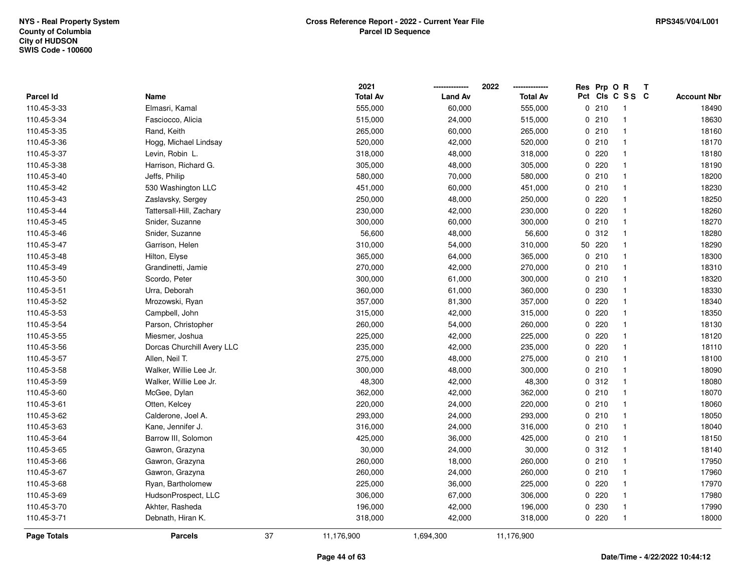|                    |                            |    | 2021            |                | 2022            | Res Prp O R |                         | Т |                    |
|--------------------|----------------------------|----|-----------------|----------------|-----------------|-------------|-------------------------|---|--------------------|
| <b>Parcel Id</b>   | Name                       |    | <b>Total Av</b> | <b>Land Av</b> | <b>Total Av</b> |             | Pct Cls C S S C         |   | <b>Account Nbr</b> |
| 110.45-3-33        | Elmasri, Kamal             |    | 555,000         | 60,000         | 555,000         | 0210        | -1                      |   | 18490              |
| 110.45-3-34        | Fasciocco, Alicia          |    | 515,000         | 24,000         | 515,000         | 0210        | $\overline{\mathbf{1}}$ |   | 18630              |
| 110.45-3-35        | Rand, Keith                |    | 265,000         | 60,000         | 265,000         | 0210        | $\overline{1}$          |   | 18160              |
| 110.45-3-36        | Hogg, Michael Lindsay      |    | 520,000         | 42,000         | 520,000         | 0210        | $\overline{1}$          |   | 18170              |
| 110.45-3-37        | Levin, Robin L.            |    | 318,000         | 48,000         | 318,000         | 0220        | $\mathbf{1}$            |   | 18180              |
| 110.45-3-38        | Harrison, Richard G.       |    | 305,000         | 48,000         | 305,000         | 0220        | $\overline{1}$          |   | 18190              |
| 110.45-3-40        | Jeffs, Philip              |    | 580,000         | 70,000         | 580,000         | 0210        | $\overline{\mathbf{1}}$ |   | 18200              |
| 110.45-3-42        | 530 Washington LLC         |    | 451,000         | 60,000         | 451,000         | 0210        | $\mathbf{1}$            |   | 18230              |
| 110.45-3-43        | Zaslavsky, Sergey          |    | 250,000         | 48,000         | 250,000         | 0220        | $\overline{\mathbf{1}}$ |   | 18250              |
| 110.45-3-44        | Tattersall-Hill, Zachary   |    | 230,000         | 42,000         | 230,000         | 0220        | $\mathbf{1}$            |   | 18260              |
| 110.45-3-45        | Snider, Suzanne            |    | 300,000         | 60,000         | 300,000         | 0210        | $\overline{1}$          |   | 18270              |
| 110.45-3-46        | Snider, Suzanne            |    | 56,600          | 48,000         | 56,600          | 0.312       | $\overline{1}$          |   | 18280              |
| 110.45-3-47        | Garrison, Helen            |    | 310,000         | 54,000         | 310,000         | 50 220      | $\overline{1}$          |   | 18290              |
| 110.45-3-48        | Hilton, Elyse              |    | 365,000         | 64,000         | 365,000         | 0210        | $\mathbf{1}$            |   | 18300              |
| 110.45-3-49        | Grandinetti, Jamie         |    | 270,000         | 42,000         | 270,000         | 0210        | $\overline{\mathbf{1}}$ |   | 18310              |
| 110.45-3-50        | Scordo, Peter              |    | 300,000         | 61,000         | 300,000         | 0210        | $\overline{\mathbf{1}}$ |   | 18320              |
| 110.45-3-51        | Urra, Deborah              |    | 360,000         | 61,000         | 360,000         | 0 230       | $\overline{1}$          |   | 18330              |
| 110.45-3-52        | Mrozowski, Ryan            |    | 357,000         | 81,300         | 357,000         | 0.220       | $\overline{1}$          |   | 18340              |
| 110.45-3-53        | Campbell, John             |    | 315,000         | 42,000         | 315,000         | 0220        | $\mathbf{1}$            |   | 18350              |
| 110.45-3-54        | Parson, Christopher        |    | 260,000         | 54,000         | 260,000         | 0220        | $\overline{1}$          |   | 18130              |
| 110.45-3-55        | Miesmer, Joshua            |    | 225,000         | 42,000         | 225,000         | 0220        | $\overline{1}$          |   | 18120              |
| 110.45-3-56        | Dorcas Churchill Avery LLC |    | 235,000         | 42,000         | 235,000         | 0220        | $\overline{\mathbf{1}}$ |   | 18110              |
| 110.45-3-57        | Allen, Neil T.             |    | 275,000         | 48,000         | 275,000         | 0210        | $\mathbf{1}$            |   | 18100              |
| 110.45-3-58        | Walker, Willie Lee Jr.     |    | 300,000         | 48,000         | 300,000         | 0210        | $\overline{\mathbf{1}}$ |   | 18090              |
| 110.45-3-59        | Walker, Willie Lee Jr.     |    | 48,300          | 42,000         | 48,300          | 0.312       | $\overline{\mathbf{1}}$ |   | 18080              |
| 110.45-3-60        | McGee, Dylan               |    | 362,000         | 42,000         | 362,000         | 0210        | $\mathbf{1}$            |   | 18070              |
| 110.45-3-61        | Otten, Kelcey              |    | 220,000         | 24,000         | 220,000         | 0210        | $\mathbf{1}$            |   | 18060              |
| 110.45-3-62        | Calderone, Joel A.         |    | 293,000         | 24,000         | 293,000         | 0210        | $\mathbf{1}$            |   | 18050              |
| 110.45-3-63        | Kane, Jennifer J.          |    | 316,000         | 24,000         | 316,000         | 0210        | $\overline{\mathbf{1}}$ |   | 18040              |
| 110.45-3-64        | Barrow III, Solomon        |    | 425,000         | 36,000         | 425,000         | 0210        | $\mathbf{1}$            |   | 18150              |
| 110.45-3-65        | Gawron, Grazyna            |    | 30,000          | 24,000         | 30,000          | 0.312       | $\overline{\mathbf{1}}$ |   | 18140              |
| 110.45-3-66        | Gawron, Grazyna            |    | 260,000         | 18,000         | 260,000         | 0210        | $\overline{1}$          |   | 17950              |
| 110.45-3-67        | Gawron, Grazyna            |    | 260,000         | 24,000         | 260,000         | 0210        | $\mathbf{1}$            |   | 17960              |
| 110.45-3-68        | Ryan, Bartholomew          |    | 225,000         | 36,000         | 225,000         | 0220        | $\overline{1}$          |   | 17970              |
| 110.45-3-69        | HudsonProspect, LLC        |    | 306,000         | 67,000         | 306,000         | 0220        | $\mathbf{1}$            |   | 17980              |
| 110.45-3-70        | Akhter, Rasheda            |    | 196,000         | 42,000         | 196,000         | 0 230       | $\mathbf{1}$            |   | 17990              |
| 110.45-3-71        | Debnath, Hiran K.          |    | 318,000         | 42,000         | 318,000         | 0220        | $\overline{\mathbf{1}}$ |   | 18000              |
| <b>Page Totals</b> | <b>Parcels</b>             | 37 | 11,176,900      | 1,694,300      | 11,176,900      |             |                         |   |                    |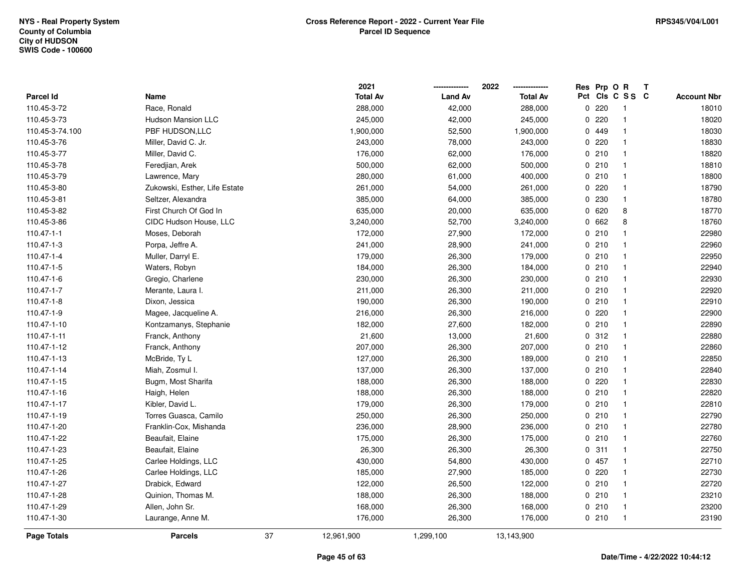|                    |                               |    | 2021            |                | 2022            | Res Prp O R |                         | Т |                    |
|--------------------|-------------------------------|----|-----------------|----------------|-----------------|-------------|-------------------------|---|--------------------|
| Parcel Id          | Name                          |    | <b>Total Av</b> | <b>Land Av</b> | <b>Total Av</b> |             | Pct Cls C S S C         |   | <b>Account Nbr</b> |
| 110.45-3-72        | Race, Ronald                  |    | 288,000         | 42,000         | 288,000         | 0220        | -1                      |   | 18010              |
| 110.45-3-73        | <b>Hudson Mansion LLC</b>     |    | 245,000         | 42,000         | 245,000         | 0220        | $\overline{\mathbf{1}}$ |   | 18020              |
| 110.45-3-74.100    | PBF HUDSON, LLC               |    | 1,900,000       | 52,500         | 1,900,000       | 0 449       | $\mathbf{1}$            |   | 18030              |
| 110.45-3-76        | Miller, David C. Jr.          |    | 243,000         | 78,000         | 243,000         | 0220        | $\mathbf{1}$            |   | 18830              |
| 110.45-3-77        | Miller, David C.              |    | 176,000         | 62,000         | 176,000         | 0210        | $\mathbf{1}$            |   | 18820              |
| 110.45-3-78        | Feredjian, Arek               |    | 500,000         | 62,000         | 500,000         | 0210        | $\mathbf{1}$            |   | 18810              |
| 110.45-3-79        | Lawrence, Mary                |    | 280,000         | 61,000         | 400,000         | 0210        | $\overline{1}$          |   | 18800              |
| 110.45-3-80        | Zukowski, Esther, Life Estate |    | 261,000         | 54,000         | 261,000         | 0220        | $\mathbf{1}$            |   | 18790              |
| 110.45-3-81        | Seltzer, Alexandra            |    | 385,000         | 64,000         | 385,000         | 0 230       | $\mathbf{1}$            |   | 18780              |
| 110.45-3-82        | First Church Of God In        |    | 635,000         | 20,000         | 635,000         | 0 620       | 8                       |   | 18770              |
| 110.45-3-86        | CIDC Hudson House, LLC        |    | 3,240,000       | 52,700         | 3,240,000       | 0 662       | 8                       |   | 18760              |
| 110.47-1-1         | Moses, Deborah                |    | 172,000         | 27,900         | 172,000         | 0210        | $\mathbf{1}$            |   | 22980              |
| 110.47-1-3         | Porpa, Jeffre A.              |    | 241,000         | 28,900         | 241,000         | 0210        | 1                       |   | 22960              |
| 110.47-1-4         | Muller, Darryl E.             |    | 179,000         | 26,300         | 179,000         | 0210        | $\overline{1}$          |   | 22950              |
| 110.47-1-5         | Waters, Robyn                 |    | 184,000         | 26,300         | 184,000         | 0210        | $\mathbf{1}$            |   | 22940              |
| 110.47-1-6         | Gregio, Charlene              |    | 230,000         | 26,300         | 230,000         | 0210        | $\overline{\mathbf{1}}$ |   | 22930              |
| 110.47-1-7         | Merante, Laura I.             |    | 211,000         | 26,300         | 211,000         | 0210        | $\overline{1}$          |   | 22920              |
| 110.47-1-8         | Dixon, Jessica                |    | 190,000         | 26,300         | 190,000         | 0210        | -1                      |   | 22910              |
| 110.47-1-9         | Magee, Jacqueline A.          |    | 216,000         | 26,300         | 216,000         | 0220        | $\mathbf{1}$            |   | 22900              |
| 110.47-1-10        | Kontzamanys, Stephanie        |    | 182,000         | 27,600         | 182,000         | 0210        | $\overline{1}$          |   | 22890              |
| 110.47-1-11        | Franck, Anthony               |    | 21,600          | 13,000         | 21,600          | 0.312       | $\overline{1}$          |   | 22880              |
| 110.47-1-12        | Franck, Anthony               |    | 207,000         | 26,300         | 207,000         | 0210        | -1                      |   | 22860              |
| 110.47-1-13        | McBride, Ty L                 |    | 127,000         | 26,300         | 189,000         | 0210        | $\overline{1}$          |   | 22850              |
| 110.47-1-14        | Miah, Zosmul I.               |    | 137,000         | 26,300         | 137,000         | 0210        | $\mathbf{1}$            |   | 22840              |
| 110.47-1-15        | Bugm, Most Sharifa            |    | 188,000         | 26,300         | 188,000         | $0$ 220     | $\mathbf{1}$            |   | 22830              |
| 110.47-1-16        | Haigh, Helen                  |    | 188,000         | 26,300         | 188,000         | 0210        | $\mathbf 1$             |   | 22820              |
| 110.47-1-17        | Kibler, David L.              |    | 179,000         | 26,300         | 179,000         | 0210        | $\mathbf{1}$            |   | 22810              |
| 110.47-1-19        | Torres Guasca, Camilo         |    | 250,000         | 26,300         | 250,000         | 0210        | $\mathbf 1$             |   | 22790              |
| 110.47-1-20        | Franklin-Cox, Mishanda        |    | 236,000         | 28,900         | 236,000         | 0210        | $\overline{\mathbf{1}}$ |   | 22780              |
| 110.47-1-22        | Beaufait, Elaine              |    | 175,000         | 26,300         | 175,000         | 0210        | $\mathbf{1}$            |   | 22760              |
| 110.47-1-23        | Beaufait, Elaine              |    | 26,300          | 26,300         | 26,300          | 0.311       | $\overline{\mathbf{1}}$ |   | 22750              |
| 110.47-1-25        | Carlee Holdings, LLC          |    | 430,000         | 54,800         | 430,000         | 0457        | $\overline{1}$          |   | 22710              |
| 110.47-1-26        | Carlee Holdings, LLC          |    | 185,000         | 27,900         | 185,000         | 0.220       | $\mathbf{1}$            |   | 22730              |
| 110.47-1-27        | Drabick, Edward               |    | 122,000         | 26,500         | 122,000         | 0210        | $\overline{1}$          |   | 22720              |
| 110.47-1-28        | Quinion, Thomas M.            |    | 188,000         | 26,300         | 188,000         | 0210        | $\overline{1}$          |   | 23210              |
| 110.47-1-29        | Allen, John Sr.               |    | 168,000         | 26,300         | 168,000         | 0210        | $\overline{\mathbf{1}}$ |   | 23200              |
| 110.47-1-30        | Laurange, Anne M.             |    | 176,000         | 26,300         | 176,000         | 0210        | $\overline{1}$          |   | 23190              |
| <b>Page Totals</b> | <b>Parcels</b>                | 37 | 12,961,900      | 1,299,100      | 13,143,900      |             |                         |   |                    |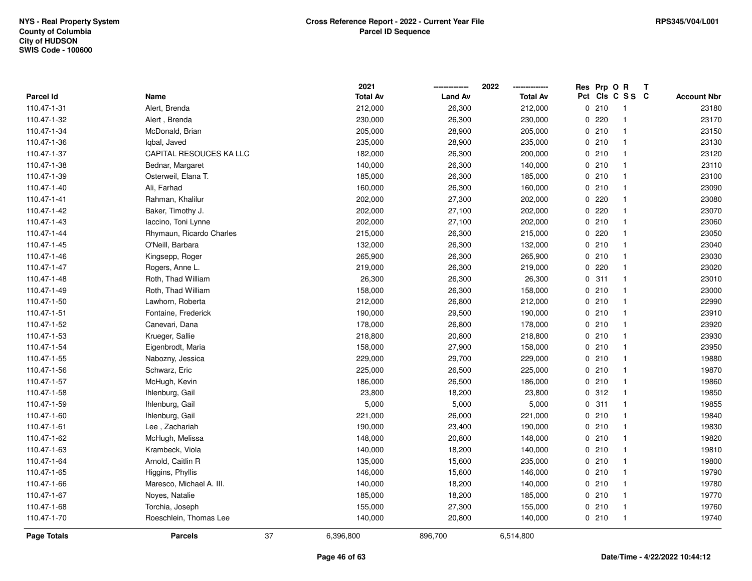|                    |                          | 2021            |                | 2022<br>-------------- | Res Prp O R |                 | Т |                    |
|--------------------|--------------------------|-----------------|----------------|------------------------|-------------|-----------------|---|--------------------|
| Parcel Id          | Name                     | <b>Total Av</b> | <b>Land Av</b> | <b>Total Av</b>        |             | Pct Cls C S S C |   | <b>Account Nbr</b> |
| 110.47-1-31        | Alert, Brenda            | 212,000         | 26,300         | 212,000                | 0210        | -1              |   | 23180              |
| 110.47-1-32        | Alert, Brenda            | 230,000         | 26,300         | 230,000                | 0220        | $\overline{1}$  |   | 23170              |
| 110.47-1-34        | McDonald, Brian          | 205,000         | 28,900         | 205,000                | 0210        | $\overline{1}$  |   | 23150              |
| 110.47-1-36        | Igbal, Javed             | 235,000         | 28,900         | 235,000                | 0210        | $\overline{1}$  |   | 23130              |
| 110.47-1-37        | CAPITAL RESOUCES KA LLC  | 182,000         | 26,300         | 200,000                | 0210        | $\overline{1}$  |   | 23120              |
| 110.47-1-38        | Bednar, Margaret         | 140,000         | 26,300         | 140,000                | 0210        | $\overline{1}$  |   | 23110              |
| 110.47-1-39        | Osterweil, Elana T.      | 185,000         | 26,300         | 185,000                | 0210        | $\overline{1}$  |   | 23100              |
| 110.47-1-40        | Ali, Farhad              | 160,000         | 26,300         | 160,000                | 0210        | $\overline{1}$  |   | 23090              |
| 110.47-1-41        | Rahman, Khalilur         | 202,000         | 27,300         | 202,000                | 0220        | $\overline{1}$  |   | 23080              |
| 110.47-1-42        | Baker, Timothy J.        | 202,000         | 27,100         | 202,000                | 0220        | $\overline{1}$  |   | 23070              |
| 110.47-1-43        | laccino, Toni Lynne      | 202,000         | 27,100         | 202,000                | 0210        | $\mathbf{1}$    |   | 23060              |
| 110.47-1-44        | Rhymaun, Ricardo Charles | 215,000         | 26,300         | 215,000                | 0220        | -1              |   | 23050              |
| 110.47-1-45        | O'Neill, Barbara         | 132,000         | 26,300         | 132,000                | 0210        | $\mathbf{1}$    |   | 23040              |
| 110.47-1-46        | Kingsepp, Roger          | 265,900         | 26,300         | 265,900                | 0210        | $\mathbf{1}$    |   | 23030              |
| 110.47-1-47        | Rogers, Anne L.          | 219,000         | 26,300         | 219,000                | $0$ 220     | $\overline{1}$  |   | 23020              |
| 110.47-1-48        | Roth, Thad William       | 26,300          | 26,300         | 26,300                 | 0.311       | $\overline{1}$  |   | 23010              |
| 110.47-1-49        | Roth, Thad William       | 158,000         | 26,300         | 158,000                | 0210        | $\mathbf{1}$    |   | 23000              |
| 110.47-1-50        | Lawhorn, Roberta         | 212,000         | 26,800         | 212,000                | 0210        | $\mathbf{1}$    |   | 22990              |
| 110.47-1-51        | Fontaine, Frederick      | 190,000         | 29,500         | 190,000                | 0210        | $\overline{1}$  |   | 23910              |
| 110.47-1-52        | Canevari, Dana           | 178,000         | 26,800         | 178,000                | 0210        | $\mathbf{1}$    |   | 23920              |
| 110.47-1-53        | Krueger, Sallie          | 218,800         | 20,800         | 218,800                | 0210        | $\mathbf{1}$    |   | 23930              |
| 110.47-1-54        | Eigenbrodt, Maria        | 158,000         | 27,900         | 158,000                | 0210        | $\overline{1}$  |   | 23950              |
| 110.47-1-55        | Nabozny, Jessica         | 229,000         | 29,700         | 229,000                | 0210        | $\overline{1}$  |   | 19880              |
| 110.47-1-56        | Schwarz, Eric            | 225,000         | 26,500         | 225,000                | 0210        | $\mathbf{1}$    |   | 19870              |
| 110.47-1-57        | McHugh, Kevin            | 186,000         | 26,500         | 186,000                | 0210        | $\mathbf{1}$    |   | 19860              |
| 110.47-1-58        | Ihlenburg, Gail          | 23,800          | 18,200         | 23,800                 | 0.312       | $\overline{1}$  |   | 19850              |
| 110.47-1-59        | Ihlenburg, Gail          | 5,000           | 5,000          | 5,000                  | 0.311       | -1              |   | 19855              |
| 110.47-1-60        | Ihlenburg, Gail          | 221,000         | 26,000         | 221,000                | 0210        | $\overline{1}$  |   | 19840              |
| 110.47-1-61        | Lee, Zachariah           | 190,000         | 23,400         | 190,000                | 0210        | $\overline{1}$  |   | 19830              |
| 110.47-1-62        | McHugh, Melissa          | 148,000         | 20,800         | 148,000                | 0210        | $\overline{1}$  |   | 19820              |
| 110.47-1-63        | Krambeck, Viola          | 140,000         | 18,200         | 140,000                | 0210        | $\overline{1}$  |   | 19810              |
| 110.47-1-64        | Arnold, Caitlin R        | 135,000         | 15,600         | 235,000                | 0210        | $\overline{1}$  |   | 19800              |
| 110.47-1-65        | Higgins, Phyllis         | 146,000         | 15,600         | 146,000                | 0210        | $\overline{1}$  |   | 19790              |
| 110.47-1-66        | Maresco, Michael A. III. | 140,000         | 18,200         | 140,000                | 0210        | $\overline{1}$  |   | 19780              |
| 110.47-1-67        | Noyes, Natalie           | 185,000         | 18,200         | 185,000                | 0210        | $\overline{1}$  |   | 19770              |
| 110.47-1-68        | Torchia, Joseph          | 155,000         | 27,300         | 155,000                | 0210        | $\overline{1}$  |   | 19760              |
| 110.47-1-70        | Roeschlein, Thomas Lee   | 140,000         | 20,800         | 140,000                | 0210        | $\overline{1}$  |   | 19740              |
| <b>Page Totals</b> | 37<br><b>Parcels</b>     | 6,396,800       | 896,700        | 6,514,800              |             |                 |   |                    |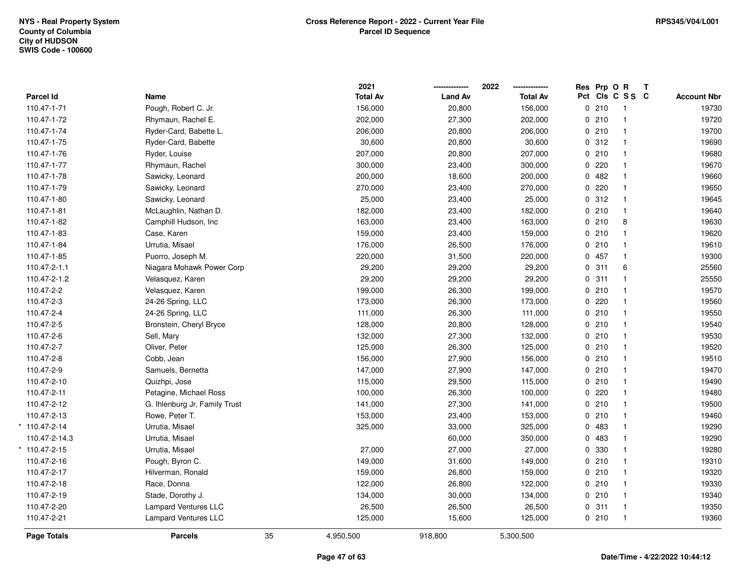|                    |                               |    | 2021            |                | 2022            | Res Prp O R |                 | Т |                    |
|--------------------|-------------------------------|----|-----------------|----------------|-----------------|-------------|-----------------|---|--------------------|
| Parcel Id          | Name                          |    | <b>Total Av</b> | <b>Land Av</b> | <b>Total Av</b> |             | Pct Cls C S S C |   | <b>Account Nbr</b> |
| 110.47-1-71        | Pough, Robert C. Jr.          |    | 156,000         | 20,800         | 156,000         | 0210        | $\overline{1}$  |   | 19730              |
| 110.47-1-72        | Rhymaun, Rachel E.            |    | 202,000         | 27,300         | 202,000         | 0210        | $\overline{1}$  |   | 19720              |
| 110.47-1-74        | Ryder-Card, Babette L.        |    | 206,000         | 20,800         | 206,000         | 0210        | $\mathbf{1}$    |   | 19700              |
| 110.47-1-75        | Ryder-Card, Babette           |    | 30,600          | 20,800         | 30,600          | 0.312       | $\mathbf{1}$    |   | 19690              |
| 110.47-1-76        | Ryder, Louise                 |    | 207,000         | 20,800         | 207,000         | 0210        | $\mathbf{1}$    |   | 19680              |
| 110.47-1-77        | Rhymaun, Rachel               |    | 300,000         | 23,400         | 300,000         | 0220        | $\mathbf{1}$    |   | 19670              |
| 110.47-1-78        | Sawicky, Leonard              |    | 200,000         | 18,600         | 200,000         | 0482        | $\mathbf{1}$    |   | 19660              |
| 110.47-1-79        | Sawicky, Leonard              |    | 270,000         | 23,400         | 270,000         | 0220        | $\mathbf{1}$    |   | 19650              |
| 110.47-1-80        | Sawicky, Leonard              |    | 25,000          | 23,400         | 25,000          | 0.312       | $\mathbf{1}$    |   | 19645              |
| 110.47-1-81        | McLaughlin, Nathan D.         |    | 182,000         | 23,400         | 182,000         | 0210        | $\mathbf{1}$    |   | 19640              |
| 110.47-1-82        | Camphill Hudson, Inc          |    | 163,000         | 23,400         | 163,000         | 0210        | 8               |   | 19630              |
| 110.47-1-83        | Case, Karen                   |    | 159,000         | 23,400         | 159,000         | 0210        | $\mathbf{1}$    |   | 19620              |
| 110.47-1-84        | Urrutia, Misael               |    | 176,000         | 26,500         | 176,000         | 0210        | $\mathbf 1$     |   | 19610              |
| 110.47-1-85        | Puorro, Joseph M.             |    | 220,000         | 31,500         | 220,000         | 0 457       | $\mathbf{1}$    |   | 19300              |
| 110.47-2-1.1       | Niagara Mohawk Power Corp     |    | 29,200          | 29,200         | 29,200          | 0.311       | 6               |   | 25560              |
| 110.47-2-1.2       | Velasquez, Karen              |    | 29,200          | 29,200         | 29,200          | 0.311       | $\mathbf{1}$    |   | 25550              |
| 110.47-2-2         | Velasquez, Karen              |    | 199,000         | 26,300         | 199,000         | 0210        | $\mathbf{1}$    |   | 19570              |
| 110.47-2-3         | 24-26 Spring, LLC             |    | 173,000         | 26,300         | 173,000         | 0220        | $\mathbf{1}$    |   | 19560              |
| 110.47-2-4         | 24-26 Spring, LLC             |    | 111,000         | 26,300         | 111,000         | 0210        | $\mathbf{1}$    |   | 19550              |
| 110.47-2-5         | Bronstein, Cheryl Bryce       |    | 128,000         | 20,800         | 128,000         | 0210        | $\mathbf{1}$    |   | 19540              |
| 110.47-2-6         | Sell, Mary                    |    | 132,000         | 27,300         | 132,000         | 0210        | $\mathbf{1}$    |   | 19530              |
| 110.47-2-7         | Oliver, Peter                 |    | 125,000         | 26,300         | 125,000         | 0210        | $\mathbf 1$     |   | 19520              |
| 110.47-2-8         | Cobb, Jean                    |    | 156,000         | 27,900         | 156,000         | 0210        | $\overline{1}$  |   | 19510              |
| 110.47-2-9         | Samuels, Bernetta             |    | 147,000         | 27,900         | 147,000         | 0210        | $\mathbf{1}$    |   | 19470              |
| 110.47-2-10        | Quizhpi, Jose                 |    | 115,000         | 29,500         | 115,000         | 0210        | $\overline{1}$  |   | 19490              |
| 110.47-2-11        | Petagine, Michael Ross        |    | 100,000         | 26,300         | 100,000         | $0$ 220     | $\mathbf{1}$    |   | 19480              |
| 110.47-2-12        | G. Ihlenburg Jr, Family Trust |    | 141,000         | 27,300         | 141,000         | 0210        | $\mathbf{1}$    |   | 19500              |
| 110.47-2-13        | Rowe, Peter T.                |    | 153,000         | 23,400         | 153,000         | 0210        | $\mathbf{1}$    |   | 19460              |
| 110.47-2-14        | Urrutia, Misael               |    | 325,000         | 33,000         | 325,000         | 0 483       | $\mathbf{1}$    |   | 19290              |
| 110.47-2-14.3      | Urrutia, Misael               |    |                 | 60,000         | 350,000         | 0 483       | $\mathbf{1}$    |   | 19290              |
| 110.47-2-15        | Urrutia, Misael               |    | 27,000          | 27,000         | 27,000          | 0 330       | $\mathbf{1}$    |   | 19280              |
| 110.47-2-16        | Pough, Byron C.               |    | 149,000         | 31,600         | 149,000         | 0210        | $\mathbf{1}$    |   | 19310              |
| 110.47-2-17        | Hilverman, Ronald             |    | 159,000         | 26,800         | 159,000         | 0210        | $\mathbf{1}$    |   | 19320              |
| 110.47-2-18        | Race, Donna                   |    | 122,000         | 26,800         | 122,000         | 0210        | $\mathbf{1}$    |   | 19330              |
| 110.47-2-19        | Stade, Dorothy J.             |    | 134,000         | 30,000         | 134,000         | 0210        | $\overline{1}$  |   | 19340              |
| 110.47-2-20        | <b>Lampard Ventures LLC</b>   |    | 26,500          | 26,500         | 26,500          | 0.311       | $\mathbf{1}$    |   | 19350              |
| 110.47-2-21        | <b>Lampard Ventures LLC</b>   |    | 125,000         | 15,600         | 125,000         | 0210        | $\overline{1}$  |   | 19360              |
| <b>Page Totals</b> | <b>Parcels</b>                | 35 | 4,950,500       | 918,800        | 5,300,500       |             |                 |   |                    |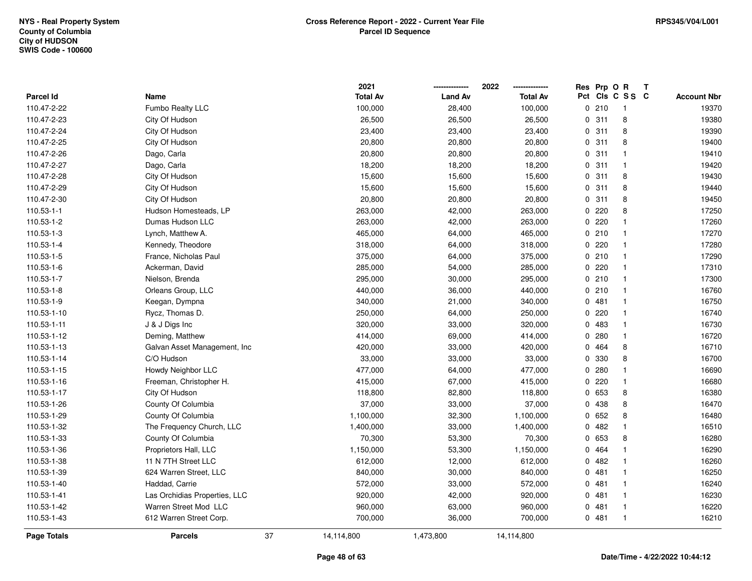| <b>Page Totals</b> | <b>Parcels</b>                | 37 | 14,114,800      | 1,473,800      | 14,114,800      |             |                 |   |                    |
|--------------------|-------------------------------|----|-----------------|----------------|-----------------|-------------|-----------------|---|--------------------|
| 110.53-1-43        | 612 Warren Street Corp.       |    | 700,000         | 36,000         | 700,000         | 0481        | $\mathbf{1}$    |   | 16210              |
| 110.53-1-42        | Warren Street Mod LLC         |    | 960,000         | 63,000         | 960,000         | 0481        | $\mathbf{1}$    |   | 16220              |
| 110.53-1-41        | Las Orchidias Properties, LLC |    | 920,000         | 42,000         | 920,000         | 0481        | $\mathbf{1}$    |   | 16230              |
| 110.53-1-40        | Haddad, Carrie                |    | 572,000         | 33,000         | 572,000         | 0481        | $\mathbf{1}$    |   | 16240              |
| 110.53-1-39        | 624 Warren Street, LLC        |    | 840,000         | 30,000         | 840,000         | 0.481       | $\mathbf{1}$    |   | 16250              |
| 110.53-1-38        | 11 N 7TH Street LLC           |    | 612,000         | 12,000         | 612,000         | 0.482       | $\mathbf{1}$    |   | 16260              |
| 110.53-1-36        | Proprietors Hall, LLC         |    | 1,150,000       | 53,300         | 1,150,000       | 0 464       | $\mathbf{1}$    |   | 16290              |
| 110.53-1-33        | County Of Columbia            |    | 70,300          | 53,300         | 70,300          | 0 653       | 8               |   | 16280              |
| 110.53-1-32        | The Frequency Church, LLC     |    | 1,400,000       | 33,000         | 1,400,000       | 0.482       | 1               |   | 16510              |
| 110.53-1-29        | County Of Columbia            |    | 1,100,000       | 32,300         | 1,100,000       | 0 652       | 8               |   | 16480              |
| 110.53-1-26        | County Of Columbia            |    | 37,000          | 33,000         | 37,000          | 0 438       | 8               |   | 16470              |
| 110.53-1-17        | City Of Hudson                |    | 118,800         | 82,800         | 118,800         | 0 653       | 8               |   | 16380              |
| 110.53-1-16        | Freeman, Christopher H.       |    | 415,000         | 67,000         | 415,000         | 0.220       | $\mathbf{1}$    |   | 16680              |
| 110.53-1-15        | Howdy Neighbor LLC            |    | 477,000         | 64,000         | 477,000         | 0.280       | $\mathbf{1}$    |   | 16690              |
| 110.53-1-14        | C/O Hudson                    |    | 33,000          | 33,000         | 33,000          | 0 330       | 8               |   | 16700              |
| 110.53-1-13        | Galvan Asset Management, Inc  |    | 420,000         | 33,000         | 420,000         | 0 464       | 8               |   | 16710              |
| 110.53-1-12        | Deming, Matthew               |    | 414,000         | 69,000         | 414,000         | 0.280       | $\mathbf{1}$    |   | 16720              |
| 110.53-1-11        | J & J Digs Inc                |    | 320,000         | 33,000         | 320,000         | 0483        | $\mathbf{1}$    |   | 16730              |
| 110.53-1-10        | Rycz, Thomas D.               |    | 250,000         | 64,000         | 250,000         | 0.220       | $\mathbf{1}$    |   | 16740              |
| 110.53-1-9         | Keegan, Dympna                |    | 340,000         | 21,000         | 340,000         | 0.481       | $\mathbf{1}$    |   | 16750              |
| 110.53-1-8         | Orleans Group, LLC            |    | 440,000         | 36,000         | 440,000         | 0210        | $\mathbf{1}$    |   | 16760              |
| 110.53-1-7         | Nielson, Brenda               |    | 295,000         | 30,000         | 295,000         | 0210        | $\mathbf{1}$    |   | 17300              |
| 110.53-1-6         | Ackerman, David               |    | 285,000         | 54,000         | 285,000         | 0.220       | 1               |   | 17310              |
| 110.53-1-5         | France, Nicholas Paul         |    | 375,000         | 64,000         | 375,000         | 0210        | 1               |   | 17290              |
| 110.53-1-4         | Kennedy, Theodore             |    | 318,000         | 64,000         | 318,000         | 0.220       | $\mathbf{1}$    |   | 17280              |
| 110.53-1-3         | Lynch, Matthew A.             |    | 465,000         | 64,000         | 465,000         | 0210        | 1               |   | 17270              |
| 110.53-1-2         | Dumas Hudson LLC              |    | 263,000         | 42,000         | 263,000         | 0.220       | $\mathbf{1}$    |   | 17260              |
| $110.53 - 1 - 1$   | Hudson Homesteads, LP         |    | 263,000         | 42,000         | 263,000         | 0220        | 8               |   | 17250              |
| 110.47-2-30        | City Of Hudson                |    | 20,800          | 20,800         | 20,800          | 0.311       | 8               |   | 19450              |
| 110.47-2-29        | City Of Hudson                |    | 15,600          | 15,600         | 15,600          | 0.311       | 8               |   | 19440              |
| 110.47-2-28        | City Of Hudson                |    | 15,600          | 15,600         | 15,600          | 0.311       | 8               |   | 19430              |
| 110.47-2-27        | Dago, Carla                   |    | 18,200          | 18,200         | 18,200          | 0.311       | $\mathbf{1}$    |   | 19420              |
| 110.47-2-26        | Dago, Carla                   |    | 20,800          | 20,800         | 20,800          | 0.311       | $\mathbf{1}$    |   | 19410              |
| 110.47-2-25        | City Of Hudson                |    | 20,800          | 20,800         | 20,800          | 0.311       | 8               |   | 19400              |
| 110.47-2-24        | City Of Hudson                |    | 23,400          | 23,400         | 23,400          | 0.311       | 8               |   | 19390              |
| 110.47-2-23        | City Of Hudson                |    | 26,500          | 26,500         | 26,500          | 0.311       | 8               |   | 19380              |
| 110.47-2-22        | Fumbo Realty LLC              |    | 100,000         | 28,400         | 100,000         | 0210        | -1              |   | 19370              |
| Parcel Id          | Name                          |    | <b>Total Av</b> | <b>Land Av</b> | <b>Total Av</b> |             | Pct Cls C S S C |   | <b>Account Nbr</b> |
|                    |                               |    | 2021            |                | 2022            | Res Prp O R |                 | Т |                    |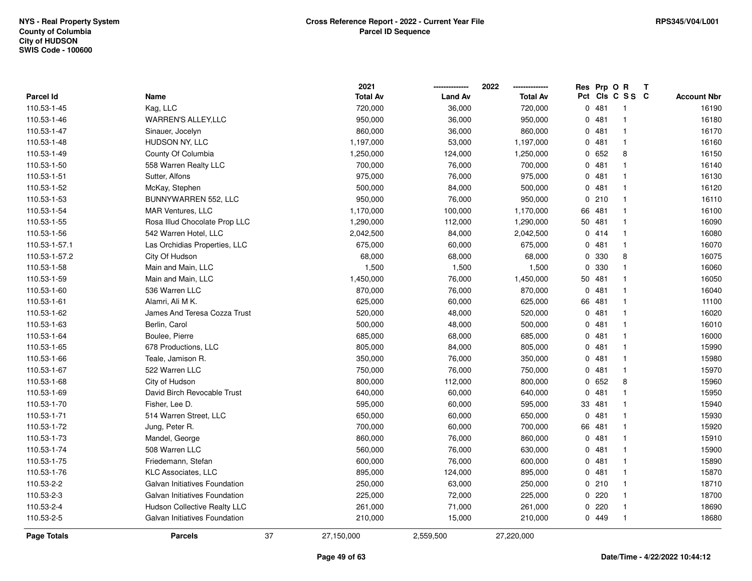|               |                               | 2021             |                | 2022            |          | Res Prp O R |                 | Т |                    |
|---------------|-------------------------------|------------------|----------------|-----------------|----------|-------------|-----------------|---|--------------------|
| Parcel Id     | Name                          | <b>Total Av</b>  | <b>Land Av</b> | <b>Total Av</b> |          |             | Pct Cls C S S C |   | <b>Account Nbr</b> |
| 110.53-1-45   | Kag, LLC                      | 720,000          | 36,000         | 720,000         |          | 0481        | -1              |   | 16190              |
| 110.53-1-46   | WARREN'S ALLEY, LLC           | 950,000          | 36,000         | 950,000         | 0        | 481         | $\mathbf 1$     |   | 16180              |
| 110.53-1-47   | Sinauer, Jocelyn              | 860,000          | 36,000         | 860,000         |          | 0481        | $\mathbf 1$     |   | 16170              |
| 110.53-1-48   | HUDSON NY, LLC                | 1,197,000        | 53,000         | 1,197,000       |          | 0481        | -1              |   | 16160              |
| 110.53-1-49   | County Of Columbia            | 1,250,000        | 124,000        | 1,250,000       |          | 0652        | 8               |   | 16150              |
| 110.53-1-50   | 558 Warren Realty LLC         | 700,000          | 76,000         | 700,000         |          | 0481        |                 |   | 16140              |
| 110.53-1-51   | Sutter, Alfons                | 975,000          | 76,000         | 975,000         |          | 0481        |                 |   | 16130              |
| 110.53-1-52   | McKay, Stephen                | 500,000          | 84,000         | 500,000         | 0        | 481         |                 |   | 16120              |
| 110.53-1-53   | BUNNYWARREN 552, LLC          | 950,000          | 76,000         | 950,000         | 0        | 210         | $\mathbf 1$     |   | 16110              |
| 110.53-1-54   | MAR Ventures, LLC             | 1,170,000        | 100,000        | 1,170,000       | 66       | 481         | $\mathbf 1$     |   | 16100              |
| 110.53-1-55   | Rosa Illud Chocolate Prop LLC | 1,290,000        | 112,000        | 1,290,000       | 50       | 481         |                 |   | 16090              |
| 110.53-1-56   | 542 Warren Hotel, LLC         | 2,042,500        | 84,000         | 2,042,500       |          | 0414        |                 |   | 16080              |
| 110.53-1-57.1 | Las Orchidias Properties, LLC | 675,000          | 60,000         | 675,000         | 0        | 481         |                 |   | 16070              |
| 110.53-1-57.2 | City Of Hudson                | 68,000           | 68,000         | 68,000          | 0        | 330         | 8               |   | 16075              |
| 110.53-1-58   | Main and Main, LLC            | 1,500            | 1,500          | 1,500           | 0        | 330         |                 |   | 16060              |
| 110.53-1-59   | Main and Main, LLC            | 1,450,000        | 76,000         | 1,450,000       | 50       | 481         | $\mathbf{1}$    |   | 16050              |
| 110.53-1-60   | 536 Warren LLC                | 870,000          | 76,000         | 870,000         | 0        | 481         | -1              |   | 16040              |
| 110.53-1-61   | Alamri, Ali M K.              | 625,000          | 60,000         | 625,000         | 66       | 481         |                 |   | 11100              |
| 110.53-1-62   | James And Teresa Cozza Trust  | 520,000          | 48,000         | 520,000         | 0        | 481         |                 |   | 16020              |
| 110.53-1-63   | Berlin, Carol                 | 500,000          | 48,000         | 500,000         | 0        | 481         |                 |   | 16010              |
| 110.53-1-64   | Boulee, Pierre                | 685,000          | 68,000         | 685,000         |          | 0481        |                 |   | 16000              |
| 110.53-1-65   | 678 Productions, LLC          | 805,000          | 84,000         | 805,000         | 0        | 481         |                 |   | 15990              |
| 110.53-1-66   | Teale, Jamison R.             | 350,000          | 76,000         | 350,000         |          | 0481        | $\mathbf 1$     |   | 15980              |
| 110.53-1-67   | 522 Warren LLC                | 750,000          | 76,000         | 750,000         | $\Omega$ | 481         | $\mathbf{1}$    |   | 15970              |
| 110.53-1-68   | City of Hudson                | 800,000          | 112,000        | 800,000         |          | 0652        | 8               |   | 15960              |
| 110.53-1-69   | David Birch Revocable Trust   | 640,000          | 60,000         | 640,000         | 0        | 481         |                 |   | 15950              |
| 110.53-1-70   | Fisher, Lee D.                | 595,000          | 60,000         | 595,000         | 33       | 481         |                 |   | 15940              |
| 110.53-1-71   | 514 Warren Street, LLC        | 650,000          | 60,000         | 650,000         | $\Omega$ | 481         |                 |   | 15930              |
| 110.53-1-72   | Jung, Peter R.                | 700,000          | 60,000         | 700,000         | 66       | 481         |                 |   | 15920              |
| 110.53-1-73   | Mandel, George                | 860,000          | 76,000         | 860,000         | 0        | 481         | $\mathbf 1$     |   | 15910              |
| 110.53-1-74   | 508 Warren LLC                | 560,000          | 76,000         | 630,000         | 0        | 481         | $\mathbf 1$     |   | 15900              |
| 110.53-1-75   | Friedemann, Stefan            | 600,000          | 76,000         | 600,000         |          | 0481        | $\mathbf 1$     |   | 15890              |
| 110.53-1-76   | KLC Associates, LLC           | 895,000          | 124,000        | 895,000         |          | 0481        |                 |   | 15870              |
| 110.53-2-2    | Galvan Initiatives Foundation | 250,000          | 63,000         | 250,000         |          | 0210        | -1              |   | 18710              |
| 110.53-2-3    | Galvan Initiatives Foundation | 225,000          | 72,000         | 225,000         | 0        | 220         |                 |   | 18700              |
| 110.53-2-4    | Hudson Collective Realty LLC  | 261,000          | 71,000         | 261,000         | 0        | 220         |                 |   | 18690              |
| 110.53-2-5    | Galvan Initiatives Foundation | 210,000          | 15,000         | 210,000         |          | 0 449       |                 |   | 18680              |
| Page Totals   | <b>Parcels</b>                | 37<br>27,150,000 | 2,559,500      | 27,220,000      |          |             |                 |   |                    |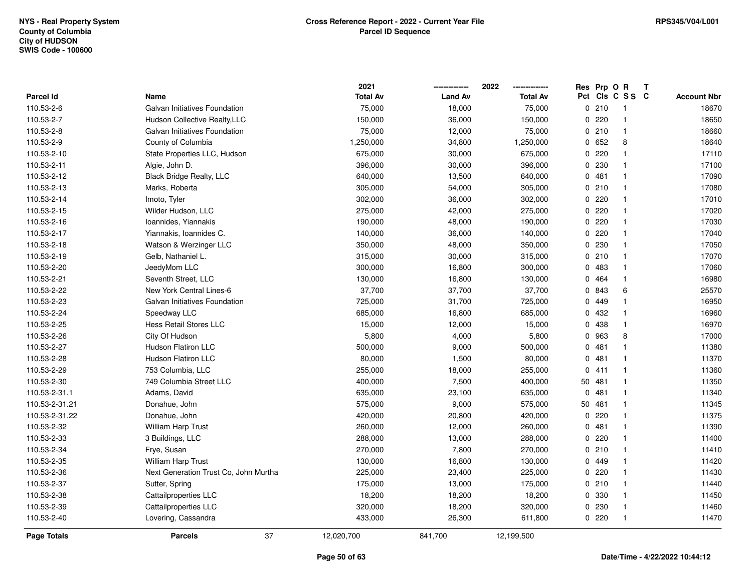|                    |                                       | 2021            |                | 2022            |     | Res Prp O R |              | Т |                    |
|--------------------|---------------------------------------|-----------------|----------------|-----------------|-----|-------------|--------------|---|--------------------|
| <b>Parcel Id</b>   | Name                                  | <b>Total Av</b> | <b>Land Av</b> | <b>Total Av</b> | Pct |             | CIS C S S C  |   | <b>Account Nbr</b> |
| 110.53-2-6         | Galvan Initiatives Foundation         | 75,000          | 18,000         | 75,000          |     | 0210        | $\mathbf{1}$ |   | 18670              |
| 110.53-2-7         | Hudson Collective Realty, LLC         | 150,000         | 36,000         | 150,000         |     | 0.220       | $\mathbf{1}$ |   | 18650              |
| 110.53-2-8         | Galvan Initiatives Foundation         | 75,000          | 12,000         | 75,000          |     | 0210        | $\mathbf{1}$ |   | 18660              |
| 110.53-2-9         | County of Columbia                    | 1,250,000       | 34,800         | 1,250,000       |     | 0652        | 8            |   | 18640              |
| 110.53-2-10        | State Properties LLC, Hudson          | 675,000         | 30,000         | 675,000         |     | 0.220       | $\mathbf{1}$ |   | 17110              |
| 110.53-2-11        | Algie, John D.                        | 396,000         | 30,000         | 396,000         |     | 0 230       | $\mathbf 1$  |   | 17100              |
| 110.53-2-12        | <b>Black Bridge Realty, LLC</b>       | 640,000         | 13,500         | 640,000         |     | 0481        | $\mathbf{1}$ |   | 17090              |
| 110.53-2-13        | Marks, Roberta                        | 305,000         | 54,000         | 305,000         |     | 0210        | $\mathbf{1}$ |   | 17080              |
| 110.53-2-14        | Imoto, Tyler                          | 302,000         | 36,000         | 302,000         |     | 0.220       | $\mathbf{1}$ |   | 17010              |
| 110.53-2-15        | Wilder Hudson, LLC                    | 275,000         | 42,000         | 275,000         |     | 0.220       | $\mathbf{1}$ |   | 17020              |
| 110.53-2-16        | Ioannides, Yiannakis                  | 190,000         | 48,000         | 190,000         |     | 0.220       | $\mathbf{1}$ |   | 17030              |
| 110.53-2-17        | Yiannakis, Ioannides C.               | 140,000         | 36,000         | 140,000         |     | 0.220       | $\mathbf{1}$ |   | 17040              |
| 110.53-2-18        | Watson & Werzinger LLC                | 350,000         | 48,000         | 350,000         |     | 0.230       | 1            |   | 17050              |
| 110.53-2-19        | Gelb, Nathaniel L.                    | 315,000         | 30,000         | 315,000         |     | 0210        | $\mathbf{1}$ |   | 17070              |
| 110.53-2-20        | JeedyMom LLC                          | 300,000         | 16,800         | 300,000         |     | 0483        | $\mathbf{1}$ |   | 17060              |
| 110.53-2-21        | Seventh Street, LLC                   | 130,000         | 16,800         | 130,000         |     | 0 464       | $\mathbf{1}$ |   | 16980              |
| 110.53-2-22        | New York Central Lines-6              | 37,700          | 37,700         | 37,700          |     | 0 843       | 6            |   | 25570              |
| 110.53-2-23        | Galvan Initiatives Foundation         | 725,000         | 31,700         | 725,000         |     | 0 449       | $\mathbf{1}$ |   | 16950              |
| 110.53-2-24        | Speedway LLC                          | 685,000         | 16,800         | 685,000         |     | 0 432       | $\mathbf{1}$ |   | 16960              |
| 110.53-2-25        | <b>Hess Retail Stores LLC</b>         | 15,000          | 12,000         | 15,000          |     | 0 438       | $\mathbf{1}$ |   | 16970              |
| 110.53-2-26        | City Of Hudson                        | 5,800           | 4,000          | 5,800           |     | 0 963       | 8            |   | 17000              |
| 110.53-2-27        | Hudson Flatiron LLC                   | 500,000         | 9,000          | 500,000         |     | 0481        | $\mathbf{1}$ |   | 11380              |
| 110.53-2-28        | <b>Hudson Flatiron LLC</b>            | 80,000          | 1,500          | 80,000          |     | 0481        | $\mathbf{1}$ |   | 11370              |
| 110.53-2-29        | 753 Columbia, LLC                     | 255,000         | 18,000         | 255,000         |     | 0411        | $\mathbf{1}$ |   | 11360              |
| 110.53-2-30        | 749 Columbia Street LLC               | 400,000         | 7,500          | 400,000         |     | 50 481      | $\mathbf{1}$ |   | 11350              |
| 110.53-2-31.1      | Adams, David                          | 635,000         | 23,100         | 635,000         |     | 0481        | $\mathbf{1}$ |   | 11340              |
| 110.53-2-31.21     | Donahue, John                         | 575,000         | 9,000          | 575,000         |     | 50 481      | $\mathbf{1}$ |   | 11345              |
| 110.53-2-31.22     | Donahue, John                         | 420,000         | 20,800         | 420,000         |     | 0.220       | 1            |   | 11375              |
| 110.53-2-32        | William Harp Trust                    | 260,000         | 12,000         | 260,000         |     | 0.481       | $\mathbf{1}$ |   | 11390              |
| 110.53-2-33        | 3 Buildings, LLC                      | 288,000         | 13,000         | 288,000         |     | 0220        | $\mathbf{1}$ |   | 11400              |
| 110.53-2-34        | Frye, Susan                           | 270,000         | 7,800          | 270,000         |     | 0210        | $\mathbf{1}$ |   | 11410              |
| 110.53-2-35        | William Harp Trust                    | 130,000         | 16,800         | 130,000         |     | 0 449       | $\mathbf{1}$ |   | 11420              |
| 110.53-2-36        | Next Generation Trust Co, John Murtha | 225,000         | 23,400         | 225,000         |     | 0.220       | $\mathbf{1}$ |   | 11430              |
| 110.53-2-37        | Sutter, Spring                        | 175,000         | 13,000         | 175,000         |     | 0210        | $\mathbf{1}$ |   | 11440              |
| 110.53-2-38        | Cattailproperties LLC                 | 18,200          | 18,200         | 18,200          |     | 0 330       | $\mathbf{1}$ |   | 11450              |
| 110.53-2-39        | Cattailproperties LLC                 | 320,000         | 18,200         | 320,000         |     | 0 230       | $\mathbf{1}$ |   | 11460              |
| 110.53-2-40        | Lovering, Cassandra                   | 433,000         | 26,300         | 611,800         |     | 0220        | $\mathbf{1}$ |   | 11470              |
| <b>Page Totals</b> | 37<br><b>Parcels</b>                  | 12,020,700      | 841,700        | 12,199,500      |     |             |              |   |                    |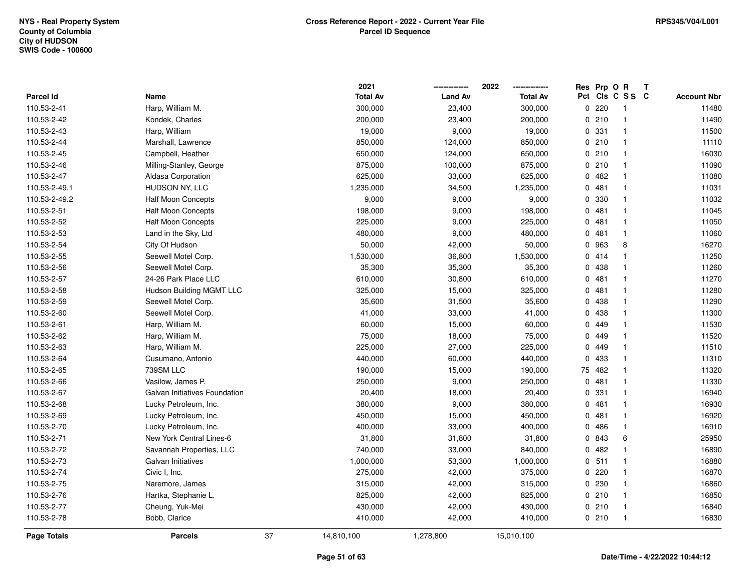|                    |                               |    | 2021            |                | 2022            | Res Prp O R |                         | Т |                    |
|--------------------|-------------------------------|----|-----------------|----------------|-----------------|-------------|-------------------------|---|--------------------|
| Parcel Id          | Name                          |    | <b>Total Av</b> | <b>Land Av</b> | <b>Total Av</b> |             | Pct Cls C S S C         |   | <b>Account Nbr</b> |
| 110.53-2-41        | Harp, William M.              |    | 300,000         | 23,400         | 300,000         | 0.220       | $\overline{\mathbf{1}}$ |   | 11480              |
| 110.53-2-42        | Kondek, Charles               |    | 200,000         | 23,400         | 200,000         | 0210        | $\overline{1}$          |   | 11490              |
| 110.53-2-43        | Harp, William                 |    | 19,000          | 9,000          | 19,000          | 0 331       | $\overline{1}$          |   | 11500              |
| 110.53-2-44        | Marshall, Lawrence            |    | 850,000         | 124,000        | 850,000         | 0210        | $\overline{1}$          |   | 11110              |
| 110.53-2-45        | Campbell, Heather             |    | 650,000         | 124,000        | 650,000         | 0210        | $\overline{1}$          |   | 16030              |
| 110.53-2-46        | Milling-Stanley, George       |    | 875,000         | 100,000        | 875,000         | 0210        | $\overline{1}$          |   | 11090              |
| 110.53-2-47        | Aldasa Corporation            |    | 625,000         | 33,000         | 625,000         | 0482        | $\overline{1}$          |   | 11080              |
| 110.53-2-49.1      | HUDSON NY, LLC                |    | 1,235,000       | 34,500         | 1,235,000       | 0481        | $\overline{1}$          |   | 11031              |
| 110.53-2-49.2      | <b>Half Moon Concepts</b>     |    | 9,000           | 9,000          | 9,000           | 0 330       | $\overline{1}$          |   | 11032              |
| 110.53-2-51        | <b>Half Moon Concepts</b>     |    | 198,000         | 9,000          | 198,000         | 0481        | $\overline{1}$          |   | 11045              |
| 110.53-2-52        | <b>Half Moon Concepts</b>     |    | 225,000         | 9,000          | 225,000         | 0481        | $\overline{1}$          |   | 11050              |
| 110.53-2-53        | Land in the Sky, Ltd          |    | 480,000         | 9,000          | 480,000         | 0481        | $\overline{1}$          |   | 11060              |
| 110.53-2-54        | City Of Hudson                |    | 50,000          | 42,000         | 50,000          | 0 963       | 8                       |   | 16270              |
| 110.53-2-55        | Seewell Motel Corp.           |    | 1,530,000       | 36,800         | 1,530,000       | 0414        | $\mathbf{1}$            |   | 11250              |
| 110.53-2-56        | Seewell Motel Corp.           |    | 35,300          | 35,300         | 35,300          | 0 438       | $\overline{1}$          |   | 11260              |
| 110.53-2-57        | 24-26 Park Place LLC          |    | 610,000         | 30,800         | 610,000         | 0481        | $\overline{1}$          |   | 11270              |
| 110.53-2-58        | Hudson Building MGMT LLC      |    | 325,000         | 15,000         | 325,000         | 0481        | $\overline{1}$          |   | 11280              |
| 110.53-2-59        | Seewell Motel Corp.           |    | 35,600          | 31,500         | 35,600          | 0 438       | $\overline{1}$          |   | 11290              |
| 110.53-2-60        | Seewell Motel Corp.           |    | 41,000          | 33,000         | 41,000          | 0 438       | $\mathbf{1}$            |   | 11300              |
| 110.53-2-61        | Harp, William M.              |    | 60,000          | 15,000         | 60,000          | 0 449       | $\overline{1}$          |   | 11530              |
| 110.53-2-62        | Harp, William M.              |    | 75,000          | 18,000         | 75,000          | 0 449       | $\overline{1}$          |   | 11520              |
| 110.53-2-63        | Harp, William M.              |    | 225,000         | 27,000         | 225,000         | 0 449       | $\mathbf{1}$            |   | 11510              |
| 110.53-2-64        | Cusumano, Antonio             |    | 440,000         | 60,000         | 440,000         | 0 433       | $\overline{1}$          |   | 11310              |
| 110.53-2-65        | 739SM LLC                     |    | 190,000         | 15,000         | 190,000         | 75 482      | $\overline{1}$          |   | 11320              |
| 110.53-2-66        | Vasilow, James P.             |    | 250,000         | 9,000          | 250,000         | 0481        | $\overline{1}$          |   | 11330              |
| 110.53-2-67        | Galvan Initiatives Foundation |    | 20,400          | 18,000         | 20,400          | 0.331       | $\overline{1}$          |   | 16940              |
| 110.53-2-68        | Lucky Petroleum, Inc.         |    | 380,000         | 9,000          | 380,000         | 0481        | $\overline{1}$          |   | 16930              |
| 110.53-2-69        | Lucky Petroleum, Inc.         |    | 450,000         | 15,000         | 450,000         | 0481        | $\overline{1}$          |   | 16920              |
| 110.53-2-70        | Lucky Petroleum, Inc.         |    | 400,000         | 33,000         | 400,000         | 0486        | $\overline{1}$          |   | 16910              |
| 110.53-2-71        | New York Central Lines-6      |    | 31,800          | 31,800         | 31,800          | 0 843       | $\,6\,$                 |   | 25950              |
| 110.53-2-72        | Savannah Properties, LLC      |    | 740,000         | 33,000         | 840,000         | 0.482       | $\mathbf{1}$            |   | 16890              |
| 110.53-2-73        | Galvan Initiatives            |    | 1,000,000       | 53,300         | 1,000,000       | 0.511       | $\overline{1}$          |   | 16880              |
| 110.53-2-74        | Civic I, Inc.                 |    | 275,000         | 42,000         | 375,000         | 0220        | $\overline{1}$          |   | 16870              |
| 110.53-2-75        | Naremore, James               |    | 315,000         | 42,000         | 315,000         | 0 230       | $\overline{1}$          |   | 16860              |
| 110.53-2-76        | Hartka, Stephanie L.          |    | 825,000         | 42,000         | 825,000         | 0210        | $\overline{1}$          |   | 16850              |
| 110.53-2-77        | Cheung, Yuk-Mei               |    | 430,000         | 42,000         | 430,000         | 0210        | $\overline{1}$          |   | 16840              |
| 110.53-2-78        | Bobb, Clarice                 |    | 410,000         | 42,000         | 410,000         | 0210        | $\overline{1}$          |   | 16830              |
| <b>Page Totals</b> | <b>Parcels</b>                | 37 | 14,810,100      | 1,278,800      | 15,010,100      |             |                         |   |                    |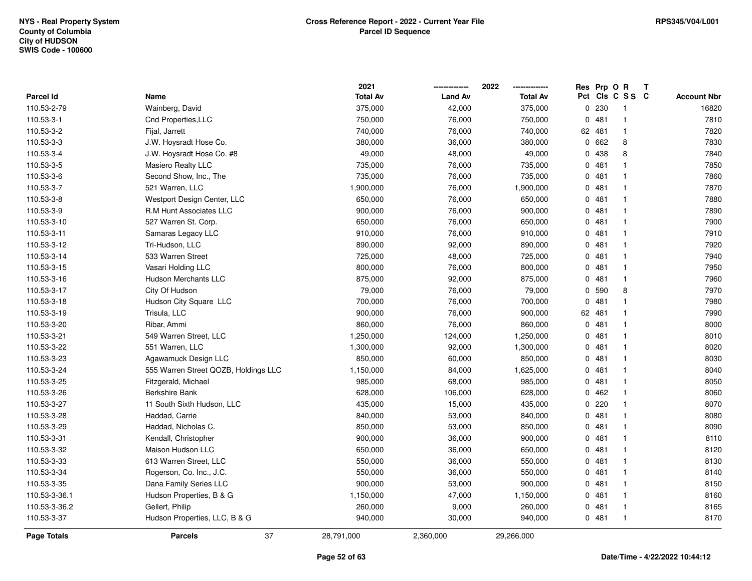|                    |                                      | 2021            |                | 2022            |     | Res Prp O R |              | Т |                    |
|--------------------|--------------------------------------|-----------------|----------------|-----------------|-----|-------------|--------------|---|--------------------|
| Parcel Id          | Name                                 | <b>Total Av</b> | <b>Land Av</b> | <b>Total Av</b> | Pct |             | CIS C S S C  |   | <b>Account Nbr</b> |
| 110.53-2-79        | Wainberg, David                      | 375,000         | 42,000         | 375,000         |     | 0 230       | $\mathbf{1}$ |   | 16820              |
| 110.53-3-1         | Cnd Properties, LLC                  | 750,000         | 76,000         | 750,000         |     | 0481        | $\mathbf{1}$ |   | 7810               |
| 110.53-3-2         | Fijal, Jarrett                       | 740,000         | 76,000         | 740,000         |     | 62 481      | $\mathbf{1}$ |   | 7820               |
| 110.53-3-3         | J.W. Hoysradt Hose Co.               | 380,000         | 36,000         | 380,000         |     | 0 662       | 8            |   | 7830               |
| 110.53-3-4         | J.W. Hoysradt Hose Co. #8            | 49,000          | 48,000         | 49,000          |     | 0 438       | 8            |   | 7840               |
| 110.53-3-5         | Masiero Realty LLC                   | 735,000         | 76,000         | 735,000         |     | 0481        | 1            |   | 7850               |
| 110.53-3-6         | Second Show, Inc., The               | 735,000         | 76,000         | 735,000         |     | 0481        | 1            |   | 7860               |
| 110.53-3-7         | 521 Warren, LLC                      | 1,900,000       | 76,000         | 1,900,000       |     | 0481        | $\mathbf{1}$ |   | 7870               |
| 110.53-3-8         | Westport Design Center, LLC          | 650,000         | 76,000         | 650,000         |     | 0481        | $\mathbf{1}$ |   | 7880               |
| 110.53-3-9         | R.M Hunt Associates LLC              | 900,000         | 76,000         | 900,000         |     | 0481        | $\mathbf{1}$ |   | 7890               |
| 110.53-3-10        | 527 Warren St. Corp.                 | 650,000         | 76,000         | 650,000         |     | 0481        | $\mathbf{1}$ |   | 7900               |
| 110.53-3-11        | Samaras Legacy LLC                   | 910,000         | 76,000         | 910,000         |     | 0481        | 1            |   | 7910               |
| 110.53-3-12        | Tri-Hudson, LLC                      | 890,000         | 92,000         | 890,000         |     | 0481        | 1            |   | 7920               |
| 110.53-3-14        | 533 Warren Street                    | 725,000         | 48,000         | 725,000         |     | 0481        | $\mathbf{1}$ |   | 7940               |
| 110.53-3-15        | Vasari Holding LLC                   | 800,000         | 76,000         | 800,000         |     | 0481        | $\mathbf{1}$ |   | 7950               |
| 110.53-3-16        | <b>Hudson Merchants LLC</b>          | 875,000         | 92,000         | 875,000         |     | 0481        | $\mathbf{1}$ |   | 7960               |
| 110.53-3-17        | City Of Hudson                       | 79,000          | 76,000         | 79,000          |     | 0 590       | 8            |   | 7970               |
| 110.53-3-18        | Hudson City Square LLC               | 700,000         | 76,000         | 700,000         |     | 0481        | $\mathbf{1}$ |   | 7980               |
| 110.53-3-19        | Trisula, LLC                         | 900,000         | 76,000         | 900,000         |     | 62 481      | $\mathbf{1}$ |   | 7990               |
| 110.53-3-20        | Ribar, Ammi                          | 860,000         | 76,000         | 860,000         |     | 0481        | $\mathbf{1}$ |   | 8000               |
| 110.53-3-21        | 549 Warren Street, LLC               | 1,250,000       | 124,000        | 1,250,000       |     | 0481        | $\mathbf{1}$ |   | 8010               |
| 110.53-3-22        | 551 Warren, LLC                      | 1,300,000       | 92,000         | 1,300,000       |     | 0481        | 1            |   | 8020               |
| 110.53-3-23        | Agawamuck Design LLC                 | 850,000         | 60,000         | 850,000         |     | 0481        | $\mathbf{1}$ |   | 8030               |
| 110.53-3-24        | 555 Warren Street QOZB, Holdings LLC | 1,150,000       | 84,000         | 1,625,000       |     | 0481        | $\mathbf{1}$ |   | 8040               |
| 110.53-3-25        | Fitzgerald, Michael                  | 985,000         | 68,000         | 985,000         |     | 0481        | $\mathbf{1}$ |   | 8050               |
| 110.53-3-26        | <b>Berkshire Bank</b>                | 628,000         | 106,000        | 628,000         |     | 0462        | 1            |   | 8060               |
| 110.53-3-27        | 11 South Sixth Hudson, LLC           | 435,000         | 15,000         | 435,000         |     | 0.220       | $\mathbf{1}$ |   | 8070               |
| 110.53-3-28        | Haddad, Carrie                       | 840,000         | 53,000         | 840,000         |     | 0481        | 1            |   | 8080               |
| 110.53-3-29        | Haddad, Nicholas C.                  | 850,000         | 53,000         | 850,000         |     | 0481        | 1            |   | 8090               |
| 110.53-3-31        | Kendall, Christopher                 | 900,000         | 36,000         | 900,000         |     | 0481        | $\mathbf{1}$ |   | 8110               |
| 110.53-3-32        | Maison Hudson LLC                    | 650,000         | 36,000         | 650,000         |     | 0481        | $\mathbf{1}$ |   | 8120               |
| 110.53-3-33        | 613 Warren Street, LLC               | 550,000         | 36,000         | 550,000         |     | 0481        | $\mathbf{1}$ |   | 8130               |
| 110.53-3-34        | Rogerson, Co. Inc., J.C.             | 550,000         | 36,000         | 550,000         |     | 0481        | $\mathbf{1}$ |   | 8140               |
| 110.53-3-35        | Dana Family Series LLC               | 900,000         | 53,000         | 900,000         |     | 0481        | $\mathbf{1}$ |   | 8150               |
| 110.53-3-36.1      | Hudson Properties, B & G             | 1,150,000       | 47,000         | 1,150,000       |     | 0481        | 1            |   | 8160               |
| 110.53-3-36.2      | Gellert, Philip                      | 260,000         | 9,000          | 260,000         |     | 0481        | 1            |   | 8165               |
| 110.53-3-37        | Hudson Properties, LLC, B & G        | 940,000         | 30,000         | 940,000         |     | 0481        | $\mathbf{1}$ |   | 8170               |
| <b>Page Totals</b> | 37<br><b>Parcels</b>                 | 28,791,000      | 2,360,000      | 29,266,000      |     |             |              |   |                    |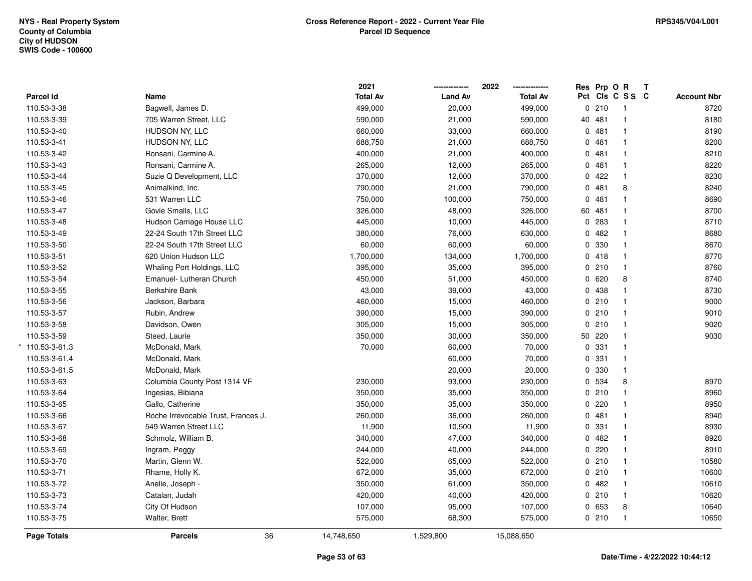|                   |                                     | 2021             |                | 2022            | Res Prp O R |                 | Т |                    |
|-------------------|-------------------------------------|------------------|----------------|-----------------|-------------|-----------------|---|--------------------|
| <b>Parcel Id</b>  | Name                                | <b>Total Av</b>  | <b>Land Av</b> | <b>Total Av</b> |             | Pct Cls C S S C |   | <b>Account Nbr</b> |
| 110.53-3-38       | Bagwell, James D.                   | 499,000          | 20,000         | 499,000         | 0210        | $\overline{1}$  |   | 8720               |
| 110.53-3-39       | 705 Warren Street, LLC              | 590,000          | 21,000         | 590,000         | 40 481      | $\mathbf{1}$    |   | 8180               |
| 110.53-3-40       | HUDSON NY, LLC                      | 660,000          | 33,000         | 660,000         | 0481        | $\mathbf{1}$    |   | 8190               |
| 110.53-3-41       | HUDSON NY, LLC                      | 688,750          | 21,000         | 688,750         | 0.481       | $\mathbf{1}$    |   | 8200               |
| 110.53-3-42       | Ronsani, Carmine A.                 | 400,000          | 21,000         | 400,000         | 0481        | $\mathbf{1}$    |   | 8210               |
| 110.53-3-43       | Ronsani, Carmine A.                 | 265,000          | 12,000         | 265,000         | 0481        | $\mathbf{1}$    |   | 8220               |
| 110.53-3-44       | Suzie Q Development, LLC            | 370,000          | 12,000         | 370,000         | 0422        | $\mathbf{1}$    |   | 8230               |
| 110.53-3-45       | Animalkind, Inc.                    | 790,000          | 21,000         | 790,000         | 0481        | $\bf8$          |   | 8240               |
| 110.53-3-46       | 531 Warren LLC                      | 750,000          | 100,000        | 750,000         | 0481        | $\mathbf{1}$    |   | 8690               |
| 110.53-3-47       | Govie Smalls, LLC                   | 326,000          | 48,000         | 326,000         | 60 481      | $\mathbf{1}$    |   | 8700               |
| 110.53-3-48       | Hudson Carriage House LLC           | 445,000          | 10,000         | 445,000         | 0.283       | $\mathbf{1}$    |   | 8710               |
| 110.53-3-49       | 22-24 South 17th Street LLC         | 380,000          | 76,000         | 630,000         | 0482        | $\mathbf{1}$    |   | 8680               |
| 110.53-3-50       | 22-24 South 17th Street LLC         | 60,000           | 60,000         | 60,000          | 0 330       | $\mathbf{1}$    |   | 8670               |
| 110.53-3-51       | 620 Union Hudson LLC                | 1,700,000        | 134,000        | 1,700,000       | 0418        | $\mathbf{1}$    |   | 8770               |
| 110.53-3-52       | Whaling Port Holdings, LLC          | 395,000          | 35,000         | 395,000         | 0210        | $\mathbf{1}$    |   | 8760               |
| 110.53-3-54       | Emanuel- Lutheran Church            | 450,000          | 51,000         | 450,000         | 0620        | 8               |   | 8740               |
| 110.53-3-55       | Berkshire Bank                      | 43,000           | 39,000         | 43,000          | 0 438       | $\mathbf{1}$    |   | 8730               |
| 110.53-3-56       | Jackson, Barbara                    | 460,000          | 15,000         | 460,000         | 0210        | $\mathbf{1}$    |   | 9000               |
| 110.53-3-57       | Rubin, Andrew                       | 390,000          | 15,000         | 390,000         | 0210        | $\mathbf{1}$    |   | 9010               |
| 110.53-3-58       | Davidson, Owen                      | 305,000          | 15,000         | 305,000         | 0210        | $\mathbf{1}$    |   | 9020               |
| 110.53-3-59       | Steed, Laurie                       | 350,000          | 30,000         | 350,000         | 50 220      | $\mathbf{1}$    |   | 9030               |
| $*$ 110.53-3-61.3 | McDonald, Mark                      | 70,000           | 60,000         | 70,000          | 0 331       | $\mathbf{1}$    |   |                    |
| 110.53-3-61.4     | McDonald, Mark                      |                  | 60,000         | 70,000          | 0.331       | $\mathbf{1}$    |   |                    |
| 110.53-3-61.5     | McDonald, Mark                      |                  | 20,000         | 20,000          | 0 330       | $\mathbf{1}$    |   |                    |
| 110.53-3-63       | Columbia County Post 1314 VF        | 230,000          | 93,000         | 230,000         | 0 534       | 8               |   | 8970               |
| 110.53-3-64       | Ingesias, Bibiana                   | 350,000          | 35,000         | 350,000         | 0210        | $\mathbf{1}$    |   | 8960               |
| 110.53-3-65       | Gallo, Catherine                    | 350,000          | 35,000         | 350,000         | 0.220       | $\mathbf{1}$    |   | 8950               |
| 110.53-3-66       | Roche Irrevocable Trust, Frances J. | 260,000          | 36,000         | 260,000         | 0481        | $\mathbf 1$     |   | 8940               |
| 110.53-3-67       | 549 Warren Street LLC               | 11,900           | 10,500         | 11,900          | 0 331       | $\mathbf{1}$    |   | 8930               |
| 110.53-3-68       | Schmolz, William B.                 | 340,000          | 47,000         | 340,000         | 0.482       | $\mathbf{1}$    |   | 8920               |
| 110.53-3-69       | Ingram, Peggy                       | 244,000          | 40,000         | 244,000         | 0.220       | $\mathbf{1}$    |   | 8910               |
| 110.53-3-70       | Martin, Glenn W.                    | 522,000          | 65,000         | 522,000         | 0210        | $\mathbf{1}$    |   | 10580              |
| 110.53-3-71       | Rhame, Holly K.                     | 672,000          | 35,000         | 672,000         | 0210        | $\mathbf{1}$    |   | 10600              |
| 110.53-3-72       | Anelle, Joseph -                    | 350,000          | 61,000         | 350,000         | 0482        | $\mathbf{1}$    |   | 10610              |
| 110.53-3-73       | Catalan, Judah                      | 420,000          | 40,000         | 420,000         | 0210        | $\mathbf{1}$    |   | 10620              |
| 110.53-3-74       | City Of Hudson                      | 107,000          | 95,000         | 107,000         | 0 653       | 8               |   | 10640              |
| 110.53-3-75       | Walter, Brett                       | 575,000          | 68,300         | 575,000         | 0210        | $\mathbf{1}$    |   | 10650              |
| Page Totals       | <b>Parcels</b>                      | 36<br>14,748,650 | 1,529,800      | 15,088,650      |             |                 |   |                    |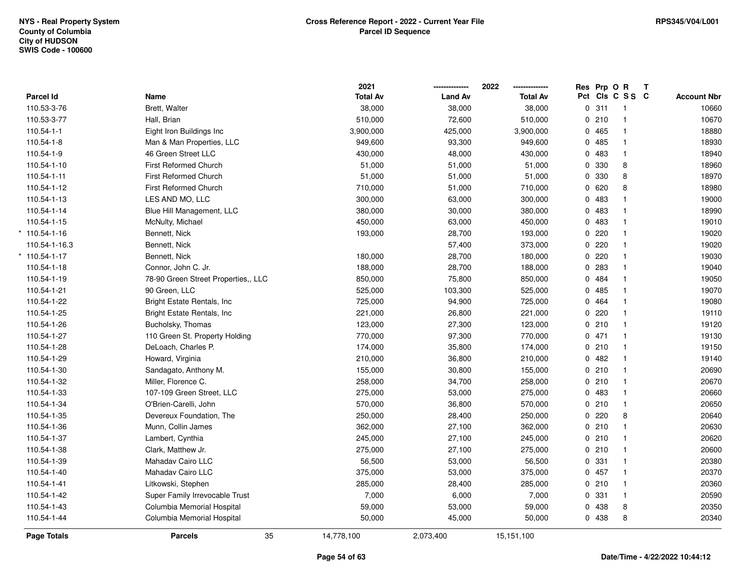|                     |                                     | 2021            |                | 2022            | Res Prp O R |                 | T |                    |
|---------------------|-------------------------------------|-----------------|----------------|-----------------|-------------|-----------------|---|--------------------|
| Parcel Id           | Name                                | <b>Total Av</b> | <b>Land Av</b> | <b>Total Av</b> |             | Pct Cls C S S C |   | <b>Account Nbr</b> |
| 110.53-3-76         | Brett, Walter                       | 38,000          | 38,000         | 38,000          | 0.311       | $\overline{1}$  |   | 10660              |
| 110.53-3-77         | Hall, Brian                         | 510,000         | 72,600         | 510,000         | 0210        | $\mathbf{1}$    |   | 10670              |
| $110.54 - 1 - 1$    | Eight Iron Buildings Inc            | 3,900,000       | 425,000        | 3,900,000       | 0 465       | $\mathbf{1}$    |   | 18880              |
| 110.54-1-8          | Man & Man Properties, LLC           | 949,600         | 93,300         | 949,600         | 0485        | $\mathbf{1}$    |   | 18930              |
| 110.54-1-9          | 46 Green Street LLC                 | 430,000         | 48,000         | 430,000         | 0483        | $\mathbf{1}$    |   | 18940              |
| 110.54-1-10         | <b>First Reformed Church</b>        | 51,000          | 51,000         | 51,000          | 0 330       | 8               |   | 18960              |
| 110.54-1-11         | <b>First Reformed Church</b>        | 51,000          | 51,000         | 51,000          | 0 330       | 8               |   | 18970              |
| 110.54-1-12         | <b>First Reformed Church</b>        | 710,000         | 51,000         | 710,000         | 0 620       | 8               |   | 18980              |
| 110.54-1-13         | LES AND MO, LLC                     | 300,000         | 63,000         | 300,000         | 0483        | $\mathbf{1}$    |   | 19000              |
| 110.54-1-14         | Blue Hill Management, LLC           | 380,000         | 30,000         | 380,000         | 0 483       | $\mathbf{1}$    |   | 18990              |
| 110.54-1-15         | McNulty, Michael                    | 450,000         | 63,000         | 450,000         | 0 483       | $\mathbf{1}$    |   | 19010              |
| $* 110.54 - 1 - 16$ | Bennett, Nick                       | 193,000         | 28,700         | 193,000         | 0.220       | $\mathbf{1}$    |   | 19020              |
| 110.54-1-16.3       | Bennett, Nick                       |                 | 57,400         | 373,000         | $0$ 220     | $\mathbf{1}$    |   | 19020              |
| $*$ 110.54-1-17     | Bennett, Nick                       | 180,000         | 28,700         | 180,000         | 0.220       | $\mathbf{1}$    |   | 19030              |
| 110.54-1-18         | Connor, John C. Jr.                 | 188,000         | 28,700         | 188,000         | 0 283       | $\mathbf{1}$    |   | 19040              |
| 110.54-1-19         | 78-90 Green Street Properties,, LLC | 850,000         | 75,800         | 850,000         | 0 484       | $\mathbf{1}$    |   | 19050              |
| 110.54-1-21         | 90 Green, LLC                       | 525,000         | 103,300        | 525,000         | 0485        | $\mathbf{1}$    |   | 19070              |
| 110.54-1-22         | Bright Estate Rentals, Inc.         | 725,000         | 94,900         | 725,000         | 0 464       | $\mathbf{1}$    |   | 19080              |
| 110.54-1-25         | Bright Estate Rentals, Inc.         | 221,000         | 26,800         | 221,000         | 0.220       | $\mathbf{1}$    |   | 19110              |
| 110.54-1-26         | Bucholsky, Thomas                   | 123,000         | 27,300         | 123,000         | 0210        | $\mathbf{1}$    |   | 19120              |
| 110.54-1-27         | 110 Green St. Property Holding      | 770,000         | 97,300         | 770,000         | 0471        | $\mathbf{1}$    |   | 19130              |
| 110.54-1-28         | DeLoach, Charles P.                 | 174,000         | 35,800         | 174,000         | 0210        | $\mathbf{1}$    |   | 19150              |
| 110.54-1-29         | Howard, Virginia                    | 210,000         | 36,800         | 210,000         | 0.482       | $\mathbf{1}$    |   | 19140              |
| 110.54-1-30         | Sandagato, Anthony M.               | 155,000         | 30,800         | 155,000         | 0210        | $\mathbf{1}$    |   | 20690              |
| 110.54-1-32         | Miller, Florence C.                 | 258,000         | 34,700         | 258,000         | 0210        | $\mathbf{1}$    |   | 20670              |
| 110.54-1-33         | 107-109 Green Street, LLC           | 275,000         | 53,000         | 275,000         | 0.483       | $\mathbf{1}$    |   | 20660              |
| 110.54-1-34         | O'Brien-Carelli, John               | 570,000         | 36,800         | 570,000         | 0210        | $\mathbf{1}$    |   | 20650              |
| 110.54-1-35         | Devereux Foundation, The            | 250,000         | 28,400         | 250,000         | 0.220       | 8               |   | 20640              |
| 110.54-1-36         | Munn, Collin James                  | 362,000         | 27,100         | 362,000         | 0210        | $\mathbf{1}$    |   | 20630              |
| 110.54-1-37         | Lambert, Cynthia                    | 245,000         | 27,100         | 245,000         | 0210        | $\mathbf{1}$    |   | 20620              |
| 110.54-1-38         | Clark, Matthew Jr.                  | 275,000         | 27,100         | 275,000         | 0210        | $\mathbf{1}$    |   | 20600              |
| 110.54-1-39         | Mahadav Cairo LLC                   | 56,500          | 53,000         | 56,500          | 0 331       | $\mathbf{1}$    |   | 20380              |
| 110.54-1-40         | Mahadav Cairo LLC                   | 375,000         | 53,000         | 375,000         | 0457        | $\mathbf{1}$    |   | 20370              |
| 110.54-1-41         | Litkowski, Stephen                  | 285,000         | 28,400         | 285,000         | 0210        | $\mathbf{1}$    |   | 20360              |
| 110.54-1-42         | Super Family Irrevocable Trust      | 7,000           | 6,000          | 7,000           | 0 331       | $\mathbf{1}$    |   | 20590              |
| 110.54-1-43         | Columbia Memorial Hospital          | 59,000          | 53,000         | 59,000          | 0 438       | 8               |   | 20350              |
| 110.54-1-44         | Columbia Memorial Hospital          | 50,000          | 45,000         | 50,000          | 0 438       | 8               |   | 20340              |
| Page Totals         | 35<br><b>Parcels</b>                | 14,778,100      | 2,073,400      | 15,151,100      |             |                 |   |                    |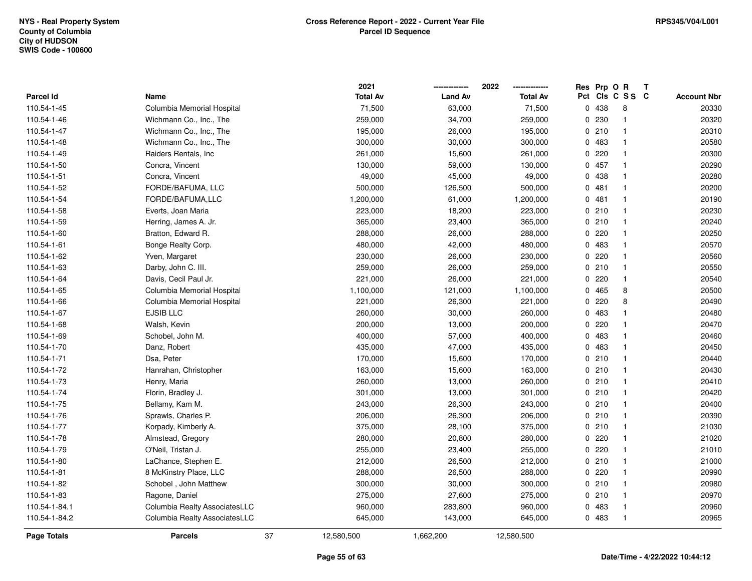|                  |                               |    | 2021            |                | 2022            |   | Res Prp O R |                 | Т |                    |
|------------------|-------------------------------|----|-----------------|----------------|-----------------|---|-------------|-----------------|---|--------------------|
| <b>Parcel Id</b> | Name                          |    | <b>Total Av</b> | <b>Land Av</b> | <b>Total Av</b> |   |             | Pct Cls C S S C |   | <b>Account Nbr</b> |
| 110.54-1-45      | Columbia Memorial Hospital    |    | 71,500          | 63,000         | 71,500          | 0 | 438         | 8               |   | 20330              |
| 110.54-1-46      | Wichmann Co., Inc., The       |    | 259,000         | 34,700         | 259,000         | 0 | 230         | $\overline{1}$  |   | 20320              |
| 110.54-1-47      | Wichmann Co., Inc., The       |    | 195,000         | 26,000         | 195,000         |   | 0210        | $\overline{1}$  |   | 20310              |
| 110.54-1-48      | Wichmann Co., Inc., The       |    | 300,000         | 30,000         | 300,000         |   | 0 483       | $\overline{1}$  |   | 20580              |
| 110.54-1-49      | Raiders Rentals, Inc.         |    | 261,000         | 15,600         | 261,000         |   | 0220        | $\mathbf{1}$    |   | 20300              |
| 110.54-1-50      | Concra, Vincent               |    | 130,000         | 59,000         | 130,000         |   | 0457        | $\mathbf{1}$    |   | 20290              |
| 110.54-1-51      | Concra, Vincent               |    | 49,000          | 45,000         | 49,000          |   | 0 438       | $\overline{1}$  |   | 20280              |
| 110.54-1-52      | FORDE/BAFUMA, LLC             |    | 500,000         | 126,500        | 500,000         |   | 0481        | $\overline{1}$  |   | 20200              |
| 110.54-1-54      | FORDE/BAFUMA,LLC              |    | 1,200,000       | 61,000         | 1,200,000       |   | 0481        | $\overline{1}$  |   | 20190              |
| 110.54-1-58      | Everts, Joan Maria            |    | 223,000         | 18,200         | 223,000         |   | 0210        | $\mathbf{1}$    |   | 20230              |
| 110.54-1-59      | Herring, James A. Jr.         |    | 365,000         | 23,400         | 365,000         |   | 0210        | $\overline{1}$  |   | 20240              |
| 110.54-1-60      | Bratton, Edward R.            |    | 288,000         | 26,000         | 288,000         |   | $0$ 220     | $\mathbf{1}$    |   | 20250              |
| 110.54-1-61      | Bonge Realty Corp.            |    | 480,000         | 42,000         | 480,000         |   | 0 483       | $\mathbf 1$     |   | 20570              |
| 110.54-1-62      | Yven, Margaret                |    | 230,000         | 26,000         | 230,000         |   | $0$ 220     | $\mathbf{1}$    |   | 20560              |
| 110.54-1-63      | Darby, John C. III.           |    | 259,000         | 26,000         | 259,000         |   | 0210        | $\mathbf{1}$    |   | 20550              |
| 110.54-1-64      | Davis, Cecil Paul Jr.         |    | 221,000         | 26,000         | 221,000         |   | 0220        | $\mathbf{1}$    |   | 20540              |
| 110.54-1-65      | Columbia Memorial Hospital    |    | 1,100,000       | 121,000        | 1,100,000       |   | 0465        | 8               |   | 20500              |
| 110.54-1-66      | Columbia Memorial Hospital    |    | 221,000         | 26,300         | 221,000         |   | 0220        | 8               |   | 20490              |
| 110.54-1-67      | <b>EJSIB LLC</b>              |    | 260,000         | 30,000         | 260,000         |   | 0 483       | $\mathbf{1}$    |   | 20480              |
| 110.54-1-68      | Walsh, Kevin                  |    | 200,000         | 13,000         | 200,000         |   | 0.220       | $\mathbf{1}$    |   | 20470              |
| 110.54-1-69      | Schobel, John M.              |    | 400,000         | 57,000         | 400,000         |   | 0 483       | $\mathbf{1}$    |   | 20460              |
| 110.54-1-70      | Danz, Robert                  |    | 435,000         | 47,000         | 435,000         |   | 0 483       | $\overline{1}$  |   | 20450              |
| 110.54-1-71      | Dsa, Peter                    |    | 170,000         | 15,600         | 170,000         |   | 0210        | $\overline{1}$  |   | 20440              |
| 110.54-1-72      | Hanrahan, Christopher         |    | 163,000         | 15,600         | 163,000         |   | 0210        | $\overline{1}$  |   | 20430              |
| 110.54-1-73      | Henry, Maria                  |    | 260,000         | 13,000         | 260,000         |   | 0210        | $\overline{1}$  |   | 20410              |
| 110.54-1-74      | Florin, Bradley J.            |    | 301,000         | 13,000         | 301,000         |   | 0210        | -1              |   | 20420              |
| 110.54-1-75      | Bellamy, Kam M.               |    | 243,000         | 26,300         | 243,000         |   | 0210        | $\overline{1}$  |   | 20400              |
| 110.54-1-76      | Sprawls, Charles P.           |    | 206,000         | 26,300         | 206,000         |   | 0210        | $\overline{1}$  |   | 20390              |
| 110.54-1-77      | Korpady, Kimberly A.          |    | 375,000         | 28,100         | 375,000         |   | 0210        | $\overline{1}$  |   | 21030              |
| 110.54-1-78      | Almstead, Gregory             |    | 280,000         | 20,800         | 280,000         |   | $0$ 220     | $\overline{1}$  |   | 21020              |
| 110.54-1-79      | O'Neil, Tristan J.            |    | 255,000         | 23,400         | 255,000         |   | 0220        | $\overline{1}$  |   | 21010              |
| 110.54-1-80      | LaChance, Stephen E.          |    | 212,000         | 26,500         | 212,000         |   | 0210        | $\mathbf{1}$    |   | 21000              |
| 110.54-1-81      | 8 McKinstry Place, LLC        |    | 288,000         | 26,500         | 288,000         |   | 0220        | $\overline{1}$  |   | 20990              |
| 110.54-1-82      | Schobel, John Matthew         |    | 300,000         | 30,000         | 300,000         |   | 0210        | $\overline{1}$  |   | 20980              |
| 110.54-1-83      | Ragone, Daniel                |    | 275,000         | 27,600         | 275,000         |   | 0210        | $\mathbf{1}$    |   | 20970              |
| 110.54-1-84.1    | Columbia Realty AssociatesLLC |    | 960,000         | 283,800        | 960,000         |   | 0 483       | $\overline{1}$  |   | 20960              |
| 110.54-1-84.2    | Columbia Realty AssociatesLLC |    | 645,000         | 143,000        | 645,000         |   | 0 483       | $\overline{1}$  |   | 20965              |
| Page Totals      | <b>Parcels</b>                | 37 | 12,580,500      | 1,662,200      | 12,580,500      |   |             |                 |   |                    |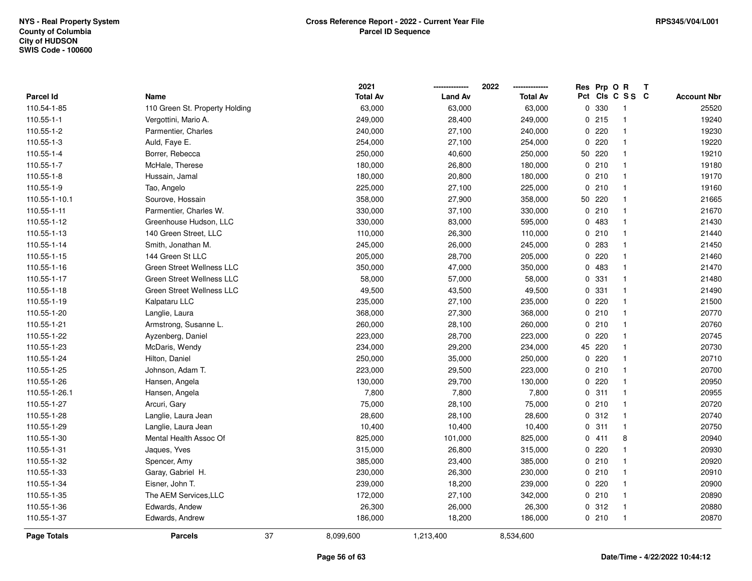|                    |                                  |    | 2021            |                | 2022            | Res Prp O R |                 | Т |                    |
|--------------------|----------------------------------|----|-----------------|----------------|-----------------|-------------|-----------------|---|--------------------|
| Parcel Id          | Name                             |    | <b>Total Av</b> | <b>Land Av</b> | <b>Total Av</b> |             | Pct Cls C S S C |   | <b>Account Nbr</b> |
| 110.54-1-85        | 110 Green St. Property Holding   |    | 63,000          | 63,000         | 63,000          | 0 330       | $\mathbf{1}$    |   | 25520              |
| 110.55-1-1         | Vergottini, Mario A.             |    | 249,000         | 28,400         | 249,000         | 0215        | $\mathbf{1}$    |   | 19240              |
| 110.55-1-2         | Parmentier, Charles              |    | 240,000         | 27,100         | 240,000         | 0.220       | $\mathbf{1}$    |   | 19230              |
| 110.55-1-3         | Auld, Faye E.                    |    | 254,000         | 27,100         | 254,000         | 0.220       | $\mathbf{1}$    |   | 19220              |
| 110.55-1-4         | Borrer, Rebecca                  |    | 250,000         | 40,600         | 250,000         | 50 220      | $\mathbf{1}$    |   | 19210              |
| 110.55-1-7         | McHale, Therese                  |    | 180,000         | 26,800         | 180,000         | 0210        | $\mathbf 1$     |   | 19180              |
| 110.55-1-8         | Hussain, Jamal                   |    | 180,000         | 20,800         | 180,000         | 0210        | $\mathbf{1}$    |   | 19170              |
| 110.55-1-9         | Tao, Angelo                      |    | 225,000         | 27,100         | 225,000         | 0210        | $\mathbf{1}$    |   | 19160              |
| 110.55-1-10.1      | Sourove, Hossain                 |    | 358,000         | 27,900         | 358,000         | 50 220      | $\mathbf{1}$    |   | 21665              |
| 110.55-1-11        | Parmentier, Charles W.           |    | 330,000         | 37,100         | 330,000         | 0210        | $\mathbf{1}$    |   | 21670              |
| 110.55-1-12        | Greenhouse Hudson, LLC           |    | 330,000         | 83,000         | 595,000         | 0 483       | $\mathbf{1}$    |   | 21430              |
| 110.55-1-13        | 140 Green Street, LLC            |    | 110,000         | 26,300         | 110,000         | 0210        | $\mathbf{1}$    |   | 21440              |
| 110.55-1-14        | Smith, Jonathan M.               |    | 245,000         | 26,000         | 245,000         | 0.283       | $\mathbf 1$     |   | 21450              |
| 110.55-1-15        | 144 Green St LLC                 |    | 205,000         | 28,700         | 205,000         | 0.220       | $\mathbf{1}$    |   | 21460              |
| 110.55-1-16        | <b>Green Street Wellness LLC</b> |    | 350,000         | 47,000         | 350,000         | 0 483       | $\mathbf{1}$    |   | 21470              |
| 110.55-1-17        | Green Street Wellness LLC        |    | 58,000          | 57,000         | 58,000          | 0 331       | $\mathbf{1}$    |   | 21480              |
| 110.55-1-18        | Green Street Wellness LLC        |    | 49,500          | 43,500         | 49,500          | 0 331       | $\mathbf{1}$    |   | 21490              |
| 110.55-1-19        | Kalpataru LLC                    |    | 235,000         | 27,100         | 235,000         | 0.220       | $\mathbf{1}$    |   | 21500              |
| 110.55-1-20        | Langlie, Laura                   |    | 368,000         | 27,300         | 368,000         | 0210        | $\mathbf{1}$    |   | 20770              |
| 110.55-1-21        | Armstrong, Susanne L.            |    | 260,000         | 28,100         | 260,000         | 0210        | $\mathbf{1}$    |   | 20760              |
| 110.55-1-22        | Ayzenberg, Daniel                |    | 223,000         | 28,700         | 223,000         | 0.220       | $\mathbf{1}$    |   | 20745              |
| 110.55-1-23        | McDaris, Wendy                   |    | 234,000         | 29,200         | 234,000         | 45 220      | $\mathbf{1}$    |   | 20730              |
| 110.55-1-24        | Hilton, Daniel                   |    | 250,000         | 35,000         | 250,000         | 0.220       | $\mathbf{1}$    |   | 20710              |
| 110.55-1-25        | Johnson, Adam T.                 |    | 223,000         | 29,500         | 223,000         | 0210        | $\mathbf{1}$    |   | 20700              |
| 110.55-1-26        | Hansen, Angela                   |    | 130,000         | 29,700         | 130,000         | 0.220       | $\mathbf{1}$    |   | 20950              |
| 110.55-1-26.1      | Hansen, Angela                   |    | 7,800           | 7,800          | 7,800           | 0.311       | $\mathbf{1}$    |   | 20955              |
| 110.55-1-27        | Arcuri, Gary                     |    | 75,000          | 28,100         | 75,000          | 0210        | $\mathbf{1}$    |   | 20720              |
| 110.55-1-28        | Langlie, Laura Jean              |    | 28,600          | 28,100         | 28,600          | 0.312       | $\mathbf 1$     |   | 20740              |
| 110.55-1-29        | Langlie, Laura Jean              |    | 10,400          | 10,400         | 10,400          | 0.311       | $\mathbf{1}$    |   | 20750              |
| 110.55-1-30        | Mental Health Assoc Of           |    | 825,000         | 101,000        | 825,000         | 0411        | 8               |   | 20940              |
| 110.55-1-31        | Jaques, Yves                     |    | 315,000         | 26,800         | 315,000         | 0.220       | $\mathbf{1}$    |   | 20930              |
| 110.55-1-32        | Spencer, Amy                     |    | 385,000         | 23,400         | 385,000         | 0210        | $\mathbf{1}$    |   | 20920              |
| 110.55-1-33        | Garay, Gabriel H.                |    | 230,000         | 26,300         | 230,000         | 0210        | $\mathbf{1}$    |   | 20910              |
| 110.55-1-34        | Eisner, John T.                  |    | 239,000         | 18,200         | 239,000         | 0.220       | $\mathbf{1}$    |   | 20900              |
| 110.55-1-35        | The AEM Services, LLC            |    | 172,000         | 27,100         | 342,000         | 0210        | $\mathbf{1}$    |   | 20890              |
| 110.55-1-36        | Edwards, Andew                   |    | 26,300          | 26,000         | 26,300          | 0.312       | $\mathbf{1}$    |   | 20880              |
| 110.55-1-37        | Edwards, Andrew                  |    | 186,000         | 18,200         | 186,000         | 0210        | $\mathbf{1}$    |   | 20870              |
| <b>Page Totals</b> | <b>Parcels</b>                   | 37 | 8,099,600       | 1,213,400      | 8,534,600       |             |                 |   |                    |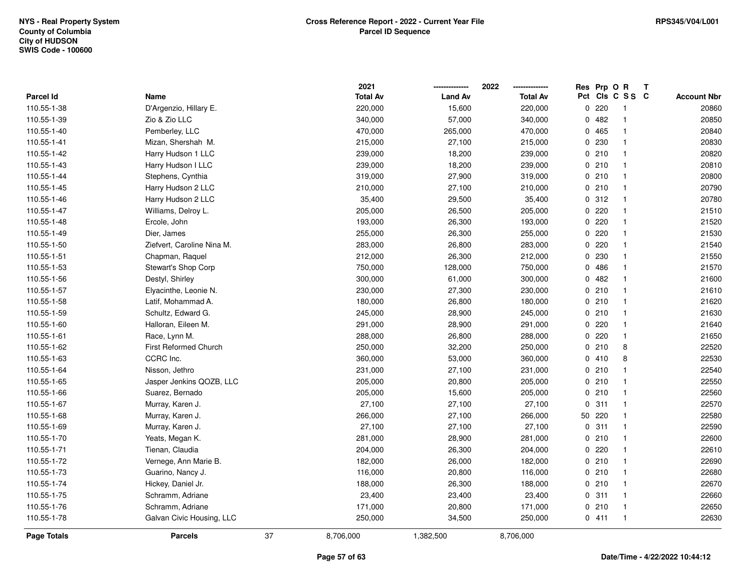|                    |                              |    | 2021            |                | 2022            | Res Prp O R |                 | T |                    |
|--------------------|------------------------------|----|-----------------|----------------|-----------------|-------------|-----------------|---|--------------------|
| Parcel Id          | Name                         |    | <b>Total Av</b> | <b>Land Av</b> | <b>Total Av</b> |             | Pct Cls C S S C |   | <b>Account Nbr</b> |
| 110.55-1-38        | D'Argenzio, Hillary E.       |    | 220,000         | 15,600         | 220,000         | 0.220       | -1              |   | 20860              |
| 110.55-1-39        | Zio & Zio LLC                |    | 340,000         | 57,000         | 340,000         | 0.482       | $\mathbf{1}$    |   | 20850              |
| 110.55-1-40        | Pemberley, LLC               |    | 470,000         | 265,000        | 470,000         | 0 465       | $\mathbf{1}$    |   | 20840              |
| 110.55-1-41        | Mizan, Shershah M.           |    | 215,000         | 27,100         | 215,000         | 0 230       | $\mathbf{1}$    |   | 20830              |
| 110.55-1-42        | Harry Hudson 1 LLC           |    | 239,000         | 18,200         | 239,000         | 0210        | $\mathbf{1}$    |   | 20820              |
| 110.55-1-43        | Harry Hudson I LLC           |    | 239,000         | 18,200         | 239,000         | 0210        | $\mathbf 1$     |   | 20810              |
| 110.55-1-44        | Stephens, Cynthia            |    | 319,000         | 27,900         | 319,000         | 0210        | $\mathbf{1}$    |   | 20800              |
| 110.55-1-45        | Harry Hudson 2 LLC           |    | 210,000         | 27,100         | 210,000         | 0210        | $\mathbf{1}$    |   | 20790              |
| 110.55-1-46        | Harry Hudson 2 LLC           |    | 35,400          | 29,500         | 35,400          | 0.312       | $\mathbf{1}$    |   | 20780              |
| 110.55-1-47        | Williams, Delroy L.          |    | 205,000         | 26,500         | 205,000         | $0$ 220     | $\mathbf{1}$    |   | 21510              |
| 110.55-1-48        | Ercole, John                 |    | 193,000         | 26,300         | 193,000         | 0.220       | $\mathbf 1$     |   | 21520              |
| 110.55-1-49        | Dier, James                  |    | 255,000         | 26,300         | 255,000         | 0.220       | 1               |   | 21530              |
| 110.55-1-50        | Ziefvert, Caroline Nina M.   |    | 283,000         | 26,800         | 283,000         | 0.220       | $\mathbf 1$     |   | 21540              |
| 110.55-1-51        | Chapman, Raquel              |    | 212,000         | 26,300         | 212,000         | 0 230       | $\mathbf 1$     |   | 21550              |
| 110.55-1-53        | Stewart's Shop Corp          |    | 750,000         | 128,000        | 750,000         | 0 486       | $\mathbf{1}$    |   | 21570              |
| 110.55-1-56        | Destyl, Shirley              |    | 300,000         | 61,000         | 300,000         | 0.482       | $\mathbf{1}$    |   | 21600              |
| 110.55-1-57        | Elyacinthe, Leonie N.        |    | 230,000         | 27,300         | 230,000         | 0210        | $\mathbf{1}$    |   | 21610              |
| 110.55-1-58        | Latif, Mohammad A.           |    | 180,000         | 26,800         | 180,000         | 0210        | $\mathbf{1}$    |   | 21620              |
| 110.55-1-59        | Schultz, Edward G.           |    | 245,000         | 28,900         | 245,000         | 0210        | $\mathbf{1}$    |   | 21630              |
| 110.55-1-60        | Halloran, Eileen M.          |    | 291,000         | 28,900         | 291,000         | 0.220       | $\mathbf{1}$    |   | 21640              |
| 110.55-1-61        | Race, Lynn M.                |    | 288,000         | 26,800         | 288,000         | $0$ 220     | $\mathbf{1}$    |   | 21650              |
| 110.55-1-62        | <b>First Reformed Church</b> |    | 250,000         | 32,200         | 250,000         | 0210        | 8               |   | 22520              |
| 110.55-1-63        | CCRC Inc.                    |    | 360,000         | 53,000         | 360,000         | 0410        | 8               |   | 22530              |
| 110.55-1-64        | Nisson, Jethro               |    | 231,000         | 27,100         | 231,000         | 0210        | $\mathbf{1}$    |   | 22540              |
| 110.55-1-65        | Jasper Jenkins QOZB, LLC     |    | 205,000         | 20,800         | 205,000         | 0210        | $\mathbf{1}$    |   | 22550              |
| 110.55-1-66        | Suarez, Bernado              |    | 205,000         | 15,600         | 205,000         | 0210        | $\mathbf{1}$    |   | 22560              |
| 110.55-1-67        | Murray, Karen J.             |    | 27,100          | 27,100         | 27,100          | 0.311       | $\mathbf 1$     |   | 22570              |
| 110.55-1-68        | Murray, Karen J.             |    | 266,000         | 27,100         | 266,000         | 50 220      | $\mathbf 1$     |   | 22580              |
| 110.55-1-69        | Murray, Karen J.             |    | 27,100          | 27,100         | 27,100          | 0.311       | $\mathbf 1$     |   | 22590              |
| 110.55-1-70        | Yeats, Megan K.              |    | 281,000         | 28,900         | 281,000         | 0210        | $\mathbf{1}$    |   | 22600              |
| 110.55-1-71        | Tienan, Claudia              |    | 204,000         | 26,300         | 204,000         | 0.220       | $\mathbf{1}$    |   | 22610              |
| 110.55-1-72        | Vernege, Ann Marie B.        |    | 182,000         | 26,000         | 182,000         | 0210        | $\mathbf{1}$    |   | 22690              |
| 110.55-1-73        | Guarino, Nancy J.            |    | 116,000         | 20,800         | 116,000         | 0210        | $\mathbf{1}$    |   | 22680              |
| 110.55-1-74        | Hickey, Daniel Jr.           |    | 188,000         | 26,300         | 188,000         | 0210        | $\mathbf{1}$    |   | 22670              |
| 110.55-1-75        | Schramm, Adriane             |    | 23,400          | 23,400         | 23,400          | 0.311       | $\mathbf{1}$    |   | 22660              |
| 110.55-1-76        | Schramm, Adriane             |    | 171,000         | 20,800         | 171,000         | 0210        | $\mathbf{1}$    |   | 22650              |
| 110.55-1-78        | Galvan Civic Housing, LLC    |    | 250,000         | 34,500         | 250,000         | 0411        | $\mathbf{1}$    |   | 22630              |
| <b>Page Totals</b> | <b>Parcels</b>               | 37 | 8,706,000       | 1,382,500      | 8,706,000       |             |                 |   |                    |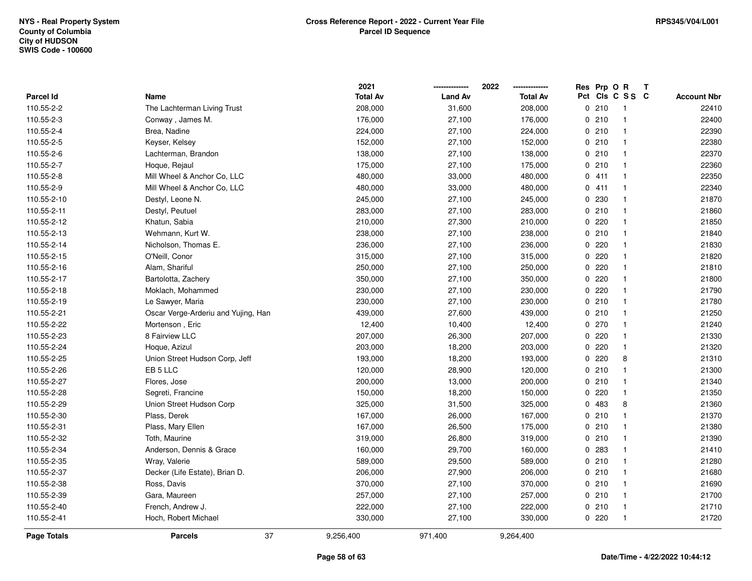|                    |                                     | 2021            |                | 2022            | Res | Prp O R |                         | Т |                    |
|--------------------|-------------------------------------|-----------------|----------------|-----------------|-----|---------|-------------------------|---|--------------------|
| Parcel Id          | Name                                | <b>Total Av</b> | <b>Land Av</b> | <b>Total Av</b> |     |         | Pct Cls C S S C         |   | <b>Account Nbr</b> |
| 110.55-2-2         | The Lachterman Living Trust         | 208,000         | 31,600         | 208,000         |     | 0210    | $\mathbf{1}$            |   | 22410              |
| 110.55-2-3         | Conway, James M.                    | 176,000         | 27,100         | 176,000         |     | 0210    | $\mathbf{1}$            |   | 22400              |
| 110.55-2-4         | Brea, Nadine                        | 224,000         | 27,100         | 224,000         |     | 0210    | $\mathbf{1}$            |   | 22390              |
| 110.55-2-5         | Keyser, Kelsey                      | 152,000         | 27,100         | 152,000         |     | 0210    | -1                      |   | 22380              |
| 110.55-2-6         | Lachterman, Brandon                 | 138,000         | 27,100         | 138,000         |     | 0210    | -1                      |   | 22370              |
| 110.55-2-7         | Hoque, Rejaul                       | 175,000         | 27,100         | 175,000         |     | 0210    |                         |   | 22360              |
| 110.55-2-8         | Mill Wheel & Anchor Co, LLC         | 480,000         | 33,000         | 480,000         |     | 0411    | -1                      |   | 22350              |
| 110.55-2-9         | Mill Wheel & Anchor Co, LLC         | 480,000         | 33,000         | 480,000         |     | 0411    | $\overline{\mathbf{1}}$ |   | 22340              |
| 110.55-2-10        | Destyl, Leone N.                    | 245,000         | 27,100         | 245,000         | 0   | 230     | -1                      |   | 21870              |
| 110.55-2-11        | Destyl, Peutuel                     | 283,000         | 27,100         | 283,000         |     | 0210    | $\mathbf{1}$            |   | 21860              |
| 110.55-2-12        | Khatun, Sabia                       | 210,000         | 27,300         | 210,000         |     | 0220    | $\mathbf 1$             |   | 21850              |
| 110.55-2-13        | Wehmann, Kurt W.                    | 238,000         | 27,100         | 238,000         |     | 0210    | -1                      |   | 21840              |
| 110.55-2-14        | Nicholson, Thomas E.                | 236,000         | 27,100         | 236,000         | 0   | 220     |                         |   | 21830              |
| 110.55-2-15        | O'Neill, Conor                      | 315,000         | 27,100         | 315,000         | 0   | 220     | -1                      |   | 21820              |
| 110.55-2-16        | Alam, Shariful                      | 250,000         | 27,100         | 250,000         | 0   | 220     | -1                      |   | 21810              |
| 110.55-2-17        | Bartolotta, Zachery                 | 350,000         | 27,100         | 350,000         | 0   | 220     | -1                      |   | 21800              |
| 110.55-2-18        | Moklach, Mohammed                   | 230,000         | 27,100         | 230,000         |     | 0220    | $\mathbf{1}$            |   | 21790              |
| 110.55-2-19        | Le Sawyer, Maria                    | 230,000         | 27,100         | 230,000         |     | 0210    | $\mathbf 1$             |   | 21780              |
| 110.55-2-21        | Oscar Verge-Arderiu and Yujing, Han | 439,000         | 27,600         | 439,000         |     | 0210    | -1                      |   | 21250              |
| 110.55-2-22        | Mortenson, Eric                     | 12,400          | 10,400         | 12,400          |     | 0270    | -1                      |   | 21240              |
| 110.55-2-23        | 8 Fairview LLC                      | 207,000         | 26,300         | 207,000         |     | 0220    | $\overline{\mathbf{1}}$ |   | 21330              |
| 110.55-2-24        | Hoque, Azizul                       | 203,000         | 18,200         | 203,000         | 0   | 220     | $\mathbf 1$             |   | 21320              |
| 110.55-2-25        | Union Street Hudson Corp, Jeff      | 193,000         | 18,200         | 193,000         | 0   | 220     | 8                       |   | 21310              |
| 110.55-2-26        | EB <sub>5</sub> LLC                 | 120,000         | 28,900         | 120,000         |     | 0210    | $\mathbf 1$             |   | 21300              |
| 110.55-2-27        | Flores, Jose                        | 200,000         | 13,000         | 200,000         |     | 0210    | $\mathbf 1$             |   | 21340              |
| 110.55-2-28        | Segreti, Francine                   | 150,000         | 18,200         | 150,000         |     | $0$ 220 |                         |   | 21350              |
| 110.55-2-29        | Union Street Hudson Corp            | 325,000         | 31,500         | 325,000         |     | 0 483   | 8                       |   | 21360              |
| 110.55-2-30        | Plass, Derek                        | 167,000         | 26,000         | 167,000         |     | 0210    | $\mathbf 1$             |   | 21370              |
| 110.55-2-31        | Plass, Mary Ellen                   | 167,000         | 26,500         | 175,000         |     | 0210    | $\mathbf 1$             |   | 21380              |
| 110.55-2-32        | Toth, Maurine                       | 319,000         | 26,800         | 319,000         | 0   | 210     | $\mathbf 1$             |   | 21390              |
| 110.55-2-34        | Anderson, Dennis & Grace            | 160,000         | 29,700         | 160,000         | 0   | 283     | $\mathbf 1$             |   | 21410              |
| 110.55-2-35        | Wray, Valerie                       | 589,000         | 29,500         | 589,000         |     | 0210    | $\mathbf 1$             |   | 21280              |
| 110.55-2-37        | Decker (Life Estate), Brian D.      | 206,000         | 27,900         | 206,000         |     | 0210    | -1                      |   | 21680              |
| 110.55-2-38        | Ross, Davis                         | 370,000         | 27,100         | 370,000         |     | 0210    | -1                      |   | 21690              |
| 110.55-2-39        | Gara, Maureen                       | 257,000         | 27,100         | 257,000         |     | 0210    | -1                      |   | 21700              |
| 110.55-2-40        | French, Andrew J.                   | 222,000         | 27,100         | 222,000         |     | 0210    | -1                      |   | 21710              |
| 110.55-2-41        | Hoch, Robert Michael                | 330,000         | 27,100         | 330,000         |     | 0220    | $\mathbf{1}$            |   | 21720              |
| <b>Page Totals</b> | 37<br><b>Parcels</b>                | 9,256,400       | 971,400        | 9,264,400       |     |         |                         |   |                    |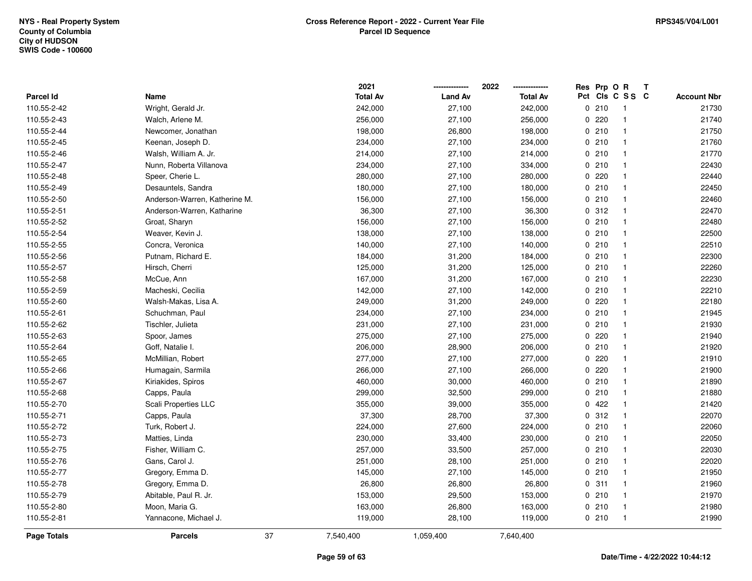|                    |                               | 2021            |                | 2022            |     | Res Prp O R |                         | Т |                    |
|--------------------|-------------------------------|-----------------|----------------|-----------------|-----|-------------|-------------------------|---|--------------------|
| <b>Parcel Id</b>   | Name                          | <b>Total Av</b> | <b>Land Av</b> | <b>Total Av</b> | Pct |             | CIs C S S C             |   | <b>Account Nbr</b> |
| 110.55-2-42        | Wright, Gerald Jr.            | 242,000         | 27,100         | 242,000         |     | 0210        | -1                      |   | 21730              |
| 110.55-2-43        | Walch, Arlene M.              | 256,000         | 27,100         | 256,000         | 0   | 220         | -1                      |   | 21740              |
| 110.55-2-44        | Newcomer, Jonathan            | 198,000         | 26,800         | 198,000         |     | 0210        | $\mathbf{1}$            |   | 21750              |
| 110.55-2-45        | Keenan, Joseph D.             | 234,000         | 27,100         | 234,000         |     | 0210        | $\mathbf{1}$            |   | 21760              |
| 110.55-2-46        | Walsh, William A. Jr.         | 214,000         | 27,100         | 214,000         |     | 0210        | $\mathbf{1}$            |   | 21770              |
| 110.55-2-47        | Nunn, Roberta Villanova       | 234,000         | 27,100         | 334,000         |     | 0210        | -1                      |   | 22430              |
| 110.55-2-48        | Speer, Cherie L.              | 280,000         | 27,100         | 280,000         |     | 0220        | $\mathbf{1}$            |   | 22440              |
| 110.55-2-49        | Desauntels, Sandra            | 180,000         | 27,100         | 180,000         |     | 0210        | $\mathbf{1}$            |   | 22450              |
| 110.55-2-50        | Anderson-Warren, Katherine M. | 156,000         | 27,100         | 156,000         |     | 0210        | $\mathbf{1}$            |   | 22460              |
| 110.55-2-51        | Anderson-Warren, Katharine    | 36,300          | 27,100         | 36,300          |     | 0.312       | $\mathbf{1}$            |   | 22470              |
| 110.55-2-52        | Groat, Sharyn                 | 156,000         | 27,100         | 156,000         |     | 0210        | $\mathbf{1}$            |   | 22480              |
| 110.55-2-54        | Weaver, Kevin J.              | 138,000         | 27,100         | 138,000         |     | 0210        | $\mathbf{1}$            |   | 22500              |
| 110.55-2-55        | Concra, Veronica              | 140,000         | 27,100         | 140,000         |     | 0210        | -1                      |   | 22510              |
| 110.55-2-56        | Putnam, Richard E.            | 184,000         | 31,200         | 184,000         |     | 0210        | $\mathbf{1}$            |   | 22300              |
| 110.55-2-57        | Hirsch, Cherri                | 125,000         | 31,200         | 125,000         |     | 0210        | -1                      |   | 22260              |
| 110.55-2-58        | McCue, Ann                    | 167,000         | 31,200         | 167,000         |     | 0210        | $\mathbf{1}$            |   | 22230              |
| 110.55-2-59        | Macheski, Cecilia             | 142,000         | 27,100         | 142,000         |     | 0210        | $\mathbf{1}$            |   | 22210              |
| 110.55-2-60        | Walsh-Makas, Lisa A.          | 249,000         | 31,200         | 249,000         |     | 0.220       | $\mathbf{1}$            |   | 22180              |
| 110.55-2-61        | Schuchman, Paul               | 234,000         | 27,100         | 234,000         |     | 0210        | $\mathbf{1}$            |   | 21945              |
| 110.55-2-62        | Tischler, Julieta             | 231,000         | 27,100         | 231,000         |     | 0210        | $\mathbf{1}$            |   | 21930              |
| 110.55-2-63        | Spoor, James                  | 275,000         | 27,100         | 275,000         |     | $0$ 220     | $\mathbf{1}$            |   | 21940              |
| 110.55-2-64        | Goff, Natalie I.              | 206,000         | 28,900         | 206,000         |     | 0210        | $\mathbf{1}$            |   | 21920              |
| 110.55-2-65        | McMillian, Robert             | 277,000         | 27,100         | 277,000         | 0   | 220         | $\mathbf{1}$            |   | 21910              |
| 110.55-2-66        | Humagain, Sarmila             | 266,000         | 27,100         | 266,000         | 0   | 220         | $\overline{\mathbf{1}}$ |   | 21900              |
| 110.55-2-67        | Kiriakides, Spiros            | 460,000         | 30,000         | 460,000         |     | 0210        | $\mathbf{1}$            |   | 21890              |
| 110.55-2-68        | Capps, Paula                  | 299,000         | 32,500         | 299,000         |     | 0210        | -1                      |   | 21880              |
| 110.55-2-70        | Scali Properties LLC          | 355,000         | 39,000         | 355,000         |     | 0422        | -1                      |   | 21420              |
| 110.55-2-71        | Capps, Paula                  | 37,300          | 28,700         | 37,300          |     | 0.312       | -1                      |   | 22070              |
| 110.55-2-72        | Turk, Robert J.               | 224,000         | 27,600         | 224,000         |     | 0210        | $\mathbf{1}$            |   | 22060              |
| 110.55-2-73        | Matties, Linda                | 230,000         | 33,400         | 230,000         |     | 0210        | $\mathbf{1}$            |   | 22050              |
| 110.55-2-75        | Fisher, William C.            | 257,000         | 33,500         | 257,000         |     | 0210        | $\mathbf{1}$            |   | 22030              |
| 110.55-2-76        | Gans, Carol J.                | 251,000         | 28,100         | 251,000         |     | 0210        | $\mathbf{1}$            |   | 22020              |
| 110.55-2-77        | Gregory, Emma D.              | 145,000         | 27,100         | 145,000         |     | 0210        | $\mathbf{1}$            |   | 21950              |
| 110.55-2-78        | Gregory, Emma D.              | 26,800          | 26,800         | 26,800          |     | 0.311       | $\mathbf{1}$            |   | 21960              |
| 110.55-2-79        | Abitable, Paul R. Jr.         | 153,000         | 29,500         | 153,000         |     | 0210        | -1                      |   | 21970              |
| 110.55-2-80        | Moon, Maria G.                | 163,000         | 26,800         | 163,000         |     | 0210        | $\mathbf{1}$            |   | 21980              |
| 110.55-2-81        | Yannacone, Michael J.         | 119,000         | 28,100         | 119,000         |     | 0210        | -1                      |   | 21990              |
| <b>Page Totals</b> | 37<br><b>Parcels</b>          | 7,540,400       | 1,059,400      | 7,640,400       |     |             |                         |   |                    |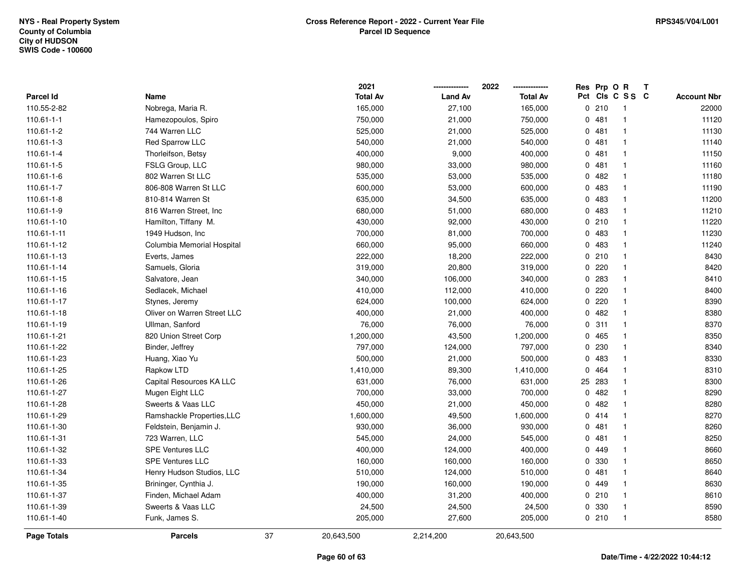|                    |                             |    | 2021            |                | 2022            |             | Res Prp O R |                | Т |                    |
|--------------------|-----------------------------|----|-----------------|----------------|-----------------|-------------|-------------|----------------|---|--------------------|
| <b>Parcel Id</b>   | Name                        |    | <b>Total Av</b> | <b>Land Av</b> | <b>Total Av</b> | Pct         |             | CIs C S S C    |   | <b>Account Nbr</b> |
| 110.55-2-82        | Nobrega, Maria R.           |    | 165,000         | 27,100         | 165,000         | $\mathbf 0$ | 210         | -1             |   | 22000              |
| $110.61 - 1 - 1$   | Hamezopoulos, Spiro         |    | 750,000         | 21,000         | 750,000         |             | 0481        | $\overline{1}$ |   | 11120              |
| 110.61-1-2         | 744 Warren LLC              |    | 525,000         | 21,000         | 525,000         |             | 0481        | $\mathbf{1}$   |   | 11130              |
| 110.61-1-3         | Red Sparrow LLC             |    | 540,000         | 21,000         | 540,000         |             | 0481        | -1             |   | 11140              |
| 110.61-1-4         | Thorleifson, Betsy          |    | 400,000         | 9,000          | 400,000         |             | 0.481       | -1             |   | 11150              |
| 110.61-1-5         | FSLG Group, LLC             |    | 980,000         | 33,000         | 980,000         |             | 0.481       |                |   | 11160              |
| 110.61-1-6         | 802 Warren St LLC           |    | 535,000         | 53,000         | 535,000         |             | 0.482       | -1             |   | 11180              |
| 110.61-1-7         | 806-808 Warren St LLC       |    | 600,000         | 53,000         | 600,000         | 0           | 483         | $\mathbf{1}$   |   | 11190              |
| $110.61 - 1 - 8$   | 810-814 Warren St           |    | 635,000         | 34,500         | 635,000         |             | 0 483       | $\mathbf{1}$   |   | 11200              |
| 110.61-1-9         | 816 Warren Street, Inc.     |    | 680,000         | 51,000         | 680,000         |             | 0 483       | $\mathbf{1}$   |   | 11210              |
| 110.61-1-10        | Hamilton, Tiffany M.        |    | 430,000         | 92,000         | 430,000         |             | 0210        | $\mathbf{1}$   |   | 11220              |
| 110.61-1-11        | 1949 Hudson, Inc            |    | 700,000         | 81,000         | 700,000         |             | 0 483       | -1             |   | 11230              |
| 110.61-1-12        | Columbia Memorial Hospital  |    | 660,000         | 95,000         | 660,000         |             | 0 483       |                |   | 11240              |
| 110.61-1-13        | Everts, James               |    | 222,000         | 18,200         | 222,000         |             | 0210        | -1             |   | 8430               |
| 110.61-1-14        | Samuels, Gloria             |    | 319,000         | 20,800         | 319,000         |             | 0220        |                |   | 8420               |
| 110.61-1-15        | Salvatore, Jean             |    | 340,000         | 106,000        | 340,000         | 0           | 283         | $\mathbf{1}$   |   | 8410               |
| 110.61-1-16        | Sedlacek, Michael           |    | 410,000         | 112,000        | 410,000         | 0           | 220         | -1             |   | 8400               |
| 110.61-1-17        | Stynes, Jeremy              |    | 624,000         | 100,000        | 624,000         |             | 0.220       | $\mathbf{1}$   |   | 8390               |
| 110.61-1-18        | Oliver on Warren Street LLC |    | 400,000         | 21,000         | 400,000         |             | 0.482       | -1             |   | 8380               |
| 110.61-1-19        | Ullman, Sanford             |    | 76,000          | 76,000         | 76,000          |             | 0.311       | $\overline{1}$ |   | 8370               |
| 110.61-1-21        | 820 Union Street Corp       |    | 1,200,000       | 43,500         | 1,200,000       |             | 0 465       | -1             |   | 8350               |
| 110.61-1-22        | Binder, Jeffrey             |    | 797,000         | 124,000        | 797,000         |             | 0 230       | -1             |   | 8340               |
| 110.61-1-23        | Huang, Xiao Yu              |    | 500,000         | 21,000         | 500,000         | 0           | 483         | $\overline{1}$ |   | 8330               |
| 110.61-1-25        | Rapkow LTD                  |    | 1,410,000       | 89,300         | 1,410,000       | 0           | 464         | -1             |   | 8310               |
| 110.61-1-26        | Capital Resources KA LLC    |    | 631,000         | 76,000         | 631,000         | 25          | 283         | -1             |   | 8300               |
| 110.61-1-27        | Mugen Eight LLC             |    | 700,000         | 33,000         | 700,000         |             | 0.482       |                |   | 8290               |
| 110.61-1-28        | Sweerts & Vaas LLC          |    | 450,000         | 21,000         | 450,000         |             | 0.482       | -1             |   | 8280               |
| 110.61-1-29        | Ramshackle Properties, LLC  |    | 1,600,000       | 49,500         | 1,600,000       |             | 0414        |                |   | 8270               |
| 110.61-1-30        | Feldstein, Benjamin J.      |    | 930,000         | 36,000         | 930,000         |             | 0481        | -1             |   | 8260               |
| 110.61-1-31        | 723 Warren, LLC             |    | 545,000         | 24,000         | 545,000         | 0           | 481         | -1             |   | 8250               |
| 110.61-1-32        | <b>SPE Ventures LLC</b>     |    | 400,000         | 124,000        | 400,000         |             | 0 449       | $\overline{1}$ |   | 8660               |
| 110.61-1-33        | <b>SPE Ventures LLC</b>     |    | 160,000         | 160,000        | 160,000         | 0           | 330         | $\mathbf{1}$   |   | 8650               |
| 110.61-1-34        | Henry Hudson Studios, LLC   |    | 510,000         | 124,000        | 510,000         |             | 0481        | $\mathbf{1}$   |   | 8640               |
| 110.61-1-35        | Brininger, Cynthia J.       |    | 190,000         | 160,000        | 190,000         |             | 0 449       | -1             |   | 8630               |
| 110.61-1-37        | Finden, Michael Adam        |    | 400,000         | 31,200         | 400,000         |             | 0210        |                |   | 8610               |
| 110.61-1-39        | Sweerts & Vaas LLC          |    | 24,500          | 24,500         | 24,500          |             | 0 330       | -1             |   | 8590               |
| 110.61-1-40        | Funk, James S.              |    | 205,000         | 27,600         | 205,000         |             | 0210        |                |   | 8580               |
| <b>Page Totals</b> | <b>Parcels</b>              | 37 | 20,643,500      | 2,214,200      | 20,643,500      |             |             |                |   |                    |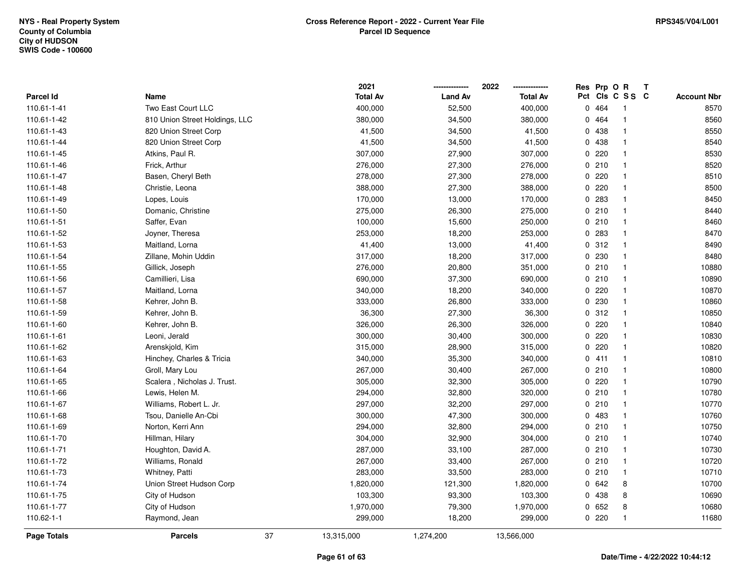|                    |                                |    | 2021            |                | 2022            |     | Res Prp O R |              | Т |                    |
|--------------------|--------------------------------|----|-----------------|----------------|-----------------|-----|-------------|--------------|---|--------------------|
| Parcel Id          | Name                           |    | <b>Total Av</b> | <b>Land Av</b> | <b>Total Av</b> | Pct |             | CIs C S S C  |   | <b>Account Nbr</b> |
| 110.61-1-41        | Two East Court LLC             |    | 400,000         | 52,500         | 400,000         | 0   | 464         | -1           |   | 8570               |
| 110.61-1-42        | 810 Union Street Holdings, LLC |    | 380,000         | 34,500         | 380,000         | 0   | 464         | 1            |   | 8560               |
| 110.61-1-43        | 820 Union Street Corp          |    | 41,500          | 34,500         | 41,500          |     | 0 438       | $\mathbf{1}$ |   | 8550               |
| 110.61-1-44        | 820 Union Street Corp          |    | 41,500          | 34,500         | 41,500          |     | 0 438       | $\mathbf{1}$ |   | 8540               |
| 110.61-1-45        | Atkins, Paul R.                |    | 307,000         | 27,900         | 307,000         |     | 0220        | $\mathbf 1$  |   | 8530               |
| 110.61-1-46        | Frick, Arthur                  |    | 276,000         | 27,300         | 276,000         |     | 0210        | $\mathbf 1$  |   | 8520               |
| 110.61-1-47        | Basen, Cheryl Beth             |    | 278,000         | 27,300         | 278,000         |     | 0.220       | $\mathbf 1$  |   | 8510               |
| 110.61-1-48        | Christie, Leona                |    | 388,000         | 27,300         | 388,000         |     | 0.220       | $\mathbf{1}$ |   | 8500               |
| 110.61-1-49        | Lopes, Louis                   |    | 170,000         | 13,000         | 170,000         |     | 0 283       | $\mathbf{1}$ |   | 8450               |
| 110.61-1-50        | Domanic, Christine             |    | 275,000         | 26,300         | 275,000         |     | 0210        | $\mathbf{1}$ |   | 8440               |
| 110.61-1-51        | Saffer, Evan                   |    | 100,000         | 15,600         | 250,000         |     | 0210        | 1            |   | 8460               |
| 110.61-1-52        | Joyner, Theresa                |    | 253,000         | 18,200         | 253,000         |     | 0 283       | 1            |   | 8470               |
| 110.61-1-53        | Maitland, Lorna                |    | 41,400          | 13,000         | 41,400          |     | 0.312       | 1            |   | 8490               |
| 110.61-1-54        | Zillane, Mohin Uddin           |    | 317,000         | 18,200         | 317,000         |     | 0 230       | $\mathbf 1$  |   | 8480               |
| 110.61-1-55        | Gillick, Joseph                |    | 276,000         | 20,800         | 351,000         |     | 0210        | $\mathbf{1}$ |   | 10880              |
| 110.61-1-56        | Camillieri, Lisa               |    | 690,000         | 37,300         | 690,000         |     | 0210        | $\mathbf{1}$ |   | 10890              |
| 110.61-1-57        | Maitland, Lorna                |    | 340,000         | 18,200         | 340,000         |     | 0220        | $\mathbf{1}$ |   | 10870              |
| 110.61-1-58        | Kehrer, John B.                |    | 333,000         | 26,800         | 333,000         |     | 0 230       | $\mathbf{1}$ |   | 10860              |
| 110.61-1-59        | Kehrer, John B.                |    | 36,300          | 27,300         | 36,300          |     | 0.312       | $\mathbf{1}$ |   | 10850              |
| 110.61-1-60        | Kehrer, John B.                |    | 326,000         | 26,300         | 326,000         |     | 0220        | $\mathbf{1}$ |   | 10840              |
| 110.61-1-61        | Leoni, Jerald                  |    | 300,000         | 30,400         | 300,000         |     | $0$ 220     | $\mathbf{1}$ |   | 10830              |
| 110.61-1-62        | Arenskjold, Kim                |    | 315,000         | 28,900         | 315,000         |     | $0$ 220     | $\mathbf{1}$ |   | 10820              |
| 110.61-1-63        | Hinchey, Charles & Tricia      |    | 340,000         | 35,300         | 340,000         |     | 0411        | $\mathbf{1}$ |   | 10810              |
| 110.61-1-64        | Groll, Mary Lou                |    | 267,000         | 30,400         | 267,000         |     | 0210        | $\mathbf{1}$ |   | 10800              |
| 110.61-1-65        | Scalera, Nicholas J. Trust.    |    | 305,000         | 32,300         | 305,000         |     | 0.220       | $\mathbf{1}$ |   | 10790              |
| 110.61-1-66        | Lewis, Helen M.                |    | 294,000         | 32,800         | 320,000         |     | 0210        | $\mathbf{1}$ |   | 10780              |
| 110.61-1-67        | Williams, Robert L. Jr.        |    | 297,000         | 32,200         | 297,000         |     | 0210        | $\mathbf 1$  |   | 10770              |
| 110.61-1-68        | Tsou, Danielle An-Cbi          |    | 300,000         | 47,300         | 300,000         |     | 0 483       | 1            |   | 10760              |
| 110.61-1-69        | Norton, Kerri Ann              |    | 294,000         | 32,800         | 294,000         |     | 0210        | $\mathbf{1}$ |   | 10750              |
| 110.61-1-70        | Hillman, Hilary                |    | 304,000         | 32,900         | 304,000         |     | 0210        | $\mathbf{1}$ |   | 10740              |
| 110.61-1-71        | Houghton, David A.             |    | 287,000         | 33,100         | 287,000         |     | 0210        | $\mathbf{1}$ |   | 10730              |
| 110.61-1-72        | Williams, Ronald               |    | 267,000         | 33,400         | 267,000         |     | 0210        | $\mathbf{1}$ |   | 10720              |
| 110.61-1-73        | Whitney, Patti                 |    | 283,000         | 33,500         | 283,000         |     | 0210        | 1            |   | 10710              |
| 110.61-1-74        | Union Street Hudson Corp       |    | 1,820,000       | 121,300        | 1,820,000       |     | 0642        | 8            |   | 10700              |
| 110.61-1-75        | City of Hudson                 |    | 103,300         | 93,300         | 103,300         |     | 0 438       | 8            |   | 10690              |
| 110.61-1-77        | City of Hudson                 |    | 1,970,000       | 79,300         | 1,970,000       |     | 0652        | 8            |   | 10680              |
| 110.62-1-1         | Raymond, Jean                  |    | 299,000         | 18,200         | 299,000         |     | $0$ 220     | $\mathbf{1}$ |   | 11680              |
| <b>Page Totals</b> | <b>Parcels</b>                 | 37 | 13,315,000      | 1,274,200      | 13,566,000      |     |             |              |   |                    |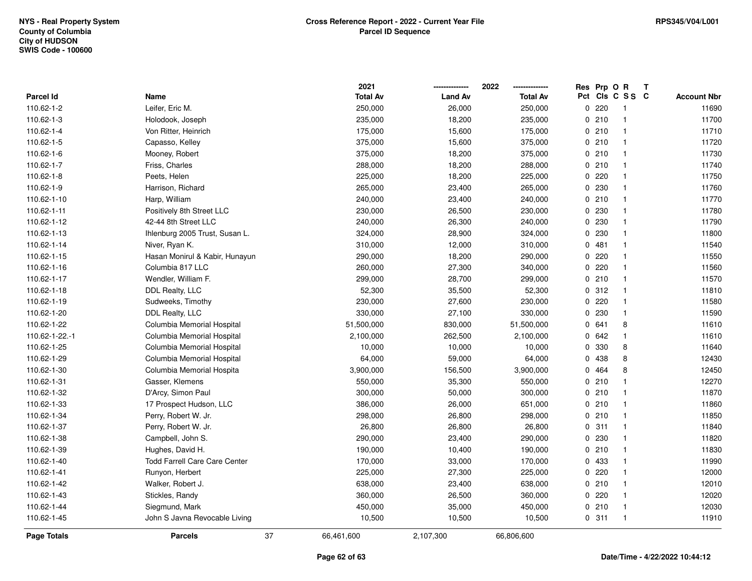|                    |                                      | 2021            |                | 2022            |                     | Prp O R<br>$\mathbf{T}$ |                    |
|--------------------|--------------------------------------|-----------------|----------------|-----------------|---------------------|-------------------------|--------------------|
| <b>Parcel Id</b>   | Name                                 | <b>Total Av</b> | <b>Land Av</b> | <b>Total Av</b> | Pct Cls C S S C     |                         | <b>Account Nbr</b> |
| 110.62-1-2         | Leifer, Eric M.                      | 250,000         | 26,000         | 250,000         | 220<br>0            | -1                      | 11690              |
| 110.62-1-3         | Holodook, Joseph                     | 235,000         | 18,200         | 235,000         | 0210                |                         | 11700              |
| 110.62-1-4         | Von Ritter, Heinrich                 | 175,000         | 15,600         | 175,000         | 0210                | -1                      | 11710              |
| 110.62-1-5         | Capasso, Kelley                      | 375,000         | 15,600         | 375,000         | 0210                | $\mathbf{1}$            | 11720              |
| 110.62-1-6         | Mooney, Robert                       | 375,000         | 18,200         | 375,000         | 0210                | $\mathbf{1}$            | 11730              |
| 110.62-1-7         | Friss, Charles                       | 288,000         | 18,200         | 288,000         | 0210                | $\mathbf{1}$            | 11740              |
| 110.62-1-8         | Peets, Helen                         | 225,000         | 18,200         | 225,000         | 0220                | -1                      | 11750              |
| 110.62-1-9         | Harrison, Richard                    | 265,000         | 23,400         | 265,000         | 0230                | -1                      | 11760              |
| 110.62-1-10        | Harp, William                        | 240,000         | 23,400         | 240,000         | 0210                | $\mathbf 1$             | 11770              |
| 110.62-1-11        | Positively 8th Street LLC            | 230,000         | 26,500         | 230,000         | 230<br>0            | $\mathbf{1}$            | 11780              |
| 110.62-1-12        | 42-44 8th Street LLC                 | 240,000         | 26,300         | 240,000         | 230<br>0            | $\mathbf{1}$            | 11790              |
| 110.62-1-13        | Ihlenburg 2005 Trust, Susan L.       | 324,000         | 28,900         | 324,000         | 230<br>ŋ            | $\mathbf 1$             | 11800              |
| 110.62-1-14        | Niver, Ryan K.                       | 310,000         | 12,000         | 310,000         | 481<br>0            | $\mathbf{1}$            | 11540              |
| 110.62-1-15        | Hasan Monirul & Kabir, Hunayun       | 290,000         | 18,200         | 290,000         | 220<br>$\mathbf{0}$ | -1                      | 11550              |
| 110.62-1-16        | Columbia 817 LLC                     | 260,000         | 27,300         | 340,000         | 0.220               | -1                      | 11560              |
| 110.62-1-17        | Wendler, William F.                  | 299,000         | 28,700         | 299,000         | 0210                | $\mathbf{1}$            | 11570              |
| 110.62-1-18        | DDL Realty, LLC                      | 52,300          | 35,500         | 52,300          | 0.312               | $\mathbf{1}$            | 11810              |
| 110.62-1-19        | Sudweeks, Timothy                    | 230,000         | 27,600         | 230,000         | 220<br>0            | $\mathbf{1}$            | 11580              |
| 110.62-1-20        | DDL Realty, LLC                      | 330,000         | 27,100         | 330,000         | 230<br>ŋ            | $\mathbf{1}$            | 11590              |
| 110.62-1-22        | Columbia Memorial Hospital           | 51,500,000      | 830,000        | 51,500,000      | 0 641               | 8                       | 11610              |
| 110.62-1-22.-1     | Columbia Memorial Hospital           | 2,100,000       | 262,500        | 2,100,000       | 0 642               | $\mathbf 1$             | 11610              |
| 110.62-1-25        | Columbia Memorial Hospital           | 10,000          | 10,000         | 10,000          | 330<br>0            | 8                       | 11640              |
| 110.62-1-29        | Columbia Memorial Hospital           | 64,000          | 59,000         | 64,000          | 438<br>0            | 8                       | 12430              |
| 110.62-1-30        | Columbia Memorial Hospita            | 3,900,000       | 156,500        | 3,900,000       | 464<br>0            | 8                       | 12450              |
| 110.62-1-31        | Gasser, Klemens                      | 550,000         | 35,300         | 550,000         | 210<br>0            | $\mathbf{1}$            | 12270              |
| 110.62-1-32        | D'Arcy, Simon Paul                   | 300,000         | 50,000         | 300,000         | 0210                | $\mathbf 1$             | 11870              |
| 110.62-1-33        | 17 Prospect Hudson, LLC              | 386,000         | 26,000         | 651,000         | 0210                | $\mathbf{1}$            | 11860              |
| 110.62-1-34        | Perry, Robert W. Jr.                 | 298,000         | 26,800         | 298,000         | 0210                | -1                      | 11850              |
| 110.62-1-37        | Perry, Robert W. Jr.                 | 26,800          | 26,800         | 26,800          | 0.311               | -1                      | 11840              |
| 110.62-1-38        | Campbell, John S.                    | 290,000         | 23,400         | 290,000         | 0 230               | $\mathbf{1}$            | 11820              |
| 110.62-1-39        | Hughes, David H.                     | 190,000         | 10,400         | 190,000         | 0210                | $\mathbf{1}$            | 11830              |
| 110.62-1-40        | <b>Todd Farrell Care Care Center</b> | 170,000         | 33,000         | 170,000         | 433<br>0            | $\mathbf{1}$            | 11990              |
| 110.62-1-41        | Runyon, Herbert                      | 225,000         | 27,300         | 225,000         | 220<br>0            | $\mathbf{1}$            | 12000              |
| 110.62-1-42        | Walker, Robert J.                    | 638,000         | 23,400         | 638,000         | 0210                | $\mathbf{1}$            | 12010              |
| 110.62-1-43        | Stickles, Randy                      | 360,000         | 26,500         | 360,000         | 0.220               | -1                      | 12020              |
| 110.62-1-44        | Siegmund, Mark                       | 450,000         | 35,000         | 450,000         | 0210                | -1                      | 12030              |
| 110.62-1-45        | John S Javna Revocable Living        | 10,500          | 10,500         | 10,500          | 0.311               | $\mathbf{1}$            | 11910              |
| <b>Page Totals</b> | 37<br><b>Parcels</b>                 | 66,461,600      | 2,107,300      | 66,806,600      |                     |                         |                    |